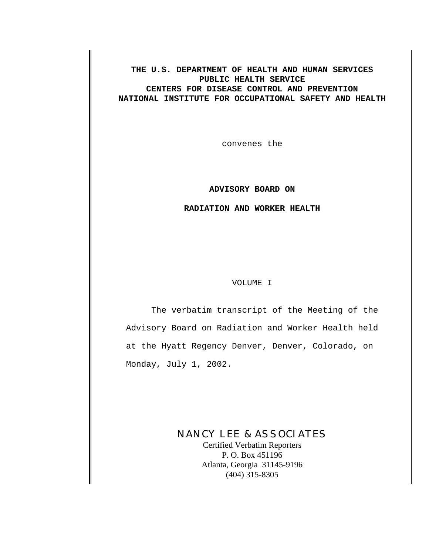**THE U.S. DEPARTMENT OF HEALTH AND HUMAN SERVICES PUBLIC HEALTH SERVICE CENTERS FOR DISEASE CONTROL AND PREVENTION NATIONAL INSTITUTE FOR OCCUPATIONAL SAFETY AND HEALTH**

convenes the

## **ADVISORY BOARD ON**

## **RADIATION AND WORKER HEALTH**

VOLUME I

The verbatim transcript of the Meeting of the Advisory Board on Radiation and Worker Health held at the Hyatt Regency Denver, Denver, Colorado, on Monday, July 1, 2002.

# NANCY LEE & ASSOCIATES

Certified Verbatim Reporters P. O. Box 451196 Atlanta, Georgia 31145-9196 (404) 315-8305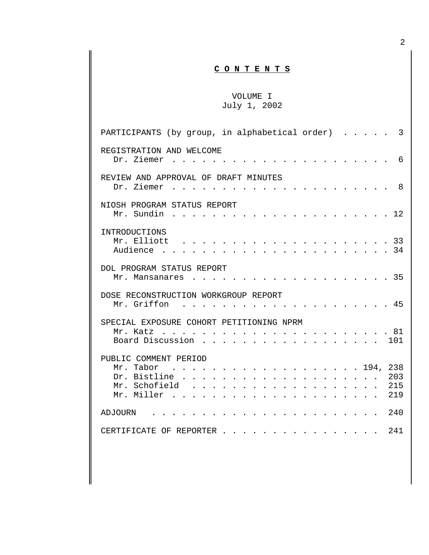# **C O N T E N T S**

# [VOLUME I](#page-36-0) July 1, 2002

| PARTICIPANTS (by group, in alphabetical order)<br>3                                                                                                                        |  |
|----------------------------------------------------------------------------------------------------------------------------------------------------------------------------|--|
| REGISTRATION AND WELCOME<br>Dr. Ziemer<br>6<br>$\sim$ $\sim$ $\sim$ $\sim$                                                                                                 |  |
| REVIEW AND APPROVAL OF DRAFT MINUTES<br>Dr. Ziemer<br>8<br>$\mathbf{r}$ , $\mathbf{r}$ , $\mathbf{r}$ , $\mathbf{r}$ , $\mathbf{r}$                                        |  |
| NIOSH PROGRAM STATUS REPORT<br>Mr. Sundin<br>. 12                                                                                                                          |  |
| INTRODUCTIONS<br>Mr. Elliott<br>Audience                                                                                                                                   |  |
| DOL PROGRAM STATUS REPORT<br>. 35<br>Mr. Mansanares                                                                                                                        |  |
| DOSE RECONSTRUCTION WORKGROUP REPORT<br>Mr. Griffon<br>$\cdots$ 45<br>$\sim$ $\sim$ $\sim$ $\sim$ $\sim$<br>$\cdot$ $\cdot$ $\cdot$ $\cdot$                                |  |
| SPECIAL EXPOSURE COHORT PETITIONING NPRM<br>Mr. Katz<br>Board Discussion<br>. 101                                                                                          |  |
| PUBLIC COMMENT PERIOD<br>Mr. Tabor<br>238<br>. 194,<br>203<br>Mr. Schofield<br>215<br>Mr. Miller<br>219<br>$\cdot$ $\cdot$ $\cdot$ $\cdot$ $\cdot$ $\cdot$ $\cdot$ $\cdot$ |  |
| 2.40<br><b>ADJOURN</b>                                                                                                                                                     |  |
| 241<br>CERTIFICATE OF REPORTER.                                                                                                                                            |  |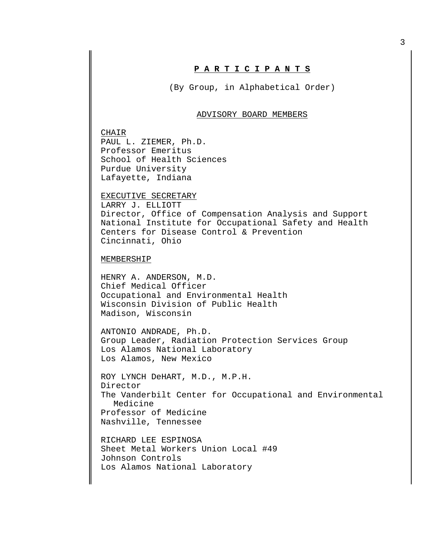# **P A R T I C I P A N T S**

(By Group, in Alphabetical Order)

#### ADVISORY BOARD MEMBERS

CHAIR PAUL L. ZIEMER, Ph.D. Professor Emeritus School of Health Sciences Purdue University Lafayette, Indiana

#### EXECUTIVE SECRETARY

LARRY J. ELLIOTT Director, Office of Compensation Analysis and Support National Institute for Occupational Safety and Health Centers for Disease Control & Prevention Cincinnati, Ohio

#### **MEMBERSHIP**

HENRY A. ANDERSON, M.D. Chief Medical Officer Occupational and Environmental Health Wisconsin Division of Public Health Madison, Wisconsin

ANTONIO ANDRADE, Ph.D. Group Leader, Radiation Protection Services Group Los Alamos National Laboratory Los Alamos, New Mexico

ROY LYNCH DeHART, M.D., M.P.H. Director The Vanderbilt Center for Occupational and Environmental Medicine Professor of Medicine Nashville, Tennessee

RICHARD LEE ESPINOSA Sheet Metal Workers Union Local #49 Johnson Controls Los Alamos National Laboratory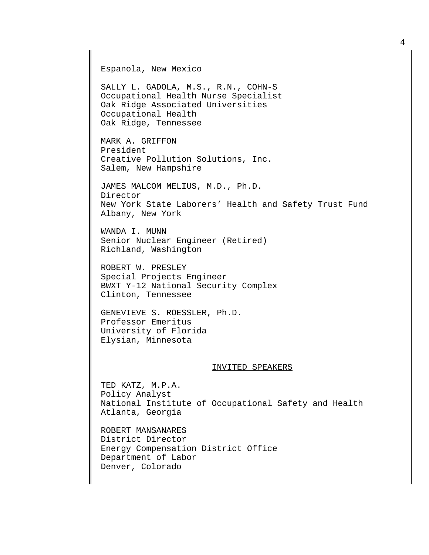Espanola, New Mexico SALLY L. GADOLA, M.S., R.N., COHN-S Occupational Health Nurse Specialist Oak Ridge Associated Universities Occupational Health Oak Ridge, Tennessee MARK A. GRIFFON President Creative Pollution Solutions, Inc. Salem, New Hampshire JAMES MALCOM MELIUS, M.D., Ph.D. Director New York State Laborers' Health and Safety Trust Fund Albany, New York WANDA I. MUNN Senior Nuclear Engineer (Retired) Richland, Washington ROBERT W. PRESLEY Special Projects Engineer BWXT Y-12 National Security Complex Clinton, Tennessee GENEVIEVE S. ROESSLER, Ph.D. Professor Emeritus University of Florida Elysian, Minnesota INVITED SPEAKERS TED KATZ, M.P.A. Policy Analyst National Institute of Occupational Safety and Health Atlanta, Georgia ROBERT MANSANARES District Director Energy Compensation District Office Department of Labor

Denver, Colorado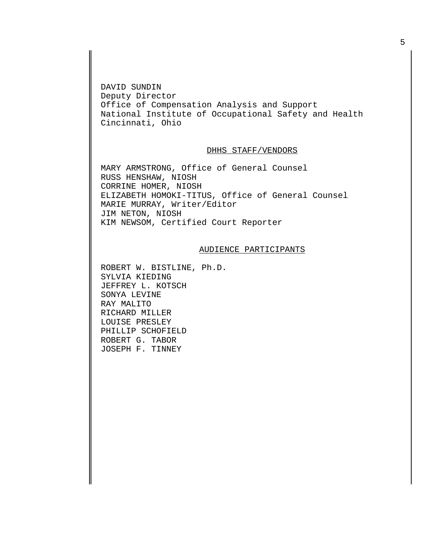DAVID SUNDIN Deputy Director Office of Compensation Analysis and Support National Institute of Occupational Safety and Health Cincinnati, Ohio

## DHHS STAFF/VENDORS

MARY ARMSTRONG, Office of General Counsel RUSS HENSHAW, NIOSH CORRINE HOMER, NIOSH ELIZABETH HOMOKI-TITUS, Office of General Counsel MARIE MURRAY, Writer/Editor JIM NETON, NIOSH KIM NEWSOM, Certified Court Reporter

#### AUDIENCE PARTICIPANTS

ROBERT W. BISTLINE, Ph.D. SYLVIA KIEDING JEFFREY L. KOTSCH SONYA LEVINE RAY MALITO RICHARD MILLER LOUISE PRESLEY PHILLIP SCHOFIELD ROBERT G. TABOR JOSEPH F. TINNEY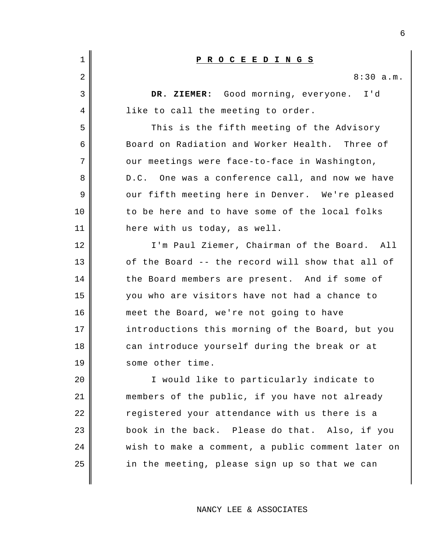| 1  | PROCEEDINGS                                       |
|----|---------------------------------------------------|
| 2  | 8:30 a.m.                                         |
| 3  | DR. ZIEMER: Good morning, everyone. I'd           |
| 4  | like to call the meeting to order.                |
| 5  | This is the fifth meeting of the Advisory         |
| 6  | Board on Radiation and Worker Health. Three of    |
| 7  | our meetings were face-to-face in Washington,     |
| 8  | D.C. One was a conference call, and now we have   |
| 9  | our fifth meeting here in Denver. We're pleased   |
| 10 | to be here and to have some of the local folks    |
| 11 | here with us today, as well.                      |
| 12 | I'm Paul Ziemer, Chairman of the Board. All       |
| 13 | of the Board -- the record will show that all of  |
| 14 | the Board members are present. And if some of     |
| 15 | you who are visitors have not had a chance to     |
| 16 | meet the Board, we're not going to have           |
| 17 | introductions this morning of the Board, but you  |
| 18 | can introduce yourself during the break or at     |
| 19 | some other time.                                  |
| 20 | I would like to particularly indicate to          |
| 21 | members of the public, if you have not already    |
| 22 | registered your attendance with us there is a     |
| 23 | book in the back. Please do that. Also, if you    |
| 24 | wish to make a comment, a public comment later on |
| 25 | in the meeting, please sign up so that we can     |
|    |                                                   |

NANCY LEE & ASSOCIATES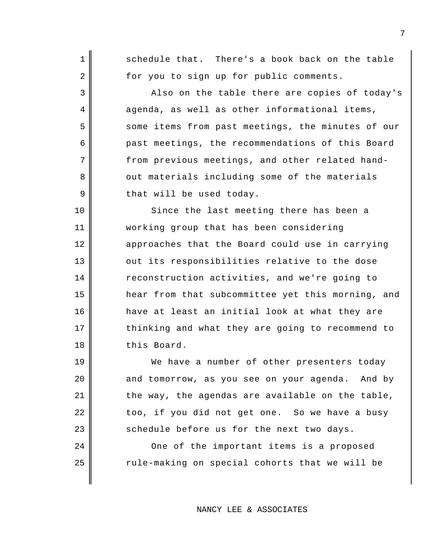schedule that. There's a book back on the table for you to sign up for public comments.

1

2

3

4

5

6

7

8

9

10

11

12

13

14

15

16

17

18

19

20

21

22

23

24

25

Also on the table there are copies of today's agenda, as well as other informational items, some items from past meetings, the minutes of our past meetings, the recommendations of this Board from previous meetings, and other related handout materials including some of the materials that will be used today.

Since the last meeting there has been a working group that has been considering approaches that the Board could use in carrying out its responsibilities relative to the dose reconstruction activities, and we're going to hear from that subcommittee yet this morning, and have at least an initial look at what they are thinking and what they are going to recommend to this Board.

We have a number of other presenters today and tomorrow, as you see on your agenda. And by the way, the agendas are available on the table, too, if you did not get one. So we have a busy schedule before us for the next two days.

One of the important items is a proposed rule-making on special cohorts that we will be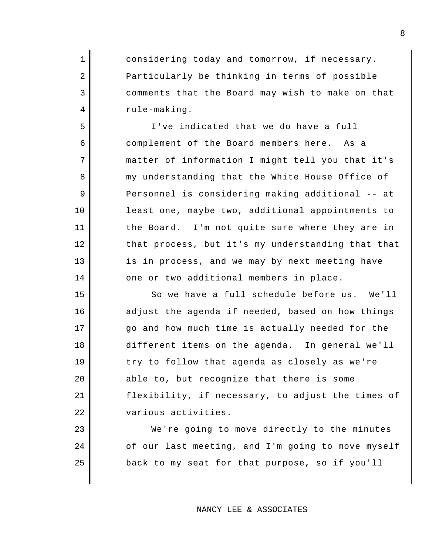considering today and tomorrow, if necessary. Particularly be thinking in terms of possible comments that the Board may wish to make on that rule-making.

1

2

3

4

5

6

7

8

9

10

11

12

13

14

15

16

17

18

19

20

21

22

23

24

25

I've indicated that we do have a full complement of the Board members here. As a matter of information I might tell you that it's my understanding that the White House Office of Personnel is considering making additional -- at least one, maybe two, additional appointments to the Board. I'm not quite sure where they are in that process, but it's my understanding that that is in process, and we may by next meeting have one or two additional members in place.

So we have a full schedule before us. We'll adjust the agenda if needed, based on how things go and how much time is actually needed for the different items on the agenda. In general we'll try to follow that agenda as closely as we're able to, but recognize that there is some flexibility, if necessary, to adjust the times of various activities.

We're going to move directly to the minutes of our last meeting, and I'm going to move myself back to my seat for that purpose, so if you'll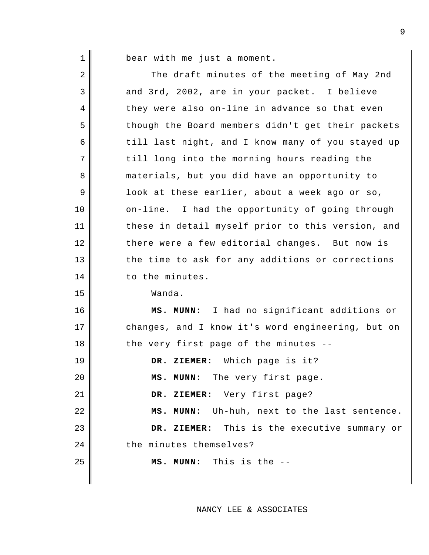1

bear with me just a moment.

2 3 4 5 6 7 8 9 10 11 12 13 14 15 16 17 18 19 20 21 22 23 24 25 The draft minutes of the meeting of May 2nd and 3rd, 2002, are in your packet. I believe they were also on-line in advance so that even though the Board members didn't get their packets till last night, and I know many of you stayed up till long into the morning hours reading the materials, but you did have an opportunity to look at these earlier, about a week ago or so, on-line. I had the opportunity of going through these in detail myself prior to this version, and there were a few editorial changes. But now is the time to ask for any additions or corrections to the minutes. Wanda. **MS. MUNN:** I had no significant additions or changes, and I know it's word engineering, but on the very first page of the minutes -- **DR. ZIEMER:** Which page is it? **MS. MUNN:** The very first page. **DR. ZIEMER:** Very first page? **MS. MUNN:** Uh-huh, next to the last sentence. **DR. ZIEMER:** This is the executive summary or the minutes themselves? **MS. MUNN:** This is the --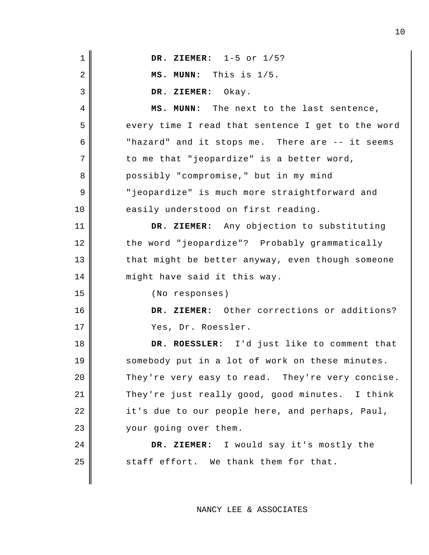| $\mathbf 1$    | DR. ZIEMER: $1-5$ or $1/5$ ?                      |
|----------------|---------------------------------------------------|
| $\overline{2}$ | MS. MUNN: This is 1/5.                            |
| 3              | DR. ZIEMER: Okay.                                 |
| 4              | MS. MUNN: The next to the last sentence,          |
| 5              | every time I read that sentence I get to the word |
| 6              | "hazard" and it stops me. There are -- it seems   |
| 7              | to me that "jeopardize" is a better word,         |
| 8              | possibly "compromise," but in my mind             |
| 9              | "jeopardize" is much more straightforward and     |
| 10             | easily understood on first reading.               |
| 11             | DR. ZIEMER: Any objection to substituting         |
| 12             | the word "jeopardize"? Probably grammatically     |
| 13             | that might be better anyway, even though someone  |
| 14             | might have said it this way.                      |
| 15             | (No responses)                                    |
| 16             | DR. ZIEMER: Other corrections or additions?       |
| 17             | Yes, Dr. Roessler.                                |
| 18             | DR. ROESSLER: I'd just like to comment that       |
| 19             | somebody put in a lot of work on these minutes.   |
| 20             | They're very easy to read. They're very concise.  |
| 21             | They're just really good, good minutes. I think   |
| 22             | it's due to our people here, and perhaps, Paul,   |
| 23             | your going over them.                             |
| 24             | DR. ZIEMER: I would say it's mostly the           |
| 25             | staff effort. We thank them for that.             |
|                |                                                   |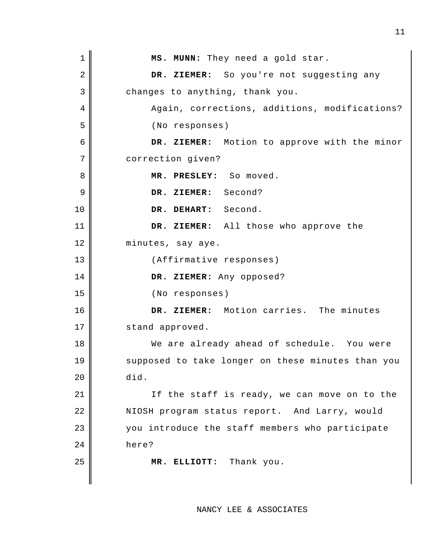1 2 3 4 5 6 7 8 9 10 11 12 13 14 15 16 17 18 19 20 21 22 23 24 25 **MS. MUNN:** They need a gold star. **DR. ZIEMER:** So you're not suggesting any changes to anything, thank you. Again, corrections, additions, modifications? (No responses) **DR. ZIEMER:** Motion to approve with the minor correction given? **MR. PRESLEY:** So moved. **DR. ZIEMER:** Second? **DR. DEHART:** Second. **DR. ZIEMER:** All those who approve the minutes, say aye. (Affirmative responses) **DR. ZIEMER:** Any opposed? (No responses) **DR. ZIEMER:** Motion carries. The minutes stand approved. We are already ahead of schedule. You were supposed to take longer on these minutes than you did. If the staff is ready, we can move on to the NIOSH program status report. And Larry, would you introduce the staff members who participate here? **MR. ELLIOTT:** Thank you.

11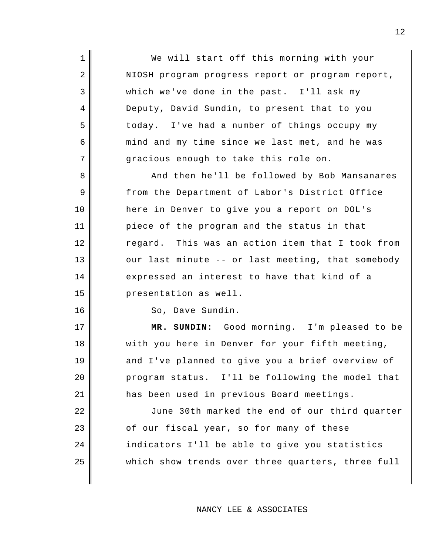We will start off this morning with your NIOSH program progress report or program report, which we've done in the past. I'll ask my Deputy, David Sundin, to present that to you today. I've had a number of things occupy my mind and my time since we last met, and he was gracious enough to take this role on.

And then he'll be followed by Bob Mansanares from the Department of Labor's District Office here in Denver to give you a report on DOL's piece of the program and the status in that regard. This was an action item that I took from our last minute -- or last meeting, that somebody expressed an interest to have that kind of a presentation as well.

So, Dave Sundin.

1

2

3

4

5

6

7

8

9

10

11

12

13

14

15

16

17

18

19

20

21

**MR. SUNDIN:** Good morning. I'm pleased to be with you here in Denver for your fifth meeting, and I've planned to give you a brief overview of program status. I'll be following the model that has been used in previous Board meetings.

22 23 24 25 June 30th marked the end of our third quarter of our fiscal year, so for many of these indicators I'll be able to give you statistics which show trends over three quarters, three full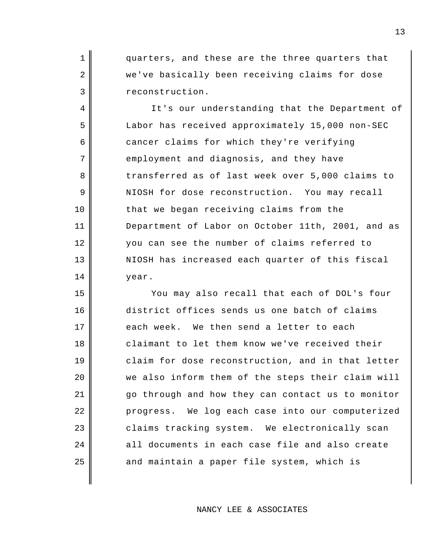quarters, and these are the three quarters that we've basically been receiving claims for dose reconstruction.

1

2

3

4

5

6

7

8

9

10

11

12

13

14

It's our understanding that the Department of Labor has received approximately 15,000 non-SEC cancer claims for which they're verifying employment and diagnosis, and they have transferred as of last week over 5,000 claims to NIOSH for dose reconstruction. You may recall that we began receiving claims from the Department of Labor on October 11th, 2001, and as you can see the number of claims referred to NIOSH has increased each quarter of this fiscal year.

15 16 17 18 19 20 21 22 23 24 25 You may also recall that each of DOL's four district offices sends us one batch of claims each week. We then send a letter to each claimant to let them know we've received their claim for dose reconstruction, and in that letter we also inform them of the steps their claim will go through and how they can contact us to monitor progress. We log each case into our computerized claims tracking system. We electronically scan all documents in each case file and also create and maintain a paper file system, which is

NANCY LEE & ASSOCIATES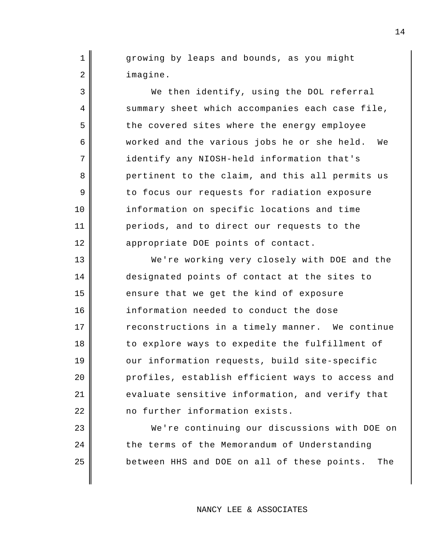growing by leaps and bounds, as you might imagine.

1

2

3

4

5

6

7

8

9

10

11

12

13

14

15

16

17

18

19

20

21

22

23

24

25

We then identify, using the DOL referral summary sheet which accompanies each case file, the covered sites where the energy employee worked and the various jobs he or she held. We identify any NIOSH-held information that's pertinent to the claim, and this all permits us to focus our requests for radiation exposure information on specific locations and time periods, and to direct our requests to the appropriate DOE points of contact.

We're working very closely with DOE and the designated points of contact at the sites to ensure that we get the kind of exposure information needed to conduct the dose reconstructions in a timely manner. We continue to explore ways to expedite the fulfillment of our information requests, build site-specific profiles, establish efficient ways to access and evaluate sensitive information, and verify that no further information exists.

We're continuing our discussions with DOE on the terms of the Memorandum of Understanding between HHS and DOE on all of these points. The

NANCY LEE & ASSOCIATES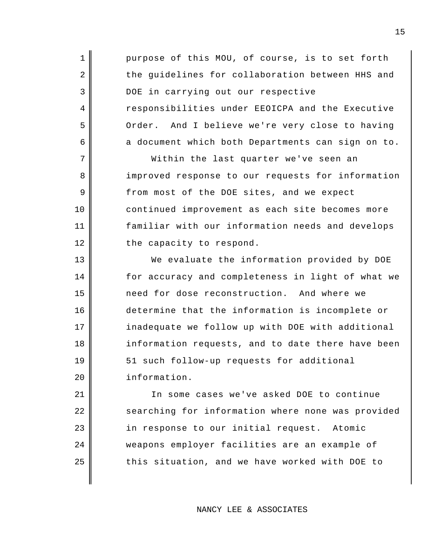purpose of this MOU, of course, is to set forth the guidelines for collaboration between HHS and DOE in carrying out our respective responsibilities under EEOICPA and the Executive Order. And I believe we're very close to having a document which both Departments can sign on to.

1

2

3

4

5

6

7

8

9

10

11

12

13

14

15

16

17

18

19

20

Within the last quarter we've seen an improved response to our requests for information from most of the DOE sites, and we expect continued improvement as each site becomes more familiar with our information needs and develops the capacity to respond.

We evaluate the information provided by DOE for accuracy and completeness in light of what we need for dose reconstruction. And where we determine that the information is incomplete or inadequate we follow up with DOE with additional information requests, and to date there have been 51 such follow-up requests for additional information.

21 22 23 24 25 In some cases we've asked DOE to continue searching for information where none was provided in response to our initial request. Atomic weapons employer facilities are an example of this situation, and we have worked with DOE to

NANCY LEE & ASSOCIATES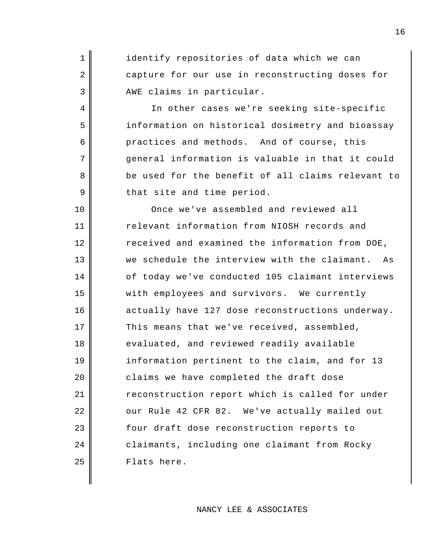identify repositories of data which we can capture for our use in reconstructing doses for AWE claims in particular.

1

2

3

4

5

6

7

8

9

In other cases we're seeking site-specific information on historical dosimetry and bioassay practices and methods. And of course, this general information is valuable in that it could be used for the benefit of all claims relevant to that site and time period.

10 11 12 13 14 15 16 17 18 19 20 21 22 23 24 25 Once we've assembled and reviewed all relevant information from NIOSH records and received and examined the information from DOE, we schedule the interview with the claimant. As of today we've conducted 105 claimant interviews with employees and survivors. We currently actually have 127 dose reconstructions underway. This means that we've received, assembled, evaluated, and reviewed readily available information pertinent to the claim, and for 13 claims we have completed the draft dose reconstruction report which is called for under our Rule 42 CFR 82. We've actually mailed out four draft dose reconstruction reports to claimants, including one claimant from Rocky Flats here.

## NANCY LEE & ASSOCIATES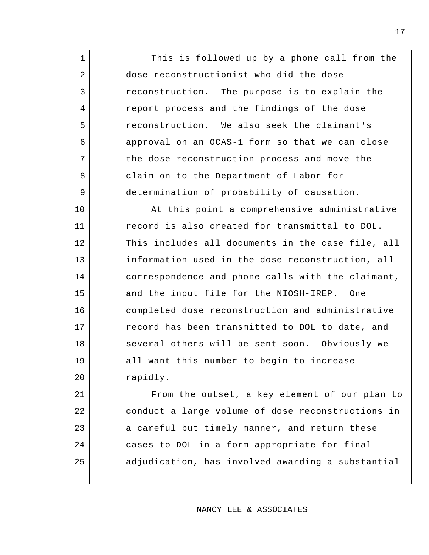This is followed up by a phone call from the dose reconstructionist who did the dose reconstruction. The purpose is to explain the report process and the findings of the dose reconstruction. We also seek the claimant's approval on an OCAS-1 form so that we can close the dose reconstruction process and move the claim on to the Department of Labor for determination of probability of causation. At this point a comprehensive administrative record is also created for transmittal to DOL. This includes all documents in the case file, all information used in the dose reconstruction, all correspondence and phone calls with the claimant, and the input file for the NIOSH-IREP. One

1

2

3

4

5

6

7

8

9

10

11

12

13

14

15

16

17

18

19

20

completed dose reconstruction and administrative record has been transmitted to DOL to date, and several others will be sent soon. Obviously we all want this number to begin to increase rapidly.

21 22 23 24 25 From the outset, a key element of our plan to conduct a large volume of dose reconstructions in a careful but timely manner, and return these cases to DOL in a form appropriate for final adjudication, has involved awarding a substantial

17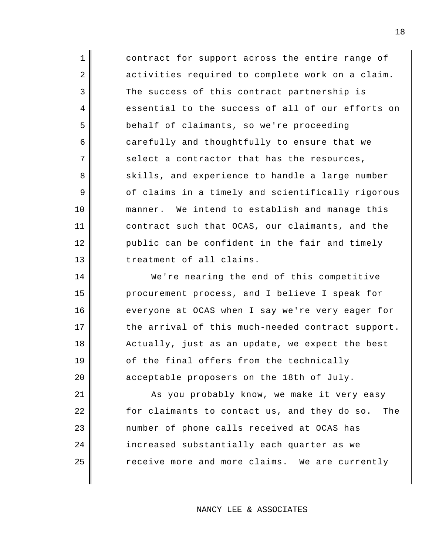contract for support across the entire range of activities required to complete work on a claim. The success of this contract partnership is essential to the success of all of our efforts on behalf of claimants, so we're proceeding carefully and thoughtfully to ensure that we select a contractor that has the resources, skills, and experience to handle a large number of claims in a timely and scientifically rigorous manner. We intend to establish and manage this contract such that OCAS, our claimants, and the public can be confident in the fair and timely treatment of all claims.

1

2

3

4

5

6

7

8

9

10

11

12

13

14

15

16

17

18

19

20

We're nearing the end of this competitive procurement process, and I believe I speak for everyone at OCAS when I say we're very eager for the arrival of this much-needed contract support. Actually, just as an update, we expect the best of the final offers from the technically acceptable proposers on the 18th of July.

21 22 23 24 25 As you probably know, we make it very easy for claimants to contact us, and they do so. The number of phone calls received at OCAS has increased substantially each quarter as we receive more and more claims. We are currently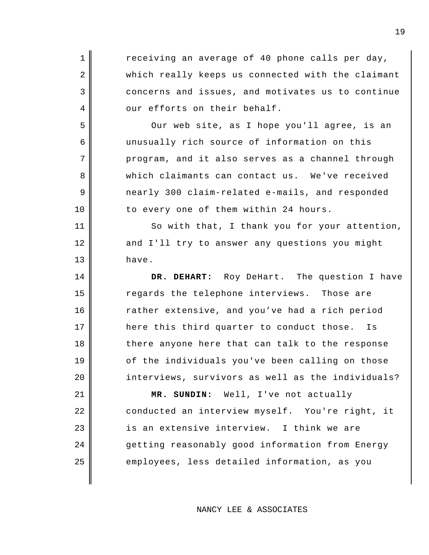receiving an average of 40 phone calls per day, which really keeps us connected with the claimant concerns and issues, and motivates us to continue our efforts on their behalf. Our web site, as I hope you'll agree, is an unusually rich source of information on this program, and it also serves as a channel through which claimants can contact us. We've received nearly 300 claim-related e-mails, and responded to every one of them within 24 hours. So with that, I thank you for your attention, and I'll try to answer any questions you might

have.

1

2

3

4

5

6

7

8

9

10

11

12

13

14

15

16

17

18

19

20

**DR. DEHART:** Roy DeHart. The question I have regards the telephone interviews. Those are rather extensive, and you've had a rich period here this third quarter to conduct those. Is there anyone here that can talk to the response of the individuals you've been calling on those interviews, survivors as well as the individuals?

21 22 23 24 25 **MR. SUNDIN:** Well, I've not actually conducted an interview myself. You're right, it is an extensive interview. I think we are getting reasonably good information from Energy employees, less detailed information, as you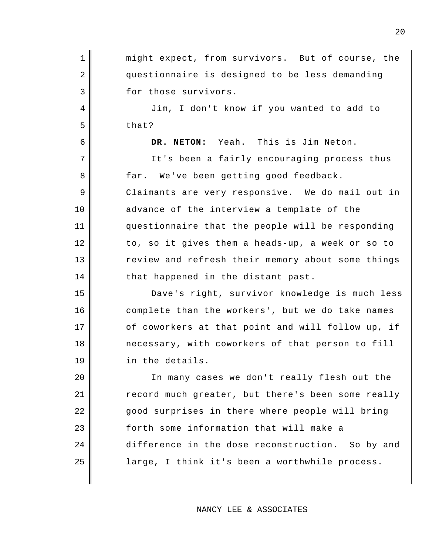1 2 3 4 5 6 7 8 9 10 11 12 13 14 15 16 17 18 19 20 21 22 23 24 25 might expect, from survivors. But of course, the questionnaire is designed to be less demanding for those survivors. Jim, I don't know if you wanted to add to that? **DR. NETON:** Yeah. This is Jim Neton. It's been a fairly encouraging process thus far. We've been getting good feedback. Claimants are very responsive. We do mail out in advance of the interview a template of the questionnaire that the people will be responding to, so it gives them a heads-up, a week or so to review and refresh their memory about some things that happened in the distant past. Dave's right, survivor knowledge is much less complete than the workers', but we do take names of coworkers at that point and will follow up, if necessary, with coworkers of that person to fill in the details. In many cases we don't really flesh out the record much greater, but there's been some really good surprises in there where people will bring forth some information that will make a difference in the dose reconstruction. So by and large, I think it's been a worthwhile process.

NANCY LEE & ASSOCIATES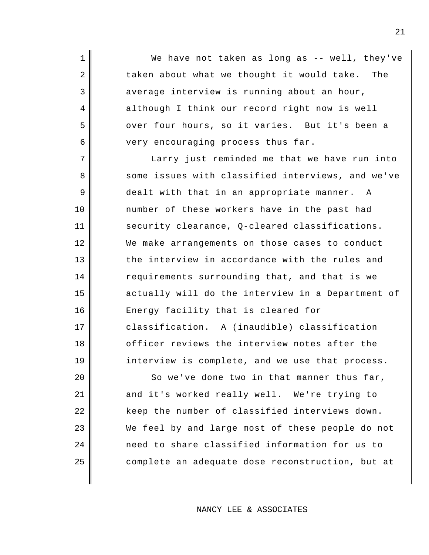We have not taken as long as -- well, they've taken about what we thought it would take. The average interview is running about an hour, although I think our record right now is well over four hours, so it varies. But it's been a very encouraging process thus far.

1

2

3

4

5

6

7

8

9

10

11

12

13

14

15

16

17

18

19

Larry just reminded me that we have run into some issues with classified interviews, and we've dealt with that in an appropriate manner. A number of these workers have in the past had security clearance, Q-cleared classifications. We make arrangements on those cases to conduct the interview in accordance with the rules and requirements surrounding that, and that is we actually will do the interview in a Department of Energy facility that is cleared for classification. A (inaudible) classification officer reviews the interview notes after the interview is complete, and we use that process.

20 21 22 23 24 25 So we've done two in that manner thus far, and it's worked really well. We're trying to keep the number of classified interviews down. We feel by and large most of these people do not need to share classified information for us to complete an adequate dose reconstruction, but at

NANCY LEE & ASSOCIATES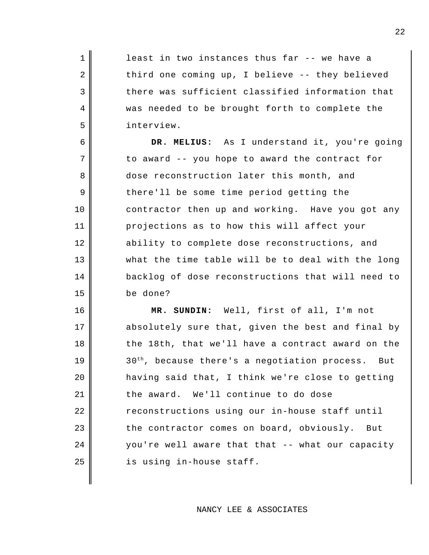least in two instances thus far -- we have a third one coming up, I believe -- they believed there was sufficient classified information that was needed to be brought forth to complete the interview.

1

2

3

4

5

6

9

10

7 8 11 12 13 14 15 **DR. MELIUS:** As I understand it, you're going to award -- you hope to award the contract for dose reconstruction later this month, and there'll be some time period getting the contractor then up and working. Have you got any projections as to how this will affect your ability to complete dose reconstructions, and what the time table will be to deal with the long backlog of dose reconstructions that will need to be done?

16 17 18 19 20 21 22 23 24 25 **MR. SUNDIN:** Well, first of all, I'm not absolutely sure that, given the best and final by the 18th, that we'll have a contract award on the  $30<sup>th</sup>$ , because there's a negotiation process. But having said that, I think we're close to getting the award. We'll continue to do dose reconstructions using our in-house staff until the contractor comes on board, obviously. But you're well aware that that -- what our capacity is using in-house staff.

NANCY LEE & ASSOCIATES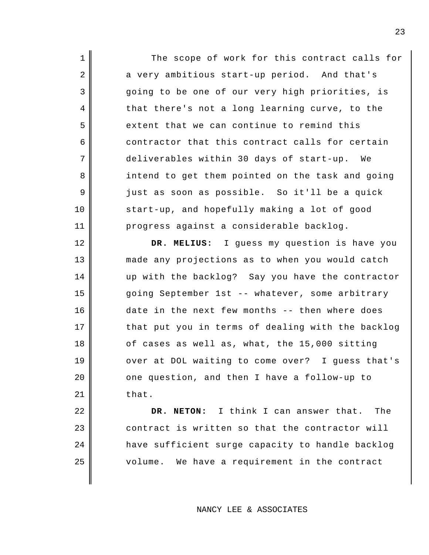The scope of work for this contract calls for a very ambitious start-up period. And that's going to be one of our very high priorities, is that there's not a long learning curve, to the extent that we can continue to remind this contractor that this contract calls for certain deliverables within 30 days of start-up. We intend to get them pointed on the task and going just as soon as possible. So it'll be a quick start-up, and hopefully making a lot of good progress against a considerable backlog.

1

2

3

4

5

6

7

8

9

10

11

12

13

14

15

16

17

18

19

20

21

**DR. MELIUS:** I guess my question is have you made any projections as to when you would catch up with the backlog? Say you have the contractor going September 1st -- whatever, some arbitrary date in the next few months -- then where does that put you in terms of dealing with the backlog of cases as well as, what, the 15,000 sitting over at DOL waiting to come over? I guess that's one question, and then I have a follow-up to that.

22 23 24 25 **DR. NETON:** I think I can answer that. The contract is written so that the contractor will have sufficient surge capacity to handle backlog volume. We have a requirement in the contract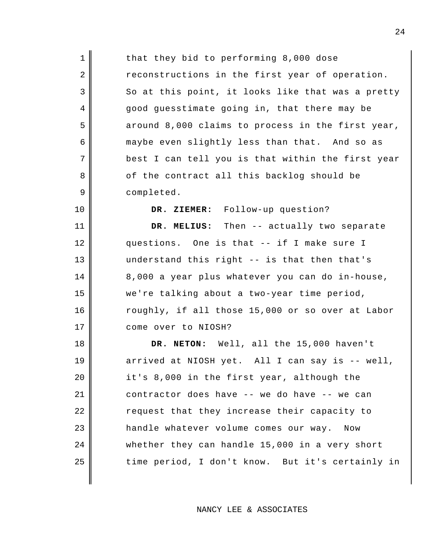that they bid to performing 8,000 dose reconstructions in the first year of operation. So at this point, it looks like that was a pretty good guesstimate going in, that there may be around 8,000 claims to process in the first year, maybe even slightly less than that. And so as best I can tell you is that within the first year of the contract all this backlog should be completed.

1

2

3

4

5

6

7

8

9

10

11

12

13

14

15

16

17

**DR. ZIEMER:** Follow-up question?

**DR. MELIUS:** Then -- actually two separate questions. One is that -- if I make sure I understand this right -- is that then that's 8,000 a year plus whatever you can do in-house, we're talking about a two-year time period, roughly, if all those 15,000 or so over at Labor come over to NIOSH?

18 19 20 21 22 23 24 25 **DR. NETON:** Well, all the 15,000 haven't arrived at NIOSH yet. All I can say is -- well, it's 8,000 in the first year, although the contractor does have -- we do have -- we can request that they increase their capacity to handle whatever volume comes our way. Now whether they can handle 15,000 in a very short time period, I don't know. But it's certainly in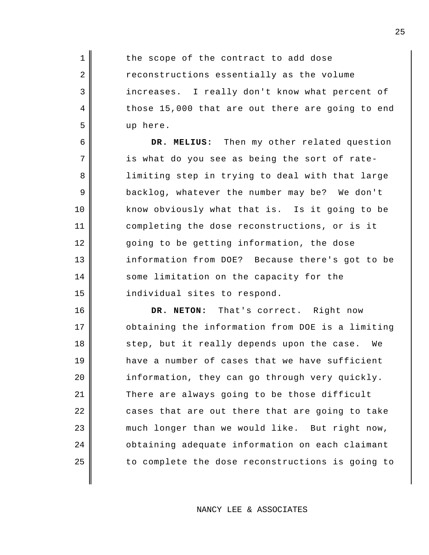the scope of the contract to add dose reconstructions essentially as the volume increases. I really don't know what percent of those 15,000 that are out there are going to end up here.

1

2

3

4

5

6

7

8

9

10

11

12

13

14

15

**DR. MELIUS:** Then my other related question is what do you see as being the sort of ratelimiting step in trying to deal with that large backlog, whatever the number may be? We don't know obviously what that is. Is it going to be completing the dose reconstructions, or is it going to be getting information, the dose information from DOE? Because there's got to be some limitation on the capacity for the individual sites to respond.

16 17 18 19 20 21 22 23 24 25 **DR. NETON:** That's correct. Right now obtaining the information from DOE is a limiting step, but it really depends upon the case. We have a number of cases that we have sufficient information, they can go through very quickly. There are always going to be those difficult cases that are out there that are going to take much longer than we would like. But right now, obtaining adequate information on each claimant to complete the dose reconstructions is going to

NANCY LEE & ASSOCIATES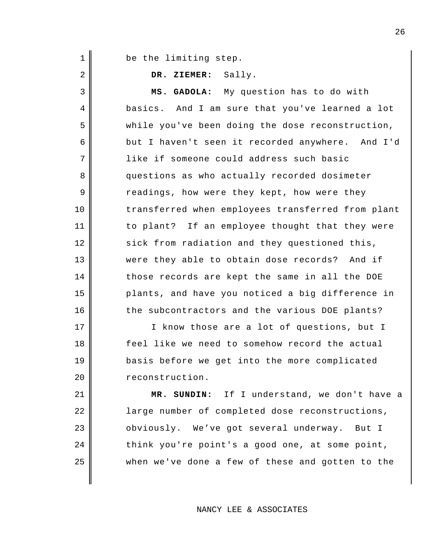be the limiting step.

1

2

3

4

5

6

7

8

9

10

11

12

13

14

15

16

17

18

19

20

**DR. ZIEMER:** Sally.

**MS. GADOLA:** My question has to do with basics. And I am sure that you've learned a lot while you've been doing the dose reconstruction, but I haven't seen it recorded anywhere. And I'd like if someone could address such basic questions as who actually recorded dosimeter readings, how were they kept, how were they transferred when employees transferred from plant to plant? If an employee thought that they were sick from radiation and they questioned this, were they able to obtain dose records? And if those records are kept the same in all the DOE plants, and have you noticed a big difference in the subcontractors and the various DOE plants?

I know those are a lot of questions, but I feel like we need to somehow record the actual basis before we get into the more complicated reconstruction.

21 22 23 24 25 **MR. SUNDIN:** If I understand, we don't have a large number of completed dose reconstructions, obviously. We've got several underway. But I think you're point's a good one, at some point, when we've done a few of these and gotten to the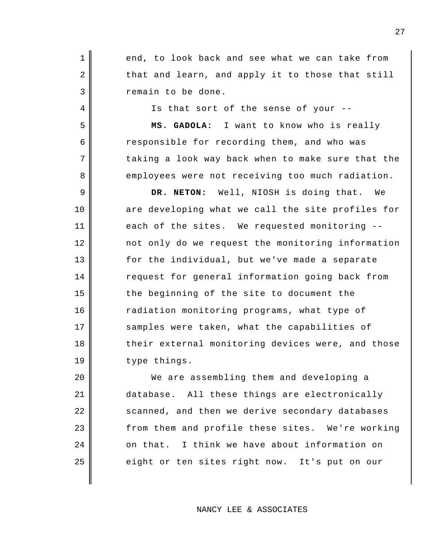end, to look back and see what we can take from that and learn, and apply it to those that still remain to be done.

1

2

3

4

5

6

7

8

9

10

11

12

13

14

15

16

17

18

19

Is that sort of the sense of your --

**MS. GADOLA:** I want to know who is really responsible for recording them, and who was taking a look way back when to make sure that the employees were not receiving too much radiation.

**DR. NETON:** Well, NIOSH is doing that. We are developing what we call the site profiles for each of the sites. We requested monitoring - not only do we request the monitoring information for the individual, but we've made a separate request for general information going back from the beginning of the site to document the radiation monitoring programs, what type of samples were taken, what the capabilities of their external monitoring devices were, and those type things.

20 21 22 23 24 25 We are assembling them and developing a database. All these things are electronically scanned, and then we derive secondary databases from them and profile these sites. We're working on that. I think we have about information on eight or ten sites right now. It's put on our

NANCY LEE & ASSOCIATES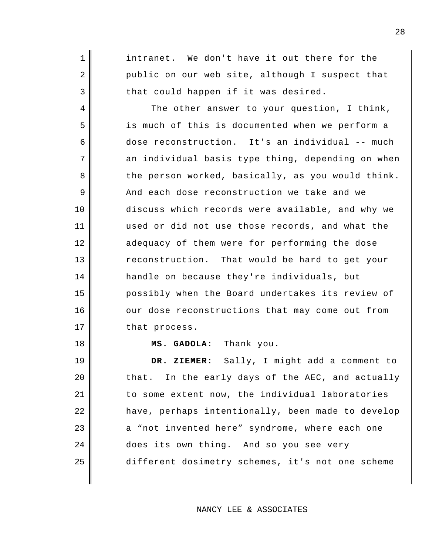intranet. We don't have it out there for the public on our web site, although I suspect that that could happen if it was desired.

1

2

3

4

5

6

7

8

9

10

11

12

13

14

15

16

17

18

The other answer to your question, I think, is much of this is documented when we perform a dose reconstruction. It's an individual -- much an individual basis type thing, depending on when the person worked, basically, as you would think. And each dose reconstruction we take and we discuss which records were available, and why we used or did not use those records, and what the adequacy of them were for performing the dose reconstruction. That would be hard to get your handle on because they're individuals, but possibly when the Board undertakes its review of our dose reconstructions that may come out from that process.

#### **MS. GADOLA:** Thank you.

19 20 21 22 23 24 25 **DR. ZIEMER:** Sally, I might add a comment to that. In the early days of the AEC, and actually to some extent now, the individual laboratories have, perhaps intentionally, been made to develop a "not invented here" syndrome, where each one does its own thing. And so you see very different dosimetry schemes, it's not one scheme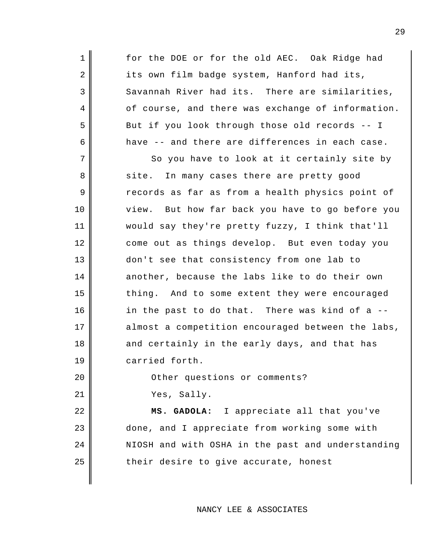1 2 3 4 5 6 7 8 9 10 11 12 13 14 15 16 17 18 19 20 21 22 23 for the DOE or for the old AEC. Oak Ridge had its own film badge system, Hanford had its, Savannah River had its. There are similarities, of course, and there was exchange of information. But if you look through those old records -- I have -- and there are differences in each case. So you have to look at it certainly site by site. In many cases there are pretty good records as far as from a health physics point of view. But how far back you have to go before you would say they're pretty fuzzy, I think that'll come out as things develop. But even today you don't see that consistency from one lab to another, because the labs like to do their own thing. And to some extent they were encouraged in the past to do that. There was kind of a - almost a competition encouraged between the labs, and certainly in the early days, and that has carried forth. Other questions or comments? Yes, Sally. **MS. GADOLA:** I appreciate all that you've done, and I appreciate from working some with

their desire to give accurate, honest

24

25

### NANCY LEE & ASSOCIATES

NIOSH and with OSHA in the past and understanding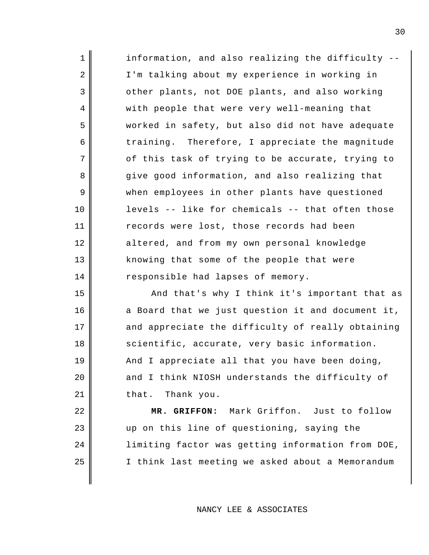| $\mathbf 1$ | information, and also realizing the difficulty -- |
|-------------|---------------------------------------------------|
| 2           | I'm talking about my experience in working in     |
| 3           | other plants, not DOE plants, and also working    |
| 4           | with people that were very well-meaning that      |
| 5           | worked in safety, but also did not have adequate  |
| 6           | training. Therefore, I appreciate the magnitude   |
| 7           | of this task of trying to be accurate, trying to  |
| 8           | give good information, and also realizing that    |
| 9           | when employees in other plants have questioned    |
| $10 \,$     | levels -- like for chemicals -- that often those  |
| 11          | records were lost, those records had been         |
| 12          | altered, and from my own personal knowledge       |
| 13          | knowing that some of the people that were         |
| 14          | responsible had lapses of memory.                 |
| 15          | And that's why I think it's important that as     |
| 16          | a Board that we just question it and document it, |
| 17          | and appreciate the difficulty of really obtaining |
| 18          | scientific, accurate, very basic information.     |
| 19          | And I appreciate all that you have been doing,    |
| 20          | and I think NIOSH understands the difficulty of   |
| 21          | that. Thank you.                                  |
| 22          | MR. GRIFFON: Mark Griffon. Just to follow         |
| 23          | up on this line of questioning, saying the        |
| 24          | limiting factor was getting information from DOE, |
| 25          | I think last meeting we asked about a Memorandum  |
|             |                                                   |

NANCY LEE & ASSOCIATES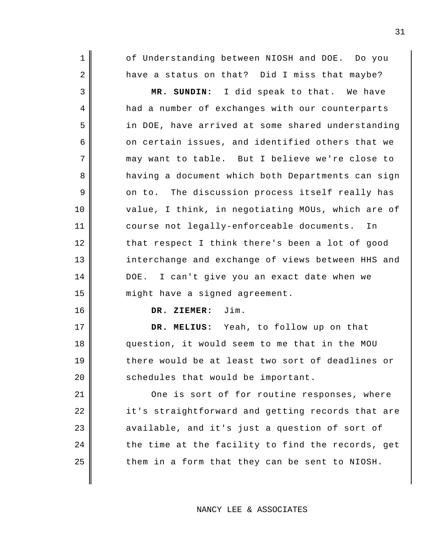of Understanding between NIOSH and DOE. Do you have a status on that? Did I miss that maybe?

**MR. SUNDIN:** I did speak to that. We have had a number of exchanges with our counterparts in DOE, have arrived at some shared understanding on certain issues, and identified others that we may want to table. But I believe we're close to having a document which both Departments can sign on to. The discussion process itself really has value, I think, in negotiating MOUs, which are of course not legally-enforceable documents. In that respect I think there's been a lot of good interchange and exchange of views between HHS and DOE. I can't give you an exact date when we might have a signed agreement.

**DR. ZIEMER:** Jim.

1

2

3

4

5

6

7

8

9

10

11

12

13

14

15

16

17

18

19

20

**DR. MELIUS:** Yeah, to follow up on that question, it would seem to me that in the MOU there would be at least two sort of deadlines or schedules that would be important.

21 22 23 24 25 One is sort of for routine responses, where it's straightforward and getting records that are available, and it's just a question of sort of the time at the facility to find the records, get them in a form that they can be sent to NIOSH.

NANCY LEE & ASSOCIATES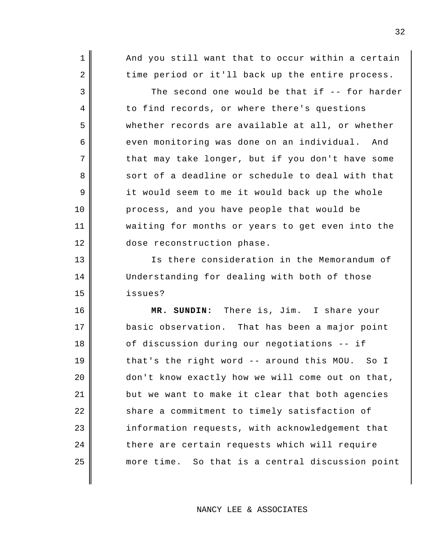And you still want that to occur within a certain time period or it'll back up the entire process.

1

2

3

4

5

6

7

8

9

10

11

12

13

14

15

The second one would be that if -- for harder to find records, or where there's questions whether records are available at all, or whether even monitoring was done on an individual. And that may take longer, but if you don't have some sort of a deadline or schedule to deal with that it would seem to me it would back up the whole process, and you have people that would be waiting for months or years to get even into the dose reconstruction phase.

Is there consideration in the Memorandum of Understanding for dealing with both of those issues?

16 17 18 19 20 21 22 23 24 25 **MR. SUNDIN:** There is, Jim. I share your basic observation. That has been a major point of discussion during our negotiations -- if that's the right word -- around this MOU. So I don't know exactly how we will come out on that, but we want to make it clear that both agencies share a commitment to timely satisfaction of information requests, with acknowledgement that there are certain requests which will require more time. So that is a central discussion point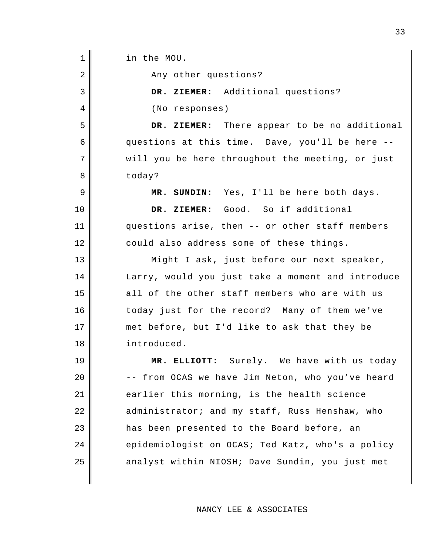1 2 3 4 5 6 7 8 9 10 11 12 13 14 15 16 17 18 19 20 21 22 23 24 25 in the MOU. Any other questions? **DR. ZIEMER:** Additional questions? (No responses) **DR. ZIEMER:** There appear to be no additional questions at this time. Dave, you'll be here - will you be here throughout the meeting, or just today? **MR. SUNDIN:** Yes, I'll be here both days. DR. ZIEMER: Good. So if additional questions arise, then -- or other staff members could also address some of these things. Might I ask, just before our next speaker, Larry, would you just take a moment and introduce all of the other staff members who are with us today just for the record? Many of them we've met before, but I'd like to ask that they be introduced. **MR. ELLIOTT:** Surely. We have with us today -- from OCAS we have Jim Neton, who you've heard earlier this morning, is the health science administrator; and my staff, Russ Henshaw, who has been presented to the Board before, an epidemiologist on OCAS; Ted Katz, who's a policy analyst within NIOSH; Dave Sundin, you just met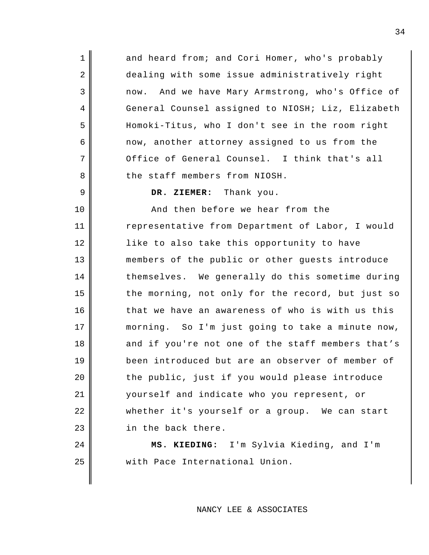and heard from; and Cori Homer, who's probably dealing with some issue administratively right now. And we have Mary Armstrong, who's Office of General Counsel assigned to NIOSH; Liz, Elizabeth Homoki-Titus, who I don't see in the room right now, another attorney assigned to us from the Office of General Counsel. I think that's all the staff members from NIOSH.

**DR. ZIEMER:** Thank you.

1

2

3

4

5

6

7

8

9

24

25

10 11 12 13 14 15 16 17 18 19 20 21 22 23 And then before we hear from the representative from Department of Labor, I would like to also take this opportunity to have members of the public or other guests introduce themselves. We generally do this sometime during the morning, not only for the record, but just so that we have an awareness of who is with us this morning. So I'm just going to take a minute now, and if you're not one of the staff members that's been introduced but are an observer of member of the public, just if you would please introduce yourself and indicate who you represent, or whether it's yourself or a group. We can start in the back there.

> **MS. KIEDING:** I'm Sylvia Kieding, and I'm with Pace International Union.

> > NANCY LEE & ASSOCIATES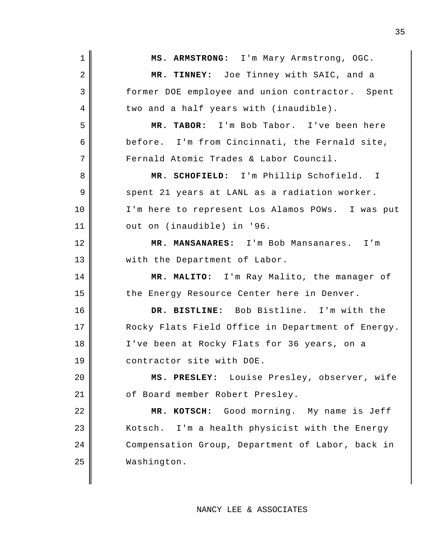| $\mathbf 1$    | MS. ARMSTRONG: I'm Mary Armstrong, OGC.           |
|----------------|---------------------------------------------------|
| $\overline{2}$ | MR. TINNEY: Joe Tinney with SAIC, and a           |
| 3              | former DOE employee and union contractor. Spent   |
| 4              | two and a half years with (inaudible).            |
| 5              | MR. TABOR: I'm Bob Tabor. I've been here          |
| 6              | before. I'm from Cincinnati, the Fernald site,    |
| 7              | Fernald Atomic Trades & Labor Council.            |
| 8              | MR. SCHOFIELD: I'm Phillip Schofield. I           |
| 9              | spent 21 years at LANL as a radiation worker.     |
| 10             | I'm here to represent Los Alamos POWs. I was put  |
| 11             | out on (inaudible) in '96.                        |
| 12             | MR. MANSANARES: I'm Bob Mansanares. I'm           |
| 13             | with the Department of Labor.                     |
| 14             | MR. MALITO: I'm Ray Malito, the manager of        |
|                |                                                   |
| 15             | the Energy Resource Center here in Denver.        |
| 16             | DR. BISTLINE: Bob Bistline. I'm with the          |
| 17             | Rocky Flats Field Office in Department of Energy. |
| 18             | I've been at Rocky Flats for 36 years, on a       |
| 19             | contractor site with DOE.                         |
| 20             | MS. PRESLEY: Louise Presley, observer, wife       |
| 21             | of Board member Robert Presley.                   |
| 22             | MR. KOTSCH: Good morning. My name is Jeff         |
| 23             | Kotsch. I'm a health physicist with the Energy    |
| 24             | Compensation Group, Department of Labor, back in  |
| 25             | Washington.                                       |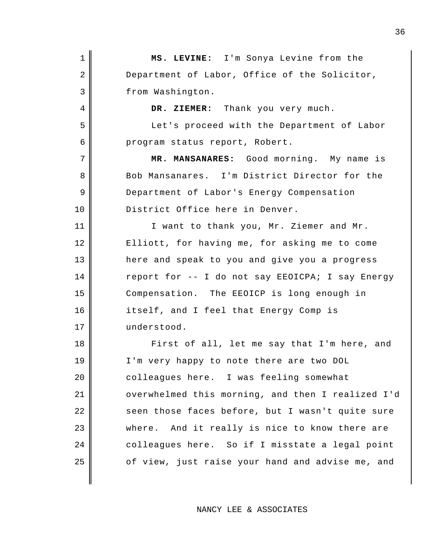1 2 3 4 5 6 7 8 9 10 11 12 13 14 15 16 17 18 19 20 21 22 23 24 25 **MS. LEVINE:** I'm Sonya Levine from the Department of Labor, Office of the Solicitor, from Washington. **DR. ZIEMER:** Thank you very much. Let's proceed with the Department of Labor program status report, Robert. **MR. MANSANARES:** Good morning. My name is Bob Mansanares. I'm District Director for the Department of Labor's Energy Compensation District Office here in Denver. I want to thank you, Mr. Ziemer and Mr. Elliott, for having me, for asking me to come here and speak to you and give you a progress report for -- I do not say EEOICPA; I say Energy Compensation. The EEOICP is long enough in itself, and I feel that Energy Comp is understood. First of all, let me say that I'm here, and I'm very happy to note there are two DOL colleagues here. I was feeling somewhat overwhelmed this morning, and then I realized I'd seen those faces before, but I wasn't quite sure where. And it really is nice to know there are colleagues here. So if I misstate a legal point of view, just raise your hand and advise me, and

NANCY LEE & ASSOCIATES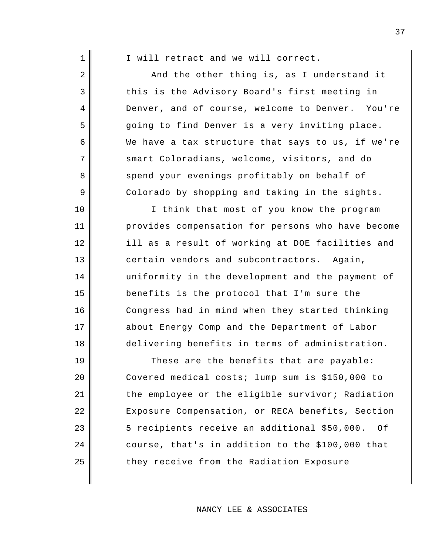| 1  | I will retract and we will correct.                |
|----|----------------------------------------------------|
| 2  | And the other thing is, as I understand it         |
| 3  | this is the Advisory Board's first meeting in      |
| 4  | Denver, and of course, welcome to Denver. You're   |
| 5  | going to find Denver is a very inviting place.     |
| 6  | We have a tax structure that says to us, if we're  |
| 7  | smart Coloradians, welcome, visitors, and do       |
| 8  | spend your evenings profitably on behalf of        |
| 9  | Colorado by shopping and taking in the sights.     |
| 10 | I think that most of you know the program          |
| 11 | provides compensation for persons who have become  |
| 12 | ill as a result of working at DOE facilities and   |
| 13 | certain vendors and subcontractors. Again,         |
| 14 | uniformity in the development and the payment of   |
| 15 | benefits is the protocol that I'm sure the         |
| 16 | Congress had in mind when they started thinking    |
| 17 | about Energy Comp and the Department of Labor      |
| 18 | delivering benefits in terms of administration.    |
| 19 | These are the benefits that are payable:           |
| 20 | Covered medical costs; lump sum is \$150,000 to    |
| 21 | the employee or the eligible survivor; Radiation   |
| 22 | Exposure Compensation, or RECA benefits, Section   |
| 23 | 5 recipients receive an additional \$50,000.<br>Οf |

24

25

they receive from the Radiation Exposure

NANCY LEE & ASSOCIATES

course, that's in addition to the \$100,000 that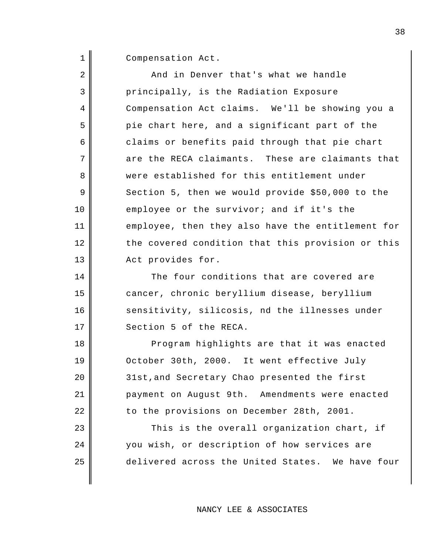1 Compensation Act.

| $\overline{2}$ | And in Denver that's what we handle               |
|----------------|---------------------------------------------------|
| $\mathfrak{Z}$ | principally, is the Radiation Exposure            |
| $\overline{4}$ | Compensation Act claims. We'll be showing you a   |
| 5              | pie chart here, and a significant part of the     |
| 6              | claims or benefits paid through that pie chart    |
| 7              | are the RECA claimants. These are claimants that  |
| 8              | were established for this entitlement under       |
| 9              | Section 5, then we would provide \$50,000 to the  |
| 10             | employee or the survivor; and if it's the         |
| 11             | employee, then they also have the entitlement for |
| 12             | the covered condition that this provision or this |
| 13             | Act provides for.                                 |
| 14             | The four conditions that are covered are          |
| 15             | cancer, chronic beryllium disease, beryllium      |
| 16             | sensitivity, silicosis, nd the illnesses under    |
| 17             | Section 5 of the RECA.                            |
| 18             | Program highlights are that it was enacted        |
| 19             | October 30th, 2000. It went effective July        |
| 20             | 31st, and Secretary Chao presented the first      |
| 21             | payment on August 9th. Amendments were enacted    |
| 22             | to the provisions on December 28th, 2001.         |
| 23             | This is the overall organization chart, if        |
| 24             | you wish, or description of how services are      |
| 25             | delivered across the United States. We have four  |
|                |                                                   |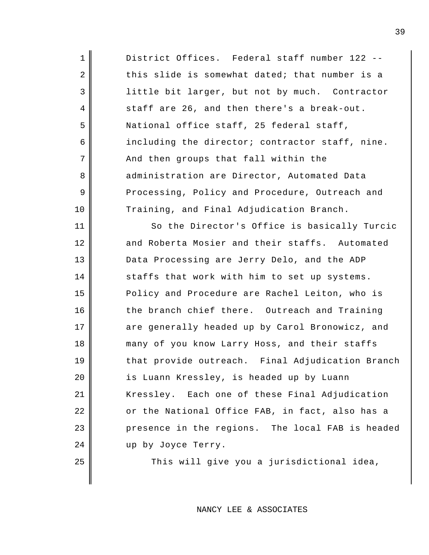| $\mathbf 1$    | District Offices. Federal staff number 122 --    |
|----------------|--------------------------------------------------|
| $\overline{2}$ | this slide is somewhat dated; that number is a   |
| $\mathbf{3}$   | little bit larger, but not by much. Contractor   |
| 4              | staff are 26, and then there's a break-out.      |
| 5              | National office staff, 25 federal staff,         |
| 6              | including the director; contractor staff, nine.  |
| 7              | And then groups that fall within the             |
| 8              | administration are Director, Automated Data      |
| 9              | Processing, Policy and Procedure, Outreach and   |
| 10             | Training, and Final Adjudication Branch.         |
| 11             | So the Director's Office is basically Turcic     |
| 12             | and Roberta Mosier and their staffs. Automated   |
| 13             | Data Processing are Jerry Delo, and the ADP      |
| 14             | staffs that work with him to set up systems.     |
| 15             | Policy and Procedure are Rachel Leiton, who is   |
| 16             | the branch chief there. Outreach and Training    |
| 17             | are generally headed up by Carol Bronowicz, and  |
| 18             | many of you know Larry Hoss, and their staffs    |
| 19             | that provide outreach. Final Adjudication Branch |
| 20             | is Luann Kressley, is headed up by Luann         |
| 21             | Kressley. Each one of these Final Adjudication   |
| 22             | or the National Office FAB, in fact, also has a  |
| 23             | presence in the regions. The local FAB is headed |
| 24             | up by Joyce Terry.                               |
| 25             | This will give you a jurisdictional idea,        |

This will give you a jurisdictional idea,

NANCY LEE & ASSOCIATES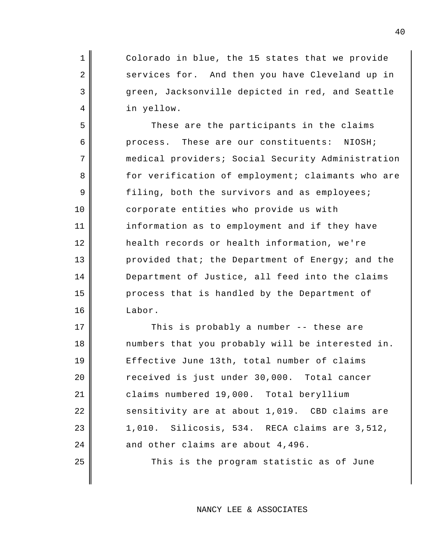Colorado in blue, the 15 states that we provide services for. And then you have Cleveland up in green, Jacksonville depicted in red, and Seattle in yellow.

1

2

3

4

5

6

7

8

9

10

11

12

13

14

15

16

17

18

19

20

21

22

23

24

25

These are the participants in the claims process. These are our constituents: NIOSH; medical providers; Social Security Administration for verification of employment; claimants who are filing, both the survivors and as employees; corporate entities who provide us with information as to employment and if they have health records or health information, we're provided that; the Department of Energy; and the Department of Justice, all feed into the claims process that is handled by the Department of Labor.

This is probably a number -- these are numbers that you probably will be interested in. Effective June 13th, total number of claims received is just under 30,000. Total cancer claims numbered 19,000. Total beryllium sensitivity are at about 1,019. CBD claims are 1,010. Silicosis, 534. RECA claims are 3,512, and other claims are about 4,496.

This is the program statistic as of June

NANCY LEE & ASSOCIATES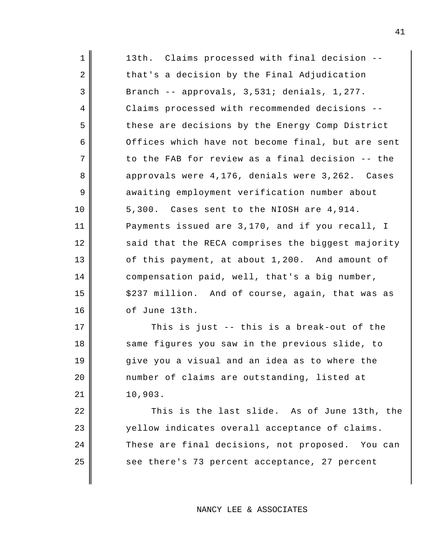| $\mathbf 1$ | 13th. Claims processed with final decision --     |
|-------------|---------------------------------------------------|
| 2           | that's a decision by the Final Adjudication       |
| 3           | Branch -- approvals, 3,531; denials, 1,277.       |
| 4           | Claims processed with recommended decisions --    |
| 5           | these are decisions by the Energy Comp District   |
| 6           | Offices which have not become final, but are sent |
| 7           | to the FAB for review as a final decision -- the  |
| 8           | approvals were 4,176, denials were 3,262. Cases   |
| 9           | awaiting employment verification number about     |
| 10          | 5,300. Cases sent to the NIOSH are 4,914.         |
| 11          | Payments issued are 3,170, and if you recall, I   |
| 12          | said that the RECA comprises the biggest majority |
| 13          | of this payment, at about 1,200. And amount of    |
| 14          | compensation paid, well, that's a big number,     |
| 15          | \$237 million. And of course, again, that was as  |
| 16          | of June 13th.                                     |
| 17          | This is just -- this is a break-out of the        |
| 18          | same figures you saw in the previous slide, to    |
| 19          | give you a visual and an idea as to where the     |
| 20          | number of claims are outstanding, listed at       |
| 21          | 10,903.                                           |
| 22          | This is the last slide. As of June 13th, the      |
| 23          | yellow indicates overall acceptance of claims.    |
| 24          | These are final decisions, not proposed. You can  |

see there's 73 percent acceptance, 27 percent

25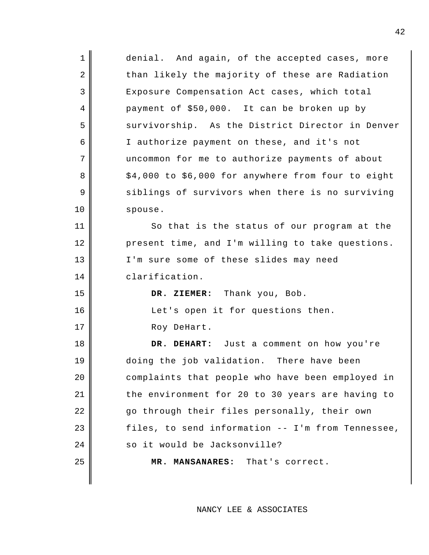| $\mathbf 1$ | denial. And again, of the accepted cases, more     |
|-------------|----------------------------------------------------|
| 2           | than likely the majority of these are Radiation    |
| 3           | Exposure Compensation Act cases, which total       |
| 4           | payment of \$50,000. It can be broken up by        |
| 5           | survivorship. As the District Director in Denver   |
| 6           | I authorize payment on these, and it's not         |
| 7           | uncommon for me to authorize payments of about     |
| 8           | \$4,000 to \$6,000 for anywhere from four to eight |
| 9           | siblings of survivors when there is no surviving   |
| 10          | spouse.                                            |
| 11          | So that is the status of our program at the        |
| 12          | present time, and I'm willing to take questions.   |
| 13          | I'm sure some of these slides may need             |
|             |                                                    |
| 14          | clarification.                                     |
| 15          | DR. ZIEMER: Thank you, Bob.                        |
| 16          | Let's open it for questions then.                  |
| 17          | Roy DeHart.                                        |
| 18          | DR. DEHART: Just a comment on how you're           |
| 19          | doing the job validation. There have been          |
| 20          | complaints that people who have been employed in   |
| 21          | the environment for 20 to 30 years are having to   |
| 22          | go through their files personally, their own       |
| 23          | files, to send information -- I'm from Tennessee,  |
| 24          | so it would be Jacksonville?                       |
| 25          | MR. MANSANARES: That's correct.                    |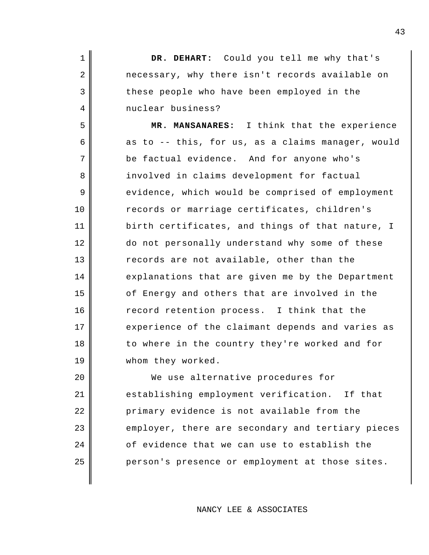**DR. DEHART:** Could you tell me why that's necessary, why there isn't records available on these people who have been employed in the nuclear business?

1

2

3

4

5

6

7

8

9

10

11

12

13

14

15

16

17

18

19

**MR. MANSANARES:** I think that the experience as to -- this, for us, as a claims manager, would be factual evidence. And for anyone who's involved in claims development for factual evidence, which would be comprised of employment records or marriage certificates, children's birth certificates, and things of that nature, I do not personally understand why some of these records are not available, other than the explanations that are given me by the Department of Energy and others that are involved in the record retention process. I think that the experience of the claimant depends and varies as to where in the country they're worked and for whom they worked.

20 21 22 23 24 25 We use alternative procedures for establishing employment verification. If that primary evidence is not available from the employer, there are secondary and tertiary pieces of evidence that we can use to establish the person's presence or employment at those sites.

## NANCY LEE & ASSOCIATES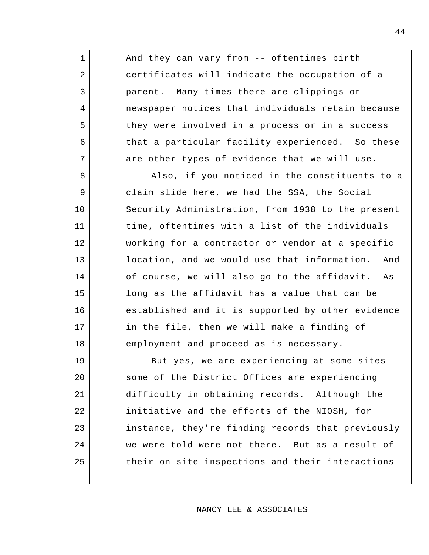And they can vary from -- oftentimes birth certificates will indicate the occupation of a parent. Many times there are clippings or newspaper notices that individuals retain because they were involved in a process or in a success that a particular facility experienced. So these are other types of evidence that we will use.

1

2

3

4

5

6

7

8

9

10

11

12

13

14

15

16

17

18

Also, if you noticed in the constituents to a claim slide here, we had the SSA, the Social Security Administration, from 1938 to the present time, oftentimes with a list of the individuals working for a contractor or vendor at a specific location, and we would use that information. And of course, we will also go to the affidavit. As long as the affidavit has a value that can be established and it is supported by other evidence in the file, then we will make a finding of employment and proceed as is necessary.

19 20 21 22 23 24 25 But yes, we are experiencing at some sites - some of the District Offices are experiencing difficulty in obtaining records. Although the initiative and the efforts of the NIOSH, for instance, they're finding records that previously we were told were not there. But as a result of their on-site inspections and their interactions

NANCY LEE & ASSOCIATES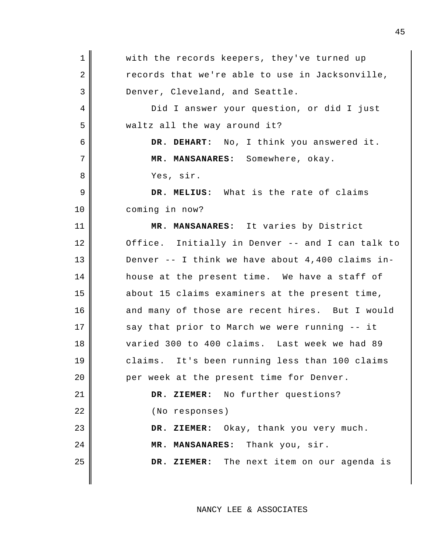1 2 3 4 5 6 7 8 9 10 11 12 13 14 15 16 17 18 19 20 21 22 23 24 25 with the records keepers, they've turned up records that we're able to use in Jacksonville, Denver, Cleveland, and Seattle. Did I answer your question, or did I just waltz all the way around it? **DR. DEHART:** No, I think you answered it. **MR. MANSANARES:** Somewhere, okay. Yes, sir. **DR. MELIUS:** What is the rate of claims coming in now? **MR. MANSANARES:** It varies by District Office. Initially in Denver -- and I can talk to Denver  $--$  I think we have about 4,400 claims inhouse at the present time. We have a staff of about 15 claims examiners at the present time, and many of those are recent hires. But I would say that prior to March we were running -- it varied 300 to 400 claims. Last week we had 89 claims. It's been running less than 100 claims per week at the present time for Denver. **DR. ZIEMER:** No further questions? (No responses) **DR. ZIEMER:** Okay, thank you very much. **MR. MANSANARES:** Thank you, sir. **DR. ZIEMER:** The next item on our agenda is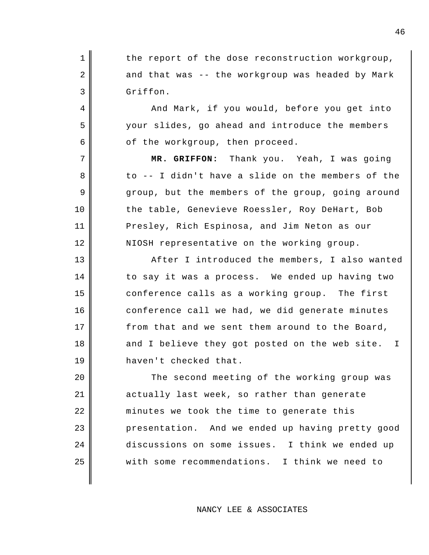1 2 3 the report of the dose reconstruction workgroup, and that was -- the workgroup was headed by Mark Griffon.

4

5

6

7

8

9

10

11

12

13

14

15

16

17

18

19

And Mark, if you would, before you get into your slides, go ahead and introduce the members of the workgroup, then proceed.

**MR. GRIFFON:** Thank you. Yeah, I was going to -- I didn't have a slide on the members of the group, but the members of the group, going around the table, Genevieve Roessler, Roy DeHart, Bob Presley, Rich Espinosa, and Jim Neton as our NIOSH representative on the working group.

After I introduced the members, I also wanted to say it was a process. We ended up having two conference calls as a working group. The first conference call we had, we did generate minutes from that and we sent them around to the Board, and I believe they got posted on the web site. I haven't checked that.

20 21 22 23 24 25 The second meeting of the working group was actually last week, so rather than generate minutes we took the time to generate this presentation. And we ended up having pretty good discussions on some issues. I think we ended up with some recommendations. I think we need to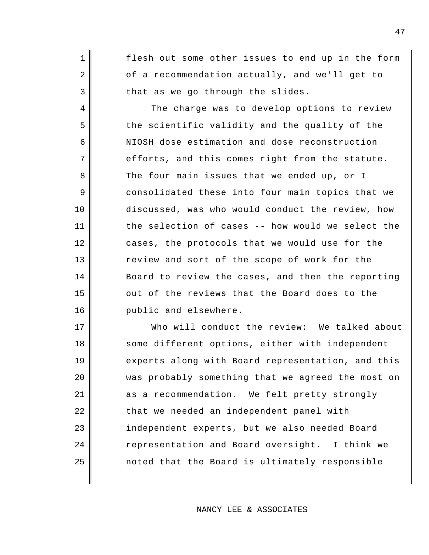flesh out some other issues to end up in the form of a recommendation actually, and we'll get to that as we go through the slides.

1

2

3

4

5

6

7

8

9

10

11

12

13

14

15

16

The charge was to develop options to review the scientific validity and the quality of the NIOSH dose estimation and dose reconstruction efforts, and this comes right from the statute. The four main issues that we ended up, or I consolidated these into four main topics that we discussed, was who would conduct the review, how the selection of cases -- how would we select the cases, the protocols that we would use for the review and sort of the scope of work for the Board to review the cases, and then the reporting out of the reviews that the Board does to the public and elsewhere.

17 18 19 20 21 22 23 24 25 Who will conduct the review: We talked about some different options, either with independent experts along with Board representation, and this was probably something that we agreed the most on as a recommendation. We felt pretty strongly that we needed an independent panel with independent experts, but we also needed Board representation and Board oversight. I think we noted that the Board is ultimately responsible

NANCY LEE & ASSOCIATES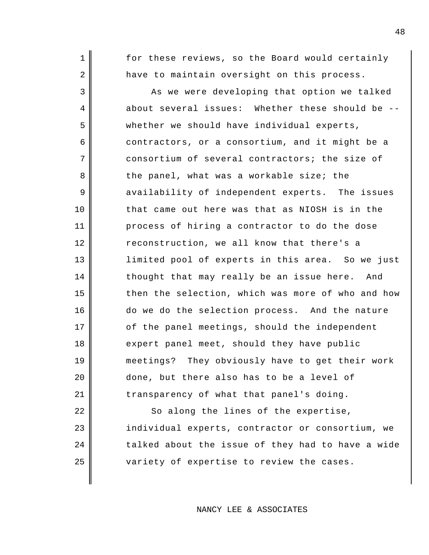for these reviews, so the Board would certainly have to maintain oversight on this process.

1

2

3

4

5

6

7

8

9

10

11

12

13

14

15

16

17

18

19

20

21

As we were developing that option we talked about several issues: Whether these should be - whether we should have individual experts, contractors, or a consortium, and it might be a consortium of several contractors; the size of the panel, what was a workable size; the availability of independent experts. The issues that came out here was that as NIOSH is in the process of hiring a contractor to do the dose reconstruction, we all know that there's a limited pool of experts in this area. So we just thought that may really be an issue here. And then the selection, which was more of who and how do we do the selection process. And the nature of the panel meetings, should the independent expert panel meet, should they have public meetings? They obviously have to get their work done, but there also has to be a level of transparency of what that panel's doing.

22 23 24 25 So along the lines of the expertise, individual experts, contractor or consortium, we talked about the issue of they had to have a wide variety of expertise to review the cases.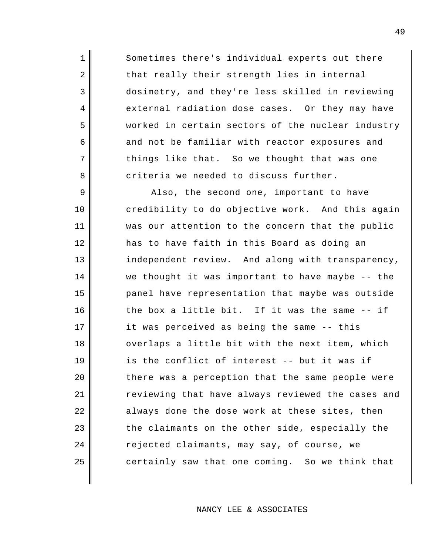Sometimes there's individual experts out there that really their strength lies in internal dosimetry, and they're less skilled in reviewing external radiation dose cases. Or they may have worked in certain sectors of the nuclear industry and not be familiar with reactor exposures and things like that. So we thought that was one criteria we needed to discuss further.

1

2

3

4

5

6

7

8

9 10 11 12 13 14 15 16 17 18 19 20 21 22 23 24 25 Also, the second one, important to have credibility to do objective work. And this again was our attention to the concern that the public has to have faith in this Board as doing an independent review. And along with transparency, we thought it was important to have maybe -- the panel have representation that maybe was outside the box a little bit. If it was the same -- if it was perceived as being the same -- this overlaps a little bit with the next item, which is the conflict of interest -- but it was if there was a perception that the same people were reviewing that have always reviewed the cases and always done the dose work at these sites, then the claimants on the other side, especially the rejected claimants, may say, of course, we certainly saw that one coming. So we think that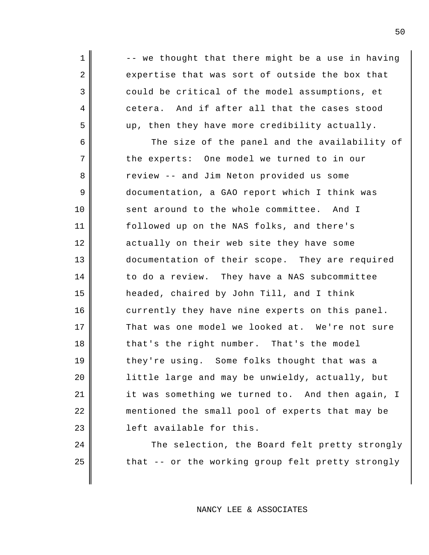-- we thought that there might be a use in having expertise that was sort of outside the box that could be critical of the model assumptions, et cetera. And if after all that the cases stood up, then they have more credibility actually.

1

2

3

4

5

24

25

6 7 8 9 10 11 12 13 14 15 16 17 18 19 20 21 22 23 The size of the panel and the availability of the experts: One model we turned to in our review -- and Jim Neton provided us some documentation, a GAO report which I think was sent around to the whole committee. And I followed up on the NAS folks, and there's actually on their web site they have some documentation of their scope. They are required to do a review. They have a NAS subcommittee headed, chaired by John Till, and I think currently they have nine experts on this panel. That was one model we looked at. We're not sure that's the right number. That's the model they're using. Some folks thought that was a little large and may be unwieldy, actually, but it was something we turned to. And then again, I mentioned the small pool of experts that may be left available for this.

> The selection, the Board felt pretty strongly that -- or the working group felt pretty strongly

> > NANCY LEE & ASSOCIATES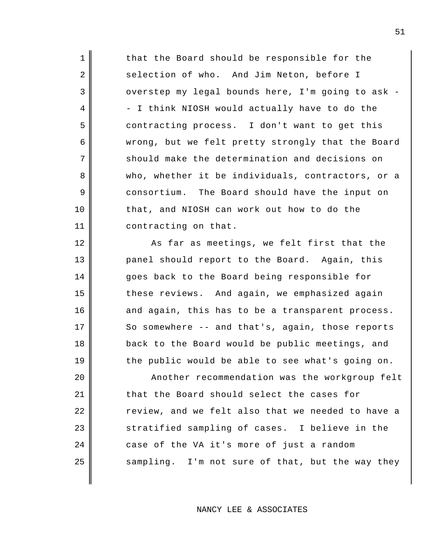that the Board should be responsible for the selection of who. And Jim Neton, before I overstep my legal bounds here, I'm going to ask - - I think NIOSH would actually have to do the contracting process. I don't want to get this wrong, but we felt pretty strongly that the Board should make the determination and decisions on who, whether it be individuals, contractors, or a consortium. The Board should have the input on that, and NIOSH can work out how to do the contracting on that.

1

2

3

4

5

6

7

8

9

10

11

12

13

14

15

16

17

18

19

As far as meetings, we felt first that the panel should report to the Board. Again, this goes back to the Board being responsible for these reviews. And again, we emphasized again and again, this has to be a transparent process. So somewhere -- and that's, again, those reports back to the Board would be public meetings, and the public would be able to see what's going on.

20 21 22 23 24 25 Another recommendation was the workgroup felt that the Board should select the cases for review, and we felt also that we needed to have a stratified sampling of cases. I believe in the case of the VA it's more of just a random sampling. I'm not sure of that, but the way they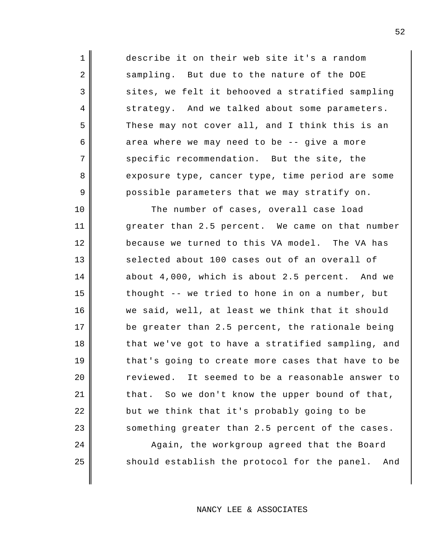describe it on their web site it's a random sampling. But due to the nature of the DOE sites, we felt it behooved a stratified sampling strategy. And we talked about some parameters. These may not cover all, and I think this is an area where we may need to be -- give a more specific recommendation. But the site, the exposure type, cancer type, time period are some possible parameters that we may stratify on.

1

2

3

4

5

6

7

8

9

10

11

12

13

14

15

16

17

18

19

20

21

22

23

24

25

The number of cases, overall case load greater than 2.5 percent. We came on that number because we turned to this VA model. The VA has selected about 100 cases out of an overall of about 4,000, which is about 2.5 percent. And we thought -- we tried to hone in on a number, but we said, well, at least we think that it should be greater than 2.5 percent, the rationale being that we've got to have a stratified sampling, and that's going to create more cases that have to be reviewed. It seemed to be a reasonable answer to that. So we don't know the upper bound of that, but we think that it's probably going to be something greater than 2.5 percent of the cases.

Again, the workgroup agreed that the Board should establish the protocol for the panel. And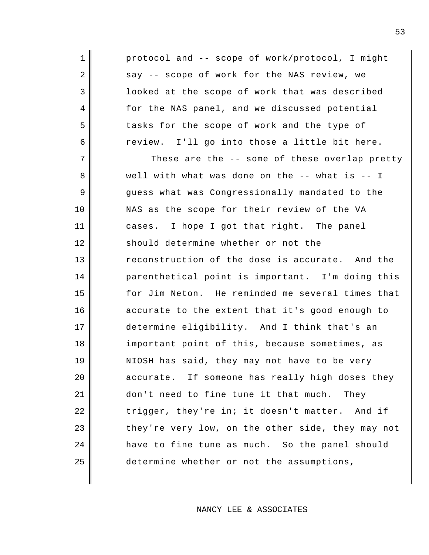protocol and -- scope of work/protocol, I might say -- scope of work for the NAS review, we looked at the scope of work that was described for the NAS panel, and we discussed potential tasks for the scope of work and the type of review. I'll go into those a little bit here.

1

2

3

4

5

6

7 8 9 10 11 12 13 14 15 16 17 18 19 20 21 22 23 24 25 These are the -- some of these overlap pretty well with what was done on the -- what is -- I guess what was Congressionally mandated to the NAS as the scope for their review of the VA cases. I hope I got that right. The panel should determine whether or not the reconstruction of the dose is accurate. And the parenthetical point is important. I'm doing this for Jim Neton. He reminded me several times that accurate to the extent that it's good enough to determine eligibility. And I think that's an important point of this, because sometimes, as NIOSH has said, they may not have to be very accurate. If someone has really high doses they don't need to fine tune it that much. They trigger, they're in; it doesn't matter. And if they're very low, on the other side, they may not have to fine tune as much. So the panel should determine whether or not the assumptions,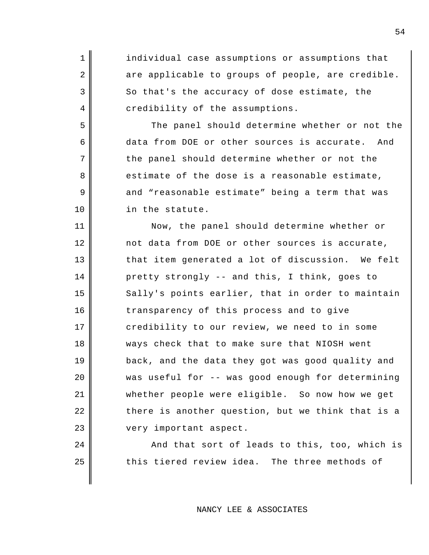1 2 3 4 5 6 7 8 9 10 11 12 13 14 15 16 17 18 19 20 21 22 23 24 individual case assumptions or assumptions that are applicable to groups of people, are credible. So that's the accuracy of dose estimate, the credibility of the assumptions. The panel should determine whether or not the data from DOE or other sources is accurate. And the panel should determine whether or not the estimate of the dose is a reasonable estimate, and "reasonable estimate" being a term that was in the statute. Now, the panel should determine whether or not data from DOE or other sources is accurate, that item generated a lot of discussion. We felt pretty strongly -- and this, I think, goes to Sally's points earlier, that in order to maintain transparency of this process and to give credibility to our review, we need to in some ways check that to make sure that NIOSH went back, and the data they got was good quality and was useful for -- was good enough for determining whether people were eligible. So now how we get there is another question, but we think that is a very important aspect.

And that sort of leads to this, too, which is this tiered review idea. The three methods of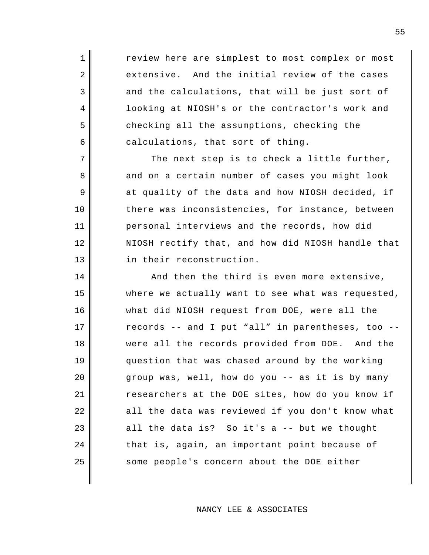review here are simplest to most complex or most extensive. And the initial review of the cases and the calculations, that will be just sort of looking at NIOSH's or the contractor's work and checking all the assumptions, checking the calculations, that sort of thing.

1

2

3

4

5

6

7

8

9

10

11

12

13

The next step is to check a little further, and on a certain number of cases you might look at quality of the data and how NIOSH decided, if there was inconsistencies, for instance, between personal interviews and the records, how did NIOSH rectify that, and how did NIOSH handle that in their reconstruction.

14 15 16 17 18 19 20 21 22 23 24 25 And then the third is even more extensive, where we actually want to see what was requested, what did NIOSH request from DOE, were all the records -- and I put "all" in parentheses, too - were all the records provided from DOE. And the question that was chased around by the working group was, well, how do you -- as it is by many researchers at the DOE sites, how do you know if all the data was reviewed if you don't know what all the data is? So it's a -- but we thought that is, again, an important point because of some people's concern about the DOE either

NANCY LEE & ASSOCIATES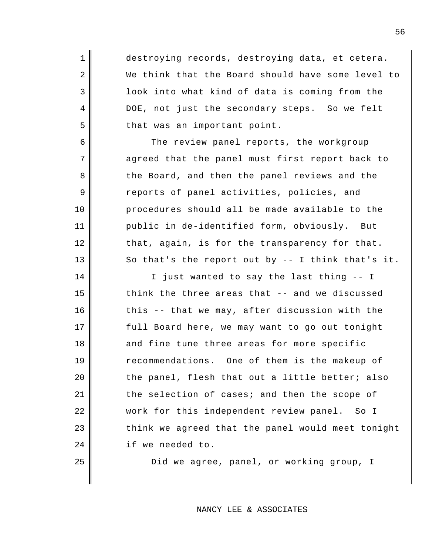destroying records, destroying data, et cetera. We think that the Board should have some level to look into what kind of data is coming from the DOE, not just the secondary steps. So we felt that was an important point.

1

2

3

4

5

6

7

8

9

10

11

12

13

14

15

16

17

18

19

20

21

22

23

24

25

The review panel reports, the workgroup agreed that the panel must first report back to the Board, and then the panel reviews and the reports of panel activities, policies, and procedures should all be made available to the public in de-identified form, obviously. But that, again, is for the transparency for that. So that's the report out by -- I think that's it.

I just wanted to say the last thing -- I think the three areas that -- and we discussed this -- that we may, after discussion with the full Board here, we may want to go out tonight and fine tune three areas for more specific recommendations. One of them is the makeup of the panel, flesh that out a little better; also the selection of cases; and then the scope of work for this independent review panel. So I think we agreed that the panel would meet tonight if we needed to.

Did we agree, panel, or working group, I

NANCY LEE & ASSOCIATES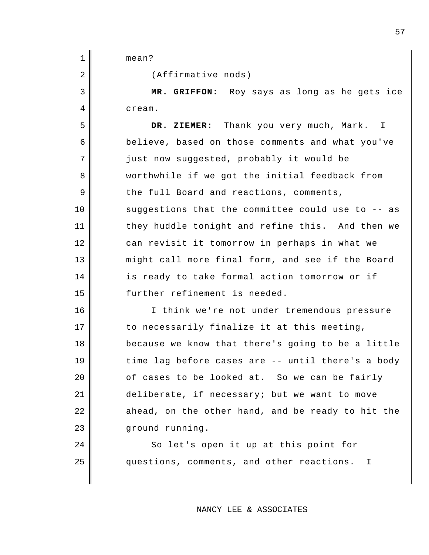mean?

(Affirmative nods)

**MR. GRIFFON:** Roy says as long as he gets ice cream.

**DR. ZIEMER:** Thank you very much, Mark. I believe, based on those comments and what you've just now suggested, probably it would be worthwhile if we got the initial feedback from the full Board and reactions, comments, suggestions that the committee could use to -- as they huddle tonight and refine this. And then we can revisit it tomorrow in perhaps in what we might call more final form, and see if the Board is ready to take formal action tomorrow or if further refinement is needed.

I think we're not under tremendous pressure to necessarily finalize it at this meeting, because we know that there's going to be a little time lag before cases are -- until there's a body of cases to be looked at. So we can be fairly deliberate, if necessary; but we want to move ahead, on the other hand, and be ready to hit the ground running.

> So let's open it up at this point for questions, comments, and other reactions. I

> > NANCY LEE & ASSOCIATES

3 4 5

6

7

8

9

10

11

12

13

14

15

16

17

18

19

20

21

22

23

24

25

1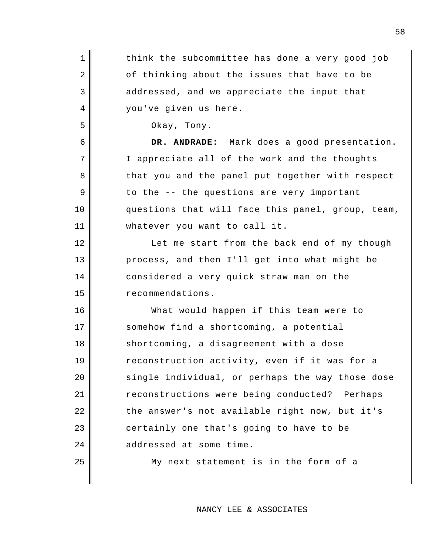| $\mathbf 1$    | think the subcommittee has done a very good job   |
|----------------|---------------------------------------------------|
| $\overline{2}$ | of thinking about the issues that have to be      |
| 3              | addressed, and we appreciate the input that       |
| 4              | you've given us here.                             |
| 5              | Okay, Tony.                                       |
| 6              | DR. ANDRADE: Mark does a good presentation.       |
| 7              | I appreciate all of the work and the thoughts     |
| 8              | that you and the panel put together with respect  |
| 9              | to the -- the questions are very important        |
| 10             | questions that will face this panel, group, team, |
| 11             | whatever you want to call it.                     |
| 12             | Let me start from the back end of my though       |
| 13             | process, and then I'll get into what might be     |
| 14             | considered a very quick straw man on the          |
| 15             | recommendations.                                  |
| 16             | What would happen if this team were to            |
| 17             | somehow find a shortcoming, a potential           |
| 18             | shortcoming, a disagreement with a dose           |
| 19             | reconstruction activity, even if it was for a     |
| 20             | single individual, or perhaps the way those dose  |
| 21             | reconstructions were being conducted? Perhaps     |
| 22             | the answer's not available right now, but it's    |
| 23             | certainly one that's going to have to be          |
| 24             | addressed at some time.                           |
| 25             | My next statement is in the form of a             |
|                |                                                   |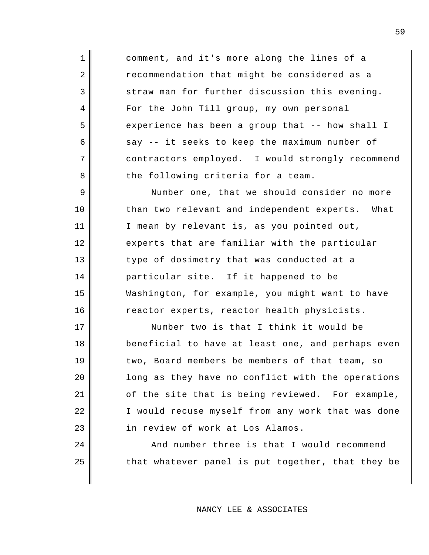comment, and it's more along the lines of a recommendation that might be considered as a straw man for further discussion this evening. For the John Till group, my own personal experience has been a group that -- how shall I say -- it seeks to keep the maximum number of contractors employed. I would strongly recommend the following criteria for a team.

1

2

3

4

5

6

7

8

9

10

11

12

13

14

15

16

17

18

19

20

21

22

23

24

25

Number one, that we should consider no more than two relevant and independent experts. What I mean by relevant is, as you pointed out, experts that are familiar with the particular type of dosimetry that was conducted at a particular site. If it happened to be Washington, for example, you might want to have reactor experts, reactor health physicists.

Number two is that I think it would be beneficial to have at least one, and perhaps even two, Board members be members of that team, so long as they have no conflict with the operations of the site that is being reviewed. For example, I would recuse myself from any work that was done in review of work at Los Alamos.

And number three is that I would recommend that whatever panel is put together, that they be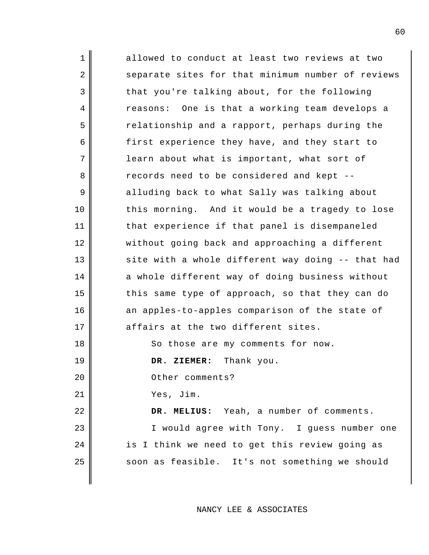1 2 3 4 5 6 7 8 9 10 11 12 13 14 15 16 17 18 19 20 21 22 23 24 25 allowed to conduct at least two reviews at two separate sites for that minimum number of reviews that you're talking about, for the following reasons: One is that a working team develops a relationship and a rapport, perhaps during the first experience they have, and they start to learn about what is important, what sort of records need to be considered and kept - alluding back to what Sally was talking about this morning. And it would be a tragedy to lose that experience if that panel is disempaneled without going back and approaching a different site with a whole different way doing -- that had a whole different way of doing business without this same type of approach, so that they can do an apples-to-apples comparison of the state of affairs at the two different sites. So those are my comments for now. **DR. ZIEMER:** Thank you. Other comments? Yes, Jim. **DR. MELIUS:** Yeah, a number of comments. I would agree with Tony. I guess number one is I think we need to get this review going as soon as feasible. It's not something we should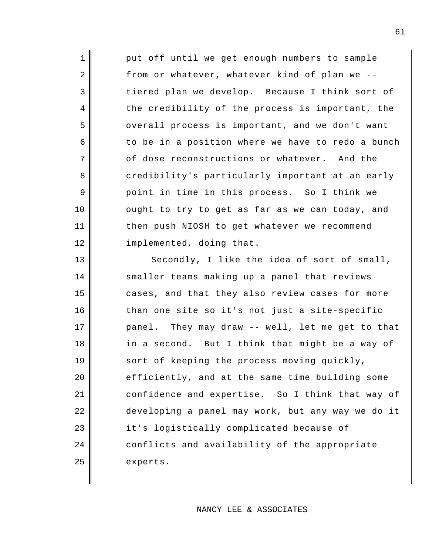put off until we get enough numbers to sample from or whatever, whatever kind of plan we - tiered plan we develop. Because I think sort of the credibility of the process is important, the overall process is important, and we don't want to be in a position where we have to redo a bunch of dose reconstructions or whatever. And the credibility's particularly important at an early point in time in this process. So I think we ought to try to get as far as we can today, and then push NIOSH to get whatever we recommend implemented, doing that. Secondly, I like the idea of sort of small,

1

2

3

4

5

6

7

8

9

10

11

12

13

14

15

16

17

18

19

20

21

22

23

24

25

smaller teams making up a panel that reviews cases, and that they also review cases for more than one site so it's not just a site-specific panel. They may draw -- well, let me get to that in a second. But I think that might be a way of sort of keeping the process moving quickly, efficiently, and at the same time building some confidence and expertise. So I think that way of developing a panel may work, but any way we do it it's logistically complicated because of conflicts and availability of the appropriate experts.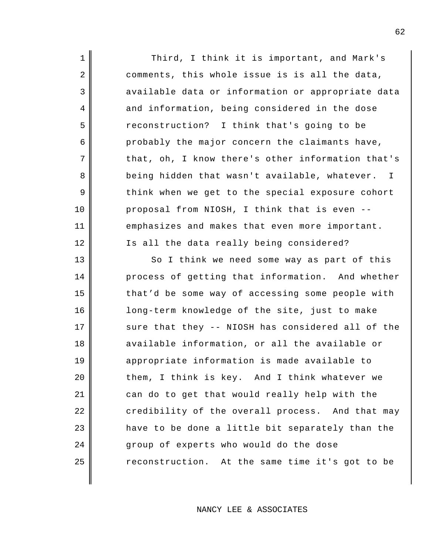Third, I think it is important, and Mark's comments, this whole issue is is all the data, available data or information or appropriate data and information, being considered in the dose reconstruction? I think that's going to be probably the major concern the claimants have, that, oh, I know there's other information that's being hidden that wasn't available, whatever. I think when we get to the special exposure cohort proposal from NIOSH, I think that is even - emphasizes and makes that even more important. Is all the data really being considered?

1

2

3

4

5

6

7

8

9

10

11

12

13 14 15 16 17 18 19 20 21 22 23 24 25 So I think we need some way as part of this process of getting that information. And whether that'd be some way of accessing some people with long-term knowledge of the site, just to make sure that they -- NIOSH has considered all of the available information, or all the available or appropriate information is made available to them, I think is key. And I think whatever we can do to get that would really help with the credibility of the overall process. And that may have to be done a little bit separately than the group of experts who would do the dose reconstruction. At the same time it's got to be

NANCY LEE & ASSOCIATES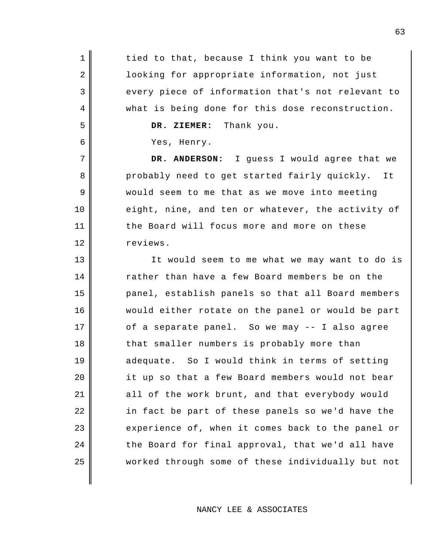1 2 3 4 5 6 7 8 9 10 11 12 13 14 15 16 17 18 19 20 21 22 23 24 25 tied to that, because I think you want to be looking for appropriate information, not just every piece of information that's not relevant to what is being done for this dose reconstruction. **DR. ZIEMER:** Thank you. Yes, Henry. **DR. ANDERSON:** I guess I would agree that we probably need to get started fairly quickly. It would seem to me that as we move into meeting eight, nine, and ten or whatever, the activity of the Board will focus more and more on these reviews. It would seem to me what we may want to do is rather than have a few Board members be on the panel, establish panels so that all Board members would either rotate on the panel or would be part of a separate panel. So we may -- I also agree that smaller numbers is probably more than adequate. So I would think in terms of setting it up so that a few Board members would not bear all of the work brunt, and that everybody would in fact be part of these panels so we'd have the experience of, when it comes back to the panel or the Board for final approval, that we'd all have worked through some of these individually but not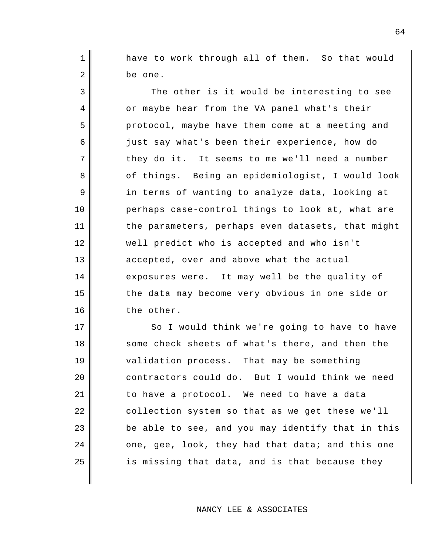have to work through all of them. So that would be one.

1

2

3

4

5

6

7

8

9

10

11

12

13

14

15

16

17

18

19

24

25

The other is it would be interesting to see or maybe hear from the VA panel what's their protocol, maybe have them come at a meeting and just say what's been their experience, how do they do it. It seems to me we'll need a number of things. Being an epidemiologist, I would look in terms of wanting to analyze data, looking at perhaps case-control things to look at, what are the parameters, perhaps even datasets, that might well predict who is accepted and who isn't accepted, over and above what the actual exposures were. It may well be the quality of the data may become very obvious in one side or the other.

20 21 22 23 So I would think we're going to have to have some check sheets of what's there, and then the validation process. That may be something contractors could do. But I would think we need to have a protocol. We need to have a data collection system so that as we get these we'll be able to see, and you may identify that in this one, gee, look, they had that data; and this one is missing that data, and is that because they

NANCY LEE & ASSOCIATES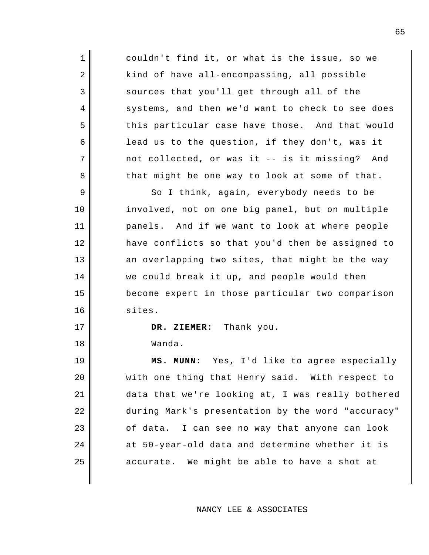couldn't find it, or what is the issue, so we kind of have all-encompassing, all possible sources that you'll get through all of the systems, and then we'd want to check to see does this particular case have those. And that would lead us to the question, if they don't, was it not collected, or was it -- is it missing? And that might be one way to look at some of that.

So I think, again, everybody needs to be involved, not on one big panel, but on multiple panels. And if we want to look at where people have conflicts so that you'd then be assigned to an overlapping two sites, that might be the way we could break it up, and people would then become expert in those particular two comparison sites.

**DR. ZIEMER:** Thank you.

Wanda.

1

2

3

4

5

6

7

8

9

10

11

12

13

14

15

16

17

18

19 20 21 22 23 24 25 **MS. MUNN:** Yes, I'd like to agree especially with one thing that Henry said. With respect to data that we're looking at, I was really bothered during Mark's presentation by the word "accuracy" of data. I can see no way that anyone can look at 50-year-old data and determine whether it is accurate. We might be able to have a shot at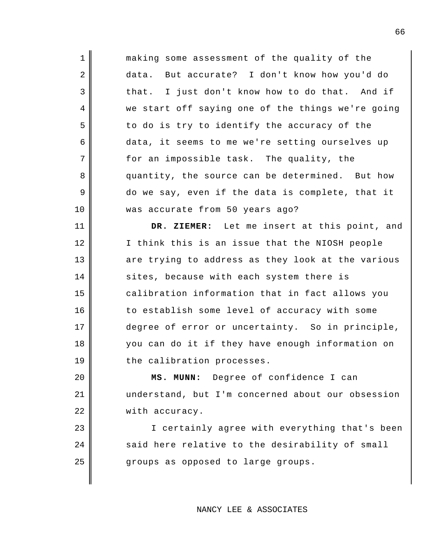1 2 3 4 5 6 7 8 9 10 11 12 13 14 15 making some assessment of the quality of the data. But accurate? I don't know how you'd do that. I just don't know how to do that. And if we start off saying one of the things we're going to do is try to identify the accuracy of the data, it seems to me we're setting ourselves up for an impossible task. The quality, the quantity, the source can be determined. But how do we say, even if the data is complete, that it was accurate from 50 years ago? **DR. ZIEMER:** Let me insert at this point, and I think this is an issue that the NIOSH people are trying to address as they look at the various sites, because with each system there is

calibration information that in fact allows you to establish some level of accuracy with some degree of error or uncertainty. So in principle, you can do it if they have enough information on the calibration processes.

16

17

18

19

20

21

22

23

24

25

**MS. MUNN:** Degree of confidence I can understand, but I'm concerned about our obsession with accuracy.

I certainly agree with everything that's been said here relative to the desirability of small groups as opposed to large groups.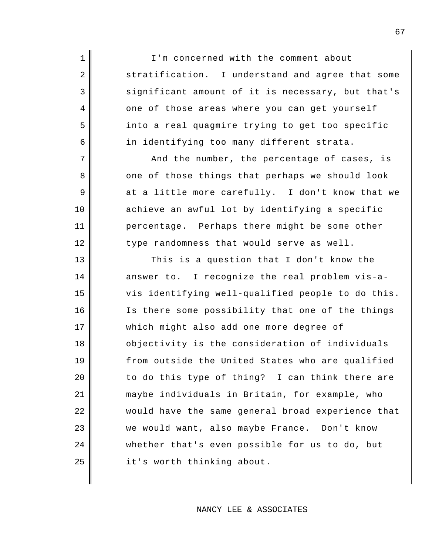I'm concerned with the comment about stratification. I understand and agree that some significant amount of it is necessary, but that's one of those areas where you can get yourself into a real quagmire trying to get too specific in identifying too many different strata.

1

2

3

4

5

6

7

8

9

10

11

12

And the number, the percentage of cases, is one of those things that perhaps we should look at a little more carefully. I don't know that we achieve an awful lot by identifying a specific percentage. Perhaps there might be some other type randomness that would serve as well.

13 14 15 16 17 18 19 20 21 22 23 24 25 This is a question that I don't know the answer to. I recognize the real problem vis-avis identifying well-qualified people to do this. Is there some possibility that one of the things which might also add one more degree of objectivity is the consideration of individuals from outside the United States who are qualified to do this type of thing? I can think there are maybe individuals in Britain, for example, who would have the same general broad experience that we would want, also maybe France. Don't know whether that's even possible for us to do, but it's worth thinking about.

## NANCY LEE & ASSOCIATES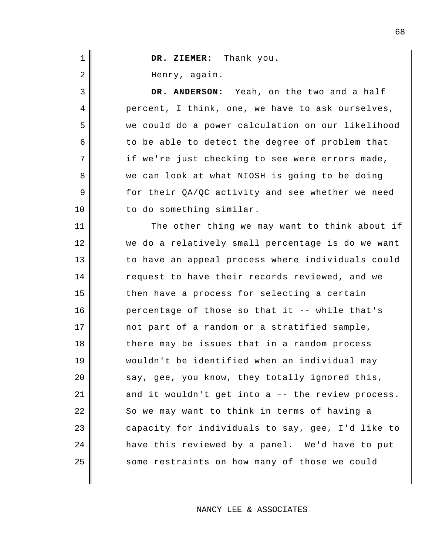| $\mathbf 1$ | DR. ZIEMER: Thank you.                            |
|-------------|---------------------------------------------------|
| 2           | Henry, again.                                     |
| 3           | DR. ANDERSON: Yeah, on the two and a half         |
| 4           | percent, I think, one, we have to ask ourselves,  |
| 5           | we could do a power calculation on our likelihood |
| 6           | to be able to detect the degree of problem that   |
| 7           | if we're just checking to see were errors made,   |
| 8           | we can look at what NIOSH is going to be doing    |
| 9           | for their QA/QC activity and see whether we need  |
| 10          | to do something similar.                          |
| 11          | The other thing we may want to think about if     |
| 12          | we do a relatively small percentage is do we want |
| 13          | to have an appeal process where individuals could |
| 14          | request to have their records reviewed, and we    |
| 15          | then have a process for selecting a certain       |
| 16          | percentage of those so that it -- while that's    |
| 17          | not part of a random or a stratified sample,      |
| 18          | there may be issues that in a random process      |
| 19          | wouldn't be identified when an individual may     |
| 20          | say, gee, you know, they totally ignored this,    |
| 21          | and it wouldn't get into a -- the review process. |
| 22          | So we may want to think in terms of having a      |
| 23          | capacity for individuals to say, gee, I'd like to |
| 24          | have this reviewed by a panel. We'd have to put   |
| 25          | some restraints on how many of those we could     |
|             |                                                   |

NANCY LEE & ASSOCIATES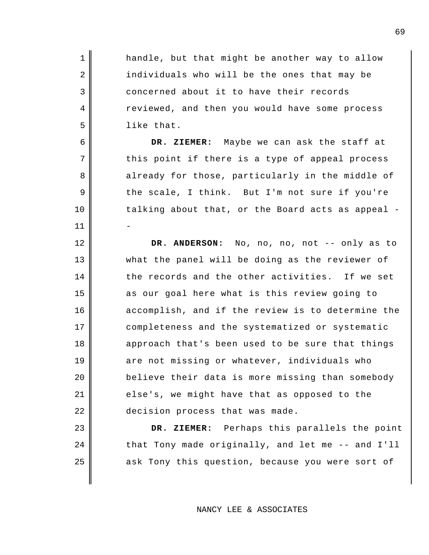handle, but that might be another way to allow individuals who will be the ones that may be concerned about it to have their records reviewed, and then you would have some process like that.

1

2

3

4

5

6

7

8

9

10

11

12

13

14

15

16

17

18

19

20

21

22

23

24

25

**DR. ZIEMER:** Maybe we can ask the staff at this point if there is a type of appeal process already for those, particularly in the middle of the scale, I think. But I'm not sure if you're talking about that, or the Board acts as appeal - -

**DR. ANDERSON:** No, no, no, not -- only as to what the panel will be doing as the reviewer of the records and the other activities. If we set as our goal here what is this review going to accomplish, and if the review is to determine the completeness and the systematized or systematic approach that's been used to be sure that things are not missing or whatever, individuals who believe their data is more missing than somebody else's, we might have that as opposed to the decision process that was made.

**DR. ZIEMER:** Perhaps this parallels the point that Tony made originally, and let me -- and I'll ask Tony this question, because you were sort of

## NANCY LEE & ASSOCIATES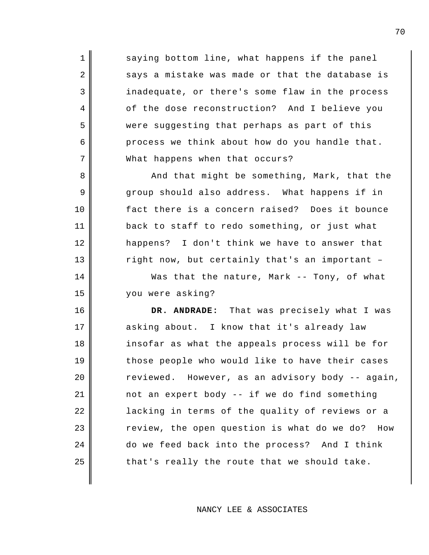saying bottom line, what happens if the panel says a mistake was made or that the database is inadequate, or there's some flaw in the process of the dose reconstruction? And I believe you were suggesting that perhaps as part of this process we think about how do you handle that. What happens when that occurs?

1

2

3

4

5

6

7

8

9

10

11

12

13

14

15

And that might be something, Mark, that the group should also address. What happens if in fact there is a concern raised? Does it bounce back to staff to redo something, or just what happens? I don't think we have to answer that right now, but certainly that's an important –

Was that the nature, Mark -- Tony, of what you were asking?

16 17 18 19 20 21 22 23 24 25 **DR. ANDRADE:** That was precisely what I was asking about. I know that it's already law insofar as what the appeals process will be for those people who would like to have their cases reviewed. However, as an advisory body -- again, not an expert body -- if we do find something lacking in terms of the quality of reviews or a review, the open question is what do we do? How do we feed back into the process? And I think that's really the route that we should take.

NANCY LEE & ASSOCIATES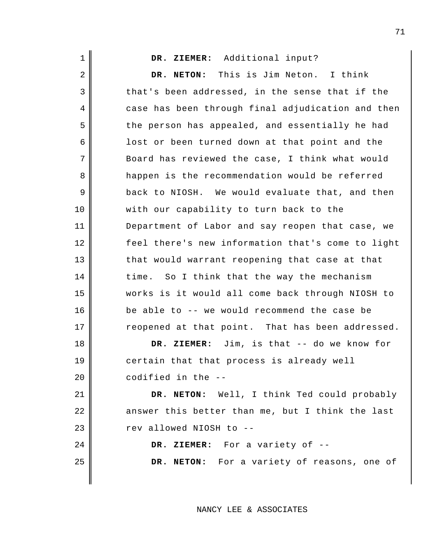| $\mathbf 1$    | DR. ZIEMER: Additional input?                     |
|----------------|---------------------------------------------------|
| $\overline{2}$ | This is Jim Neton. I think<br>DR. NETON:          |
| 3              | that's been addressed, in the sense that if the   |
| 4              | case has been through final adjudication and then |
| 5              | the person has appealed, and essentially he had   |
| 6              | lost or been turned down at that point and the    |
| 7              | Board has reviewed the case, I think what would   |
| 8              | happen is the recommendation would be referred    |
| 9              | back to NIOSH. We would evaluate that, and then   |
| 10             | with our capability to turn back to the           |
| 11             | Department of Labor and say reopen that case, we  |
| 12             | feel there's new information that's come to light |
| 13             | that would warrant reopening that case at that    |
| 14             | time. So I think that the way the mechanism       |
| 15             | works is it would all come back through NIOSH to  |
| 16             | be able to -- we would recommend the case be      |
| 17             | reopened at that point. That has been addressed.  |
| 18             | DR. ZIEMER: Jim, is that -- do we know for        |
| 19             | certain that that process is already well         |
| 20             | codified in the --                                |
| 21             | DR. NETON: Well, I think Ted could probably       |
| 22             | answer this better than me, but I think the last  |
| 23             | rev allowed NIOSH to --                           |
| 24             | DR. ZIEMER: For a variety of --                   |
| 25             | DR. NETON: For a variety of reasons, one of       |
|                |                                                   |

NANCY LEE & ASSOCIATES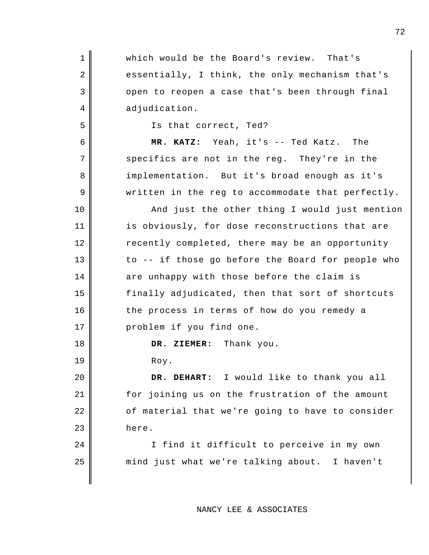| 1  | which would be the Board's review. That's         |
|----|---------------------------------------------------|
|    |                                                   |
| 2  | essentially, I think, the only mechanism that's   |
| 3  | open to reopen a case that's been through final   |
| 4  | adjudication.                                     |
| 5  | Is that correct, Ted?                             |
| 6  | MR. KATZ: Yeah, it's -- Ted Katz. The             |
| 7  | specifics are not in the reg. They're in the      |
| 8  | implementation. But it's broad enough as it's     |
| 9  | written in the reg to accommodate that perfectly. |
| 10 | And just the other thing I would just mention     |
| 11 | is obviously, for dose reconstructions that are   |
| 12 | recently completed, there may be an opportunity   |
| 13 | to -- if those go before the Board for people who |
| 14 | are unhappy with those before the claim is        |
| 15 | finally adjudicated, then that sort of shortcuts  |
| 16 | the process in terms of how do you remedy a       |
| 17 | problem if you find one.                          |
| 18 | DR. ZIEMER: Thank you.                            |
| 19 | Roy.                                              |
| 20 | DR. DEHART: I would like to thank you all         |
| 21 | for joining us on the frustration of the amount   |
| 22 | of material that we're going to have to consider  |
| 23 | here.                                             |
| 24 | I find it difficult to perceive in my own         |
| 25 | mind just what we're talking about. I haven't     |

NANCY LEE & ASSOCIATES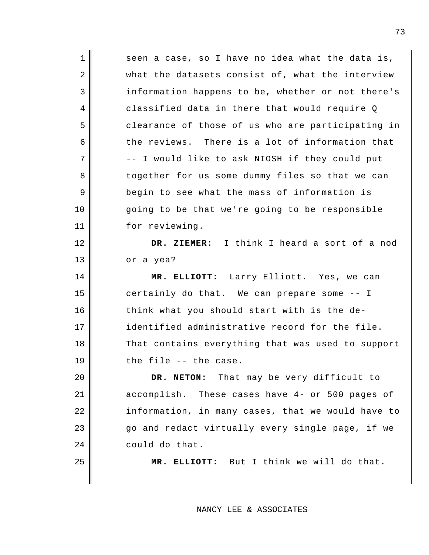| $\mathbf 1$ | seen a case, so I have no idea what the data is,  |
|-------------|---------------------------------------------------|
| 2           | what the datasets consist of, what the interview  |
| 3           | information happens to be, whether or not there's |
| 4           | classified data in there that would require Q     |
| 5           | clearance of those of us who are participating in |
| 6           | the reviews. There is a lot of information that   |
| 7           | -- I would like to ask NIOSH if they could put    |
| 8           | together for us some dummy files so that we can   |
| 9           | begin to see what the mass of information is      |
| 10          | going to be that we're going to be responsible    |
| 11          | for reviewing.                                    |
| 12          | DR. ZIEMER: I think I heard a sort of a nod       |
| 13          | or a yea?                                         |
|             |                                                   |
| 14          | MR. ELLIOTT: Larry Elliott. Yes, we can           |
| 15          | certainly do that. We can prepare some -- I       |
| 16          | think what you should start with is the de-       |
| 17          | identified administrative record for the file.    |
| 18          | That contains everything that was used to support |
| 19          | the file -- the case.                             |
| 20          | DR. NETON: That may be very difficult to          |
| 21          | accomplish. These cases have 4- or 500 pages of   |
| 22          | information, in many cases, that we would have to |
| 23          | go and redact virtually every single page, if we  |
| 24          | could do that.                                    |
| 25          | MR. ELLIOTT: But I think we will do that.         |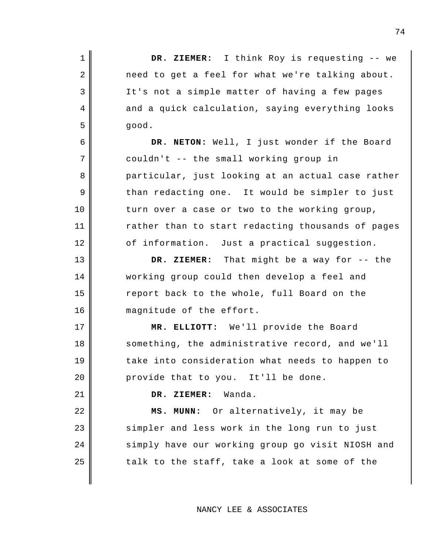| $\mathbf 1$    | DR. ZIEMER: I think Roy is requesting -- we       |
|----------------|---------------------------------------------------|
| $\overline{2}$ | need to get a feel for what we're talking about.  |
| 3              | It's not a simple matter of having a few pages    |
| 4              | and a quick calculation, saying everything looks  |
| 5              | good.                                             |
| 6              | DR. NETON: Well, I just wonder if the Board       |
| 7              | couldn't -- the small working group in            |
| 8              | particular, just looking at an actual case rather |
| 9              | than redacting one. It would be simpler to just   |
| 10             | turn over a case or two to the working group,     |
| 11             | rather than to start redacting thousands of pages |
| 12             | of information. Just a practical suggestion.      |
| 13             | DR. ZIEMER: That might be a way for -- the        |
| 14             | working group could then develop a feel and       |
| 15             | report back to the whole, full Board on the       |
| 16             | magnitude of the effort.                          |
| 17             | MR. ELLIOTT: We'll provide the Board              |
| 18             | something, the administrative record, and we'll   |
| 19             | take into consideration what needs to happen to   |
| 20             | provide that to you. It'll be done.               |
| 21             | DR. ZIEMER: Wanda.                                |
| 22             | MS. MUNN: Or alternatively, it may be             |
| 23             | simpler and less work in the long run to just     |
| 24             | simply have our working group go visit NIOSH and  |
| 25             | talk to the staff, take a look at some of the     |
|                |                                                   |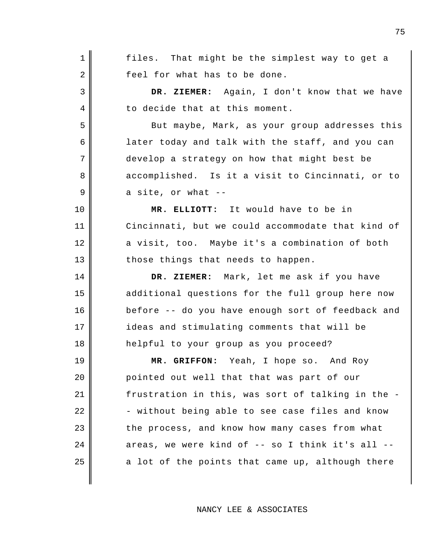1 2 3 4 5 6 7 8 9 10 11 12 13 14 15 16 17 18 19 20 21 22 23 24 25 files. That might be the simplest way to get a feel for what has to be done. **DR. ZIEMER:** Again, I don't know that we have to decide that at this moment. But maybe, Mark, as your group addresses this later today and talk with the staff, and you can develop a strategy on how that might best be accomplished. Is it a visit to Cincinnati, or to a site, or what -- **MR. ELLIOTT:** It would have to be in Cincinnati, but we could accommodate that kind of a visit, too. Maybe it's a combination of both those things that needs to happen. **DR. ZIEMER:** Mark, let me ask if you have additional questions for the full group here now before -- do you have enough sort of feedback and ideas and stimulating comments that will be helpful to your group as you proceed? **MR. GRIFFON:** Yeah, I hope so. And Roy pointed out well that that was part of our frustration in this, was sort of talking in the - - without being able to see case files and know the process, and know how many cases from what areas, we were kind of -- so I think it's all - a lot of the points that came up, although there

NANCY LEE & ASSOCIATES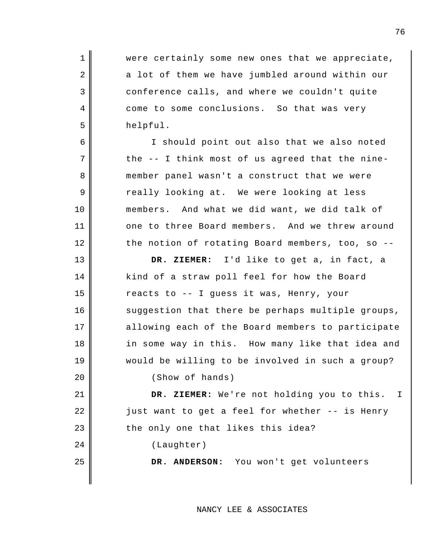1 2 3 4 5 6 7 8 9 10 11 12 13 14 15 16 17 18 19 20 21 22 23 24 25 were certainly some new ones that we appreciate, a lot of them we have jumbled around within our conference calls, and where we couldn't quite come to some conclusions. So that was very helpful. I should point out also that we also noted the -- I think most of us agreed that the ninemember panel wasn't a construct that we were really looking at. We were looking at less members. And what we did want, we did talk of one to three Board members. And we threw around the notion of rotating Board members, too, so -- **DR. ZIEMER:** I'd like to get a, in fact, a kind of a straw poll feel for how the Board reacts to -- I guess it was, Henry, your suggestion that there be perhaps multiple groups, allowing each of the Board members to participate in some way in this. How many like that idea and would be willing to be involved in such a group? (Show of hands) **DR. ZIEMER:** We're not holding you to this. just want to get a feel for whether -- is Henry the only one that likes this idea? (Laughter) **DR. ANDERSON:** You won't get volunteers I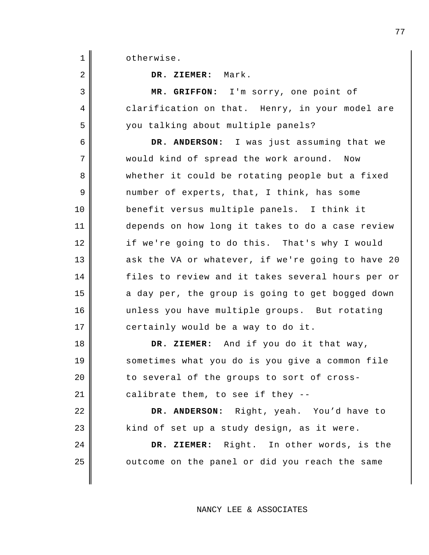otherwise.

**DR. ZIEMER:** Mark.

**MR. GRIFFON:** I'm sorry, one point of clarification on that. Henry, in your model are you talking about multiple panels?

**DR. ANDERSON:** I was just assuming that we would kind of spread the work around. Now whether it could be rotating people but a fixed number of experts, that, I think, has some benefit versus multiple panels. I think it depends on how long it takes to do a case review if we're going to do this. That's why I would ask the VA or whatever, if we're going to have 20 files to review and it takes several hours per or a day per, the group is going to get bogged down unless you have multiple groups. But rotating certainly would be a way to do it.

**DR. ZIEMER:** And if you do it that way, sometimes what you do is you give a common file to several of the groups to sort of crosscalibrate them, to see if they --

**DR. ANDERSON:** Right, yeah. You'd have to kind of set up a study design, as it were.

**DR. ZIEMER:** Right. In other words, is the outcome on the panel or did you reach the same

NANCY LEE & ASSOCIATES

2 3 4

5

6

7

8

9

10

11

12

13

14

15

16

17

18

19

20

21

22

23

24

25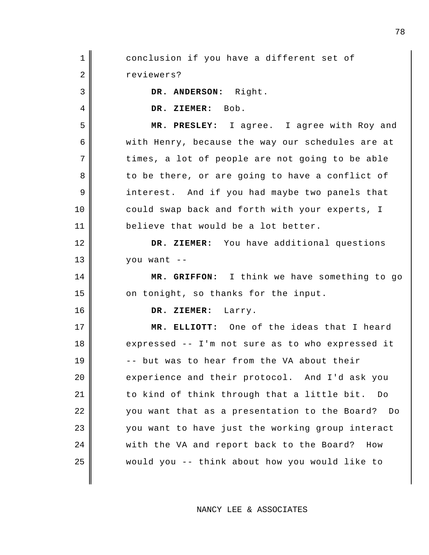1 2 3 4 5 6 7 8 9 10 11 12 13 14 15 16 17 18 19 20 21 22 23 24 25 conclusion if you have a different set of reviewers? **DR. ANDERSON:** Right. **DR. ZIEMER:** Bob. **MR. PRESLEY:** I agree. I agree with Roy and with Henry, because the way our schedules are at times, a lot of people are not going to be able to be there, or are going to have a conflict of interest. And if you had maybe two panels that could swap back and forth with your experts, I believe that would be a lot better. **DR. ZIEMER:** You have additional questions you want -- **MR. GRIFFON:** I think we have something to go on tonight, so thanks for the input. **DR. ZIEMER:** Larry. **MR. ELLIOTT:** One of the ideas that I heard expressed -- I'm not sure as to who expressed it -- but was to hear from the VA about their experience and their protocol. And I'd ask you to kind of think through that a little bit. Do you want that as a presentation to the Board? Do you want to have just the working group interact with the VA and report back to the Board? How would you -- think about how you would like to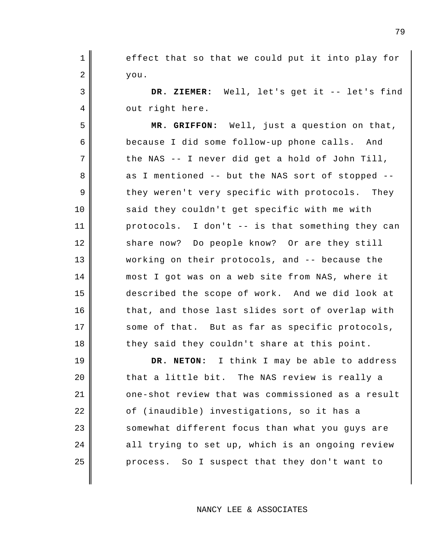effect that so that we could put it into play for you.

1

2

3

4

5

6

7

8

9

10

11

12

13

14

15

16

17

18

**DR. ZIEMER:** Well, let's get it -- let's find out right here.

**MR. GRIFFON:** Well, just a question on that, because I did some follow-up phone calls. And the NAS -- I never did get a hold of John Till, as I mentioned -- but the NAS sort of stopped - they weren't very specific with protocols. They said they couldn't get specific with me with protocols. I don't -- is that something they can share now? Do people know? Or are they still working on their protocols, and -- because the most I got was on a web site from NAS, where it described the scope of work. And we did look at that, and those last slides sort of overlap with some of that. But as far as specific protocols, they said they couldn't share at this point.

19 20 21 22 23 24 25 **DR. NETON:** I think I may be able to address that a little bit. The NAS review is really a one-shot review that was commissioned as a result of (inaudible) investigations, so it has a somewhat different focus than what you guys are all trying to set up, which is an ongoing review process. So I suspect that they don't want to

NANCY LEE & ASSOCIATES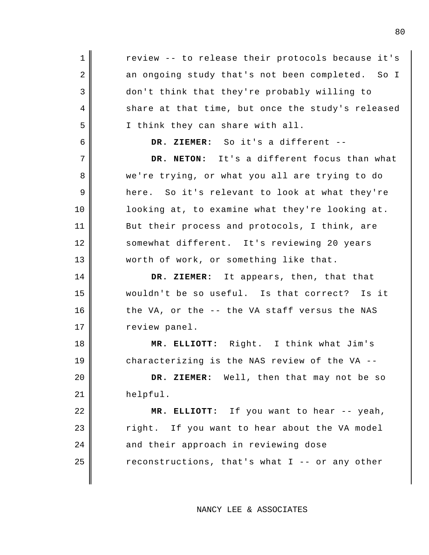1 2 3 4 5 6 7 8 9 10 11 12 13 14 15 16 17 18 19 20 21 22 23 24 25 review -- to release their protocols because it's an ongoing study that's not been completed. So I don't think that they're probably willing to share at that time, but once the study's released I think they can share with all. **DR. ZIEMER:** So it's a different -- **DR. NETON:** It's a different focus than what we're trying, or what you all are trying to do here. So it's relevant to look at what they're looking at, to examine what they're looking at. But their process and protocols, I think, are somewhat different. It's reviewing 20 years worth of work, or something like that. **DR. ZIEMER:** It appears, then, that that wouldn't be so useful. Is that correct? Is it the VA, or the -- the VA staff versus the NAS review panel. **MR. ELLIOTT:** Right. I think what Jim's characterizing is the NAS review of the VA -- **DR. ZIEMER:** Well, then that may not be so helpful. **MR. ELLIOTT:** If you want to hear -- yeah, right. If you want to hear about the VA model and their approach in reviewing dose reconstructions, that's what I -- or any other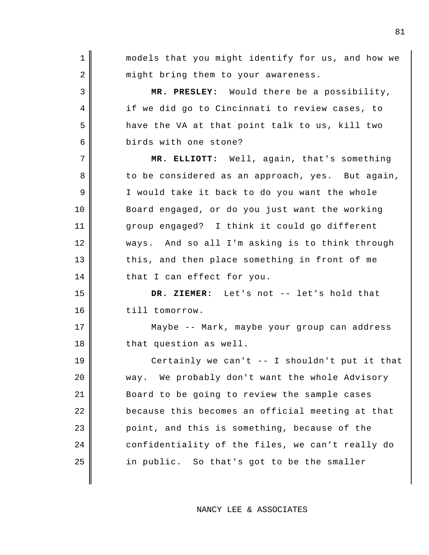1 2 3 4 5 6 7 8 9 10 11 12 13 14 15 16 17 18 19 20 21 22 23 24 25 models that you might identify for us, and how we might bring them to your awareness. **MR. PRESLEY:** Would there be a possibility, if we did go to Cincinnati to review cases, to have the VA at that point talk to us, kill two birds with one stone? **MR. ELLIOTT:** Well, again, that's something to be considered as an approach, yes. But again, I would take it back to do you want the whole Board engaged, or do you just want the working group engaged? I think it could go different ways. And so all I'm asking is to think through this, and then place something in front of me that I can effect for you. **DR. ZIEMER:** Let's not -- let's hold that till tomorrow. Maybe -- Mark, maybe your group can address that question as well. Certainly we can't -- I shouldn't put it that way. We probably don't want the whole Advisory Board to be going to review the sample cases because this becomes an official meeting at that point, and this is something, because of the confidentiality of the files, we can't really do in public. So that's got to be the smaller

NANCY LEE & ASSOCIATES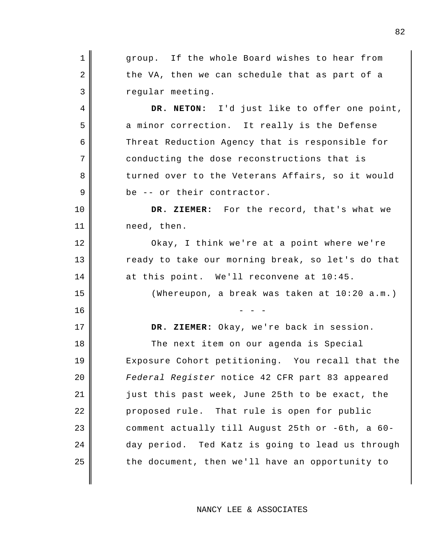1 2 3 4 5 6 7 8 9 10 11 12 13 14 15  $16$   $-$  - -17 18 19 20 21 22 23 24 25 group. If the whole Board wishes to hear from the VA, then we can schedule that as part of a regular meeting. **DR. NETON:** I'd just like to offer one point, a minor correction. It really is the Defense Threat Reduction Agency that is responsible for conducting the dose reconstructions that is turned over to the Veterans Affairs, so it would be -- or their contractor. **DR. ZIEMER:** For the record, that's what we need, then. Okay, I think we're at a point where we're ready to take our morning break, so let's do that at this point. We'll reconvene at 10:45. (Whereupon, a break was taken at 10:20 a.m.) **DR. ZIEMER:** Okay, we're back in session. The next item on our agenda is Special Exposure Cohort petitioning. You recall that the *Federal Register* notice 42 CFR part 83 appeared just this past week, June 25th to be exact, the proposed rule. That rule is open for public comment actually till August 25th or -6th, a 60 day period. Ted Katz is going to lead us through the document, then we'll have an opportunity to

NANCY LEE & ASSOCIATES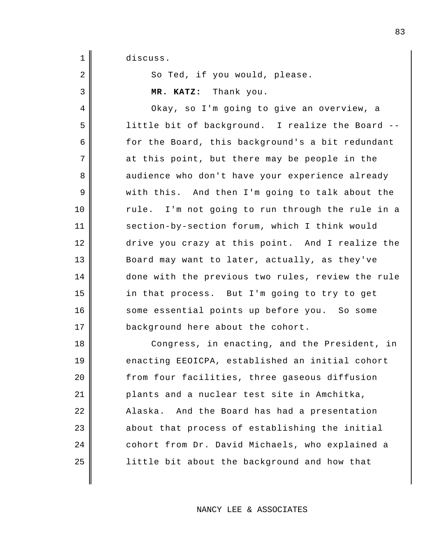discuss.

1

2

3

4

5

6

7

8

9

10

11

12

13

14

15

16

17

So Ted, if you would, please.

**MR. KATZ:** Thank you.

Okay, so I'm going to give an overview, a little bit of background. I realize the Board - for the Board, this background's a bit redundant at this point, but there may be people in the audience who don't have your experience already with this. And then I'm going to talk about the rule. I'm not going to run through the rule in a section-by-section forum, which I think would drive you crazy at this point. And I realize the Board may want to later, actually, as they've done with the previous two rules, review the rule in that process. But I'm going to try to get some essential points up before you. So some background here about the cohort.

18 19 20 21 22 23 24 25 Congress, in enacting, and the President, in enacting EEOICPA, established an initial cohort from four facilities, three gaseous diffusion plants and a nuclear test site in Amchitka, Alaska. And the Board has had a presentation about that process of establishing the initial cohort from Dr. David Michaels, who explained a little bit about the background and how that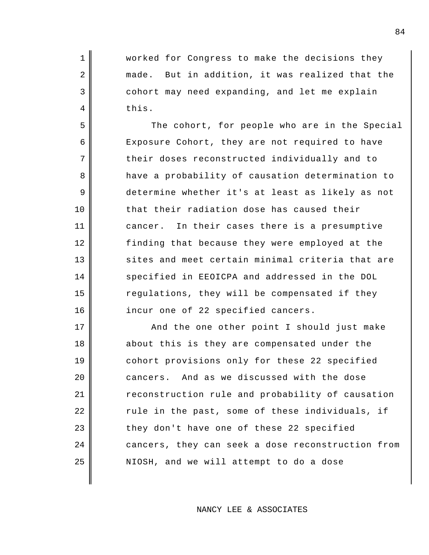worked for Congress to make the decisions they made. But in addition, it was realized that the cohort may need expanding, and let me explain this.

1

2

3

4

5

6

7

8

9

10

11

12

13

14

15

16

The cohort, for people who are in the Special Exposure Cohort, they are not required to have their doses reconstructed individually and to have a probability of causation determination to determine whether it's at least as likely as not that their radiation dose has caused their cancer. In their cases there is a presumptive finding that because they were employed at the sites and meet certain minimal criteria that are specified in EEOICPA and addressed in the DOL regulations, they will be compensated if they incur one of 22 specified cancers.

17 18 19 20 21 22 23 24 25 And the one other point I should just make about this is they are compensated under the cohort provisions only for these 22 specified cancers. And as we discussed with the dose reconstruction rule and probability of causation rule in the past, some of these individuals, if they don't have one of these 22 specified cancers, they can seek a dose reconstruction from NIOSH, and we will attempt to do a dose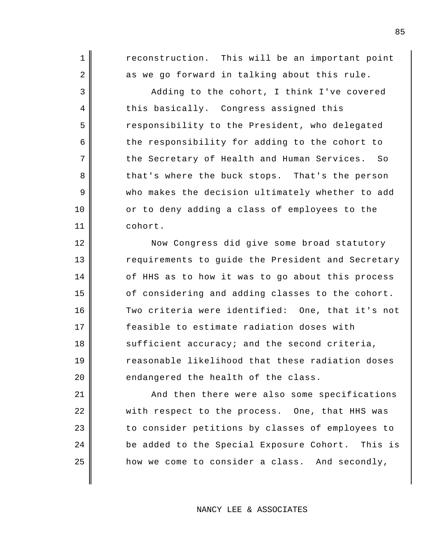reconstruction. This will be an important point as we go forward in talking about this rule.

1

2

3

4

5

6

7

8

9

10

11

12

13

14

15

16

17

18

19

20

24

25

Adding to the cohort, I think I've covered this basically. Congress assigned this responsibility to the President, who delegated the responsibility for adding to the cohort to the Secretary of Health and Human Services. So that's where the buck stops. That's the person who makes the decision ultimately whether to add or to deny adding a class of employees to the cohort.

Now Congress did give some broad statutory requirements to guide the President and Secretary of HHS as to how it was to go about this process of considering and adding classes to the cohort. Two criteria were identified: One, that it's not feasible to estimate radiation doses with sufficient accuracy; and the second criteria, reasonable likelihood that these radiation doses endangered the health of the class.

21 22 23 And then there were also some specifications with respect to the process. One, that HHS was to consider petitions by classes of employees to be added to the Special Exposure Cohort. This is how we come to consider a class. And secondly,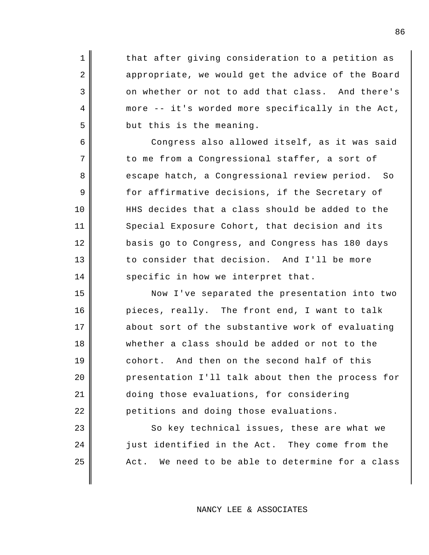that after giving consideration to a petition as appropriate, we would get the advice of the Board on whether or not to add that class. And there's more -- it's worded more specifically in the Act, but this is the meaning.

1

2

3

4

5

6

7

8

9

10

11

12

13

14

15

16

17

18

19

20

21

22

23

24

25

Congress also allowed itself, as it was said to me from a Congressional staffer, a sort of escape hatch, a Congressional review period. So for affirmative decisions, if the Secretary of HHS decides that a class should be added to the Special Exposure Cohort, that decision and its basis go to Congress, and Congress has 180 days to consider that decision. And I'll be more specific in how we interpret that.

Now I've separated the presentation into two pieces, really. The front end, I want to talk about sort of the substantive work of evaluating whether a class should be added or not to the cohort. And then on the second half of this presentation I'll talk about then the process for doing those evaluations, for considering petitions and doing those evaluations.

So key technical issues, these are what we just identified in the Act. They come from the Act. We need to be able to determine for a class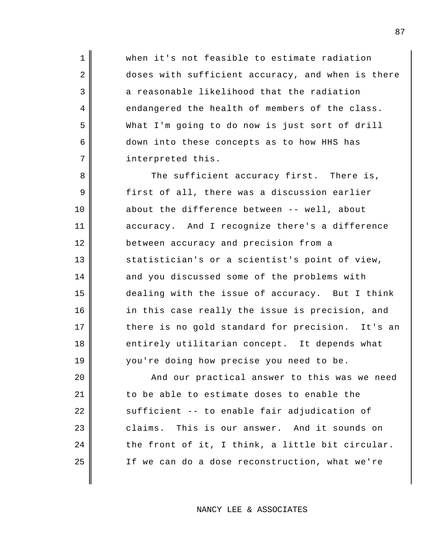when it's not feasible to estimate radiation doses with sufficient accuracy, and when is there a reasonable likelihood that the radiation endangered the health of members of the class. What I'm going to do now is just sort of drill down into these concepts as to how HHS has interpreted this.

1

2

3

4

5

6

7

8

9

10

11

12

13

14

15

16

17

18

19

The sufficient accuracy first. There is, first of all, there was a discussion earlier about the difference between -- well, about accuracy. And I recognize there's a difference between accuracy and precision from a statistician's or a scientist's point of view, and you discussed some of the problems with dealing with the issue of accuracy. But I think in this case really the issue is precision, and there is no gold standard for precision. It's an entirely utilitarian concept. It depends what you're doing how precise you need to be.

20 21 22 23 24 25 And our practical answer to this was we need to be able to estimate doses to enable the sufficient -- to enable fair adjudication of claims. This is our answer. And it sounds on the front of it, I think, a little bit circular. If we can do a dose reconstruction, what we're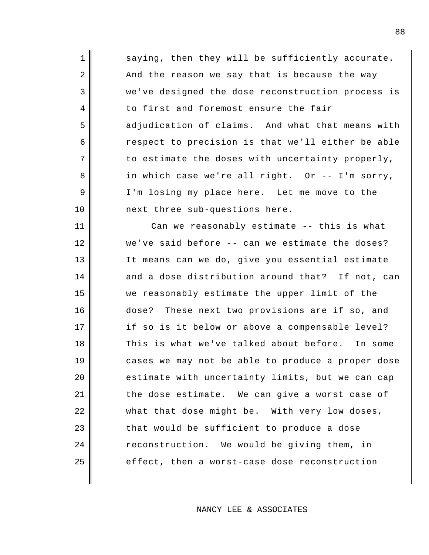| $\mathbf 1$    | saying, then they will be sufficiently accurate.  |
|----------------|---------------------------------------------------|
| $\overline{2}$ | And the reason we say that is because the way     |
| 3              | we've designed the dose reconstruction process is |
| $\overline{4}$ | to first and foremost ensure the fair             |
| 5              | adjudication of claims. And what that means with  |
| 6              | respect to precision is that we'll either be able |
| 7              | to estimate the doses with uncertainty properly,  |
| 8              | in which case we're all right. Or -- I'm sorry,   |
| 9              | I'm losing my place here. Let me move to the      |
| 10             | next three sub-questions here.                    |
| 11             | Can we reasonably estimate -- this is what        |
| 12             | we've said before -- can we estimate the doses?   |
| 13             | It means can we do, give you essential estimate   |
| 14             | and a dose distribution around that? If not, can  |
| 15             | we reasonably estimate the upper limit of the     |
| 16             | dose? These next two provisions are if so, and    |
| 17             | if so is it below or above a compensable level?   |
| 18             | This is what we've talked about before. In some   |
| 19             | cases we may not be able to produce a proper dose |
| 20             | estimate with uncertainty limits, but we can cap  |
| 21             | the dose estimate. We can give a worst case of    |
| 22             | what that dose might be. With very low doses,     |
| 23             | that would be sufficient to produce a dose        |
| 24             | reconstruction. We would be giving them, in       |
| 25             | effect, then a worst-case dose reconstruction     |
|                |                                                   |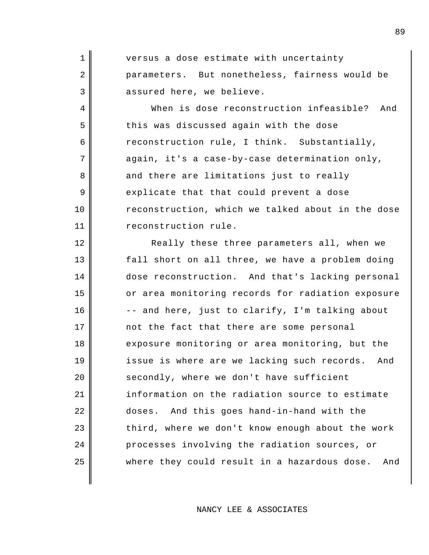| $1 \parallel$ | versus a dose estimate with uncertainty        |
|---------------|------------------------------------------------|
| $2 \parallel$ | parameters. But nonetheless, fairness would be |
| 3             | assured here, we believe.                      |

4

5

6

7

8

9

10

11

18

25

When is dose reconstruction infeasible? And this was discussed again with the dose reconstruction rule, I think. Substantially, again, it's a case-by-case determination only, and there are limitations just to really explicate that that could prevent a dose reconstruction, which we talked about in the dose reconstruction rule.

12 13 14 15 16 17 19 20 21 22 23 24 Really these three parameters all, when we fall short on all three, we have a problem doing dose reconstruction. And that's lacking personal or area monitoring records for radiation exposure -- and here, just to clarify, I'm talking about not the fact that there are some personal exposure monitoring or area monitoring, but the issue is where are we lacking such records. And secondly, where we don't have sufficient information on the radiation source to estimate doses. And this goes hand-in-hand with the third, where we don't know enough about the work processes involving the radiation sources, or where they could result in a hazardous dose. And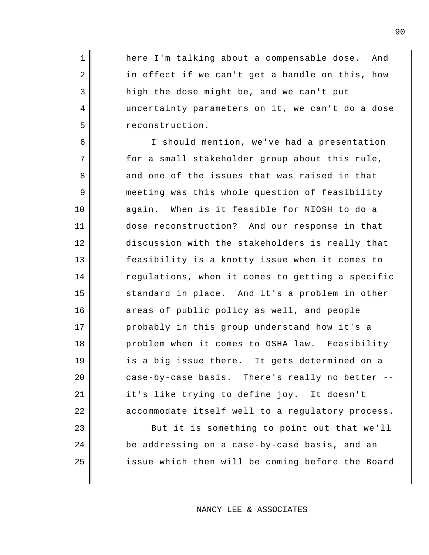here I'm talking about a compensable dose. And in effect if we can't get a handle on this, how high the dose might be, and we can't put uncertainty parameters on it, we can't do a dose reconstruction.

1

2

3

4

5

6

7

8

9

10

11

12

13

14

15

16

17

18

19

20

21

22

23

24

25

I should mention, we've had a presentation for a small stakeholder group about this rule, and one of the issues that was raised in that meeting was this whole question of feasibility again. When is it feasible for NIOSH to do a dose reconstruction? And our response in that discussion with the stakeholders is really that feasibility is a knotty issue when it comes to regulations, when it comes to getting a specific standard in place. And it's a problem in other areas of public policy as well, and people probably in this group understand how it's a problem when it comes to OSHA law. Feasibility is a big issue there. It gets determined on a case-by-case basis. There's really no better - it's like trying to define joy. It doesn't accommodate itself well to a regulatory process. But it is something to point out that we'll

be addressing on a case-by-case basis, and an issue which then will be coming before the Board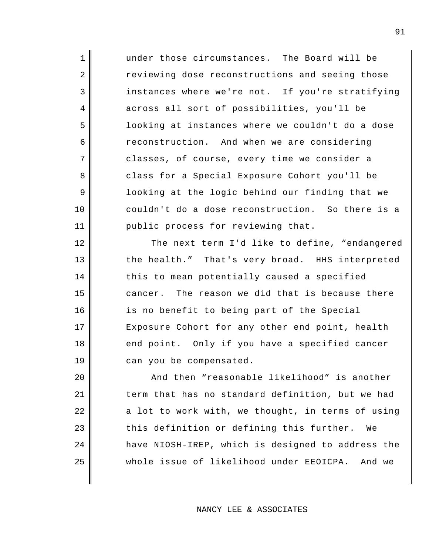under those circumstances. The Board will be reviewing dose reconstructions and seeing those instances where we're not. If you're stratifying across all sort of possibilities, you'll be looking at instances where we couldn't do a dose reconstruction. And when we are considering classes, of course, every time we consider a class for a Special Exposure Cohort you'll be looking at the logic behind our finding that we couldn't do a dose reconstruction. So there is a public process for reviewing that.

1

2

3

4

5

6

7

8

9

10

11

12

13

14

15

16

17

18

19

The next term I'd like to define, "endangered the health." That's very broad. HHS interpreted this to mean potentially caused a specified cancer. The reason we did that is because there is no benefit to being part of the Special Exposure Cohort for any other end point, health end point. Only if you have a specified cancer can you be compensated.

20 21 22 23 24 25 And then "reasonable likelihood" is another term that has no standard definition, but we had a lot to work with, we thought, in terms of using this definition or defining this further. We have NIOSH-IREP, which is designed to address the whole issue of likelihood under EEOICPA. And we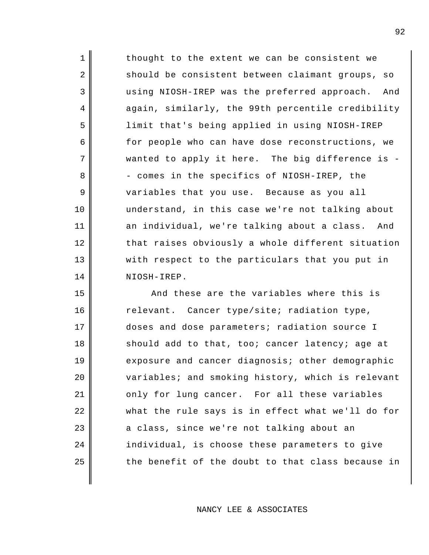1 2 3 7 11 12 13 14 thought to the extent we can be consistent we should be consistent between claimant groups, so using NIOSH-IREP was the preferred approach. And again, similarly, the 99th percentile credibility limit that's being applied in using NIOSH-IREP for people who can have dose reconstructions, we wanted to apply it here. The big difference is - - comes in the specifics of NIOSH-IREP, the variables that you use. Because as you all understand, in this case we're not talking about an individual, we're talking about a class. And that raises obviously a whole different situation with respect to the particulars that you put in NIOSH-IREP.

4

5

6

8

9

10

15 16 17 18 19 20 21 22 23 24 25 And these are the variables where this is relevant. Cancer type/site; radiation type, doses and dose parameters; radiation source I should add to that, too; cancer latency; age at exposure and cancer diagnosis; other demographic variables; and smoking history, which is relevant only for lung cancer. For all these variables what the rule says is in effect what we'll do for a class, since we're not talking about an individual, is choose these parameters to give the benefit of the doubt to that class because in

NANCY LEE & ASSOCIATES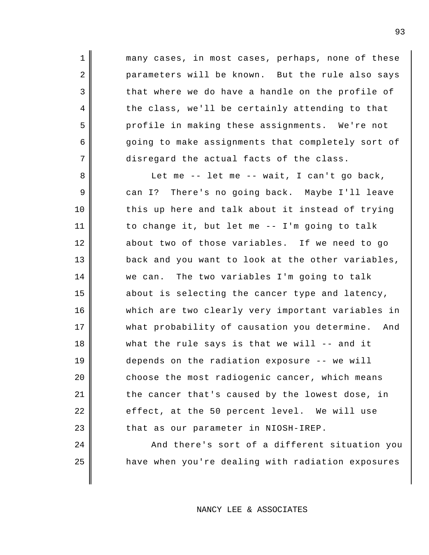many cases, in most cases, perhaps, none of these parameters will be known. But the rule also says that where we do have a handle on the profile of the class, we'll be certainly attending to that profile in making these assignments. We're not going to make assignments that completely sort of disregard the actual facts of the class.

1

2

3

4

5

6

7

24

25

8 9 10 11 12 13 14 15 16 17 18 19 20 21 22 23 Let me -- let me -- wait, I can't go back, can I? There's no going back. Maybe I'll leave this up here and talk about it instead of trying to change it, but let me -- I'm going to talk about two of those variables. If we need to go back and you want to look at the other variables, we can. The two variables I'm going to talk about is selecting the cancer type and latency, which are two clearly very important variables in what probability of causation you determine. And what the rule says is that we will -- and it depends on the radiation exposure -- we will choose the most radiogenic cancer, which means the cancer that's caused by the lowest dose, in effect, at the 50 percent level. We will use that as our parameter in NIOSH-IREP.

> And there's sort of a different situation you have when you're dealing with radiation exposures

## NANCY LEE & ASSOCIATES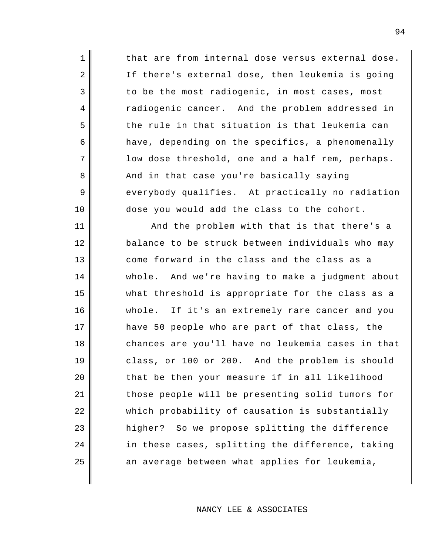1 2 3 4 5 6 7 8 9 10 11 12 13 14 15 16 17 18 19 20 21 22 23 24 25 that are from internal dose versus external dose. If there's external dose, then leukemia is going to be the most radiogenic, in most cases, most radiogenic cancer. And the problem addressed in the rule in that situation is that leukemia can have, depending on the specifics, a phenomenally low dose threshold, one and a half rem, perhaps. And in that case you're basically saying everybody qualifies. At practically no radiation dose you would add the class to the cohort. And the problem with that is that there's a balance to be struck between individuals who may come forward in the class and the class as a whole. And we're having to make a judgment about what threshold is appropriate for the class as a whole. If it's an extremely rare cancer and you have 50 people who are part of that class, the chances are you'll have no leukemia cases in that class, or 100 or 200. And the problem is should that be then your measure if in all likelihood those people will be presenting solid tumors for which probability of causation is substantially higher? So we propose splitting the difference in these cases, splitting the difference, taking an average between what applies for leukemia,

NANCY LEE & ASSOCIATES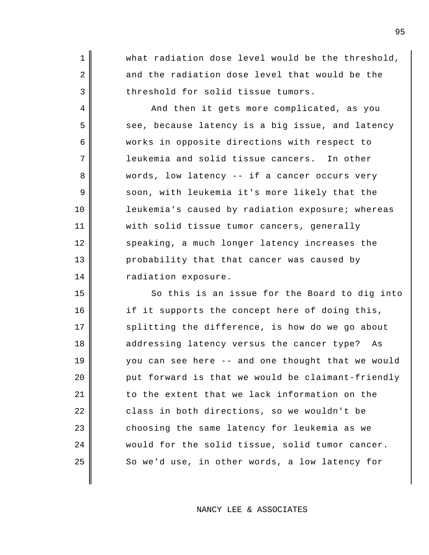what radiation dose level would be the threshold, and the radiation dose level that would be the threshold for solid tissue tumors.

1

2

3

4

5

6

7

8

9

10

11

12

13

14

15

16

17

18

19

20

21

22

23

24

25

And then it gets more complicated, as you see, because latency is a big issue, and latency works in opposite directions with respect to leukemia and solid tissue cancers. In other words, low latency -- if a cancer occurs very soon, with leukemia it's more likely that the leukemia's caused by radiation exposure; whereas with solid tissue tumor cancers, generally speaking, a much longer latency increases the probability that that cancer was caused by radiation exposure.

So this is an issue for the Board to dig into if it supports the concept here of doing this, splitting the difference, is how do we go about addressing latency versus the cancer type? As you can see here -- and one thought that we would put forward is that we would be claimant-friendly to the extent that we lack information on the class in both directions, so we wouldn't be choosing the same latency for leukemia as we would for the solid tissue, solid tumor cancer. So we'd use, in other words, a low latency for

NANCY LEE & ASSOCIATES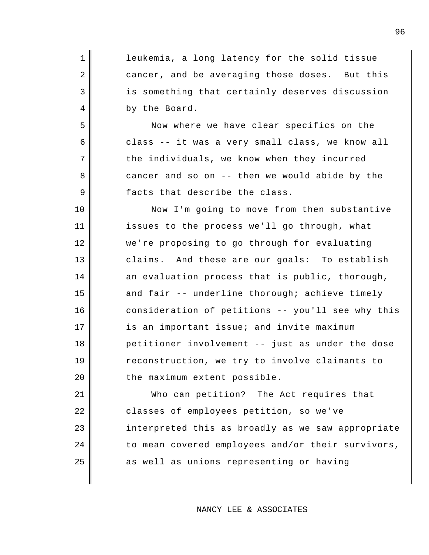| 1  | leukemia, a long latency for the solid tissue     |
|----|---------------------------------------------------|
| 2  | cancer, and be averaging those doses. But this    |
| 3  | is something that certainly deserves discussion   |
| 4  | by the Board.                                     |
| 5  | Now where we have clear specifics on the          |
| 6  | class -- it was a very small class, we know all   |
| 7  | the individuals, we know when they incurred       |
| 8  | cancer and so on -- then we would abide by the    |
| 9  | facts that describe the class.                    |
| 10 | Now I'm going to move from then substantive       |
| 11 | issues to the process we'll go through, what      |
| 12 | we're proposing to go through for evaluating      |
| 13 | claims. And these are our goals: To establish     |
| 14 | an evaluation process that is public, thorough,   |
| 15 | and fair -- underline thorough; achieve timely    |
| 16 | consideration of petitions -- you'll see why this |
| 17 | is an important issue; and invite maximum         |
| 18 | petitioner involvement -- just as under the dose  |
| 19 | reconstruction, we try to involve claimants to    |
| 20 | the maximum extent possible.                      |
| 21 | Who can petition? The Act requires that           |
| 22 | classes of employees petition, so we've           |
| 23 | interpreted this as broadly as we saw appropriate |

as well as unions representing or having

to mean covered employees and/or their survivors,

24

25

NANCY LEE & ASSOCIATES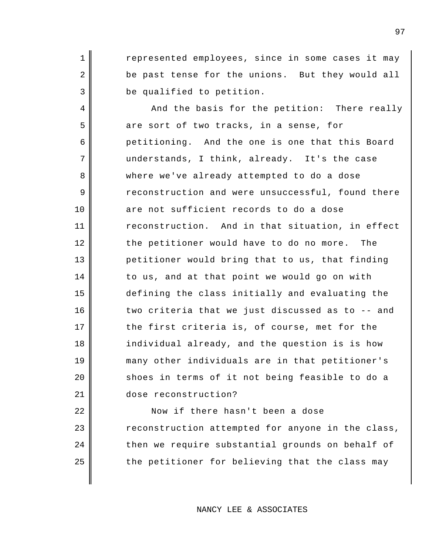represented employees, since in some cases it may be past tense for the unions. But they would all be qualified to petition.

1

2

3

4

5

6

7

8

9

10

11

12

13

14

15

16

17

18

19

20

21

And the basis for the petition: There really are sort of two tracks, in a sense, for petitioning. And the one is one that this Board understands, I think, already. It's the case where we've already attempted to do a dose reconstruction and were unsuccessful, found there are not sufficient records to do a dose reconstruction. And in that situation, in effect the petitioner would have to do no more. The petitioner would bring that to us, that finding to us, and at that point we would go on with defining the class initially and evaluating the two criteria that we just discussed as to -- and the first criteria is, of course, met for the individual already, and the question is is how many other individuals are in that petitioner's shoes in terms of it not being feasible to do a dose reconstruction?

22 23 24 25 Now if there hasn't been a dose reconstruction attempted for anyone in the class, then we require substantial grounds on behalf of the petitioner for believing that the class may

97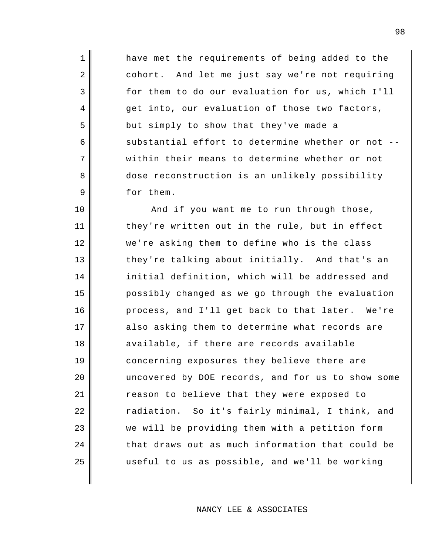have met the requirements of being added to the cohort. And let me just say we're not requiring for them to do our evaluation for us, which I'll get into, our evaluation of those two factors, but simply to show that they've made a substantial effort to determine whether or not - within their means to determine whether or not dose reconstruction is an unlikely possibility for them.

1

2

3

4

5

6

7

8

9

10 11 12 13 14 15 16 17 18 19 20 21 22 23 24 25 And if you want me to run through those, they're written out in the rule, but in effect we're asking them to define who is the class they're talking about initially. And that's an initial definition, which will be addressed and possibly changed as we go through the evaluation process, and I'll get back to that later. We're also asking them to determine what records are available, if there are records available concerning exposures they believe there are uncovered by DOE records, and for us to show some reason to believe that they were exposed to radiation. So it's fairly minimal, I think, and we will be providing them with a petition form that draws out as much information that could be useful to us as possible, and we'll be working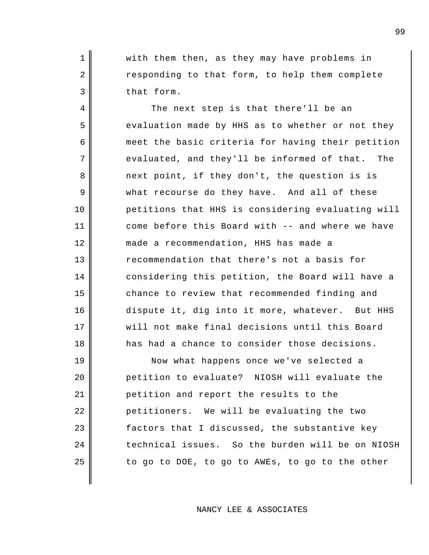with them then, as they may have problems in responding to that form, to help them complete that form.

1

2

3

4

5

6

7

8

9

10

11

12

13

14

15

16

17

18

The next step is that there'll be an evaluation made by HHS as to whether or not they meet the basic criteria for having their petition evaluated, and they'll be informed of that. The next point, if they don't, the question is is what recourse do they have. And all of these petitions that HHS is considering evaluating will come before this Board with -- and where we have made a recommendation, HHS has made a recommendation that there's not a basis for considering this petition, the Board will have a chance to review that recommended finding and dispute it, dig into it more, whatever. But HHS will not make final decisions until this Board has had a chance to consider those decisions.

19 20 21 22 23 24 25 Now what happens once we've selected a petition to evaluate? NIOSH will evaluate the petition and report the results to the petitioners. We will be evaluating the two factors that I discussed, the substantive key technical issues. So the burden will be on NIOSH to go to DOE, to go to AWEs, to go to the other

NANCY LEE & ASSOCIATES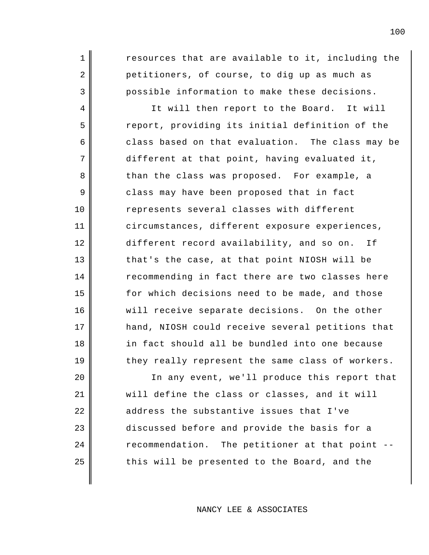resources that are available to it, including the petitioners, of course, to dig up as much as possible information to make these decisions.

1

2

3

4

5

6

7

8

9

10

11

12

13

14

15

16

17

18

19

It will then report to the Board. It will report, providing its initial definition of the class based on that evaluation. The class may be different at that point, having evaluated it, than the class was proposed. For example, a class may have been proposed that in fact represents several classes with different circumstances, different exposure experiences, different record availability, and so on. If that's the case, at that point NIOSH will be recommending in fact there are two classes here for which decisions need to be made, and those will receive separate decisions. On the other hand, NIOSH could receive several petitions that in fact should all be bundled into one because they really represent the same class of workers.

20 21 22 23 24 25 In any event, we'll produce this report that will define the class or classes, and it will address the substantive issues that I've discussed before and provide the basis for a recommendation. The petitioner at that point - this will be presented to the Board, and the

NANCY LEE & ASSOCIATES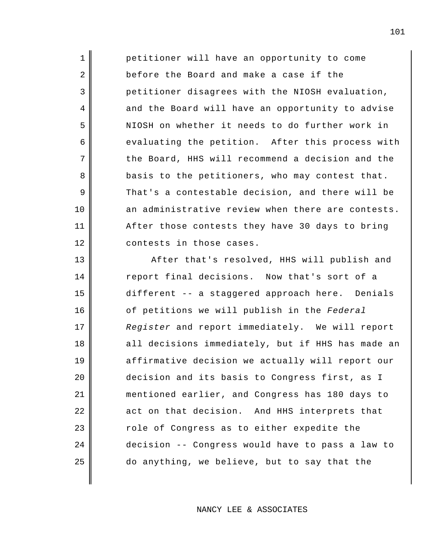petitioner will have an opportunity to come before the Board and make a case if the petitioner disagrees with the NIOSH evaluation, and the Board will have an opportunity to advise NIOSH on whether it needs to do further work in evaluating the petition. After this process with the Board, HHS will recommend a decision and the basis to the petitioners, who may contest that. That's a contestable decision, and there will be an administrative review when there are contests. After those contests they have 30 days to bring contests in those cases.

1

2

3

4

5

6

7

8

9

10

11

12

13 14 15 16 17 18 19 20 21 22 23 24 25 After that's resolved, HHS will publish and report final decisions. Now that's sort of a different -- a staggered approach here. Denials of petitions we will publish in the *Federal Register* and report immediately. We will report all decisions immediately, but if HHS has made an affirmative decision we actually will report our decision and its basis to Congress first, as I mentioned earlier, and Congress has 180 days to act on that decision. And HHS interprets that role of Congress as to either expedite the decision -- Congress would have to pass a law to do anything, we believe, but to say that the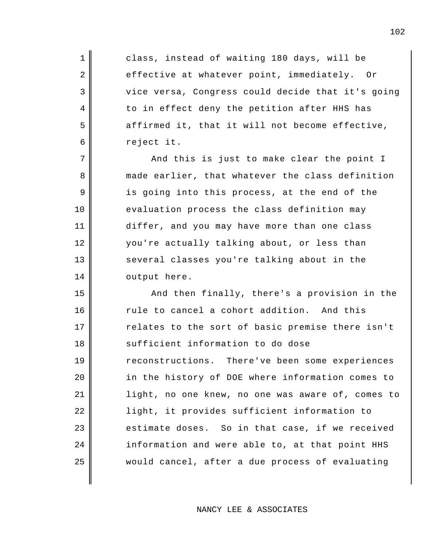class, instead of waiting 180 days, will be effective at whatever point, immediately. Or vice versa, Congress could decide that it's going to in effect deny the petition after HHS has affirmed it, that it will not become effective, reject it.

1

2

3

4

5

6

7

8

9

10

11

12

13

14

And this is just to make clear the point I made earlier, that whatever the class definition is going into this process, at the end of the evaluation process the class definition may differ, and you may have more than one class you're actually talking about, or less than several classes you're talking about in the output here.

15 16 17 18 19 20 21 22 23 24 25 And then finally, there's a provision in the rule to cancel a cohort addition. And this relates to the sort of basic premise there isn't sufficient information to do dose reconstructions. There've been some experiences in the history of DOE where information comes to light, no one knew, no one was aware of, comes to light, it provides sufficient information to estimate doses. So in that case, if we received information and were able to, at that point HHS would cancel, after a due process of evaluating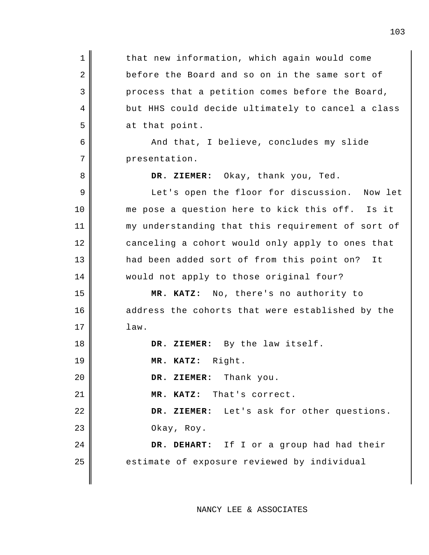1 2 3 4 5 6 7 8 9 10 11 12 13 14 15 16 17 18 19 20 21 22 23 24 25 that new information, which again would come before the Board and so on in the same sort of process that a petition comes before the Board, but HHS could decide ultimately to cancel a class at that point. And that, I believe, concludes my slide presentation. **DR. ZIEMER:** Okay, thank you, Ted. Let's open the floor for discussion. Now let me pose a question here to kick this off. Is it my understanding that this requirement of sort of canceling a cohort would only apply to ones that had been added sort of from this point on? It would not apply to those original four? **MR. KATZ:** No, there's no authority to address the cohorts that were established by the law. **DR. ZIEMER:** By the law itself. **MR. KATZ:** Right. **DR. ZIEMER:** Thank you. **MR. KATZ:** That's correct. **DR. ZIEMER:** Let's ask for other questions. Okay, Roy. **DR. DEHART:** If I or a group had had their estimate of exposure reviewed by individual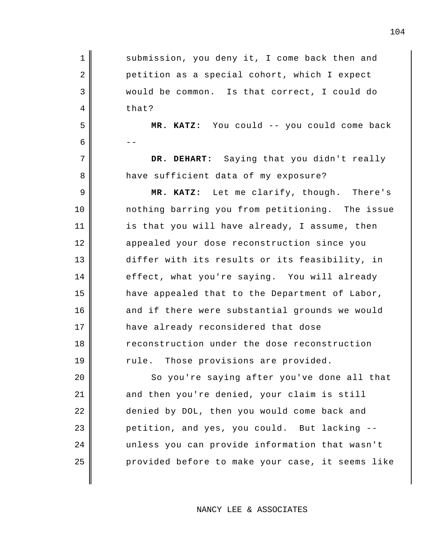| $\mathbf 1$    | submission, you deny it, I come back then and    |
|----------------|--------------------------------------------------|
| $\overline{2}$ |                                                  |
|                | petition as a special cohort, which I expect     |
| 3              | would be common. Is that correct, I could do     |
| 4              | that?                                            |
| 5              | MR. KATZ: You could -- you could come back       |
| 6              |                                                  |
| 7              | DR. DEHART: Saying that you didn't really        |
| 8              | have sufficient data of my exposure?             |
| 9              | MR. KATZ: Let me clarify, though. There's        |
| 10             | nothing barring you from petitioning. The issue  |
| 11             | is that you will have already, I assume, then    |
| 12             | appealed your dose reconstruction since you      |
| 13             | differ with its results or its feasibility, in   |
| 14             | effect, what you're saying. You will already     |
| 15             | have appealed that to the Department of Labor,   |
| 16             | and if there were substantial grounds we would   |
| 17             | have already reconsidered that dose              |
| 18             | reconstruction under the dose reconstruction     |
| 19             | rule. Those provisions are provided.             |
| 20             | So you're saying after you've done all that      |
| 21             | and then you're denied, your claim is still      |
| 22             | denied by DOL, then you would come back and      |
| 23             | petition, and yes, you could. But lacking --     |
| 24             | unless you can provide information that wasn't   |
| 25             | provided before to make your case, it seems like |
|                |                                                  |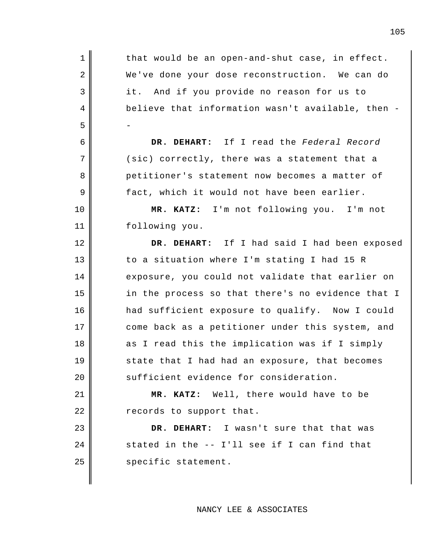| $\mathbf 1$ | that would be an open-and-shut case, in effect.   |
|-------------|---------------------------------------------------|
| 2           | We've done your dose reconstruction. We can do    |
| 3           | And if you provide no reason for us to<br>it.     |
| 4           | believe that information wasn't available, then - |
| 5           |                                                   |
| 6           | DR. DEHART: If I read the Federal Record          |
| 7           | (sic) correctly, there was a statement that a     |
| 8           | petitioner's statement now becomes a matter of    |
| 9           | fact, which it would not have been earlier.       |
| 10          | MR. KATZ: I'm not following you. I'm not          |
| 11          | following you.                                    |
| 12          | DR. DEHART: If I had said I had been exposed      |
| 13          | to a situation where I'm stating I had 15 R       |
| 14          | exposure, you could not validate that earlier on  |
| 15          | in the process so that there's no evidence that I |
| 16          | had sufficient exposure to qualify. Now I could   |
| 17          | come back as a petitioner under this system, and  |
| 18          | as I read this the implication was if I simply    |
| 19          | state that I had had an exposure, that becomes    |
| 20          | sufficient evidence for consideration.            |
| 21          | MR. KATZ: Well, there would have to be            |
| 22          | records to support that.                          |
| 23          | DR. DEHART: I wasn't sure that that was           |
| 24          | stated in the -- I'll see if I can find that      |
| 25          | specific statement.                               |
|             |                                                   |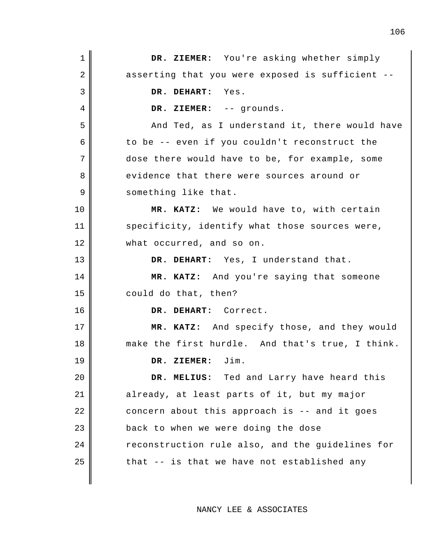| 1  | DR. ZIEMER: You're asking whether simply         |
|----|--------------------------------------------------|
| 2  | asserting that you were exposed is sufficient -- |
| 3  | DR. DEHART:<br>Yes.                              |
| 4  | DR. ZIEMER: -- grounds.                          |
| 5  | And Ted, as I understand it, there would have    |
| 6  | to be -- even if you couldn't reconstruct the    |
| 7  | dose there would have to be, for example, some   |
| 8  | evidence that there were sources around or       |
| 9  | something like that.                             |
| 10 | MR. KATZ: We would have to, with certain         |
| 11 | specificity, identify what those sources were,   |
| 12 | what occurred, and so on.                        |
| 13 | DR. DEHART: Yes, I understand that.              |
| 14 | MR. KATZ: And you're saying that someone         |
| 15 | could do that, then?                             |
| 16 | DR. DEHART: Correct.                             |
| 17 | MR. KATZ: And specify those, and they would      |
| 18 | make the first hurdle. And that's true, I think. |
| 19 | DR. ZIEMER: Jim.                                 |
| 20 | DR. MELIUS: Ted and Larry have heard this        |
| 21 | already, at least parts of it, but my major      |
| 22 | concern about this approach is -- and it goes    |
| 23 | back to when we were doing the dose              |
| 24 | reconstruction rule also, and the guidelines for |
| 25 | that -- is that we have not established any      |
|    |                                                  |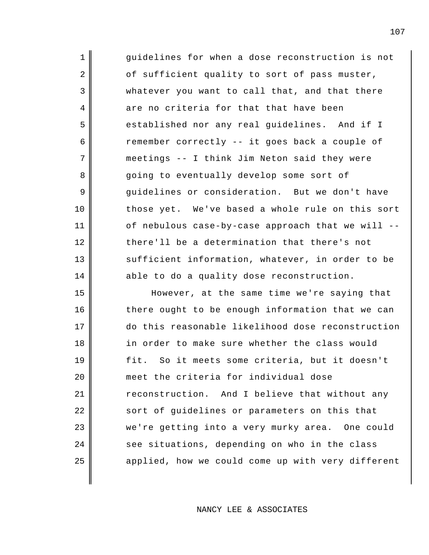| 1  | guidelines for when a dose reconstruction is not  |
|----|---------------------------------------------------|
| 2  | of sufficient quality to sort of pass muster,     |
| 3  | whatever you want to call that, and that there    |
| 4  | are no criteria for that that have been           |
| 5  | established nor any real guidelines. And if I     |
| 6  | remember correctly -- it goes back a couple of    |
| 7  | meetings -- I think Jim Neton said they were      |
| 8  | going to eventually develop some sort of          |
| 9  | guidelines or consideration. But we don't have    |
| 10 | those yet. We've based a whole rule on this sort  |
| 11 | of nebulous case-by-case approach that we will -- |
| 12 | there'll be a determination that there's not      |
| 13 | sufficient information, whatever, in order to be  |
| 14 | able to do a quality dose reconstruction.         |
| 15 | However, at the same time we're saying that       |
| 16 | there ought to be enough information that we can  |
| 17 | do this reasonable likelihood dose reconstruction |
| 18 | in order to make sure whether the class would     |
| 19 | fit. So it meets some criteria, but it doesn't    |

meet the criteria for individual dose reconstruction. And I believe that without any sort of guidelines or parameters on this that we're getting into a very murky area. One could see situations, depending on who in the class applied, how we could come up with very different

20

21

22

23

24

25

## NANCY LEE & ASSOCIATES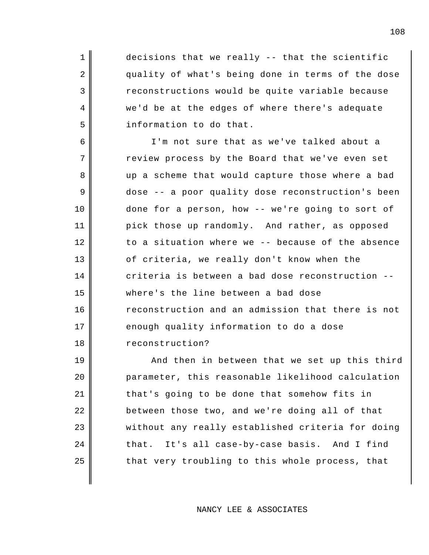decisions that we really -- that the scientific quality of what's being done in terms of the dose reconstructions would be quite variable because we'd be at the edges of where there's adequate information to do that.

1

2

3

4

5

9

10

6 7 8 11 12 13 14 15 16 17 18 I'm not sure that as we've talked about a review process by the Board that we've even set up a scheme that would capture those where a bad dose -- a poor quality dose reconstruction's been done for a person, how -- we're going to sort of pick those up randomly. And rather, as opposed to a situation where we -- because of the absence of criteria, we really don't know when the criteria is between a bad dose reconstruction - where's the line between a bad dose reconstruction and an admission that there is not enough quality information to do a dose reconstruction?

19 20 21 22 23 24 25 And then in between that we set up this third parameter, this reasonable likelihood calculation that's going to be done that somehow fits in between those two, and we're doing all of that without any really established criteria for doing that. It's all case-by-case basis. And I find that very troubling to this whole process, that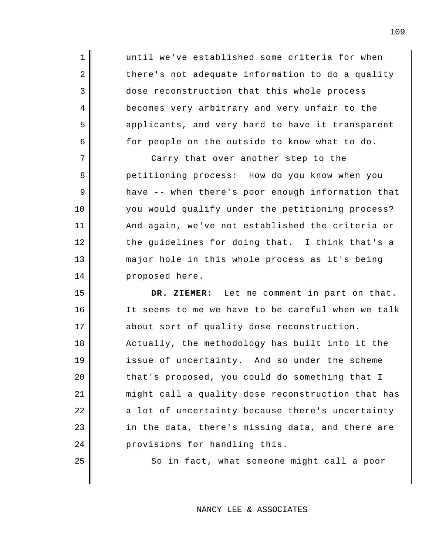until we've established some criteria for when there's not adequate information to do a quality dose reconstruction that this whole process becomes very arbitrary and very unfair to the applicants, and very hard to have it transparent for people on the outside to know what to do.

1

2

3

4

5

6

7

8

9

10

11

12

13

14

25

Carry that over another step to the petitioning process: How do you know when you have -- when there's poor enough information that you would qualify under the petitioning process? And again, we've not established the criteria or the guidelines for doing that. I think that's a major hole in this whole process as it's being proposed here.

15 16 17 18 19 20 21 22 23 24 **DR. ZIEMER:** Let me comment in part on that. It seems to me we have to be careful when we talk about sort of quality dose reconstruction. Actually, the methodology has built into it the issue of uncertainty. And so under the scheme that's proposed, you could do something that I might call a quality dose reconstruction that has a lot of uncertainty because there's uncertainty in the data, there's missing data, and there are provisions for handling this.

So in fact, what someone might call a poor

NANCY LEE & ASSOCIATES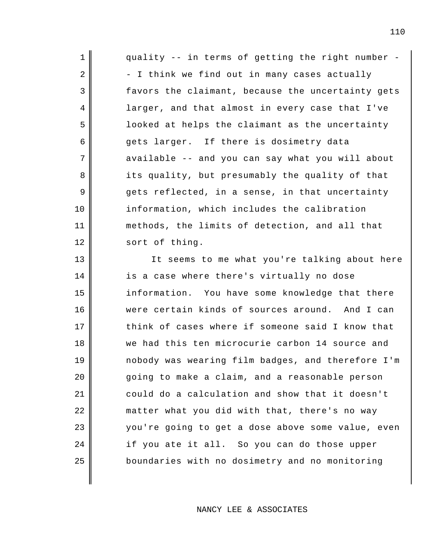| 1              | quality -- in terms of getting the right number - |
|----------------|---------------------------------------------------|
| $\overline{2}$ | - I think we find out in many cases actually      |
| 3              | favors the claimant, because the uncertainty gets |
| 4              | larger, and that almost in every case that I've   |
| 5              | looked at helps the claimant as the uncertainty   |
| 6              | gets larger. If there is dosimetry data           |
| 7              | available -- and you can say what you will about  |
| 8              | its quality, but presumably the quality of that   |
| 9              | gets reflected, in a sense, in that uncertainty   |
| 10             | information, which includes the calibration       |
| 11             | methods, the limits of detection, and all that    |
| 12             | sort of thing.                                    |
| 13             | It seems to me what you're talking about here     |
| 14             | is a case where there's virtually no dose         |
| 15             | information. You have some knowledge that there   |
| 16             | were certain kinds of sources around. And I can   |
| 17             | think of cases where if someone said I know that  |
| 18             | we had this ten microcurie carbon 14 source and   |
| 19             | nobody was wearing film badges, and therefore I'm |
| 20             | going to make a claim, and a reasonable person    |
| 21             | could do a calculation and show that it doesn't   |
| 22             | matter what you did with that, there's no way     |
| 23             | you're going to get a dose above some value, even |
| 24             | if you ate it all. So you can do those upper      |
| 25             | boundaries with no dosimetry and no monitoring    |
|                |                                                   |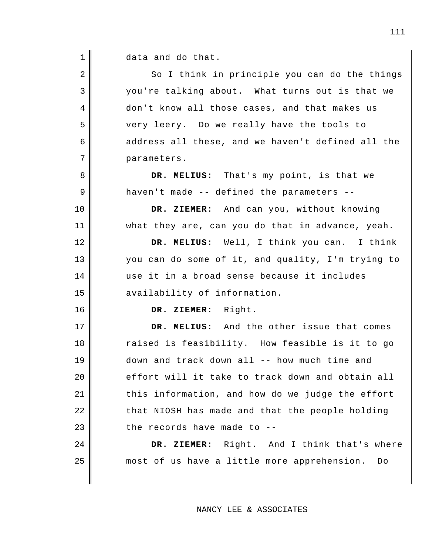1 data and do that.

| $\overline{2}$ | So I think in principle you can do the things     |
|----------------|---------------------------------------------------|
| 3              | you're talking about. What turns out is that we   |
| 4              | don't know all those cases, and that makes us     |
| 5              | very leery. Do we really have the tools to        |
| 6              | address all these, and we haven't defined all the |
| 7              | parameters.                                       |
| 8              | DR. MELIUS: That's my point, is that we           |
| 9              | haven't made -- defined the parameters --         |
| 10             | DR. ZIEMER: And can you, without knowing          |
| 11             | what they are, can you do that in advance, yeah.  |
| 12             | DR. MELIUS: Well, I think you can. I think        |
| 13             | you can do some of it, and quality, I'm trying to |
| 14             | use it in a broad sense because it includes       |
| 15             | availability of information.                      |
| 16             | DR. ZIEMER: Right.                                |
| 17             | DR. MELIUS: And the other issue that comes        |
| 18             | raised is feasibility. How feasible is it to go   |
| 19             | down and track down all -- how much time and      |
| 20             | effort will it take to track down and obtain all  |
| 21             | this information, and how do we judge the effort  |
| 22             | that NIOSH has made and that the people holding   |
| 23             | the records have made to --                       |
| 24             | DR. ZIEMER: Right. And I think that's where       |
| 25             | most of us have a little more apprehension.<br>Do |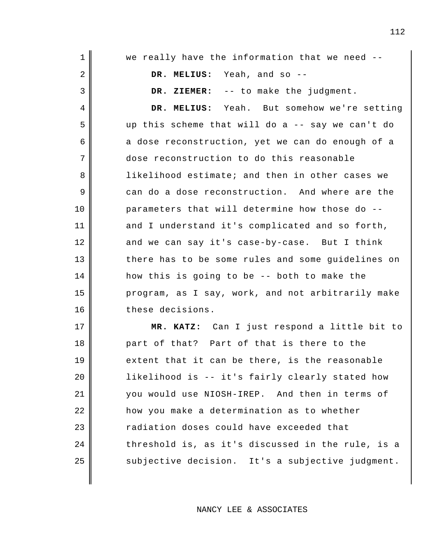| $\mathbf 1$ | we really have the information that we need --    |
|-------------|---------------------------------------------------|
| 2           | DR. MELIUS: Yeah, and so --                       |
| 3           | DR. ZIEMER: -- to make the judgment.              |
| 4           | DR. MELIUS: Yeah. But somehow we're setting       |
| 5           | up this scheme that will do a -- say we can't do  |
| 6           | a dose reconstruction, yet we can do enough of a  |
| 7           | dose reconstruction to do this reasonable         |
| 8           | likelihood estimate; and then in other cases we   |
| 9           | can do a dose reconstruction. And where are the   |
| 10          | parameters that will determine how those do --    |
| 11          | and I understand it's complicated and so forth,   |
| 12          | and we can say it's case-by-case. But I think     |
| 13          | there has to be some rules and some guidelines on |
| 14          | how this is going to be -- both to make the       |
| 15          | program, as I say, work, and not arbitrarily make |
| 16          | these decisions.                                  |
| 17          | MR. KATZ: Can I just respond a little bit to      |
| 18          | part of that? Part of that is there to the        |
| 19          | extent that it can be there, is the reasonable    |
| 20          | likelihood is -- it's fairly clearly stated how   |
| 21          | you would use NIOSH-IREP. And then in terms of    |
| 22          | how you make a determination as to whether        |
| 23          | radiation doses could have exceeded that          |
| 24          | threshold is, as it's discussed in the rule, is a |
| 25          | subjective decision. It's a subjective judgment.  |
|             |                                                   |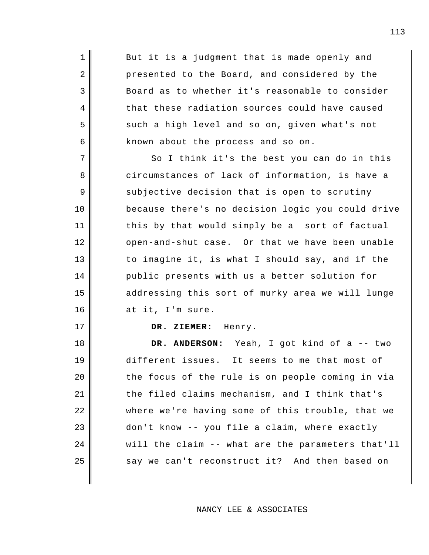But it is a judgment that is made openly and presented to the Board, and considered by the Board as to whether it's reasonable to consider that these radiation sources could have caused such a high level and so on, given what's not known about the process and so on.

1

2

3

4

5

6

17

7 8 9 10 11 12 13 14 15 16 So I think it's the best you can do in this circumstances of lack of information, is have a subjective decision that is open to scrutiny because there's no decision logic you could drive this by that would simply be a sort of factual open-and-shut case. Or that we have been unable to imagine it, is what I should say, and if the public presents with us a better solution for addressing this sort of murky area we will lunge at it, I'm sure.

#### **DR. ZIEMER:** Henry.

18 19 20 21 22 23 24 25 **DR. ANDERSON:** Yeah, I got kind of a -- two different issues. It seems to me that most of the focus of the rule is on people coming in via the filed claims mechanism, and I think that's where we're having some of this trouble, that we don't know -- you file a claim, where exactly will the claim -- what are the parameters that'll say we can't reconstruct it? And then based on

113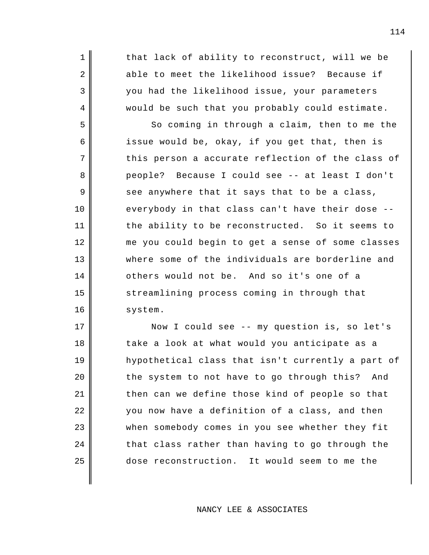that lack of ability to reconstruct, will we be able to meet the likelihood issue? Because if you had the likelihood issue, your parameters would be such that you probably could estimate.

1

2

3

4

5

6

7

8

9

10

11

12

13

14

15

16

So coming in through a claim, then to me the issue would be, okay, if you get that, then is this person a accurate reflection of the class of people? Because I could see -- at least I don't see anywhere that it says that to be a class, everybody in that class can't have their dose - the ability to be reconstructed. So it seems to me you could begin to get a sense of some classes where some of the individuals are borderline and others would not be. And so it's one of a streamlining process coming in through that system.

17 18 19 20 21 22 23 24 25 Now I could see -- my question is, so let's take a look at what would you anticipate as a hypothetical class that isn't currently a part of the system to not have to go through this? And then can we define those kind of people so that you now have a definition of a class, and then when somebody comes in you see whether they fit that class rather than having to go through the dose reconstruction. It would seem to me the

NANCY LEE & ASSOCIATES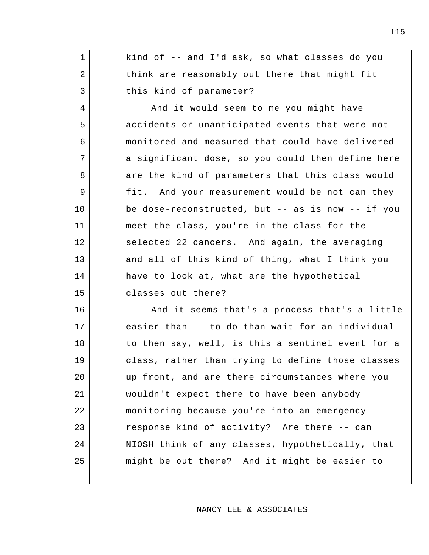kind of -- and I'd ask, so what classes do you think are reasonably out there that might fit this kind of parameter?

1

2

3

4

5

6

7

8

9

10

11

12

13

14

15

And it would seem to me you might have accidents or unanticipated events that were not monitored and measured that could have delivered a significant dose, so you could then define here are the kind of parameters that this class would fit. And your measurement would be not can they be dose-reconstructed, but -- as is now -- if you meet the class, you're in the class for the selected 22 cancers. And again, the averaging and all of this kind of thing, what I think you have to look at, what are the hypothetical classes out there?

16 17 18 19 20 21 22 23 24 25 And it seems that's a process that's a little easier than -- to do than wait for an individual to then say, well, is this a sentinel event for a class, rather than trying to define those classes up front, and are there circumstances where you wouldn't expect there to have been anybody monitoring because you're into an emergency response kind of activity? Are there -- can NIOSH think of any classes, hypothetically, that might be out there? And it might be easier to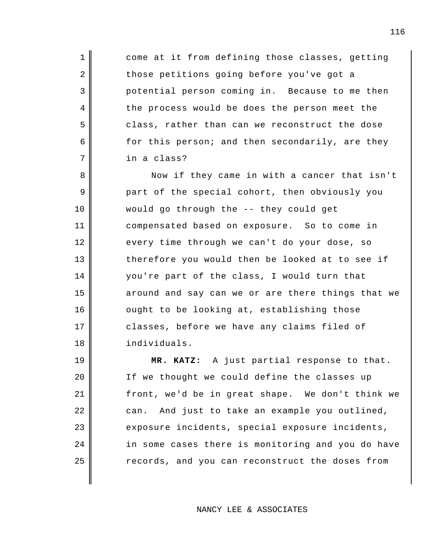come at it from defining those classes, getting those petitions going before you've got a potential person coming in. Because to me then the process would be does the person meet the class, rather than can we reconstruct the dose for this person; and then secondarily, are they in a class?

1

2

3

4

5

6

7

8 9 10 11 12 13 14 15 16 17 18 Now if they came in with a cancer that isn't part of the special cohort, then obviously you would go through the -- they could get compensated based on exposure. So to come in every time through we can't do your dose, so therefore you would then be looked at to see if you're part of the class, I would turn that around and say can we or are there things that we ought to be looking at, establishing those classes, before we have any claims filed of individuals.

19 20 21 22 23 24 25 **MR. KATZ:** A just partial response to that. If we thought we could define the classes up front, we'd be in great shape. We don't think we can. And just to take an example you outlined, exposure incidents, special exposure incidents, in some cases there is monitoring and you do have records, and you can reconstruct the doses from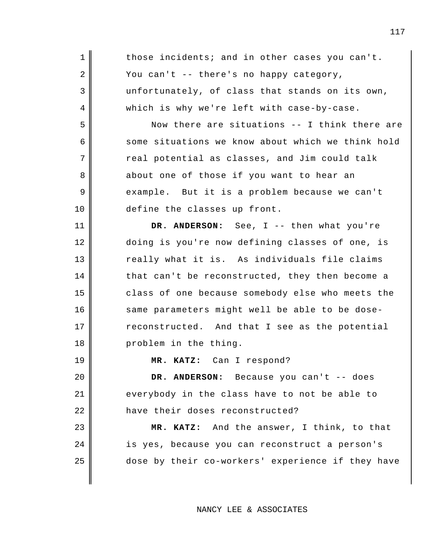| 1  | those incidents; and in other cases you can't.    |
|----|---------------------------------------------------|
| 2  | You can't -- there's no happy category,           |
| 3  | unfortunately, of class that stands on its own,   |
| 4  | which is why we're left with case-by-case.        |
| 5  | Now there are situations -- I think there are     |
| 6  | some situations we know about which we think hold |
| 7  | real potential as classes, and Jim could talk     |
| 8  | about one of those if you want to hear an         |
| 9  | example. But it is a problem because we can't     |
| 10 | define the classes up front.                      |
| 11 | DR. ANDERSON: See, I -- then what you're          |
| 12 | doing is you're now defining classes of one, is   |
| 13 | really what it is. As individuals file claims     |
| 14 | that can't be reconstructed, they then become a   |
| 15 | class of one because somebody else who meets the  |
| 16 | same parameters might well be able to be dose-    |
| 17 | reconstructed. And that I see as the potential    |
| 18 | problem in the thing.                             |
| 19 | MR. KATZ: Can I respond?                          |
| 20 | DR. ANDERSON: Because you can't -- does           |
| 21 | everybody in the class have to not be able to     |
| 22 | have their doses reconstructed?                   |
| 23 | MR. KATZ: And the answer, I think, to that        |
| 24 | is yes, because you can reconstruct a person's    |
| 25 | dose by their co-workers' experience if they have |
|    |                                                   |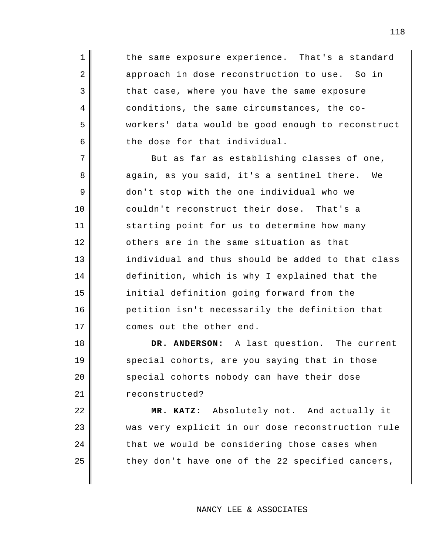the same exposure experience. That's a standard approach in dose reconstruction to use. So in that case, where you have the same exposure conditions, the same circumstances, the coworkers' data would be good enough to reconstruct the dose for that individual.

1

2

3

4

5

6

8

9

10

17

18

19

20

21

7 11 12 13 14 15 16 But as far as establishing classes of one, again, as you said, it's a sentinel there. We don't stop with the one individual who we couldn't reconstruct their dose. That's a starting point for us to determine how many others are in the same situation as that individual and thus should be added to that class definition, which is why I explained that the initial definition going forward from the petition isn't necessarily the definition that comes out the other end.

**DR. ANDERSON:** A last question. The current special cohorts, are you saying that in those special cohorts nobody can have their dose reconstructed?

22 23 24 25 **MR. KATZ:** Absolutely not. And actually it was very explicit in our dose reconstruction rule that we would be considering those cases when they don't have one of the 22 specified cancers,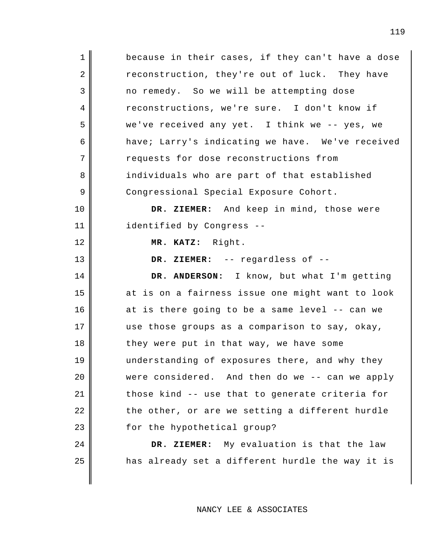| $\mathbf{1}$   | because in their cases, if they can't have a dose |
|----------------|---------------------------------------------------|
| 2              | reconstruction, they're out of luck. They have    |
| 3              | no remedy. So we will be attempting dose          |
| $\overline{4}$ | reconstructions, we're sure. I don't know if      |
| 5              | we've received any yet. I think we -- yes, we     |
| 6              | have; Larry's indicating we have. We've received  |
| 7              | requests for dose reconstructions from            |
| 8              | individuals who are part of that established      |
| 9              | Congressional Special Exposure Cohort.            |
| 10             | DR. ZIEMER: And keep in mind, those were          |
| 11             | identified by Congress --                         |
| 12             | MR. KATZ: Right.                                  |
| 13             | DR. ZIEMER: -- regardless of --                   |
|                |                                                   |
| 14             | DR. ANDERSON: I know, but what I'm getting        |
| 15             | at is on a fairness issue one might want to look  |
| 16             | at is there going to be a same level -- can we    |
| 17             | use those groups as a comparison to say, okay,    |
| 18             | they were put in that way, we have some           |
| 19             | understanding of exposures there, and why they    |
| 20             | were considered. And then do we -- can we apply   |
| 21             | those kind -- use that to generate criteria for   |
| 22             | the other, or are we setting a different hurdle   |
| 23             | for the hypothetical group?                       |
| 24             | DR. ZIEMER: My evaluation is that the law         |
| 25             | has already set a different hurdle the way it is  |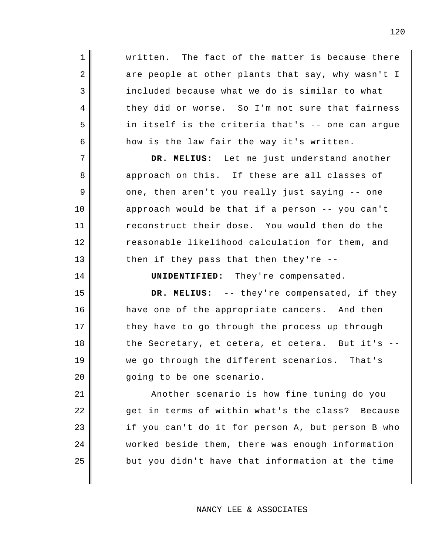written. The fact of the matter is because there are people at other plants that say, why wasn't I included because what we do is similar to what they did or worse. So I'm not sure that fairness in itself is the criteria that's -- one can argue how is the law fair the way it's written.

1

2

3

4

5

6

7

8

9

10

11

12

13

14

15

16

17

18

19

20

**DR. MELIUS:** Let me just understand another approach on this. If these are all classes of one, then aren't you really just saying -- one approach would be that if a person -- you can't reconstruct their dose. You would then do the reasonable likelihood calculation for them, and then if they pass that then they're --

**UNIDENTIFIED:** They're compensated.

**DR. MELIUS:** -- they're compensated, if they have one of the appropriate cancers. And then they have to go through the process up through the Secretary, et cetera, et cetera. But it's - we go through the different scenarios. That's going to be one scenario.

21 22 23 24 25 Another scenario is how fine tuning do you get in terms of within what's the class? Because if you can't do it for person A, but person B who worked beside them, there was enough information but you didn't have that information at the time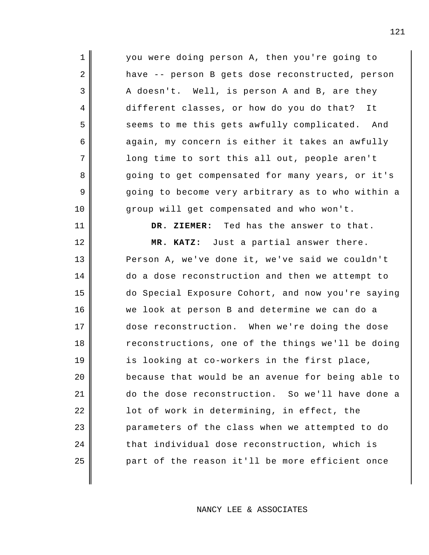you were doing person A, then you're going to have -- person B gets dose reconstructed, person A doesn't. Well, is person A and B, are they different classes, or how do you do that? It seems to me this gets awfully complicated. And again, my concern is either it takes an awfully long time to sort this all out, people aren't going to get compensated for many years, or it's going to become very arbitrary as to who within a group will get compensated and who won't.

1

2

3

4

5

6

7

8

9

10

11

**DR. ZIEMER:** Ted has the answer to that.

12 13 14 15 16 17 18 19 20 21 22 23 24 25 **MR. KATZ:** Just a partial answer there. Person A, we've done it, we've said we couldn't do a dose reconstruction and then we attempt to do Special Exposure Cohort, and now you're saying we look at person B and determine we can do a dose reconstruction. When we're doing the dose reconstructions, one of the things we'll be doing is looking at co-workers in the first place, because that would be an avenue for being able to do the dose reconstruction. So we'll have done a lot of work in determining, in effect, the parameters of the class when we attempted to do that individual dose reconstruction, which is part of the reason it'll be more efficient once

NANCY LEE & ASSOCIATES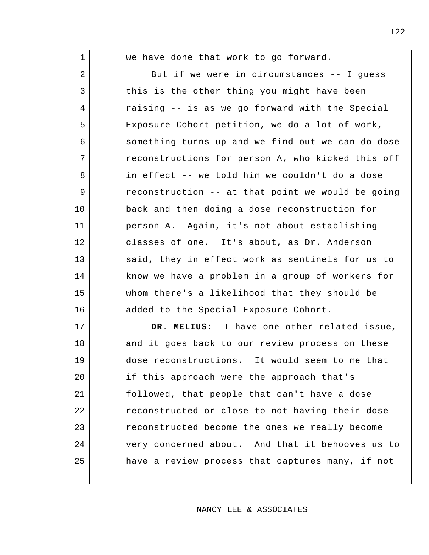| 1  | we have done that work to go forward.             |
|----|---------------------------------------------------|
| 2  | But if we were in circumstances -- I guess        |
| 3  | this is the other thing you might have been       |
| 4  | raising -- is as we go forward with the Special   |
| 5  | Exposure Cohort petition, we do a lot of work,    |
| 6  | something turns up and we find out we can do dose |
| 7  | reconstructions for person A, who kicked this off |
| 8  | in effect -- we told him we couldn't do a dose    |
| 9  | reconstruction -- at that point we would be going |
| 10 | back and then doing a dose reconstruction for     |
| 11 | person A. Again, it's not about establishing      |
| 12 | classes of one. It's about, as Dr. Anderson       |
| 13 | said, they in effect work as sentinels for us to  |
| 14 | know we have a problem in a group of workers for  |
| 15 | whom there's a likelihood that they should be     |
| 16 | added to the Special Exposure Cohort.             |
| 17 | DR. MELIUS: I have one other related issue,       |
| 18 | and it goes back to our review process on these   |
| 19 | dose reconstructions. It would seem to me that    |
| 20 | if this approach were the approach that's         |
| 21 | followed, that people that can't have a dose      |
| 22 | reconstructed or close to not having their dose   |
| 23 | reconstructed become the ones we really become    |
| 24 | very concerned about. And that it behooves us to  |

have a review process that captures many, if not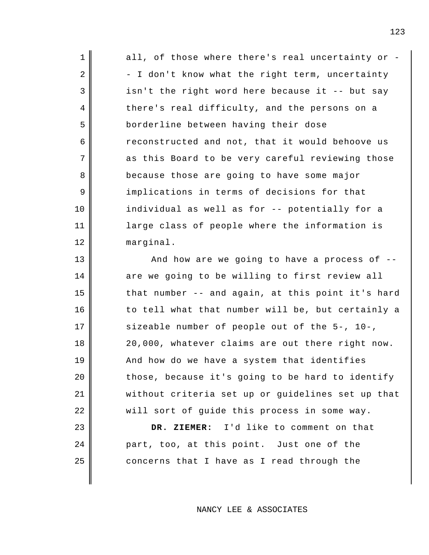| $\mathbf 1$    | all, of those where there's real uncertainty or - |
|----------------|---------------------------------------------------|
| $\overline{2}$ | - I don't know what the right term, uncertainty   |
| 3              | isn't the right word here because it -- but say   |
| 4              | there's real difficulty, and the persons on a     |
| 5              | borderline between having their dose              |
| 6              | reconstructed and not, that it would behoove us   |
| 7              | as this Board to be very careful reviewing those  |
| 8              | because those are going to have some major        |
| 9              | implications in terms of decisions for that       |
| 10             | individual as well as for -- potentially for a    |
| 11             | large class of people where the information is    |
| 12             | marginal.                                         |
| 13             | And how are we going to have a process of --      |
| 14             | are we going to be willing to first review all    |
| 15             | that number -- and again, at this point it's hard |
| 16             | to tell what that number will be, but certainly a |
| 17             | sizeable number of people out of the 5-, 10-,     |
| 18             | 20,000, whatever claims are out there right now.  |
| 19             | And how do we have a system that identifies       |
| 20             | those, because it's going to be hard to identify  |
| 21             | without criteria set up or guidelines set up that |
| 22             | will sort of guide this process in some way.      |
| 23             | DR. ZIEMER: I'd like to comment on that           |
| 24             | part, too, at this point. Just one of the         |

concerns that I have as I read through the

25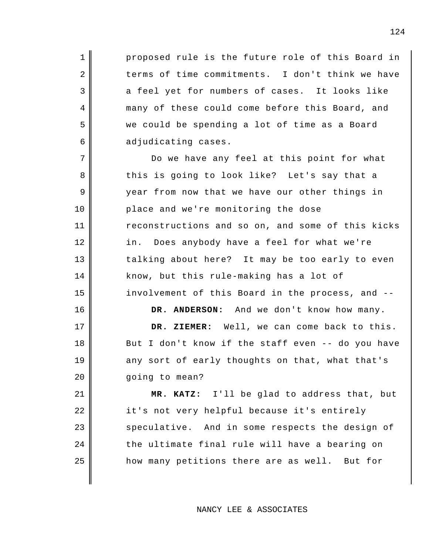proposed rule is the future role of this Board in terms of time commitments. I don't think we have a feel yet for numbers of cases. It looks like many of these could come before this Board, and we could be spending a lot of time as a Board adjudicating cases.

1

2

3

4

5

6

7

8

9

10

11

12

13

14

15

16

17

18

19

20

Do we have any feel at this point for what this is going to look like? Let's say that a year from now that we have our other things in place and we're monitoring the dose reconstructions and so on, and some of this kicks in. Does anybody have a feel for what we're talking about here? It may be too early to even know, but this rule-making has a lot of involvement of this Board in the process, and --

**DR. ANDERSON:** And we don't know how many.

**DR. ZIEMER:** Well, we can come back to this. But I don't know if the staff even -- do you have any sort of early thoughts on that, what that's going to mean?

21 22 23 24 25 **MR. KATZ:** I'll be glad to address that, but it's not very helpful because it's entirely speculative. And in some respects the design of the ultimate final rule will have a bearing on how many petitions there are as well. But for

NANCY LEE & ASSOCIATES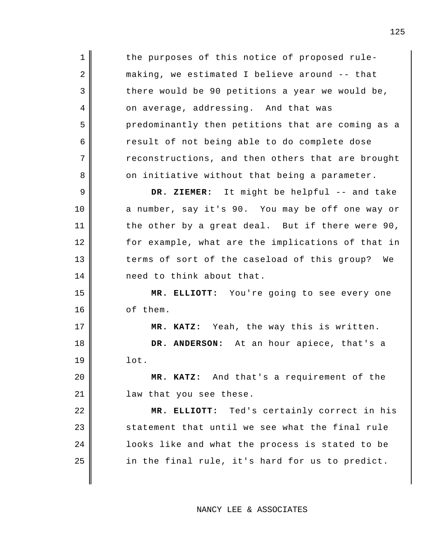1 2 3 4 5 6 7 8 9 10 11 12 13 14 15 16 17 18 19 20 21 22 23 24 25 the purposes of this notice of proposed rulemaking, we estimated I believe around -- that there would be 90 petitions a year we would be, on average, addressing. And that was predominantly then petitions that are coming as a result of not being able to do complete dose reconstructions, and then others that are brought on initiative without that being a parameter. **DR. ZIEMER:** It might be helpful -- and take a number, say it's 90. You may be off one way or the other by a great deal. But if there were 90, for example, what are the implications of that in terms of sort of the caseload of this group? We need to think about that. **MR. ELLIOTT:** You're going to see every one of them. **MR. KATZ:** Yeah, the way this is written. **DR. ANDERSON:** At an hour apiece, that's a lot. **MR. KATZ:** And that's a requirement of the law that you see these. **MR. ELLIOTT:** Ted's certainly correct in his statement that until we see what the final rule looks like and what the process is stated to be in the final rule, it's hard for us to predict.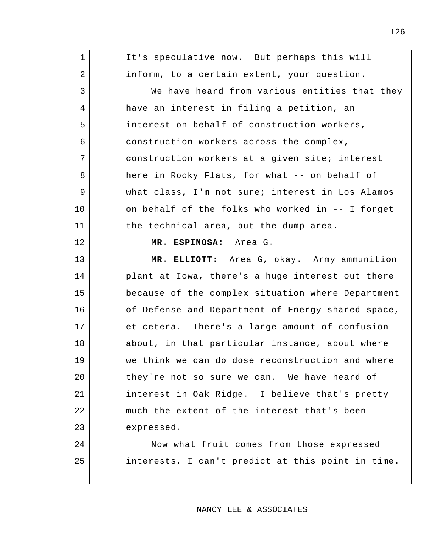| 1  | It's speculative now. But perhaps this will       |
|----|---------------------------------------------------|
| 2  | inform, to a certain extent, your question.       |
| 3  | We have heard from various entities that they     |
| 4  | have an interest in filing a petition, an         |
| 5  | interest on behalf of construction workers,       |
| 6  | construction workers across the complex,          |
| 7  | construction workers at a given site; interest    |
| 8  | here in Rocky Flats, for what -- on behalf of     |
| 9  | what class, I'm not sure; interest in Los Alamos  |
| 10 | on behalf of the folks who worked in -- I forget  |
| 11 | the technical area, but the dump area.            |
| 12 | MR. ESPINOSA: Area G.                             |
| 13 | MR. ELLIOTT: Area G, okay. Army ammunition        |
| 14 | plant at Iowa, there's a huge interest out there  |
| 15 | because of the complex situation where Department |
| 16 | of Defense and Department of Energy shared space, |
| 17 | et cetera. There's a large amount of confusion    |
| 18 | about, in that particular instance, about where   |
| 19 | we think we can do dose reconstruction and where  |
| 20 | they're not so sure we can. We have heard of      |
| 21 | interest in Oak Ridge. I believe that's pretty    |
| 22 | much the extent of the interest that's been       |
|    |                                                   |
| 23 | expressed.                                        |

Now what fruit comes from those expressed interests, I can't predict at this point in time.

25

## NANCY LEE & ASSOCIATES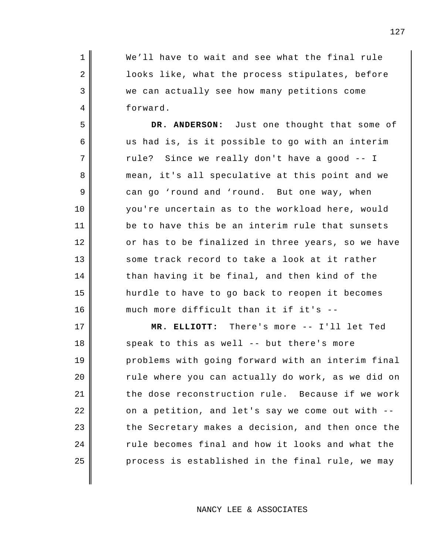We'll have to wait and see what the final rule looks like, what the process stipulates, before we can actually see how many petitions come forward.

1

2

3

4

5

6

7

8

9

10

11

12

13

14

15

16

**DR. ANDERSON:** Just one thought that some of us had is, is it possible to go with an interim rule? Since we really don't have a good -- I mean, it's all speculative at this point and we can go 'round and 'round. But one way, when you're uncertain as to the workload here, would be to have this be an interim rule that sunsets or has to be finalized in three years, so we have some track record to take a look at it rather than having it be final, and then kind of the hurdle to have to go back to reopen it becomes much more difficult than it if it's --

17 18 19 20 21 22 23 24 25 **MR. ELLIOTT:** There's more -- I'll let Ted speak to this as well -- but there's more problems with going forward with an interim final rule where you can actually do work, as we did on the dose reconstruction rule. Because if we work on a petition, and let's say we come out with - the Secretary makes a decision, and then once the rule becomes final and how it looks and what the process is established in the final rule, we may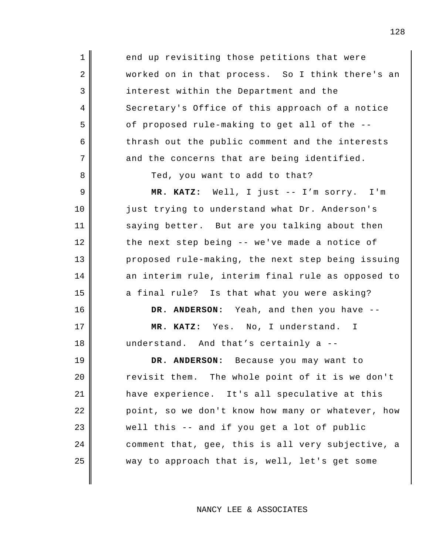end up revisiting those petitions that were worked on in that process. So I think there's an interest within the Department and the Secretary's Office of this approach of a notice of proposed rule-making to get all of the - thrash out the public comment and the interests and the concerns that are being identified.

Ted, you want to add to that?

1

2

3

4

5

6

7

8

9

10

11

12

13

14

15

16

17

18

**MR. KATZ:** Well, I just -- I'm sorry. I'm just trying to understand what Dr. Anderson's saying better. But are you talking about then the next step being -- we've made a notice of proposed rule-making, the next step being issuing an interim rule, interim final rule as opposed to a final rule? Is that what you were asking?

**DR. ANDERSON:** Yeah, and then you have --

**MR. KATZ:** Yes. No, I understand. I understand. And that's certainly a --

19 20 21 22 23 24 25 **DR. ANDERSON:** Because you may want to revisit them. The whole point of it is we don't have experience. It's all speculative at this point, so we don't know how many or whatever, how well this -- and if you get a lot of public comment that, gee, this is all very subjective, a way to approach that is, well, let's get some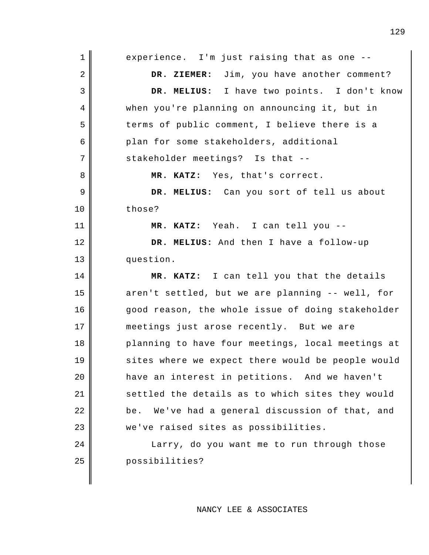| 1  | experience. I'm just raising that as one --        |
|----|----------------------------------------------------|
| 2  | DR. ZIEMER: Jim, you have another comment?         |
| 3  | DR. MELIUS: I have two points. I don't know        |
| 4  | when you're planning on announcing it, but in      |
| 5  | terms of public comment, I believe there is a      |
| 6  | plan for some stakeholders, additional             |
| 7  | stakeholder meetings? Is that --                   |
| 8  | MR. KATZ: Yes, that's correct.                     |
| 9  | DR. MELIUS: Can you sort of tell us about          |
| 10 | those?                                             |
| 11 | MR. KATZ: Yeah. I can tell you --                  |
| 12 | DR. MELIUS: And then I have a follow-up            |
| 13 | question.                                          |
|    |                                                    |
| 14 | MR. KATZ: I can tell you that the details          |
| 15 | aren't settled, but we are planning -- well, for   |
| 16 | good reason, the whole issue of doing stakeholder  |
| 17 | meetings just arose recently. But we are           |
| 18 | planning to have four meetings, local meetings at  |
| 19 | sites where we expect there would be people would  |
| 20 | have an interest in petitions. And we haven't      |
| 21 | settled the details as to which sites they would   |
| 22 | We've had a general discussion of that, and<br>be. |
| 23 | we've raised sites as possibilities.               |
| 24 | Larry, do you want me to run through those         |
| 25 | possibilities?                                     |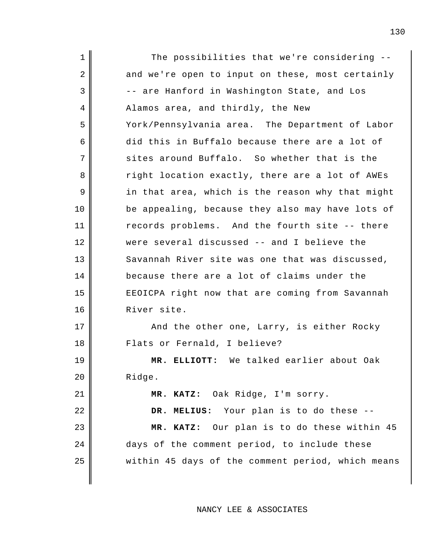1 2 3 4 5 6 7 8 9 10 11 12 13 14 15 16 17 18 19 20 21 22 23 24 25 The possibilities that we're considering - and we're open to input on these, most certainly -- are Hanford in Washington State, and Los Alamos area, and thirdly, the New York/Pennsylvania area. The Department of Labor did this in Buffalo because there are a lot of sites around Buffalo. So whether that is the right location exactly, there are a lot of AWEs in that area, which is the reason why that might be appealing, because they also may have lots of records problems. And the fourth site -- there were several discussed -- and I believe the Savannah River site was one that was discussed, because there are a lot of claims under the EEOICPA right now that are coming from Savannah River site. And the other one, Larry, is either Rocky Flats or Fernald, I believe? **MR. ELLIOTT:** We talked earlier about Oak Ridge. **MR. KATZ:** Oak Ridge, I'm sorry. **DR. MELIUS:** Your plan is to do these -- **MR. KATZ:** Our plan is to do these within 45 days of the comment period, to include these within 45 days of the comment period, which means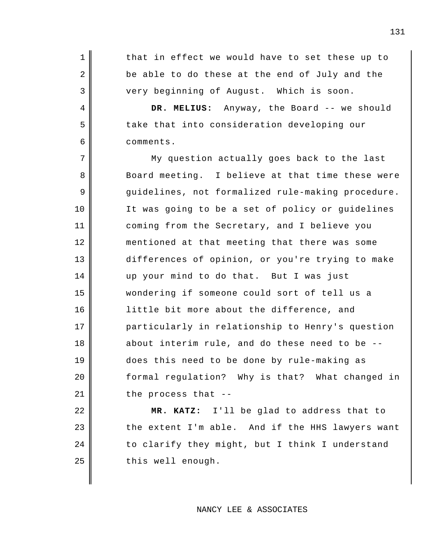that in effect we would have to set these up to be able to do these at the end of July and the very beginning of August. Which is soon.

1

2

3

4

5

6

7

8

9

10

11

12

13

14

15

16

17

18

19

20

21

**DR. MELIUS:** Anyway, the Board -- we should take that into consideration developing our comments.

My question actually goes back to the last Board meeting. I believe at that time these were guidelines, not formalized rule-making procedure. It was going to be a set of policy or guidelines coming from the Secretary, and I believe you mentioned at that meeting that there was some differences of opinion, or you're trying to make up your mind to do that. But I was just wondering if someone could sort of tell us a little bit more about the difference, and particularly in relationship to Henry's question about interim rule, and do these need to be - does this need to be done by rule-making as formal regulation? Why is that? What changed in the process that --

22 23 24 25 **MR. KATZ:** I'll be glad to address that to the extent I'm able. And if the HHS lawyers want to clarify they might, but I think I understand this well enough.

#### NANCY LEE & ASSOCIATES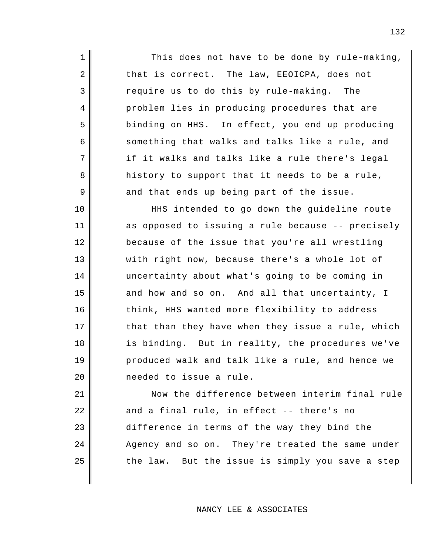This does not have to be done by rule-making, that is correct. The law, EEOICPA, does not require us to do this by rule-making. The problem lies in producing procedures that are binding on HHS. In effect, you end up producing something that walks and talks like a rule, and if it walks and talks like a rule there's legal history to support that it needs to be a rule, and that ends up being part of the issue.

1

2

3

4

5

6

7

8

9

10

11

12

13

14

15

16

17

18

19

20

HHS intended to go down the guideline route as opposed to issuing a rule because -- precisely because of the issue that you're all wrestling with right now, because there's a whole lot of uncertainty about what's going to be coming in and how and so on. And all that uncertainty, I think, HHS wanted more flexibility to address that than they have when they issue a rule, which is binding. But in reality, the procedures we've produced walk and talk like a rule, and hence we needed to issue a rule.

21 22 23 24 25 Now the difference between interim final rule and a final rule, in effect -- there's no difference in terms of the way they bind the Agency and so on. They're treated the same under the law. But the issue is simply you save a step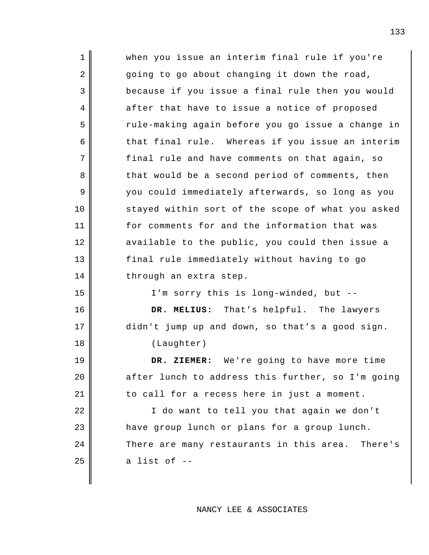| $\mathbf 1$ | when you issue an interim final rule if you're    |
|-------------|---------------------------------------------------|
| 2           | going to go about changing it down the road,      |
| 3           | because if you issue a final rule then you would  |
| 4           | after that have to issue a notice of proposed     |
| 5           | rule-making again before you go issue a change in |
| 6           | that final rule. Whereas if you issue an interim  |
| 7           | final rule and have comments on that again, so    |
| 8           | that would be a second period of comments, then   |
| 9           | you could immediately afterwards, so long as you  |
| 10          | stayed within sort of the scope of what you asked |
| 11          | for comments for and the information that was     |
| 12          | available to the public, you could then issue a   |
| 13          | final rule immediately without having to go       |
| 14          | through an extra step.                            |
| 15          | I'm sorry this is long-winded, but --             |
| 16          | DR. MELIUS: That's helpful. The lawyers           |
| 17          | didn't jump up and down, so that's a good sign.   |
| 18          | (Laughter)                                        |
| 19          | We're going to have more time<br>DR. ZIEMER:      |
| 20          | after lunch to address this further, so I'm going |
| 21          | to call for a recess here in just a moment.       |
| 22          | I do want to tell you that again we don't         |
| 23          | have group lunch or plans for a group lunch.      |
| 24          | There are many restaurants in this area. There's  |
| 25          | a list of --                                      |
|             |                                                   |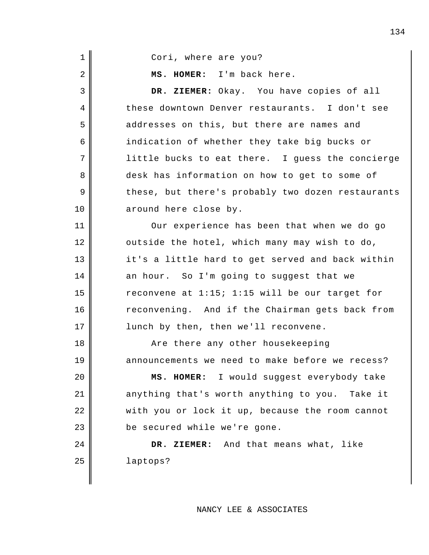| 1              | Cori, where are you?                              |
|----------------|---------------------------------------------------|
| $\overline{2}$ | MS. HOMER: I'm back here.                         |
| 3              | DR. ZIEMER: Okay. You have copies of all          |
| 4              | these downtown Denver restaurants. I don't see    |
| 5              | addresses on this, but there are names and        |
| 6              | indication of whether they take big bucks or      |
| 7              | little bucks to eat there. I guess the concierge  |
| 8              | desk has information on how to get to some of     |
| 9              | these, but there's probably two dozen restaurants |
| 10             | around here close by.                             |
| 11             | Our experience has been that when we do go        |
| 12             | outside the hotel, which many may wish to do,     |
| 13             | it's a little hard to get served and back within  |
| 14             | an hour. So I'm going to suggest that we          |
| 15             | reconvene at 1:15; 1:15 will be our target for    |
| 16             | reconvening. And if the Chairman gets back from   |
| 17             | lunch by then, then we'll reconvene.              |
| 18             | Are there any other housekeeping                  |
| 19             | announcements we need to make before we recess?   |
| 20             | MS. HOMER: I would suggest everybody take         |
| 21             | anything that's worth anything to you. Take it    |
| 22             | with you or lock it up, because the room cannot   |
| 23             | be secured while we're gone.                      |
| 24             | DR. ZIEMER: And that means what, like             |
| 25             | laptops?                                          |
|                |                                                   |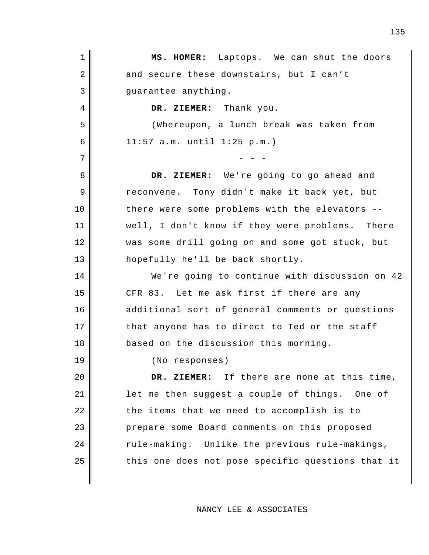| $\mathbf 1$ | MS. HOMER: Laptops. We can shut the doors         |
|-------------|---------------------------------------------------|
| 2           | and secure these downstairs, but I can't          |
| 3           | guarantee anything.                               |
| 4           | DR. ZIEMER: Thank you.                            |
| 5           | (Whereupon, a lunch break was taken from          |
| 6           | $11:57$ a.m. until $1:25$ p.m.)                   |
| 7           |                                                   |
| 8           | DR. ZIEMER: We're going to go ahead and           |
| 9           | reconvene. Tony didn't make it back yet, but      |
| 10          | there were some problems with the elevators --    |
| 11          | well, I don't know if they were problems. There   |
| 12          | was some drill going on and some got stuck, but   |
| 13          | hopefully he'll be back shortly.                  |
| 14          | We're going to continue with discussion on 42     |
| 15          | CFR 83. Let me ask first if there are any         |
| 16          | additional sort of general comments or questions  |
| 17          | that anyone has to direct to Ted or the staff     |
| 18          | based on the discussion this morning.             |
| 19          | (No responses)                                    |
| 20          | DR. ZIEMER: If there are none at this time,       |
| 21          | let me then suggest a couple of things. One of    |
| 22          | the items that we need to accomplish is to        |
| 23          | prepare some Board comments on this proposed      |
| 24          | rule-making. Unlike the previous rule-makings,    |
| 25          | this one does not pose specific questions that it |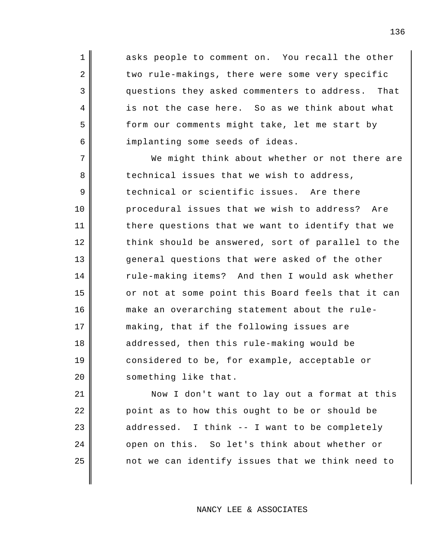asks people to comment on. You recall the other two rule-makings, there were some very specific questions they asked commenters to address. That is not the case here. So as we think about what form our comments might take, let me start by implanting some seeds of ideas.

1

2

3

4

5

6

7 8 9 10 11 12 13 14 15 16 17 18 19 20 We might think about whether or not there are technical issues that we wish to address, technical or scientific issues. Are there procedural issues that we wish to address? Are there questions that we want to identify that we think should be answered, sort of parallel to the general questions that were asked of the other rule-making items? And then I would ask whether or not at some point this Board feels that it can make an overarching statement about the rulemaking, that if the following issues are addressed, then this rule-making would be considered to be, for example, acceptable or something like that.

21 22 23 24 25 Now I don't want to lay out a format at this point as to how this ought to be or should be addressed. I think -- I want to be completely open on this. So let's think about whether or not we can identify issues that we think need to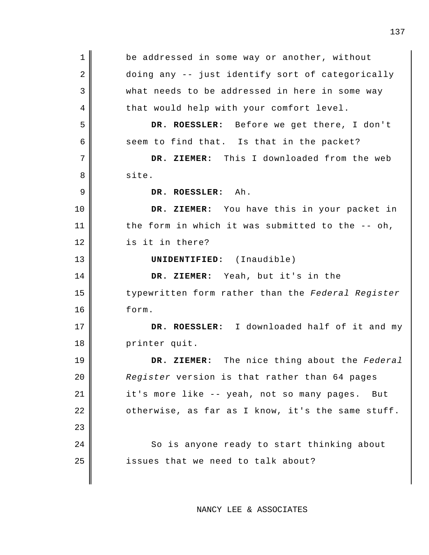1 2 3 4 5 6 7 8 9 10 11 12 13 14 15 16 17 18 19 20 21 22 23 24 25 be addressed in some way or another, without doing any -- just identify sort of categorically what needs to be addressed in here in some way that would help with your comfort level. **DR. ROESSLER:** Before we get there, I don't seem to find that. Is that in the packet? **DR. ZIEMER:** This I downloaded from the web site. **DR. ROESSLER:** Ah. **DR. ZIEMER:** You have this in your packet in the form in which it was submitted to the -- oh, is it in there? **UNIDENTIFIED:** (Inaudible) **DR. ZIEMER:** Yeah, but it's in the typewritten form rather than the *Federal Register*  form. **DR. ROESSLER:** I downloaded half of it and my printer quit. **DR. ZIEMER:** The nice thing about the *Federal Register* version is that rather than 64 pages it's more like -- yeah, not so many pages. But otherwise, as far as I know, it's the same stuff. So is anyone ready to start thinking about issues that we need to talk about?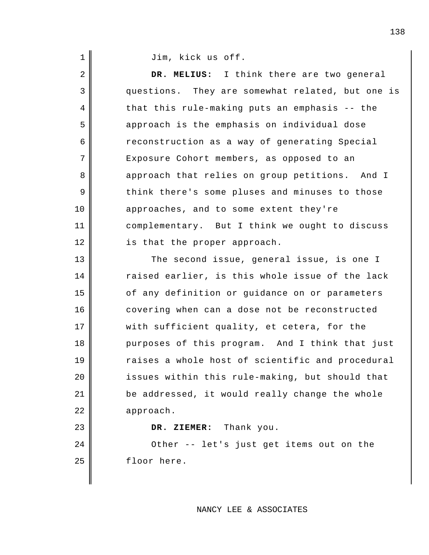Jim, kick us off.

1

2 3 4 5 6 7 8 9 10 11 12 13 14 15 16 17 18 19 20 21 22 23 24 25 **DR. MELIUS:** I think there are two general questions. They are somewhat related, but one is that this rule-making puts an emphasis -- the approach is the emphasis on individual dose reconstruction as a way of generating Special Exposure Cohort members, as opposed to an approach that relies on group petitions. And I think there's some pluses and minuses to those approaches, and to some extent they're complementary. But I think we ought to discuss is that the proper approach. The second issue, general issue, is one I raised earlier, is this whole issue of the lack of any definition or guidance on or parameters covering when can a dose not be reconstructed with sufficient quality, et cetera, for the purposes of this program. And I think that just raises a whole host of scientific and procedural issues within this rule-making, but should that be addressed, it would really change the whole approach. **DR. ZIEMER:** Thank you. Other -- let's just get items out on the floor here.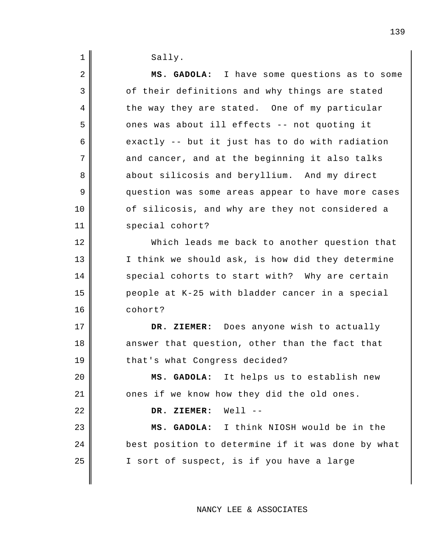| $\mathbf 1$ | Sally.                                            |
|-------------|---------------------------------------------------|
| 2           | MS. GADOLA: I have some questions as to some      |
| 3           | of their definitions and why things are stated    |
| 4           | the way they are stated. One of my particular     |
| 5           | ones was about ill effects -- not quoting it      |
| 6           | exactly -- but it just has to do with radiation   |
| 7           | and cancer, and at the beginning it also talks    |
| 8           | about silicosis and beryllium. And my direct      |
| 9           | question was some areas appear to have more cases |
| 10          | of silicosis, and why are they not considered a   |
| 11          | special cohort?                                   |
| 12          | Which leads me back to another question that      |
| 13          | I think we should ask, is how did they determine  |
| 14          | special cohorts to start with? Why are certain    |
| 15          | people at K-25 with bladder cancer in a special   |
| 16          | cohort?                                           |
| 17          | DR. ZIEMER: Does anyone wish to actually          |
| 18          | answer that question, other than the fact that    |
| 19          | that's what Congress decided?                     |
| 20          | MS. GADOLA: It helps us to establish new          |
| 21          | ones if we know how they did the old ones.        |
| 22          | DR. ZIEMER: Well --                               |
| 23          | MS. GADOLA: I think NIOSH would be in the         |
| 24          | best position to determine if it was done by what |
| 25          | I sort of suspect, is if you have a large         |
|             |                                                   |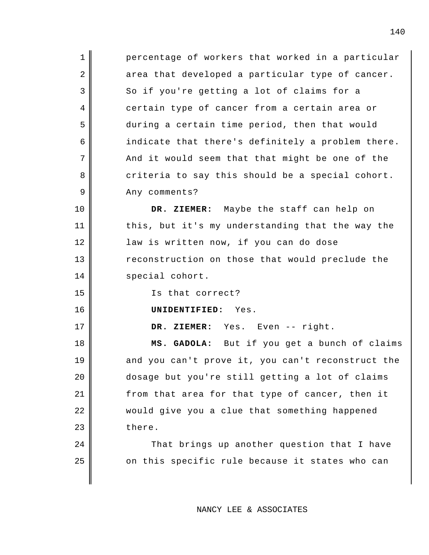1 2 3 4 5 6 7 8 9 10 11 12 13 14 15 16 17 18 percentage of workers that worked in a particular area that developed a particular type of cancer. So if you're getting a lot of claims for a certain type of cancer from a certain area or during a certain time period, then that would indicate that there's definitely a problem there. And it would seem that that might be one of the criteria to say this should be a special cohort. Any comments? **DR. ZIEMER:** Maybe the staff can help on this, but it's my understanding that the way the law is written now, if you can do dose reconstruction on those that would preclude the special cohort. Is that correct? **UNIDENTIFIED:** Yes. **DR. ZIEMER:** Yes. Even -- right. **MS. GADOLA:** But if you get a bunch of claims

and you can't prove it, you can't reconstruct the dosage but you're still getting a lot of claims from that area for that type of cancer, then it would give you a clue that something happened there.

19

20

21

22

23

24

25

That brings up another question that I have on this specific rule because it states who can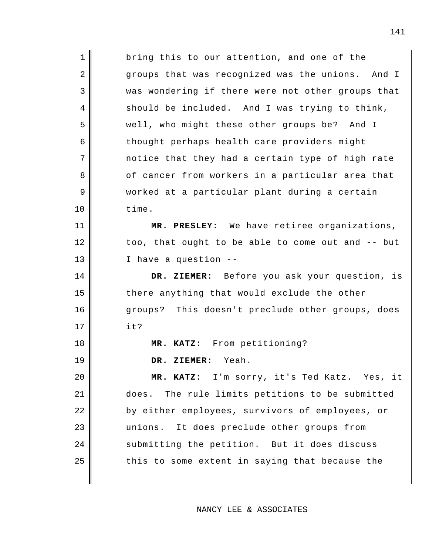1 2 3 4 5 6 7 8 9 10 11 12 13 14 15 16 17 18 19 20 21 22 23 24 25 bring this to our attention, and one of the groups that was recognized was the unions. And I was wondering if there were not other groups that should be included. And I was trying to think, well, who might these other groups be? And I thought perhaps health care providers might notice that they had a certain type of high rate of cancer from workers in a particular area that worked at a particular plant during a certain time. **MR. PRESLEY:** We have retiree organizations, too, that ought to be able to come out and -- but I have a question -- **DR. ZIEMER:** Before you ask your question, is there anything that would exclude the other groups? This doesn't preclude other groups, does it? **MR. KATZ:** From petitioning? **DR. ZIEMER:** Yeah. **MR. KATZ:** I'm sorry, it's Ted Katz. Yes, it does. The rule limits petitions to be submitted by either employees, survivors of employees, or unions. It does preclude other groups from submitting the petition. But it does discuss this to some extent in saying that because the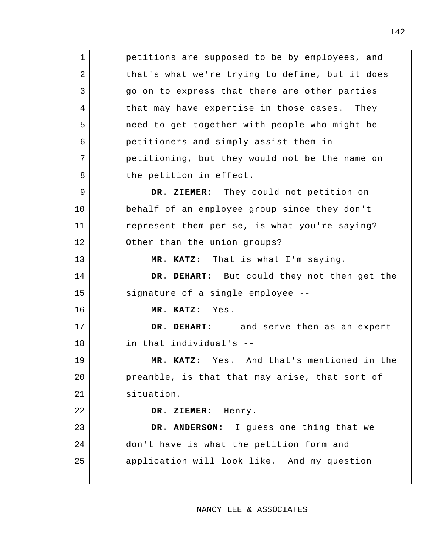1 2 3 4 5 6 7 8 9 10 11 12 13 14 15 16 17 18 19 20 21 22 23 24 25 petitions are supposed to be by employees, and that's what we're trying to define, but it does go on to express that there are other parties that may have expertise in those cases. They need to get together with people who might be petitioners and simply assist them in petitioning, but they would not be the name on the petition in effect. **DR. ZIEMER:** They could not petition on behalf of an employee group since they don't represent them per se, is what you're saying? Other than the union groups? **MR. KATZ:** That is what I'm saying. **DR. DEHART:** But could they not then get the signature of a single employee -- **MR. KATZ:** Yes. **DR. DEHART:** -- and serve then as an expert in that individual's -- **MR. KATZ:** Yes. And that's mentioned in the preamble, is that that may arise, that sort of situation. **DR. ZIEMER:** Henry. **DR. ANDERSON:** I guess one thing that we don't have is what the petition form and application will look like. And my question

NANCY LEE & ASSOCIATES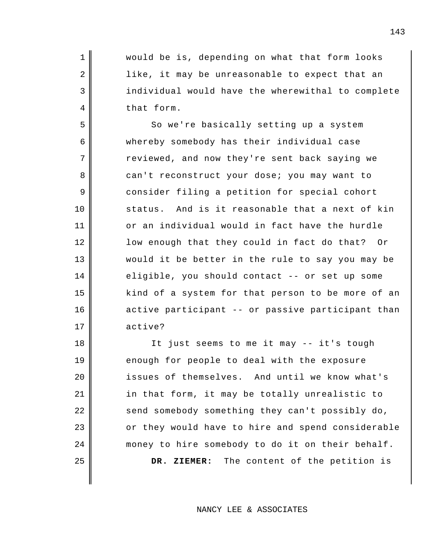would be is, depending on what that form looks like, it may be unreasonable to expect that an individual would have the wherewithal to complete that form.

1

2

3

4

5

6

7

8

9

10

11

12

13

14

15

16

17

18

19

20

21

22

23

24

25

So we're basically setting up a system whereby somebody has their individual case reviewed, and now they're sent back saying we can't reconstruct your dose; you may want to consider filing a petition for special cohort status. And is it reasonable that a next of kin or an individual would in fact have the hurdle low enough that they could in fact do that? Or would it be better in the rule to say you may be eligible, you should contact -- or set up some kind of a system for that person to be more of an active participant -- or passive participant than active?

It just seems to me it may -- it's tough enough for people to deal with the exposure issues of themselves. And until we know what's in that form, it may be totally unrealistic to send somebody something they can't possibly do, or they would have to hire and spend considerable money to hire somebody to do it on their behalf. **DR. ZIEMER:** The content of the petition is

NANCY LEE & ASSOCIATES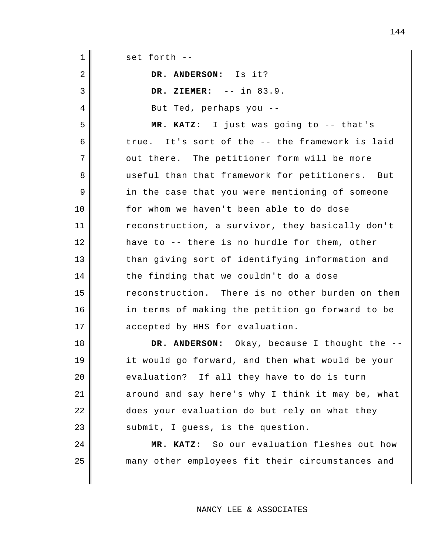| $\mathbf 1$    | set forth --                                      |
|----------------|---------------------------------------------------|
| $\sqrt{2}$     | DR. ANDERSON: Is it?                              |
| 3              | DR. ZIEMER: $--$ in 83.9.                         |
| $\overline{4}$ | But Ted, perhaps you --                           |
| 5              | MR. KATZ: I just was going to -- that's           |
| 6              | true. It's sort of the -- the framework is laid   |
| 7              | out there. The petitioner form will be more       |
| 8              | useful than that framework for petitioners. But   |
| 9              | in the case that you were mentioning of someone   |
| 10             | for whom we haven't been able to do dose          |
| 11             | reconstruction, a survivor, they basically don't  |
| 12             | have to -- there is no hurdle for them, other     |
| 13             | than giving sort of identifying information and   |
| 14             | the finding that we couldn't do a dose            |
| 15             | reconstruction. There is no other burden on them  |
| 16             | in terms of making the petition go forward to be  |
| 17             | accepted by HHS for evaluation.                   |
| 18             | DR. ANDERSON: Okay, because I thought the --      |
| 19             | it would go forward, and then what would be your  |
| 20             | evaluation? If all they have to do is turn        |
| 21             | around and say here's why I think it may be, what |
| 22             | does your evaluation do but rely on what they     |
| 23             | submit, I guess, is the question.                 |
| 24             | MR. KATZ: So our evaluation fleshes out how       |
| 25             | many other employees fit their circumstances and  |
|                |                                                   |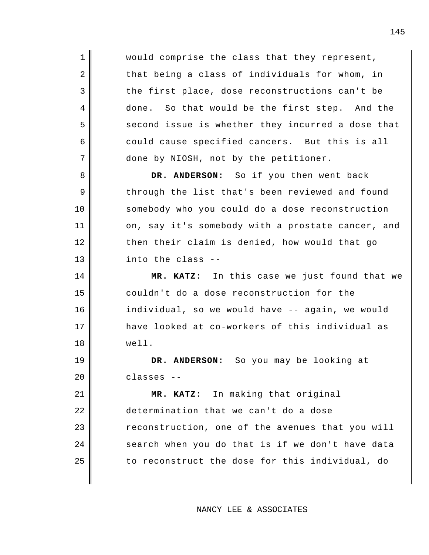would comprise the class that they represent, that being a class of individuals for whom, in the first place, dose reconstructions can't be done. So that would be the first step. And the second issue is whether they incurred a dose that could cause specified cancers. But this is all done by NIOSH, not by the petitioner. **DR. ANDERSON:** So if you then went back through the list that's been reviewed and found

1

2

3

4

5

6

7

8

9

10

11

12

13

14

15

16

17

18

19

20

somebody who you could do a dose reconstruction on, say it's somebody with a prostate cancer, and then their claim is denied, how would that go into the class --

**MR. KATZ:** In this case we just found that we couldn't do a dose reconstruction for the individual, so we would have -- again, we would have looked at co-workers of this individual as well.

**DR. ANDERSON:** So you may be looking at classes --

21 22 23 24 25 **MR. KATZ:** In making that original determination that we can't do a dose reconstruction, one of the avenues that you will search when you do that is if we don't have data to reconstruct the dose for this individual, do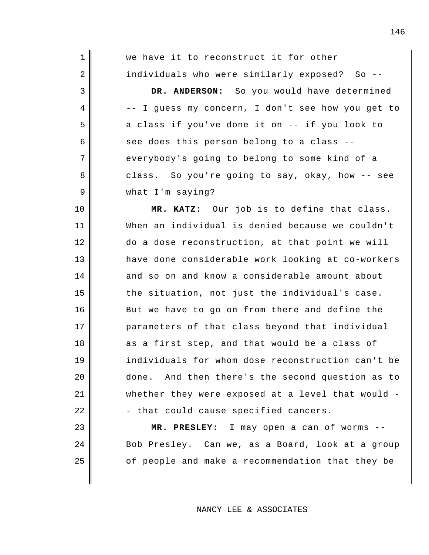| $\mathbf 1$ | we have it to reconstruct it for other            |
|-------------|---------------------------------------------------|
| 2           | individuals who were similarly exposed? So --     |
| 3           | DR. ANDERSON: So you would have determined        |
| 4           | -- I guess my concern, I don't see how you get to |
| 5           | a class if you've done it on -- if you look to    |
| 6           | see does this person belong to a class --         |
| 7           | everybody's going to belong to some kind of a     |
| 8           | class. So you're going to say, okay, how -- see   |
| 9           | what I'm saying?                                  |
| 10          | MR. KATZ: Our job is to define that class.        |
| 11          | When an individual is denied because we couldn't  |
| 12          | do a dose reconstruction, at that point we will   |
| 13          | have done considerable work looking at co-workers |
| 14          | and so on and know a considerable amount about    |
| 15          | the situation, not just the individual's case.    |
| 16          | But we have to go on from there and define the    |
| 17          | parameters of that class beyond that individual   |
| 18          | as a first step, and that would be a class of     |
| 19          | individuals for whom dose reconstruction can't be |
| 20          | done. And then there's the second question as to  |
| 21          | whether they were exposed at a level that would - |
| 22          | - that could cause specified cancers.             |
| 23          | MR. PRESLEY: I may open a can of worms --         |
| 24          | Bob Presley. Can we, as a Board, look at a group  |
| 25          | of people and make a recommendation that they be  |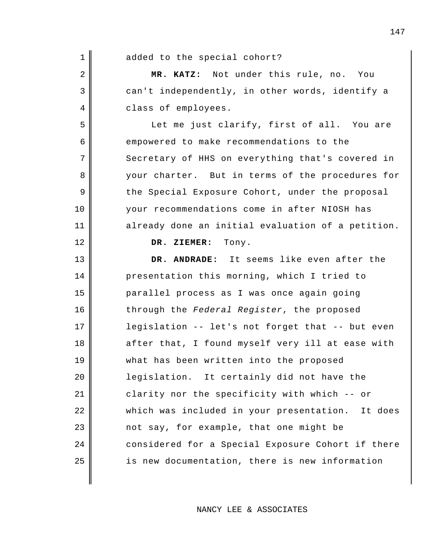| $\mathbf 1$ | added to the special cohort?                      |
|-------------|---------------------------------------------------|
| 2           | MR. KATZ: Not under this rule, no. You            |
| 3           | can't independently, in other words, identify a   |
| 4           | class of employees.                               |
| 5           | Let me just clarify, first of all. You are        |
| 6           | empowered to make recommendations to the          |
| 7           | Secretary of HHS on everything that's covered in  |
| 8           | your charter. But in terms of the procedures for  |
| 9           | the Special Exposure Cohort, under the proposal   |
| 10          | your recommendations come in after NIOSH has      |
| 11          | already done an initial evaluation of a petition. |
| 12          | DR. ZIEMER: Tony.                                 |
| 13          | DR. ANDRADE: It seems like even after the         |
| 14          | presentation this morning, which I tried to       |
| 15          | parallel process as I was once again going        |
| 16          | through the Federal Register, the proposed        |
| 17          | legislation -- let's not forget that -- but even  |
| 18          | after that, I found myself very ill at ease with  |
| 19          | what has been written into the proposed           |
| 20          | legislation. It certainly did not have the        |
| 21          | clarity nor the specificity with which -- or      |
| 22          | which was included in your presentation. It does  |
| 23          | not say, for example, that one might be           |
| 24          | considered for a Special Exposure Cohort if there |
| 25          | is new documentation, there is new information    |
|             |                                                   |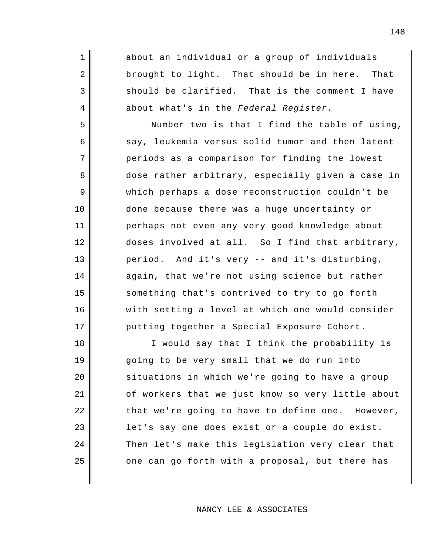about an individual or a group of individuals brought to light. That should be in here. That should be clarified. That is the comment I have about what's in the *Federal Register*.

1

2

3

4

5

6

7

8

9

10

11

12

13

14

15

16

17

Number two is that I find the table of using, say, leukemia versus solid tumor and then latent periods as a comparison for finding the lowest dose rather arbitrary, especially given a case in which perhaps a dose reconstruction couldn't be done because there was a huge uncertainty or perhaps not even any very good knowledge about doses involved at all. So I find that arbitrary, period. And it's very -- and it's disturbing, again, that we're not using science but rather something that's contrived to try to go forth with setting a level at which one would consider putting together a Special Exposure Cohort.

18 19 20 21 22 23 24 25 I would say that I think the probability is going to be very small that we do run into situations in which we're going to have a group of workers that we just know so very little about that we're going to have to define one. However, let's say one does exist or a couple do exist. Then let's make this legislation very clear that one can go forth with a proposal, but there has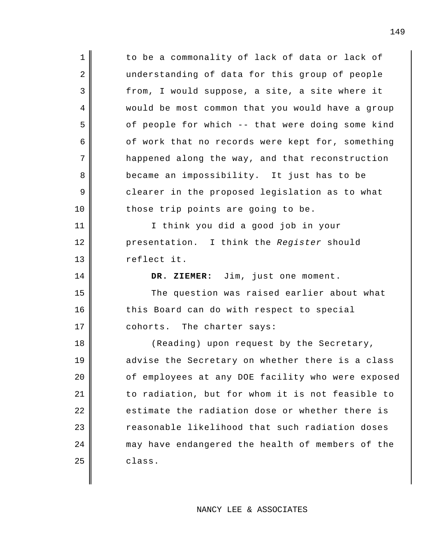| $\mathbf 1$    | to be a commonality of lack of data or lack of    |
|----------------|---------------------------------------------------|
| $\overline{2}$ | understanding of data for this group of people    |
| $\mathsf{3}$   | from, I would suppose, a site, a site where it    |
| $\overline{4}$ | would be most common that you would have a group  |
| 5              | of people for which -- that were doing some kind  |
| 6              | of work that no records were kept for, something  |
| 7              | happened along the way, and that reconstruction   |
| 8              | became an impossibility. It just has to be        |
| 9              | clearer in the proposed legislation as to what    |
| 10             | those trip points are going to be.                |
| 11             | I think you did a good job in your                |
| 12             | presentation. I think the Register should         |
| 13             | reflect it.                                       |
|                |                                                   |
| 14             | DR. ZIEMER: Jim, just one moment.                 |
| 15             | The question was raised earlier about what        |
| 16             | this Board can do with respect to special         |
| 17             | cohorts. The charter says:                        |
| 18             | (Reading) upon request by the Secretary,          |
| 19             | advise the Secretary on whether there is a class  |
| 20             | of employees at any DOE facility who were exposed |
| 21             | to radiation, but for whom it is not feasible to  |
| 22             | estimate the radiation dose or whether there is   |
| 23             | reasonable likelihood that such radiation doses   |
| 24             | may have endangered the health of members of the  |
| 25             | class.                                            |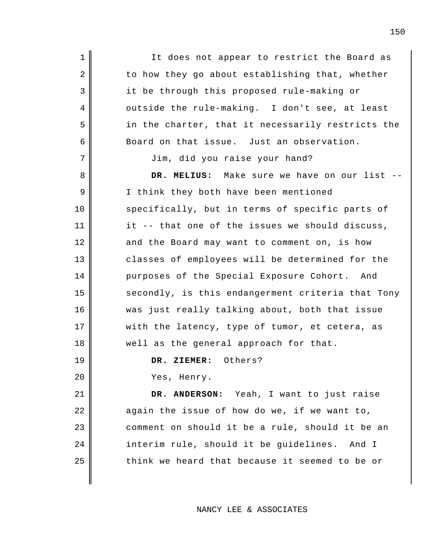It does not appear to restrict the Board as to how they go about establishing that, whether it be through this proposed rule-making or outside the rule-making. I don't see, at least in the charter, that it necessarily restricts the Board on that issue. Just an observation. Jim, did you raise your hand? **DR. MELIUS:** Make sure we have on our list -- I think they both have been mentioned specifically, but in terms of specific parts of it -- that one of the issues we should discuss, and the Board may want to comment on, is how classes of employees will be determined for the purposes of the Special Exposure Cohort. And secondly, is this endangerment criteria that Tony

was just really talking about, both that issue with the latency, type of tumor, et cetera, as well as the general approach for that.

**DR. ZIEMER:** Others?

Yes, Henry.

1

2

3

4

5

6

7

8

9

10

11

12

13

14

15

16

17

18

19

20

21 22 23 24 25 **DR. ANDERSON:** Yeah, I want to just raise again the issue of how do we, if we want to, comment on should it be a rule, should it be an interim rule, should it be guidelines. And I think we heard that because it seemed to be or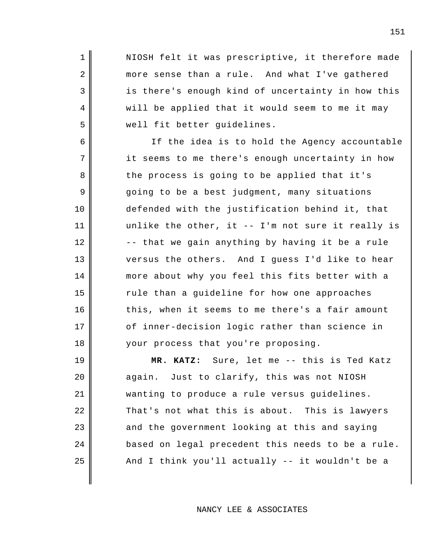NIOSH felt it was prescriptive, it therefore made more sense than a rule. And what I've gathered is there's enough kind of uncertainty in how this will be applied that it would seem to me it may well fit better guidelines.

1

2

3

4

5

6

7

8

9

10

11

12

13

14

15

16

17

18

If the idea is to hold the Agency accountable it seems to me there's enough uncertainty in how the process is going to be applied that it's going to be a best judgment, many situations defended with the justification behind it, that unlike the other, it -- I'm not sure it really is -- that we gain anything by having it be a rule versus the others. And I guess I'd like to hear more about why you feel this fits better with a rule than a guideline for how one approaches this, when it seems to me there's a fair amount of inner-decision logic rather than science in your process that you're proposing.

19 20 21 22 23 24 25 **MR. KATZ:** Sure, let me -- this is Ted Katz again. Just to clarify, this was not NIOSH wanting to produce a rule versus guidelines. That's not what this is about. This is lawyers and the government looking at this and saying based on legal precedent this needs to be a rule. And I think you'll actually -- it wouldn't be a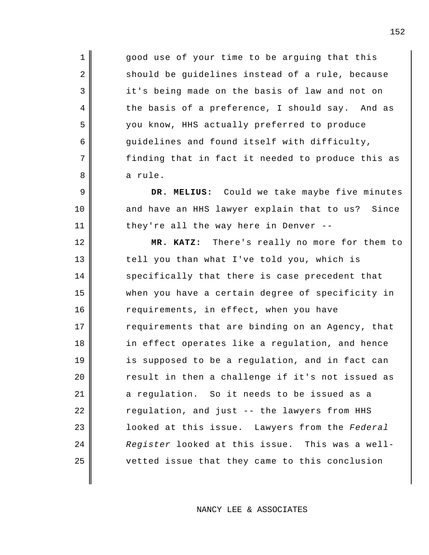good use of your time to be arguing that this should be guidelines instead of a rule, because it's being made on the basis of law and not on the basis of a preference, I should say. And as you know, HHS actually preferred to produce guidelines and found itself with difficulty, finding that in fact it needed to produce this as a rule.

1

2

3

4

5

6

7

8

9

10

11

12

13

14

15

16

17

18

19

20

21

22

23

24

25

**DR. MELIUS:** Could we take maybe five minutes and have an HHS lawyer explain that to us? Since they're all the way here in Denver --

**MR. KATZ:** There's really no more for them to tell you than what I've told you, which is specifically that there is case precedent that when you have a certain degree of specificity in requirements, in effect, when you have requirements that are binding on an Agency, that in effect operates like a regulation, and hence is supposed to be a regulation, and in fact can result in then a challenge if it's not issued as a regulation. So it needs to be issued as a regulation, and just -- the lawyers from HHS looked at this issue. Lawyers from the *Federal Register* looked at this issue. This was a wellvetted issue that they came to this conclusion

NANCY LEE & ASSOCIATES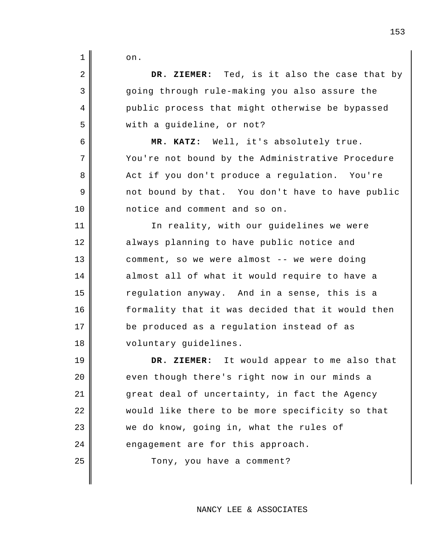| 1  | on.                                              |
|----|--------------------------------------------------|
| 2  | DR. ZIEMER: Ted, is it also the case that by     |
| 3  | going through rule-making you also assure the    |
| 4  | public process that might otherwise be bypassed  |
| 5  | with a guideline, or not?                        |
| 6  | MR. KATZ: Well, it's absolutely true.            |
| 7  | You're not bound by the Administrative Procedure |
| 8  | Act if you don't produce a regulation. You're    |
| 9  | not bound by that. You don't have to have public |
| 10 | notice and comment and so on.                    |
| 11 | In reality, with our guidelines we were          |
| 12 | always planning to have public notice and        |
| 13 | comment, so we were almost -- we were doing      |
| 14 | almost all of what it would require to have a    |
| 15 | regulation anyway. And in a sense, this is a     |
| 16 | formality that it was decided that it would then |
| 17 | be produced as a regulation instead of as        |
| 18 | voluntary guidelines.                            |
| 19 | It would appear to me also that<br>DR. ZIEMER:   |
| 20 | even though there's right now in our minds a     |
| 21 | great deal of uncertainty, in fact the Agency    |
| 22 | would like there to be more specificity so that  |
| 23 | we do know, going in, what the rules of          |
| 24 | engagement are for this approach.                |
| 25 | Tony, you have a comment?                        |
|    |                                                  |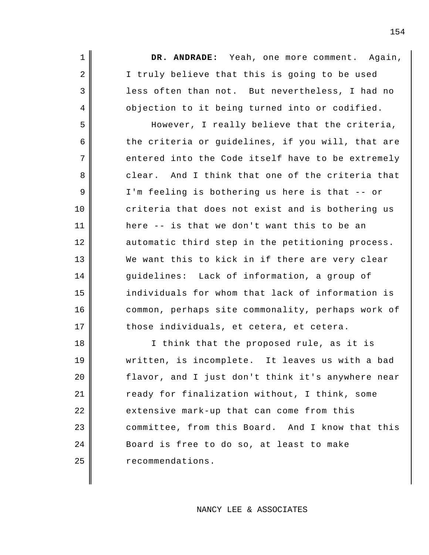**DR. ANDRADE:** Yeah, one more comment. Again, I truly believe that this is going to be used less often than not. But nevertheless, I had no objection to it being turned into or codified.

1

2

3

4

5

6

7

8

9

10

11

12

13

14

15

16

17

However, I really believe that the criteria, the criteria or guidelines, if you will, that are entered into the Code itself have to be extremely clear. And I think that one of the criteria that I'm feeling is bothering us here is that -- or criteria that does not exist and is bothering us here -- is that we don't want this to be an automatic third step in the petitioning process. We want this to kick in if there are very clear guidelines: Lack of information, a group of individuals for whom that lack of information is common, perhaps site commonality, perhaps work of those individuals, et cetera, et cetera.

18 19 20 21 22 23 24 25 I think that the proposed rule, as it is written, is incomplete. It leaves us with a bad flavor, and I just don't think it's anywhere near ready for finalization without, I think, some extensive mark-up that can come from this committee, from this Board. And I know that this Board is free to do so, at least to make recommendations.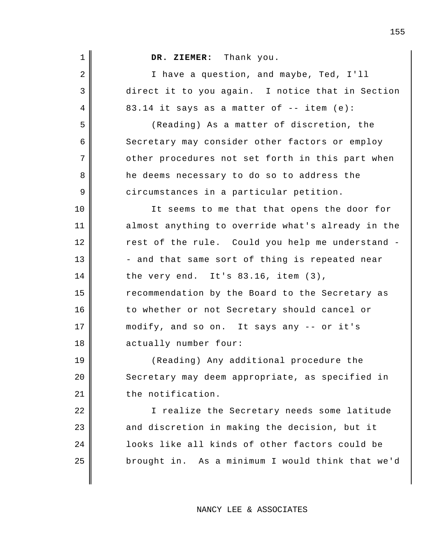| $\mathbf 1$ | DR. ZIEMER: Thank you.                            |
|-------------|---------------------------------------------------|
| 2           | I have a question, and maybe, Ted, I'll           |
| 3           | direct it to you again. I notice that in Section  |
| 4           | 83.14 it says as a matter of -- item (e):         |
| 5           | (Reading) As a matter of discretion, the          |
| 6           | Secretary may consider other factors or employ    |
| 7           | other procedures not set forth in this part when  |
| 8           | he deems necessary to do so to address the        |
| 9           | circumstances in a particular petition.           |
| 10          | It seems to me that that opens the door for       |
| 11          | almost anything to override what's already in the |
| 12          | rest of the rule. Could you help me understand -  |
| 13          | - and that same sort of thing is repeated near    |
| 14          | the very end. It's 83.16, item (3),               |
| 15          | recommendation by the Board to the Secretary as   |
| 16          | to whether or not Secretary should cancel or      |
| 17          | modify, and so on. It says any -- or it's         |
| 18          | actually number four:                             |
| 19          | (Reading) Any additional procedure the            |
| 20          | Secretary may deem appropriate, as specified in   |
| 21          | the notification.                                 |
| 22          | I realize the Secretary needs some latitude       |
| 23          | and discretion in making the decision, but it     |
| 24          | looks like all kinds of other factors could be    |
| 25          | brought in. As a minimum I would think that we'd  |
|             |                                                   |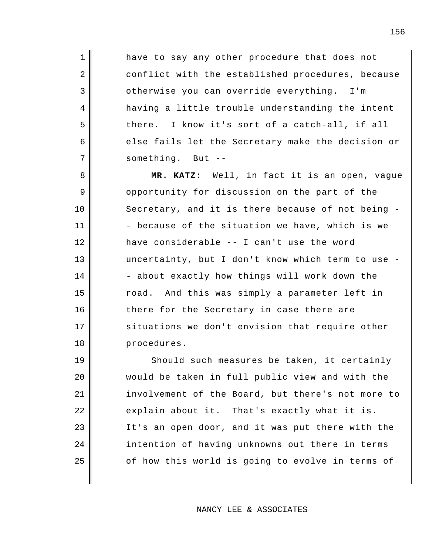have to say any other procedure that does not conflict with the established procedures, because otherwise you can override everything. I'm having a little trouble understanding the intent there. I know it's sort of a catch-all, if all else fails let the Secretary make the decision or something. But --

1

2

3

4

5

6

7

8

9

10

11

12

13

14

15

16

17

18

**MR. KATZ:** Well, in fact it is an open, vague opportunity for discussion on the part of the Secretary, and it is there because of not being - - because of the situation we have, which is we have considerable -- I can't use the word uncertainty, but I don't know which term to use - - about exactly how things will work down the road. And this was simply a parameter left in there for the Secretary in case there are situations we don't envision that require other procedures.

19 20 21 22 23 24 25 Should such measures be taken, it certainly would be taken in full public view and with the involvement of the Board, but there's not more to explain about it. That's exactly what it is. It's an open door, and it was put there with the intention of having unknowns out there in terms of how this world is going to evolve in terms of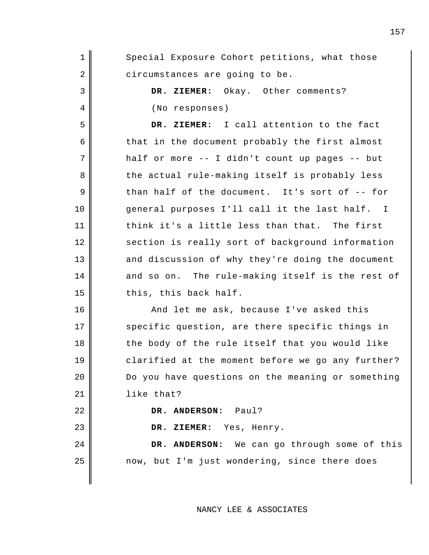| $\mathbf 1$ | Special Exposure Cohort petitions, what those     |
|-------------|---------------------------------------------------|
| 2           | circumstances are going to be.                    |
| 3           | DR. ZIEMER: Okay. Other comments?                 |
| 4           | (No responses)                                    |
| 5           | DR. ZIEMER: I call attention to the fact          |
| 6           | that in the document probably the first almost    |
| 7           | half or more -- I didn't count up pages -- but    |
| 8           | the actual rule-making itself is probably less    |
| 9           | than half of the document. It's sort of -- for    |
| 10          | general purposes I'll call it the last half. I    |
| 11          | think it's a little less than that. The first     |
| 12          | section is really sort of background information  |
| 13          | and discussion of why they're doing the document  |
| 14          | and so on. The rule-making itself is the rest of  |
| 15          | this, this back half.                             |
| 16          | And let me ask, because I've asked this           |
| 17          | specific question, are there specific things in   |
| 18          | the body of the rule itself that you would like   |
| 19          | clarified at the moment before we go any further? |
| 20          | Do you have questions on the meaning or something |
| 21          | like that?                                        |
| 22          | DR. ANDERSON: Paul?                               |
| 23          | DR. ZIEMER: Yes, Henry.                           |
| 24          | DR. ANDERSON: We can go through some of this      |
| 25          | now, but I'm just wondering, since there does     |
|             |                                                   |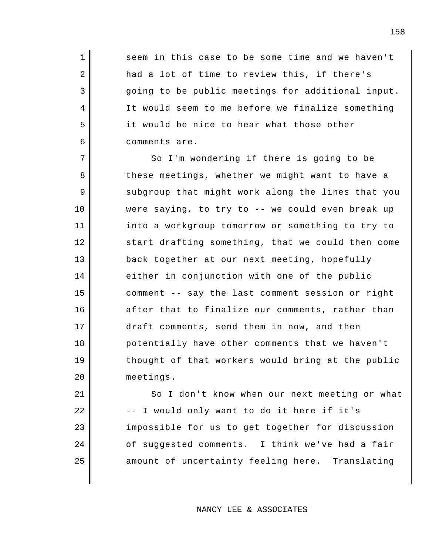seem in this case to be some time and we haven't had a lot of time to review this, if there's going to be public meetings for additional input. It would seem to me before we finalize something it would be nice to hear what those other comments are.

1

2

3

4

5

6

9

10

7 8 11 12 13 14 15 16 17 18 19 20 So I'm wondering if there is going to be these meetings, whether we might want to have a subgroup that might work along the lines that you were saying, to try to -- we could even break up into a workgroup tomorrow or something to try to start drafting something, that we could then come back together at our next meeting, hopefully either in conjunction with one of the public comment -- say the last comment session or right after that to finalize our comments, rather than draft comments, send them in now, and then potentially have other comments that we haven't thought of that workers would bring at the public meetings.

21 22 23 24 25 So I don't know when our next meeting or what -- I would only want to do it here if it's impossible for us to get together for discussion of suggested comments. I think we've had a fair amount of uncertainty feeling here. Translating

NANCY LEE & ASSOCIATES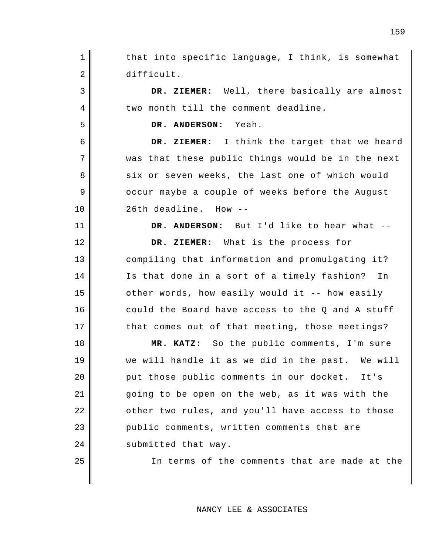1 2 3 4 5 6 7 8 9 10 11 12 13 14 15 16 17 18 19 20 21 22 23 24 25 that into specific language, I think, is somewhat difficult. **DR. ZIEMER:** Well, there basically are almost two month till the comment deadline. **DR. ANDERSON:** Yeah. **DR. ZIEMER:** I think the target that we heard was that these public things would be in the next six or seven weeks, the last one of which would occur maybe a couple of weeks before the August 26th deadline. How -- **DR. ANDERSON:** But I'd like to hear what -- **DR. ZIEMER:** What is the process for compiling that information and promulgating it? Is that done in a sort of a timely fashion? In other words, how easily would it -- how easily could the Board have access to the Q and A stuff that comes out of that meeting, those meetings? **MR. KATZ:** So the public comments, I'm sure we will handle it as we did in the past. We will put those public comments in our docket. It's going to be open on the web, as it was with the other two rules, and you'll have access to those public comments, written comments that are submitted that way. In terms of the comments that are made at the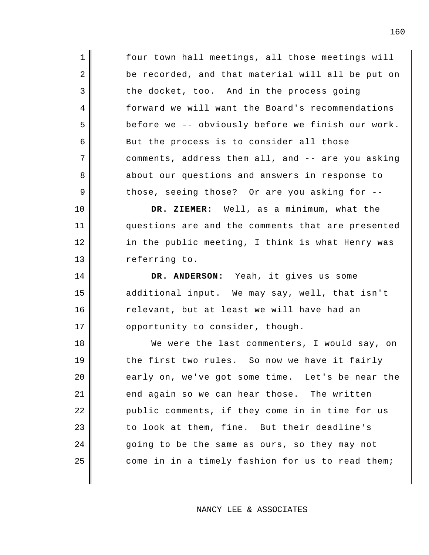four town hall meetings, all those meetings will be recorded, and that material will all be put on the docket, too. And in the process going forward we will want the Board's recommendations before we -- obviously before we finish our work. But the process is to consider all those comments, address them all, and -- are you asking about our questions and answers in response to those, seeing those? Or are you asking for --

1

2

3

4

5

6

7

8

9

10

11

12

13

14

15

16

17

**DR. ZIEMER:** Well, as a minimum, what the questions are and the comments that are presented in the public meeting, I think is what Henry was referring to.

**DR. ANDERSON:** Yeah, it gives us some additional input. We may say, well, that isn't relevant, but at least we will have had an opportunity to consider, though.

18 19 20 21 22 23 24 25 We were the last commenters, I would say, on the first two rules. So now we have it fairly early on, we've got some time. Let's be near the end again so we can hear those. The written public comments, if they come in in time for us to look at them, fine. But their deadline's going to be the same as ours, so they may not come in in a timely fashion for us to read them;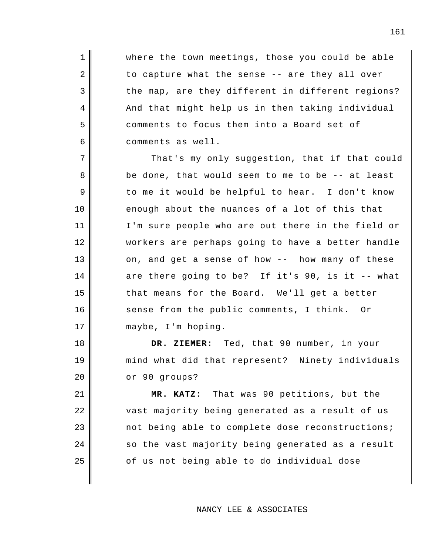where the town meetings, those you could be able to capture what the sense -- are they all over the map, are they different in different regions? And that might help us in then taking individual comments to focus them into a Board set of comments as well.

1

2

3

4

5

6

7

8

9

10

11

12

13

14

15

16

17

18

19

20

21

22

23

24

25

That's my only suggestion, that if that could be done, that would seem to me to be -- at least to me it would be helpful to hear. I don't know enough about the nuances of a lot of this that I'm sure people who are out there in the field or workers are perhaps going to have a better handle on, and get a sense of how -- how many of these are there going to be? If it's 90, is it -- what that means for the Board. We'll get a better sense from the public comments, I think. Or maybe, I'm hoping.

**DR. ZIEMER:** Ted, that 90 number, in your mind what did that represent? Ninety individuals or 90 groups?

**MR. KATZ:** That was 90 petitions, but the vast majority being generated as a result of us not being able to complete dose reconstructions; so the vast majority being generated as a result of us not being able to do individual dose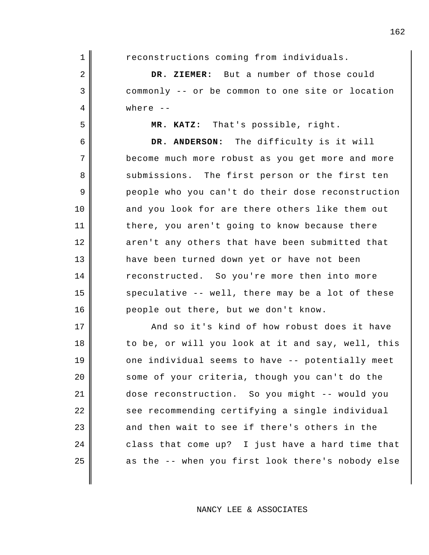reconstructions coming from individuals. **DR. ZIEMER:** But a number of those could commonly -- or be common to one site or location where -- **MR. KATZ:** That's possible, right. **DR. ANDERSON:** The difficulty is it will become much more robust as you get more and more submissions. The first person or the first ten people who you can't do their dose reconstruction and you look for are there others like them out

1

2

3

4

5

6

7

8

9

10

11

12

13

14

15

16

17

18

19

20

21

22

23

24

25

there, you aren't going to know because there aren't any others that have been submitted that have been turned down yet or have not been reconstructed. So you're more then into more speculative -- well, there may be a lot of these people out there, but we don't know.

And so it's kind of how robust does it have to be, or will you look at it and say, well, this one individual seems to have -- potentially meet some of your criteria, though you can't do the dose reconstruction. So you might -- would you see recommending certifying a single individual and then wait to see if there's others in the class that come up? I just have a hard time that as the -- when you first look there's nobody else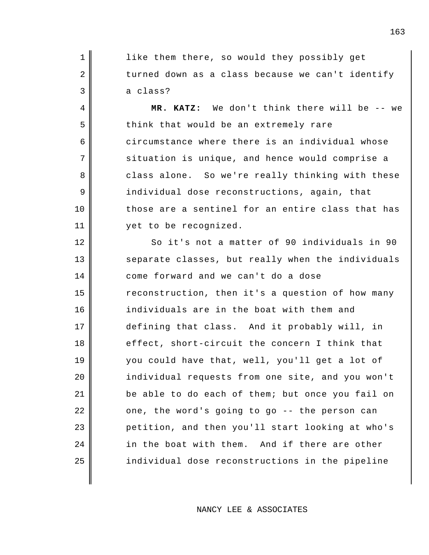like them there, so would they possibly get turned down as a class because we can't identify a class?

1

2

3

4

5

6

7

8

9

10

11

12

13

14

15

16

17

18

19

20

21

22

23

24

25

**MR. KATZ:** We don't think there will be -- we think that would be an extremely rare circumstance where there is an individual whose situation is unique, and hence would comprise a class alone. So we're really thinking with these individual dose reconstructions, again, that those are a sentinel for an entire class that has yet to be recognized.

So it's not a matter of 90 individuals in 90 separate classes, but really when the individuals come forward and we can't do a dose reconstruction, then it's a question of how many individuals are in the boat with them and defining that class. And it probably will, in effect, short-circuit the concern I think that you could have that, well, you'll get a lot of individual requests from one site, and you won't be able to do each of them; but once you fail on one, the word's going to go -- the person can petition, and then you'll start looking at who's in the boat with them. And if there are other individual dose reconstructions in the pipeline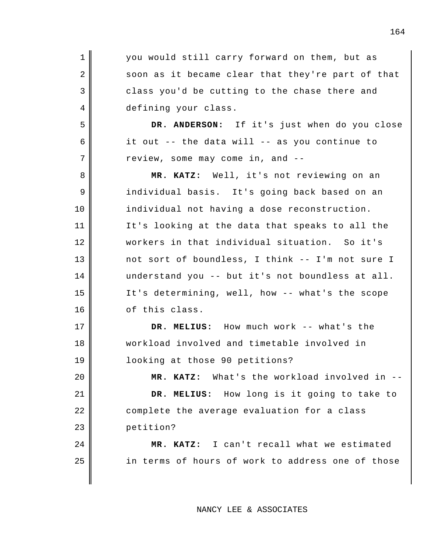| $\mathbf 1$ | you would still carry forward on them, but as     |
|-------------|---------------------------------------------------|
| 2           | soon as it became clear that they're part of that |
| 3           | class you'd be cutting to the chase there and     |
| 4           | defining your class.                              |
| 5           | DR. ANDERSON: If it's just when do you close      |
| 6           | it out -- the data will -- as you continue to     |
| 7           | review, some may come in, and --                  |
| 8           | MR. KATZ: Well, it's not reviewing on an          |
| 9           | individual basis. It's going back based on an     |
| 10          | individual not having a dose reconstruction.      |
| 11          | It's looking at the data that speaks to all the   |
| 12          | workers in that individual situation. So it's     |
| 13          | not sort of boundless, I think -- I'm not sure I  |
| 14          | understand you -- but it's not boundless at all.  |
| 15          | It's determining, well, how -- what's the scope   |
| 16          | of this class.                                    |
| 17          | DR. MELIUS: How much work -- what's the           |
| 18          | workload involved and timetable involved in       |
| 19          | looking at those 90 petitions?                    |
| 20          | MR. KATZ: What's the workload involved in --      |
| 21          | DR. MELIUS: How long is it going to take to       |
| 22          | complete the average evaluation for a class       |
| 23          | petition?                                         |
| 24          | MR. KATZ: I can't recall what we estimated        |
| 25          | in terms of hours of work to address one of those |
|             |                                                   |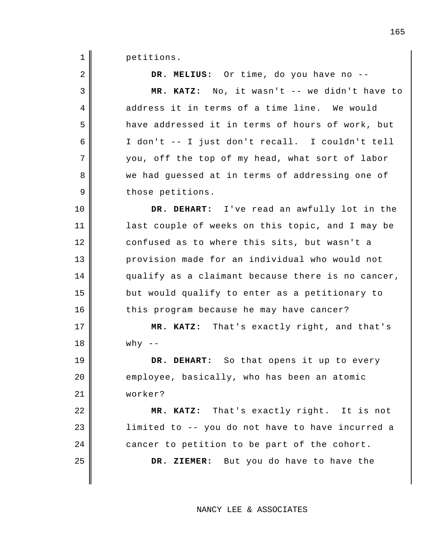1 petitions.

| 2  | DR. MELIUS: Or time, do you have no --            |
|----|---------------------------------------------------|
| 3  | MR. KATZ: No, it wasn't -- we didn't have to      |
| 4  | address it in terms of a time line. We would      |
| 5  | have addressed it in terms of hours of work, but  |
| 6  | I don't -- I just don't recall. I couldn't tell   |
| 7  | you, off the top of my head, what sort of labor   |
| 8  | we had guessed at in terms of addressing one of   |
| 9  | those petitions.                                  |
| 10 | DR. DEHART: I've read an awfully lot in the       |
| 11 | last couple of weeks on this topic, and I may be  |
| 12 | confused as to where this sits, but wasn't a      |
| 13 | provision made for an individual who would not    |
| 14 | qualify as a claimant because there is no cancer, |
| 15 | but would qualify to enter as a petitionary to    |
| 16 | this program because he may have cancer?          |
| 17 | MR. KATZ: That's exactly right, and that's        |
| 18 | why $--$                                          |
| 19 | DR. DEHART: So that opens it up to every          |
| 20 | employee, basically, who has been an atomic       |
| 21 | worker?                                           |
| 22 | MR. KATZ: That's exactly right. It is not         |
| 23 | limited to -- you do not have to have incurred a  |
| 24 | cancer to petition to be part of the cohort.      |
| 25 | DR. ZIEMER: But you do have to have the           |
|    |                                                   |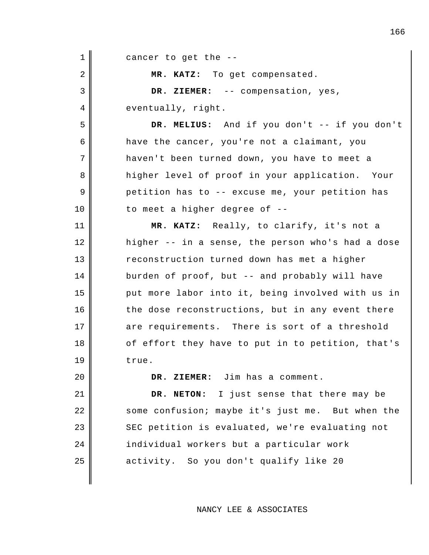1 2 3 4 5 6 7 8 9 10 11 12 13 14 15 16 17 18 19 20 21 22 23 24 25 cancer to get the -- **MR. KATZ:** To get compensated. **DR. ZIEMER:** -- compensation, yes, eventually, right. **DR. MELIUS:** And if you don't -- if you don't have the cancer, you're not a claimant, you haven't been turned down, you have to meet a higher level of proof in your application. Your petition has to -- excuse me, your petition has to meet a higher degree of -- **MR. KATZ:** Really, to clarify, it's not a higher -- in a sense, the person who's had a dose reconstruction turned down has met a higher burden of proof, but -- and probably will have put more labor into it, being involved with us in the dose reconstructions, but in any event there are requirements. There is sort of a threshold of effort they have to put in to petition, that's true. **DR. ZIEMER:** Jim has a comment. **DR. NETON:** I just sense that there may be some confusion; maybe it's just me. But when the SEC petition is evaluated, we're evaluating not individual workers but a particular work activity. So you don't qualify like 20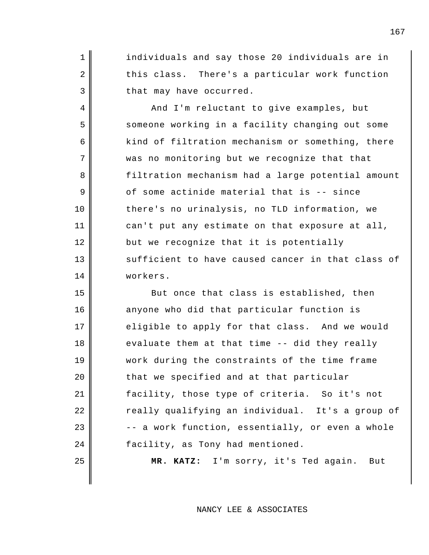individuals and say those 20 individuals are in this class. There's a particular work function that may have occurred.

1

2

3

4

5

6

7

8

9

10

11

12

13

14

15

16

17

18

19

20

21

22

23

24

25

And I'm reluctant to give examples, but someone working in a facility changing out some kind of filtration mechanism or something, there was no monitoring but we recognize that that filtration mechanism had a large potential amount of some actinide material that is -- since there's no urinalysis, no TLD information, we can't put any estimate on that exposure at all, but we recognize that it is potentially sufficient to have caused cancer in that class of workers.

But once that class is established, then anyone who did that particular function is eligible to apply for that class. And we would evaluate them at that time -- did they really work during the constraints of the time frame that we specified and at that particular facility, those type of criteria. So it's not really qualifying an individual. It's a group of -- a work function, essentially, or even a whole facility, as Tony had mentioned.

**MR. KATZ:** I'm sorry, it's Ted again. But

NANCY LEE & ASSOCIATES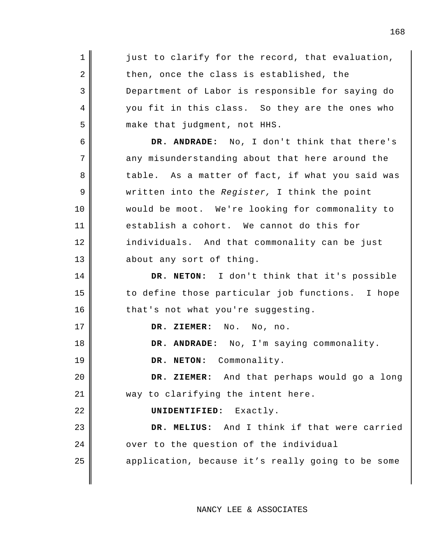| 1            | just to clarify for the record, that evaluation,  |
|--------------|---------------------------------------------------|
| $\sqrt{2}$   | then, once the class is established, the          |
| $\mathbf{3}$ | Department of Labor is responsible for saying do  |
| 4            | you fit in this class. So they are the ones who   |
| 5            | make that judgment, not HHS.                      |
| 6            | DR. ANDRADE: No, I don't think that there's       |
| 7            | any misunderstanding about that here around the   |
| 8            | table. As a matter of fact, if what you said was  |
| 9            | written into the Register, I think the point      |
| 10           | would be moot. We're looking for commonality to   |
| 11           | establish a cohort. We cannot do this for         |
| 12           | individuals. And that commonality can be just     |
| 13           | about any sort of thing.                          |
| 14           | DR. NETON: I don't think that it's possible       |
|              |                                                   |
| 15           | to define those particular job functions. I hope  |
| 16           | that's not what you're suggesting.                |
| 17           | DR. ZIEMER:<br>No. No, no.                        |
| 18           | DR. ANDRADE: No, I'm saying commonality.          |
| 19           | DR. NETON: Commonality.                           |
| 20           | DR. ZIEMER: And that perhaps would go a long      |
| 21           | way to clarifying the intent here.                |
| 22           | UNIDENTIFIED: Exactly.                            |
| 23           | DR. MELIUS: And I think if that were carried      |
| 24           | over to the question of the individual            |
| 25           | application, because it's really going to be some |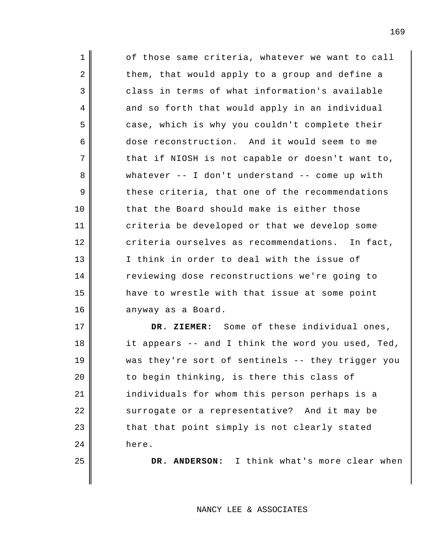1 2 3 4 5 6 7 8 9 10 11 12 13 14 15 16 17 18 of those same criteria, whatever we want to call them, that would apply to a group and define a class in terms of what information's available and so forth that would apply in an individual case, which is why you couldn't complete their dose reconstruction. And it would seem to me that if NIOSH is not capable or doesn't want to, whatever  $--$  I don't understand  $--$  come up with these criteria, that one of the recommendations that the Board should make is either those criteria be developed or that we develop some criteria ourselves as recommendations. In fact, I think in order to deal with the issue of reviewing dose reconstructions we're going to have to wrestle with that issue at some point anyway as a Board. **DR. ZIEMER:** Some of these individual ones,

it appears -- and I think the word you used, Ted, was they're sort of sentinels -- they trigger you to begin thinking, is there this class of individuals for whom this person perhaps is a surrogate or a representative? And it may be that that point simply is not clearly stated here.

19

20

21

22

23

24

25

**DR. ANDERSON:** I think what's more clear when

NANCY LEE & ASSOCIATES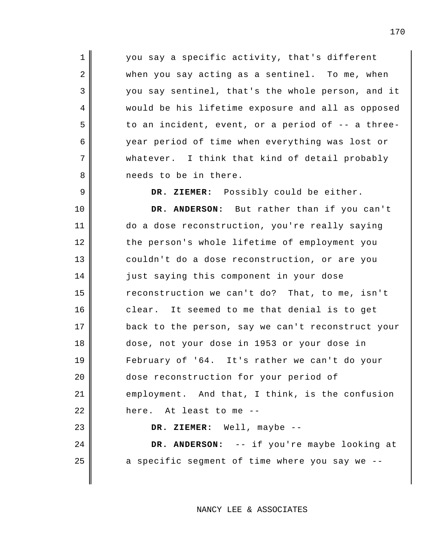you say a specific activity, that's different when you say acting as a sentinel. To me, when you say sentinel, that's the whole person, and it would be his lifetime exposure and all as opposed to an incident, event, or a period of -- a threeyear period of time when everything was lost or whatever. I think that kind of detail probably needs to be in there.

1

2

3

4

5

6

7

8

9

24

25

**DR. ZIEMER:** Possibly could be either.

10 11 12 13 14 15 16 17 18 19 20 21 22 23 **DR. ANDERSON:** But rather than if you can't do a dose reconstruction, you're really saying the person's whole lifetime of employment you couldn't do a dose reconstruction, or are you just saying this component in your dose reconstruction we can't do? That, to me, isn't clear. It seemed to me that denial is to get back to the person, say we can't reconstruct your dose, not your dose in 1953 or your dose in February of '64. It's rather we can't do your dose reconstruction for your period of employment. And that, I think, is the confusion here. At least to me -- **DR. ZIEMER:** Well, maybe --

> **DR. ANDERSON:** -- if you're maybe looking at a specific segment of time where you say we --

> > NANCY LEE & ASSOCIATES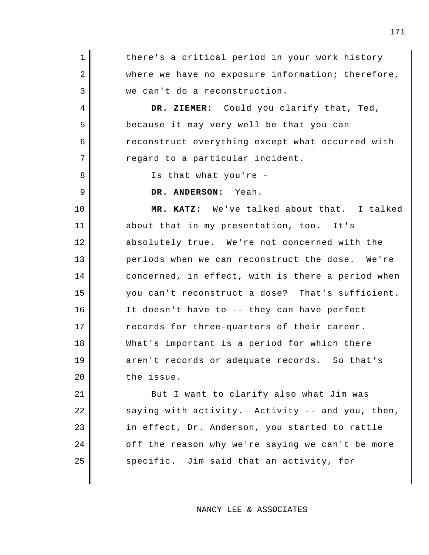1 2 3 4 5 6 7 8 9 10 11 12 13 14 15 16 17 18 19 20 21 there's a critical period in your work history where we have no exposure information; therefore, we can't do a reconstruction. **DR. ZIEMER:** Could you clarify that, Ted, because it may very well be that you can reconstruct everything except what occurred with regard to a particular incident. Is that what you're – **DR. ANDERSON:** Yeah. **MR. KATZ:** We've talked about that. I talked about that in my presentation, too. It's absolutely true. We're not concerned with the periods when we can reconstruct the dose. We're concerned, in effect, with is there a period when you can't reconstruct a dose? That's sufficient. It doesn't have to -- they can have perfect records for three-quarters of their career. What's important is a period for which there aren't records or adequate records. So that's the issue. But I want to clarify also what Jim was

saying with activity. Activity -- and you, then, in effect, Dr. Anderson, you started to rattle off the reason why we're saying we can't be more specific. Jim said that an activity, for

22

23

24

25

NANCY LEE & ASSOCIATES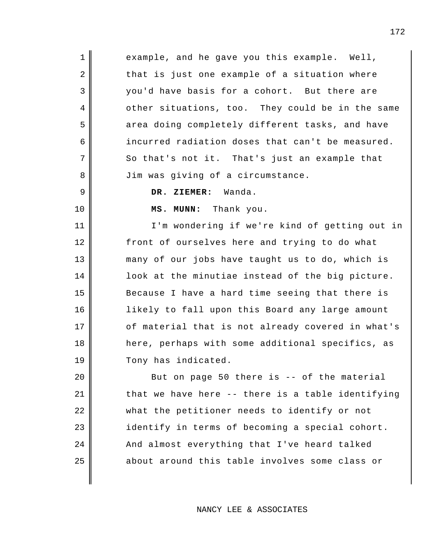example, and he gave you this example. Well, that is just one example of a situation where you'd have basis for a cohort. But there are other situations, too. They could be in the same area doing completely different tasks, and have incurred radiation doses that can't be measured. So that's not it. That's just an example that Jim was giving of a circumstance.

**DR. ZIEMER:** Wanda.

1

2

3

4

5

6

7

8

9

10

11

12

13

14

15

16

17

18

19

**MS. MUNN:** Thank you.

I'm wondering if we're kind of getting out in front of ourselves here and trying to do what many of our jobs have taught us to do, which is look at the minutiae instead of the big picture. Because I have a hard time seeing that there is likely to fall upon this Board any large amount of material that is not already covered in what's here, perhaps with some additional specifics, as Tony has indicated.

20 21 22 23 24 25 But on page 50 there is -- of the material that we have here -- there is a table identifying what the petitioner needs to identify or not identify in terms of becoming a special cohort. And almost everything that I've heard talked about around this table involves some class or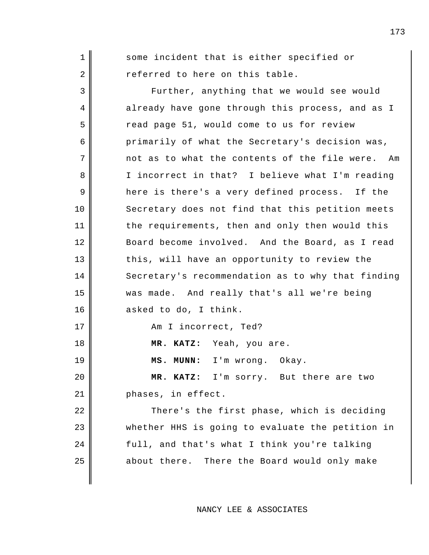1 2 3 4 5 6 7 8 9 10 11 12 13 14 15 16 17 18 19 20 21 22 23 24 25 some incident that is either specified or referred to here on this table. Further, anything that we would see would already have gone through this process, and as I read page 51, would come to us for review primarily of what the Secretary's decision was, not as to what the contents of the file were. Am I incorrect in that? I believe what I'm reading here is there's a very defined process. If the Secretary does not find that this petition meets the requirements, then and only then would this Board become involved. And the Board, as I read this, will have an opportunity to review the Secretary's recommendation as to why that finding was made. And really that's all we're being asked to do, I think. Am I incorrect, Ted? **MR. KATZ:** Yeah, you are. **MS. MUNN:** I'm wrong. Okay. **MR. KATZ:** I'm sorry. But there are two phases, in effect. There's the first phase, which is deciding whether HHS is going to evaluate the petition in full, and that's what I think you're talking about there. There the Board would only make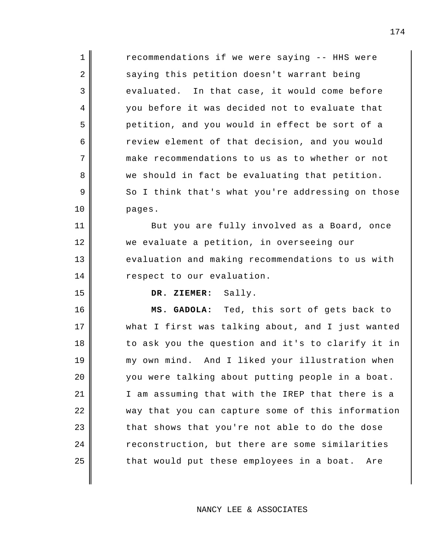| $\mathbf{1}$                           | recommendations if we were saying -- HHS were     |
|----------------------------------------|---------------------------------------------------|
| $\overline{2}$                         | saying this petition doesn't warrant being        |
| 3                                      | evaluated. In that case, it would come before     |
| 4                                      | you before it was decided not to evaluate that    |
| 5                                      | petition, and you would in effect be sort of a    |
| 6                                      | review element of that decision, and you would    |
| 7                                      | make recommendations to us as to whether or not   |
| 8                                      | we should in fact be evaluating that petition.    |
| 9                                      | So I think that's what you're addressing on those |
| 10                                     | pages.                                            |
| 11                                     | But you are fully involved as a Board, once       |
| 12                                     | we evaluate a petition, in overseeing our         |
| 13                                     | evaluation and making recommendations to us with  |
|                                        |                                                   |
| 14                                     | respect to our evaluation.                        |
| 15                                     | DR. ZIEMER: Sally.                                |
| 16                                     | MS. GADOLA: Ted, this sort of gets back to        |
| 17                                     | what I first was talking about, and I just wanted |
|                                        | to ask you the question and it's to clarify it in |
|                                        | my own mind. And I liked your illustration when   |
|                                        | you were talking about putting people in a boat.  |
|                                        | I am assuming that with the IREP that there is a  |
|                                        | way that you can capture some of this information |
|                                        | that shows that you're not able to do the dose    |
| 18<br>19<br>20<br>21<br>22<br>23<br>24 | reconstruction, but there are some similarities   |
| 25                                     | that would put these employees in a boat.<br>Are  |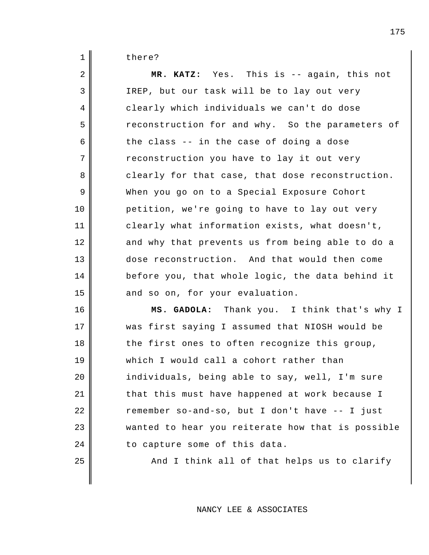1 there?

| 2  | MR. KATZ: Yes. This is -- again, this not         |
|----|---------------------------------------------------|
| 3  | IREP, but our task will be to lay out very        |
| 4  | clearly which individuals we can't do dose        |
| 5  | reconstruction for and why. So the parameters of  |
| 6  | the class -- in the case of doing a dose          |
| 7  | reconstruction you have to lay it out very        |
| 8  | clearly for that case, that dose reconstruction.  |
| 9  | When you go on to a Special Exposure Cohort       |
| 10 | petition, we're going to have to lay out very     |
| 11 | clearly what information exists, what doesn't,    |
| 12 | and why that prevents us from being able to do a  |
| 13 | dose reconstruction. And that would then come     |
| 14 | before you, that whole logic, the data behind it  |
| 15 | and so on, for your evaluation.                   |
| 16 | MS. GADOLA: Thank you. I think that's why I       |
| 17 | was first saying I assumed that NIOSH would be    |
| 18 | the first ones to often recognize this group,     |
| 19 | which I would call a cohort rather than           |
| 20 | individuals, being able to say, well, I'm sure    |
| 21 | that this must have happened at work because I    |
| 22 | remember so-and-so, but I don't have -- I just    |
| 23 | wanted to hear you reiterate how that is possible |
| 24 | to capture some of this data.                     |
| 25 | And I think all of that helps us to clarify       |
|    |                                                   |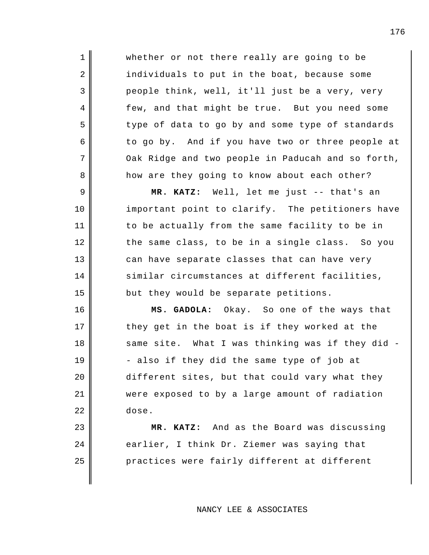whether or not there really are going to be individuals to put in the boat, because some people think, well, it'll just be a very, very few, and that might be true. But you need some type of data to go by and some type of standards to go by. And if you have two or three people at Oak Ridge and two people in Paducah and so forth, how are they going to know about each other?

1

2

3

4

5

6

7

8

9

10

11

12

13

14

15

16

17

18

19

20

21

22

23

24

25

**MR. KATZ:** Well, let me just -- that's an important point to clarify. The petitioners have to be actually from the same facility to be in the same class, to be in a single class. So you can have separate classes that can have very similar circumstances at different facilities, but they would be separate petitions.

**MS. GADOLA:** Okay. So one of the ways that they get in the boat is if they worked at the same site. What I was thinking was if they did - - also if they did the same type of job at different sites, but that could vary what they were exposed to by a large amount of radiation dose.

**MR. KATZ:** And as the Board was discussing earlier, I think Dr. Ziemer was saying that practices were fairly different at different

NANCY LEE & ASSOCIATES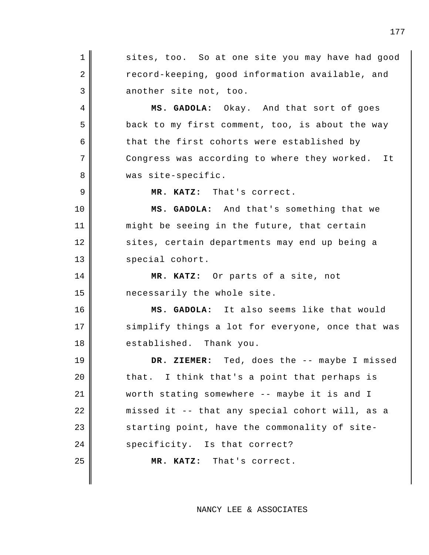1 2 3 4 5 6 7 8 9 10 11 12 13 14 15 16 17 18 19 20 21 22 23 24 25 sites, too. So at one site you may have had good record-keeping, good information available, and another site not, too. **MS. GADOLA:** Okay. And that sort of goes back to my first comment, too, is about the way that the first cohorts were established by Congress was according to where they worked. It was site-specific. **MR. KATZ:** That's correct. **MS. GADOLA:** And that's something that we might be seeing in the future, that certain sites, certain departments may end up being a special cohort. **MR. KATZ:** Or parts of a site, not necessarily the whole site. **MS. GADOLA:** It also seems like that would simplify things a lot for everyone, once that was established. Thank you. **DR. ZIEMER:** Ted, does the -- maybe I missed that. I think that's a point that perhaps is worth stating somewhere -- maybe it is and I missed it -- that any special cohort will, as a starting point, have the commonality of sitespecificity. Is that correct? **MR. KATZ:** That's correct.

NANCY LEE & ASSOCIATES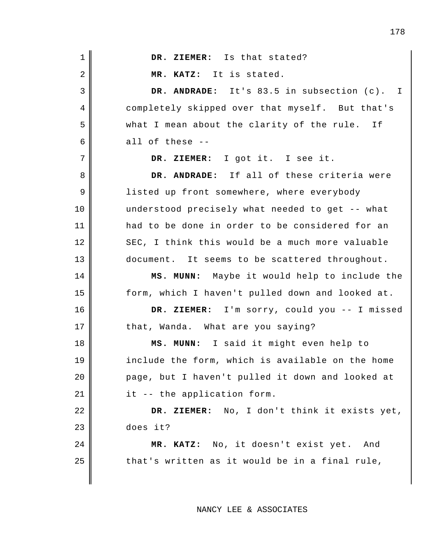| $\mathbf 1$ | DR. ZIEMER: Is that stated?                      |
|-------------|--------------------------------------------------|
| 2           | MR. KATZ: It is stated.                          |
| 3           | DR. ANDRADE: It's 83.5 in subsection (c). I      |
| 4           | completely skipped over that myself. But that's  |
| 5           | what I mean about the clarity of the rule. If    |
| 6           | all of these --                                  |
| 7           | DR. ZIEMER: I got it. I see it.                  |
| 8           | DR. ANDRADE: If all of these criteria were       |
| 9           | listed up front somewhere, where everybody       |
| 10          | understood precisely what needed to get -- what  |
| 11          | had to be done in order to be considered for an  |
| 12          | SEC, I think this would be a much more valuable  |
| 13          | document. It seems to be scattered throughout.   |
| 14          | MS. MUNN: Maybe it would help to include the     |
| 15          | form, which I haven't pulled down and looked at. |
| 16          | DR. ZIEMER: I'm sorry, could you -- I missed     |
| 17          | that, Wanda. What are you saying?                |
| 18          | MS. MUNN: I said it might even help to           |
| 19          | include the form, which is available on the home |
| 20          | page, but I haven't pulled it down and looked at |
| 21          | it -- the application form.                      |
| 22          | DR. ZIEMER: No, I don't think it exists yet,     |
| 23          | does it?                                         |
| 24          | MR. KATZ: No, it doesn't exist yet. And          |
| 25          | that's written as it would be in a final rule,   |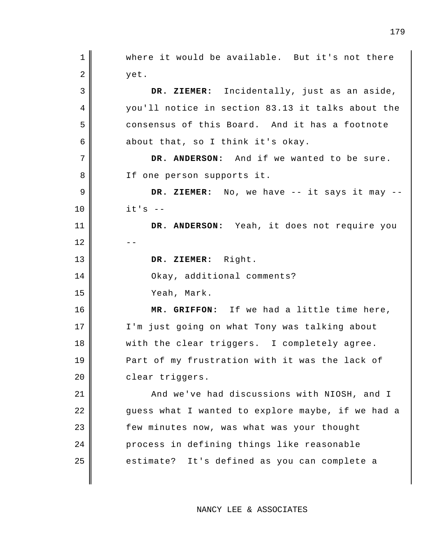1 2 3 4 5 6 7 8 9 10 11  $12$ 13 14 15 16 17 18 19 20 21 22 23 24 25 where it would be available. But it's not there yet. **DR. ZIEMER:** Incidentally, just as an aside, you'll notice in section 83.13 it talks about the consensus of this Board. And it has a footnote about that, so I think it's okay. **DR. ANDERSON:** And if we wanted to be sure. If one person supports it. **DR. ZIEMER:** No, we have -- it says it may -  $it's$  --**DR. ANDERSON:** Yeah, it does not require you **DR. ZIEMER:** Right. Okay, additional comments? Yeah, Mark. **MR. GRIFFON:** If we had a little time here, I'm just going on what Tony was talking about with the clear triggers. I completely agree. Part of my frustration with it was the lack of clear triggers. And we've had discussions with NIOSH, and I guess what I wanted to explore maybe, if we had a few minutes now, was what was your thought process in defining things like reasonable estimate? It's defined as you can complete a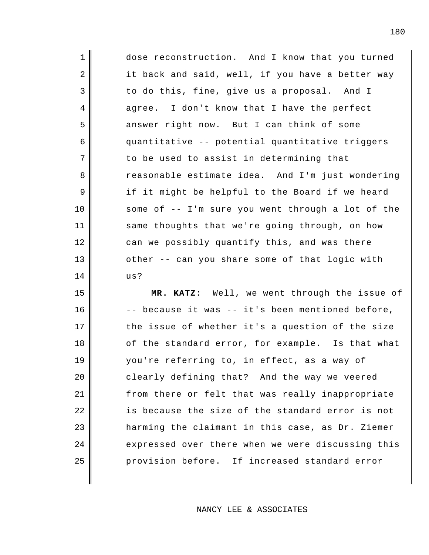1 2 3 4 7 12 13 14 dose reconstruction. And I know that you turned it back and said, well, if you have a better way to do this, fine, give us a proposal. And I agree. I don't know that I have the perfect answer right now. But I can think of some quantitative -- potential quantitative triggers to be used to assist in determining that reasonable estimate idea. And I'm just wondering if it might be helpful to the Board if we heard some of -- I'm sure you went through a lot of the same thoughts that we're going through, on how can we possibly quantify this, and was there other -- can you share some of that logic with us?

5

6

8

9

10

11

15 16 17 18 19 20 21 22 23 24 25 **MR. KATZ:** Well, we went through the issue of -- because it was -- it's been mentioned before, the issue of whether it's a question of the size of the standard error, for example. Is that what you're referring to, in effect, as a way of clearly defining that? And the way we veered from there or felt that was really inappropriate is because the size of the standard error is not harming the claimant in this case, as Dr. Ziemer expressed over there when we were discussing this provision before. If increased standard error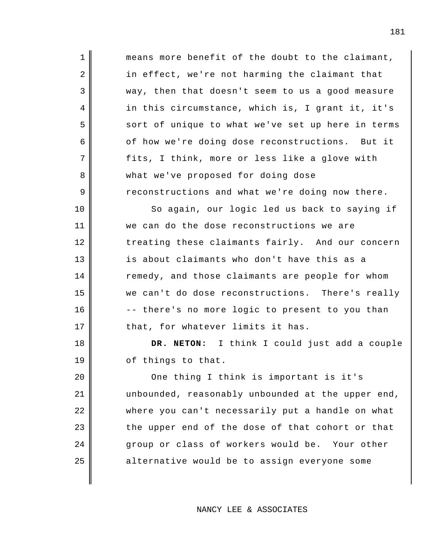means more benefit of the doubt to the claimant, in effect, we're not harming the claimant that way, then that doesn't seem to us a good measure in this circumstance, which is, I grant it, it's sort of unique to what we've set up here in terms of how we're doing dose reconstructions. But it fits, I think, more or less like a glove with what we've proposed for doing dose reconstructions and what we're doing now there.

1

2

3

4

5

6

7

8

9

10

11

12

13

14

15

16

17

18

19

So again, our logic led us back to saying if we can do the dose reconstructions we are treating these claimants fairly. And our concern is about claimants who don't have this as a remedy, and those claimants are people for whom we can't do dose reconstructions. There's really -- there's no more logic to present to you than that, for whatever limits it has.

**DR. NETON:** I think I could just add a couple of things to that.

20 21 22 23 24 25 One thing I think is important is it's unbounded, reasonably unbounded at the upper end, where you can't necessarily put a handle on what the upper end of the dose of that cohort or that group or class of workers would be. Your other alternative would be to assign everyone some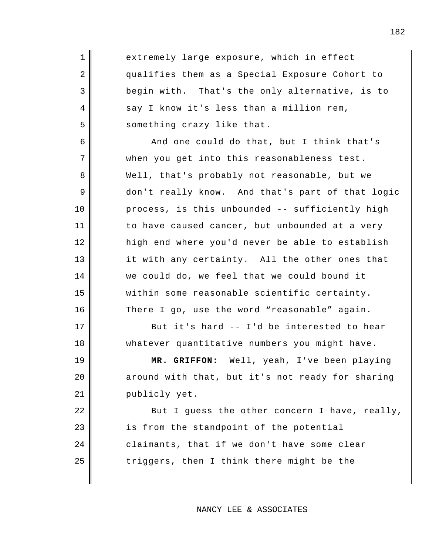| 1              | extremely large exposure, which in effect        |
|----------------|--------------------------------------------------|
| $\sqrt{2}$     | qualifies them as a Special Exposure Cohort to   |
| $\mathfrak{Z}$ | begin with. That's the only alternative, is to   |
| 4              | say I know it's less than a million rem,         |
| 5              | something crazy like that.                       |
| 6              | And one could do that, but I think that's        |
| 7              | when you get into this reasonableness test.      |
| 8              | Well, that's probably not reasonable, but we     |
| 9              | don't really know. And that's part of that logic |
| 10             | process, is this unbounded -- sufficiently high  |
| 11             | to have caused cancer, but unbounded at a very   |
| 12             | high end where you'd never be able to establish  |
| 13             | it with any certainty. All the other ones that   |
| 14             | we could do, we feel that we could bound it      |
| 15             | within some reasonable scientific certainty.     |
| 16             | There I go, use the word "reasonable" again.     |
| 17             | But it's hard -- I'd be interested to hear       |
| 18             | whatever quantitative numbers you might have.    |
| 19             | MR. GRIFFON: Well, yeah, I've been playing       |
| 20             | around with that, but it's not ready for sharing |
| 21             | publicly yet.                                    |
| 22             | But I guess the other concern I have, really,    |
| 23             | is from the standpoint of the potential          |
| 24             | claimants, that if we don't have some clear      |
| 25             | triggers, then I think there might be the        |
|                |                                                  |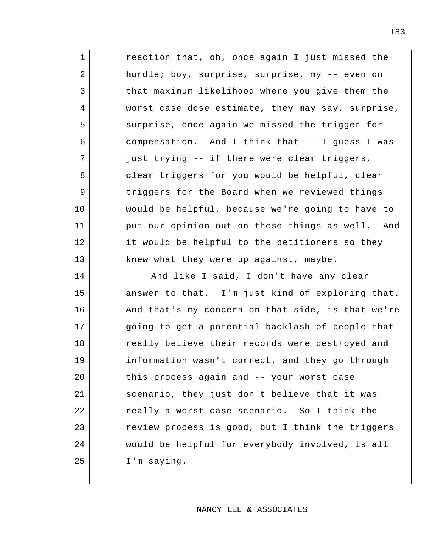reaction that, oh, once again I just missed the hurdle; boy, surprise, surprise, my -- even on that maximum likelihood where you give them the worst case dose estimate, they may say, surprise, surprise, once again we missed the trigger for compensation. And I think that -- I guess I was just trying -- if there were clear triggers, clear triggers for you would be helpful, clear triggers for the Board when we reviewed things would be helpful, because we're going to have to put our opinion out on these things as well. And it would be helpful to the petitioners so they knew what they were up against, maybe.

1

2

3

4

5

6

7

8

9

10

11

12

13

14

15

16

17

18

19

20

21

22

23

24

25

And like I said, I don't have any clear answer to that. I'm just kind of exploring that. And that's my concern on that side, is that we're going to get a potential backlash of people that really believe their records were destroyed and information wasn't correct, and they go through this process again and -- your worst case scenario, they just don't believe that it was really a worst case scenario. So I think the review process is good, but I think the triggers would be helpful for everybody involved, is all I'm saying.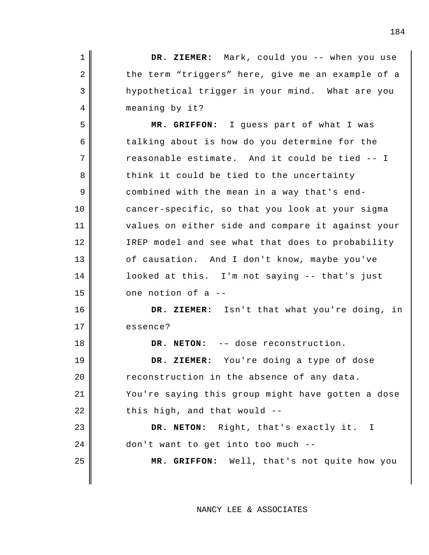| $\mathbf 1$ | DR. ZIEMER: Mark, could you -- when you use       |
|-------------|---------------------------------------------------|
| 2           | the term "triggers" here, give me an example of a |
| 3           | hypothetical trigger in your mind. What are you   |
| 4           | meaning by it?                                    |
| 5           | MR. GRIFFON: I guess part of what I was           |
| 6           | talking about is how do you determine for the     |
| 7           | reasonable estimate. And it could be tied -- I    |
| 8           | think it could be tied to the uncertainty         |
| 9           | combined with the mean in a way that's end-       |
| 10          | cancer-specific, so that you look at your sigma   |
| 11          | values on either side and compare it against your |
| 12          | IREP model and see what that does to probability  |
| 13          | of causation. And I don't know, maybe you've      |
| 14          | looked at this. I'm not saying -- that's just     |
| 15          | one notion of a --                                |
| 16          | DR. ZIEMER: Isn't that what you're doing, in      |
| 17          | essence?                                          |
| 18          | DR. NETON: -- dose reconstruction.                |
| 19          | DR. ZIEMER: You're doing a type of dose           |
| 20          | reconstruction in the absence of any data.        |
| 21          | You're saying this group might have gotten a dose |
| 22          | this high, and that would --                      |
| 23          | DR. NETON: Right, that's exactly it. I            |
| 24          | don't want to get into too much --                |
| 25          | MR. GRIFFON: Well, that's not quite how you       |
|             |                                                   |

NANCY LEE & ASSOCIATES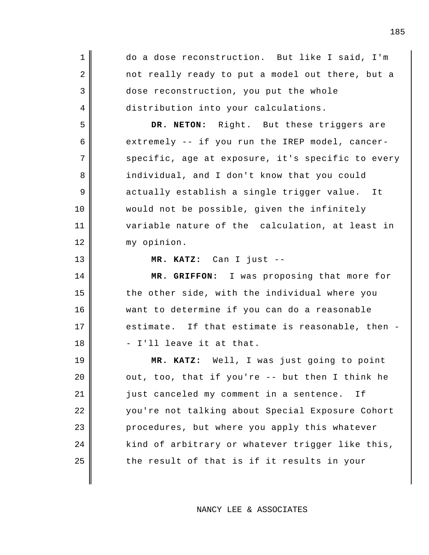| $\mathbf 1$    | do a dose reconstruction. But like I said, I'm    |
|----------------|---------------------------------------------------|
| $\sqrt{2}$     | not really ready to put a model out there, but a  |
| $\mathfrak{Z}$ | dose reconstruction, you put the whole            |
| $\overline{4}$ | distribution into your calculations.              |
| 5              | DR. NETON: Right. But these triggers are          |
| 6              | extremely -- if you run the IREP model, cancer-   |
| 7              | specific, age at exposure, it's specific to every |
| 8              | individual, and I don't know that you could       |
| 9              | actually establish a single trigger value. It     |
| 10             | would not be possible, given the infinitely       |
| 11             | variable nature of the calculation, at least in   |
| 12             | my opinion.                                       |
| 13             | MR. KATZ: Can I just --                           |
|                |                                                   |
| 14             | MR. GRIFFON: I was proposing that more for        |
| 15             | the other side, with the individual where you     |
| 16             | want to determine if you can do a reasonable      |
| 17             | estimate. If that estimate is reasonable, then -  |
| 18             | - I'll leave it at that.                          |
| 19             | MR. KATZ: Well, I was just going to point         |
| 20             | out, too, that if you're -- but then I think he   |
| 21             | just canceled my comment in a sentence.<br>Ιf     |
| 22             | you're not talking about Special Exposure Cohort  |
| 23             | procedures, but where you apply this whatever     |
| 24             | kind of arbitrary or whatever trigger like this,  |
| 25             | the result of that is if it results in your       |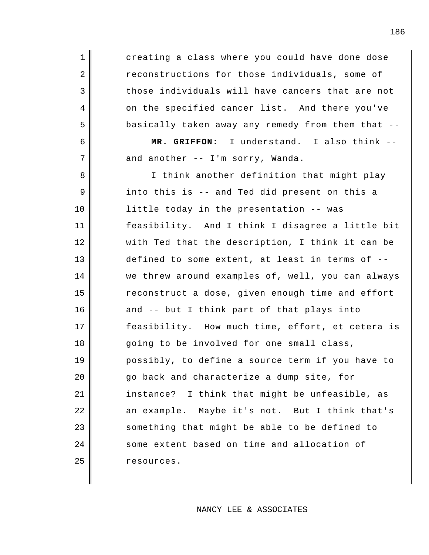creating a class where you could have done dose reconstructions for those individuals, some of those individuals will have cancers that are not on the specified cancer list. And there you've basically taken away any remedy from them that --

1

2

3

4

5

6

7

**MR. GRIFFON:** I understand. I also think - and another -- I'm sorry, Wanda.

8 9 10 11 12 13 14 15 16 17 18 19 20 21 22 23 24 25 I think another definition that might play into this is -- and Ted did present on this a little today in the presentation -- was feasibility. And I think I disagree a little bit with Ted that the description, I think it can be defined to some extent, at least in terms of - we threw around examples of, well, you can always reconstruct a dose, given enough time and effort and -- but I think part of that plays into feasibility. How much time, effort, et cetera is going to be involved for one small class, possibly, to define a source term if you have to go back and characterize a dump site, for instance? I think that might be unfeasible, as an example. Maybe it's not. But I think that's something that might be able to be defined to some extent based on time and allocation of resources.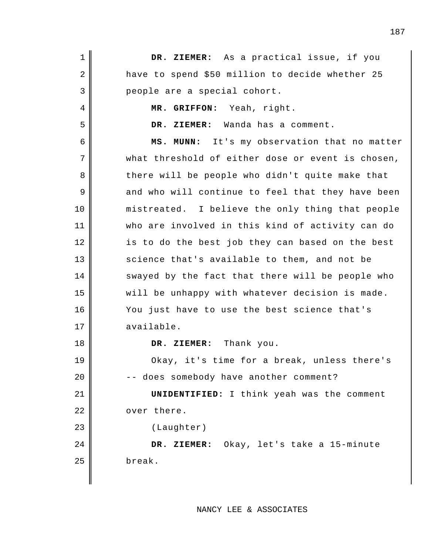1 2 3 4 5 6 7 8 9 10 11 12 13 14 15 16 17 18 19 20 21 22 23 24 25 **DR. ZIEMER:** As a practical issue, if you have to spend \$50 million to decide whether 25 people are a special cohort. **MR. GRIFFON:** Yeah, right. **DR. ZIEMER:** Wanda has a comment. **MS. MUNN:** It's my observation that no matter what threshold of either dose or event is chosen, there will be people who didn't quite make that and who will continue to feel that they have been mistreated. I believe the only thing that people who are involved in this kind of activity can do is to do the best job they can based on the best science that's available to them, and not be swayed by the fact that there will be people who will be unhappy with whatever decision is made. You just have to use the best science that's available. **DR. ZIEMER:** Thank you. Okay, it's time for a break, unless there's -- does somebody have another comment? **UNIDENTIFIED:** I think yeah was the comment over there. (Laughter) **DR. ZIEMER:** Okay, let's take a 15-minute break.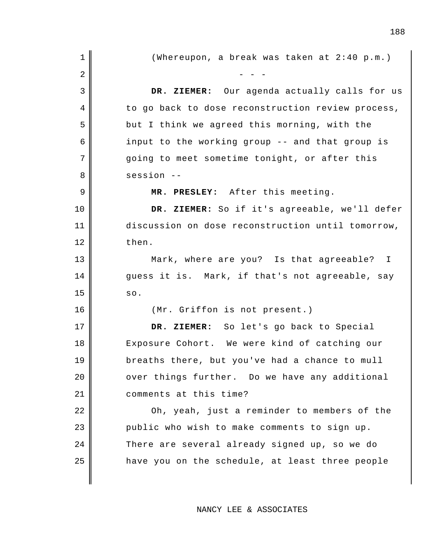| 1  | (Whereupon, a break was taken at 2:40 p.m.)       |
|----|---------------------------------------------------|
| 2  |                                                   |
| 3  | DR. ZIEMER: Our agenda actually calls for us      |
| 4  | to go back to dose reconstruction review process, |
| 5  | but I think we agreed this morning, with the      |
| 6  | input to the working group -- and that group is   |
| 7  | going to meet sometime tonight, or after this     |
| 8  | $sension$ --                                      |
| 9  | MR. PRESLEY: After this meeting.                  |
| 10 | DR. ZIEMER: So if it's agreeable, we'll defer     |
| 11 | discussion on dose reconstruction until tomorrow, |
| 12 | then.                                             |
| 13 | Mark, where are you? Is that agreeable? I         |
| 14 | guess it is. Mark, if that's not agreeable, say   |
| 15 | SO.                                               |
| 16 | (Mr. Griffon is not present.)                     |
| 17 | DR. ZIEMER: So let's go back to Special           |
| 18 | Exposure Cohort. We were kind of catching our     |
| 19 | breaths there, but you've had a chance to mull    |
| 20 | over things further. Do we have any additional    |
| 21 | comments at this time?                            |
| 22 | Oh, yeah, just a reminder to members of the       |
| 23 | public who wish to make comments to sign up.      |
| 24 | There are several already signed up, so we do     |
| 25 | have you on the schedule, at least three people   |
|    |                                                   |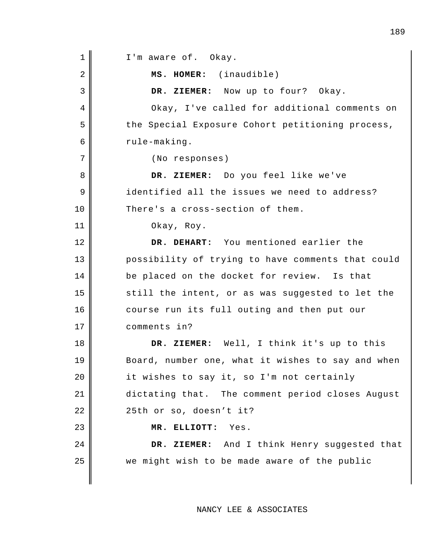1 2 3 4 5 6 7 8 9 10 11 12 13 14 15 16 17 18 19 20 21 22 23 24 25 I'm aware of. Okay. **MS. HOMER:** (inaudible) **DR. ZIEMER:** Now up to four? Okay. Okay, I've called for additional comments on the Special Exposure Cohort petitioning process, rule-making. (No responses) **DR. ZIEMER:** Do you feel like we've identified all the issues we need to address? There's a cross-section of them. Okay, Roy. **DR. DEHART:** You mentioned earlier the possibility of trying to have comments that could be placed on the docket for review. Is that still the intent, or as was suggested to let the course run its full outing and then put our comments in? **DR. ZIEMER:** Well, I think it's up to this Board, number one, what it wishes to say and when it wishes to say it, so I'm not certainly dictating that. The comment period closes August 25th or so, doesn't it? **MR. ELLIOTT:** Yes. **DR. ZIEMER:** And I think Henry suggested that we might wish to be made aware of the public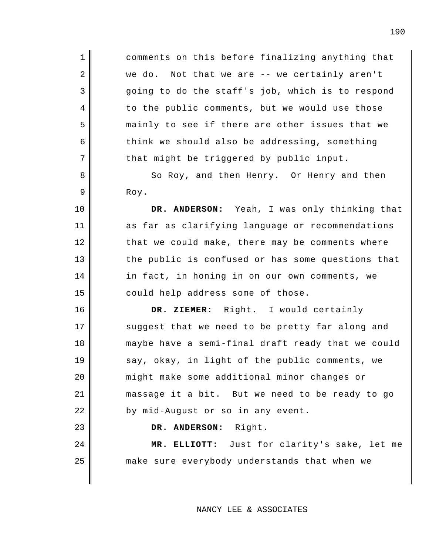comments on this before finalizing anything that we do. Not that we are -- we certainly aren't going to do the staff's job, which is to respond to the public comments, but we would use those mainly to see if there are other issues that we think we should also be addressing, something that might be triggered by public input.

1

2

3

4

5

6

7

8

9

10

11

12

13

14

15

16

17

18

19

20

21

22

23

24

25

So Roy, and then Henry. Or Henry and then Roy.

**DR. ANDERSON:** Yeah, I was only thinking that as far as clarifying language or recommendations that we could make, there may be comments where the public is confused or has some questions that in fact, in honing in on our own comments, we could help address some of those.

**DR. ZIEMER:** Right. I would certainly suggest that we need to be pretty far along and maybe have a semi-final draft ready that we could say, okay, in light of the public comments, we might make some additional minor changes or massage it a bit. But we need to be ready to go by mid-August or so in any event.

**DR. ANDERSON:** Right.

**MR. ELLIOTT:** Just for clarity's sake, let me make sure everybody understands that when we

# NANCY LEE & ASSOCIATES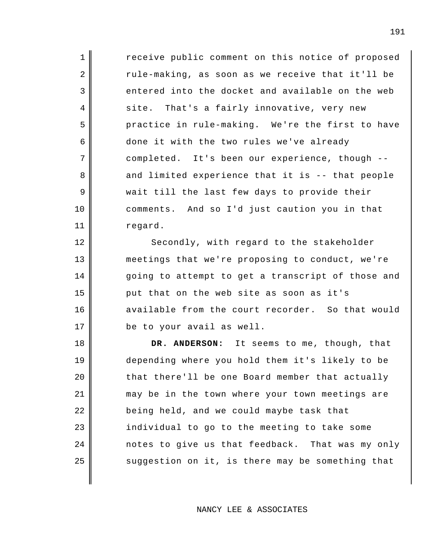receive public comment on this notice of proposed rule-making, as soon as we receive that it'll be entered into the docket and available on the web site. That's a fairly innovative, very new practice in rule-making. We're the first to have done it with the two rules we've already completed. It's been our experience, though - and limited experience that it is -- that people wait till the last few days to provide their comments. And so I'd just caution you in that regard.

1

2

3

4

5

6

7

8

9

10

11

12

13

14

15

16

17

Secondly, with regard to the stakeholder meetings that we're proposing to conduct, we're going to attempt to get a transcript of those and put that on the web site as soon as it's available from the court recorder. So that would be to your avail as well.

18 19 20 21 22 23 24 25 **DR. ANDERSON:** It seems to me, though, that depending where you hold them it's likely to be that there'll be one Board member that actually may be in the town where your town meetings are being held, and we could maybe task that individual to go to the meeting to take some notes to give us that feedback. That was my only suggestion on it, is there may be something that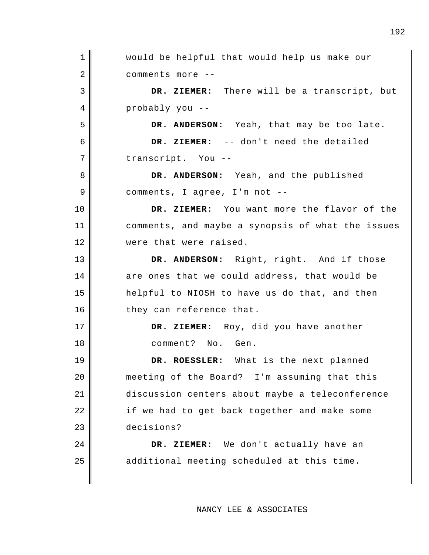1 2 3 4 5 6 7 8 9 10 11 12 13 14 15 16 17 18 19 20 21 22 23 24 25 would be helpful that would help us make our comments more -- **DR. ZIEMER:** There will be a transcript, but probably you -- **DR. ANDERSON:** Yeah, that may be too late. **DR. ZIEMER:** -- don't need the detailed transcript. You -- **DR. ANDERSON:** Yeah, and the published comments, I agree, I'm not -- **DR. ZIEMER:** You want more the flavor of the comments, and maybe a synopsis of what the issues were that were raised. **DR. ANDERSON:** Right, right. And if those are ones that we could address, that would be helpful to NIOSH to have us do that, and then they can reference that. **DR. ZIEMER:** Roy, did you have another comment? No. Gen. **DR. ROESSLER:** What is the next planned meeting of the Board? I'm assuming that this discussion centers about maybe a teleconference if we had to get back together and make some decisions? **DR. ZIEMER:** We don't actually have an additional meeting scheduled at this time.

NANCY LEE & ASSOCIATES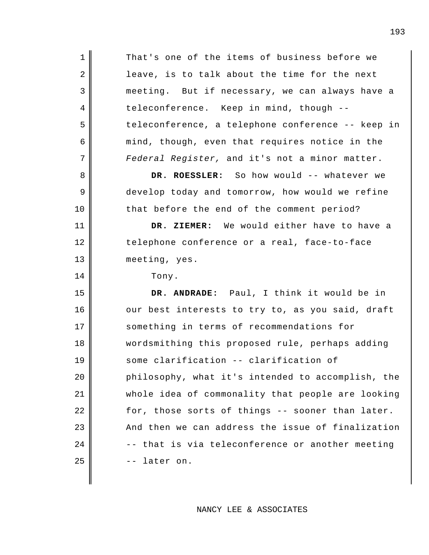1 2 3 4 5 6 7 8 9 10 11 12 13 14 15 16 17 18 19 20 21 22 23 24 25 That's one of the items of business before we leave, is to talk about the time for the next meeting. But if necessary, we can always have a teleconference. Keep in mind, though - teleconference, a telephone conference -- keep in mind, though, even that requires notice in the *Federal Register,* and it's not a minor matter. **DR. ROESSLER:** So how would -- whatever we develop today and tomorrow, how would we refine that before the end of the comment period? **DR. ZIEMER:** We would either have to have a telephone conference or a real, face-to-face meeting, yes. Tony. **DR. ANDRADE:** Paul, I think it would be in our best interests to try to, as you said, draft something in terms of recommendations for wordsmithing this proposed rule, perhaps adding some clarification -- clarification of philosophy, what it's intended to accomplish, the whole idea of commonality that people are looking for, those sorts of things -- sooner than later. And then we can address the issue of finalization -- that is via teleconference or another meeting -- later on.

NANCY LEE & ASSOCIATES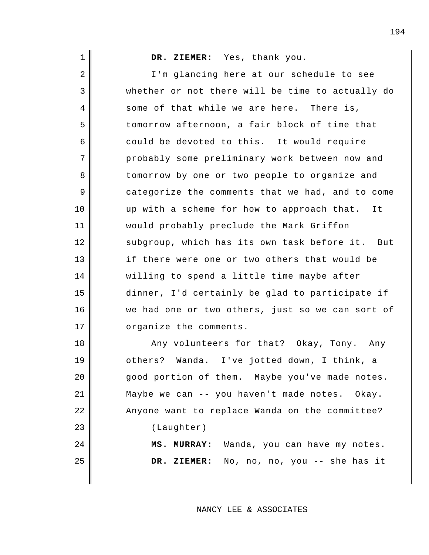|  | DR. ZIEMER |
|--|------------|
|  | I'm glanci |

1

2

3

4

5

6

7

8

9

10

11

12

13

14

15

16

17

**DR. ZIEMER:** Yes, thank you.

ng here at our schedule to see whether or not there will be time to actually do some of that while we are here. There is, tomorrow afternoon, a fair block of time that could be devoted to this. It would require probably some preliminary work between now and tomorrow by one or two people to organize and categorize the comments that we had, and to come up with a scheme for how to approach that. It would probably preclude the Mark Griffon subgroup, which has its own task before it. But if there were one or two others that would be willing to spend a little time maybe after dinner, I'd certainly be glad to participate if we had one or two others, just so we can sort of organize the comments.

18 19 20 21 22 23 24 25 Any volunteers for that? Okay, Tony. Any others? Wanda. I've jotted down, I think, a good portion of them. Maybe you've made notes. Maybe we can -- you haven't made notes. Okay. Anyone want to replace Wanda on the committee? (Laughter) **MS. MURRAY:** Wanda, you can have my notes. **DR. ZIEMER:** No, no, no, you -- she has it

NANCY LEE & ASSOCIATES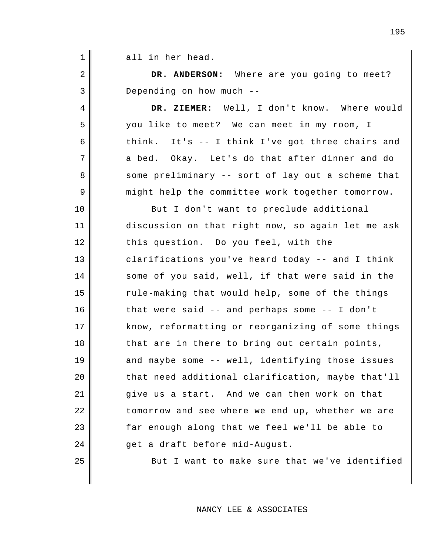| $\mathbf 1$ | all in her head.                                  |
|-------------|---------------------------------------------------|
| 2           | DR. ANDERSON: Where are you going to meet?        |
| 3           | Depending on how much --                          |
| 4           | DR. ZIEMER: Well, I don't know. Where would       |
| 5           | you like to meet? We can meet in my room, I       |
| 6           | think. It's -- I think I've got three chairs and  |
| 7           | a bed. Okay. Let's do that after dinner and do    |
| 8           | some preliminary -- sort of lay out a scheme that |
| 9           | might help the committee work together tomorrow.  |
| 10          | But I don't want to preclude additional           |
| 11          | discussion on that right now, so again let me ask |
| 12          | this question. Do you feel, with the              |
| 13          | clarifications you've heard today -- and I think  |
| 14          | some of you said, well, if that were said in the  |
| 15          | rule-making that would help, some of the things   |
| 16          | that were said -- and perhaps some -- I don't     |
| 17          | know, reformatting or reorganizing of some things |
| 18          | that are in there to bring out certain points,    |
| 19          | and maybe some -- well, identifying those issues  |
| 20          | that need additional clarification, maybe that'll |
| 21          | give us a start. And we can then work on that     |
| 22          | tomorrow and see where we end up, whether we are  |
| 23          | far enough along that we feel we'll be able to    |
| 24          | get a draft before mid-August.                    |
| 25          | But I want to make sure that we've identified     |
|             |                                                   |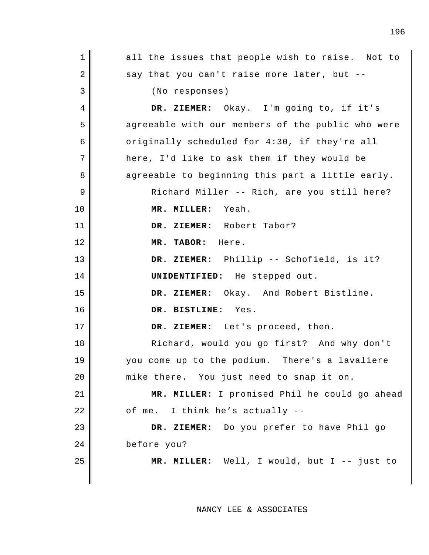| $\mathbf 1$ | all the issues that people wish to raise. Not to  |
|-------------|---------------------------------------------------|
| 2           | say that you can't raise more later, but --       |
| 3           | (No responses)                                    |
| 4           | DR. ZIEMER: Okay. I'm going to, if it's           |
| 5           | agreeable with our members of the public who were |
| 6           | originally scheduled for 4:30, if they're all     |
| 7           | here, I'd like to ask them if they would be       |
| 8           | agreeable to beginning this part a little early.  |
| 9           | Richard Miller -- Rich, are you still here?       |
| 10          | MR. MILLER: Yeah.                                 |
| 11          | DR. ZIEMER: Robert Tabor?                         |
| 12          | MR. TABOR: Here.                                  |
| 13          | DR. ZIEMER: Phillip -- Schofield, is it?          |
| 14          | UNIDENTIFIED: He stepped out.                     |
| 15          | DR. ZIEMER: Okay. And Robert Bistline.            |
| 16          | DR. BISTLINE: Yes.                                |
| 17          | DR. ZIEMER: Let's proceed, then.                  |
| 18          | Richard, would you go first? And why don't        |
| 19          | you come up to the podium. There's a lavaliere    |
| 20          | mike there. You just need to snap it on.          |
| 21          | MR. MILLER: I promised Phil he could go ahead     |
| 22          | of me. I think he's actually --                   |
| 23          | DR. ZIEMER: Do you prefer to have Phil go         |
| 24          | before you?                                       |
| 25          | MR. MILLER: Well, I would, but I -- just to       |
|             |                                                   |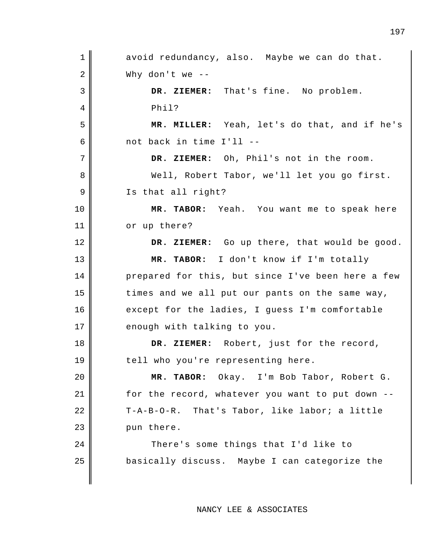1 2 3 4 5 6 7 8 9 10 11 12 13 14 15 16 17 18 19 20 21 22 23 24 25 avoid redundancy, also. Maybe we can do that. Why don't we -- **DR. ZIEMER:** That's fine. No problem. Phil? **MR. MILLER:** Yeah, let's do that, and if he's not back in time I'll -- **DR. ZIEMER:** Oh, Phil's not in the room. Well, Robert Tabor, we'll let you go first. Is that all right? **MR. TABOR:** Yeah. You want me to speak here or up there? **DR. ZIEMER:** Go up there, that would be good. **MR. TABOR:** I don't know if I'm totally prepared for this, but since I've been here a few times and we all put our pants on the same way, except for the ladies, I guess I'm comfortable enough with talking to you. **DR. ZIEMER:** Robert, just for the record, tell who you're representing here. **MR. TABOR:** Okay. I'm Bob Tabor, Robert G. for the record, whatever you want to put down -- T-A-B-O-R. That's Tabor, like labor; a little pun there. There's some things that I'd like to basically discuss. Maybe I can categorize the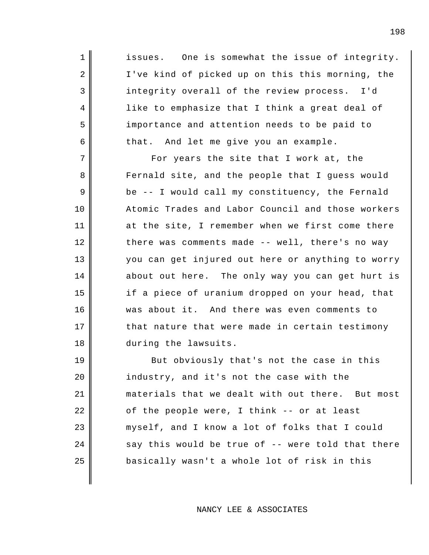issues. One is somewhat the issue of integrity. I've kind of picked up on this this morning, the integrity overall of the review process. I'd like to emphasize that I think a great deal of importance and attention needs to be paid to that. And let me give you an example.

1

2

3

4

5

6

7

8

9

10

11

12

13

14

15

16

17

18

For years the site that I work at, the Fernald site, and the people that I guess would be -- I would call my constituency, the Fernald Atomic Trades and Labor Council and those workers at the site, I remember when we first come there there was comments made -- well, there's no way you can get injured out here or anything to worry about out here. The only way you can get hurt is if a piece of uranium dropped on your head, that was about it. And there was even comments to that nature that were made in certain testimony during the lawsuits.

19 20 21 22 23 24 25 But obviously that's not the case in this industry, and it's not the case with the materials that we dealt with out there. But most of the people were, I think -- or at least myself, and I know a lot of folks that I could say this would be true of -- were told that there basically wasn't a whole lot of risk in this

NANCY LEE & ASSOCIATES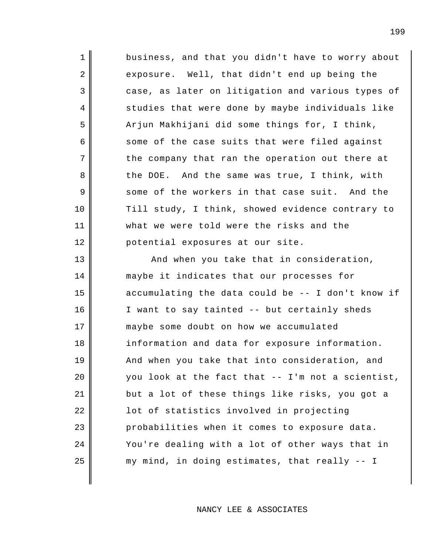1 2 3 4 5 6 7 8 9 10 11 12 13 14 15 16 17 18 19 20 21 22 23 business, and that you didn't have to worry about exposure. Well, that didn't end up being the case, as later on litigation and various types of studies that were done by maybe individuals like Arjun Makhijani did some things for, I think, some of the case suits that were filed against the company that ran the operation out there at the DOE. And the same was true, I think, with some of the workers in that case suit. And the Till study, I think, showed evidence contrary to what we were told were the risks and the potential exposures at our site. And when you take that in consideration, maybe it indicates that our processes for accumulating the data could be -- I don't know if I want to say tainted -- but certainly sheds maybe some doubt on how we accumulated information and data for exposure information. And when you take that into consideration, and you look at the fact that -- I'm not a scientist, but a lot of these things like risks, you got a lot of statistics involved in projecting probabilities when it comes to exposure data.

my mind, in doing estimates, that really -- I

You're dealing with a lot of other ways that in

24

25

NANCY LEE & ASSOCIATES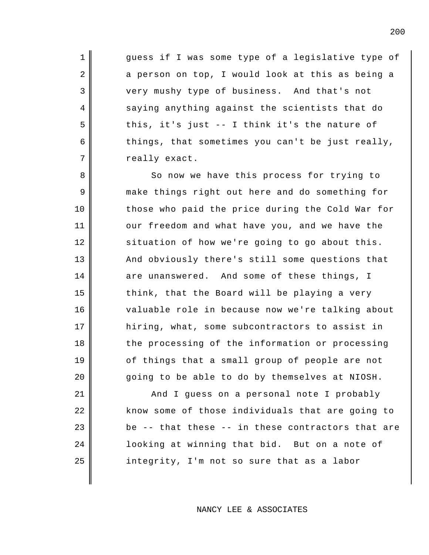guess if I was some type of a legislative type of a person on top, I would look at this as being a very mushy type of business. And that's not saying anything against the scientists that do this, it's just -- I think it's the nature of things, that sometimes you can't be just really, really exact.

1

2

3

4

5

6

7

8

9

10

11

12

13

14

15

16

17

18

19

20

So now we have this process for trying to make things right out here and do something for those who paid the price during the Cold War for our freedom and what have you, and we have the situation of how we're going to go about this. And obviously there's still some questions that are unanswered. And some of these things, I think, that the Board will be playing a very valuable role in because now we're talking about hiring, what, some subcontractors to assist in the processing of the information or processing of things that a small group of people are not going to be able to do by themselves at NIOSH.

21 22 23 24 25 And I guess on a personal note I probably know some of those individuals that are going to be -- that these -- in these contractors that are looking at winning that bid. But on a note of integrity, I'm not so sure that as a labor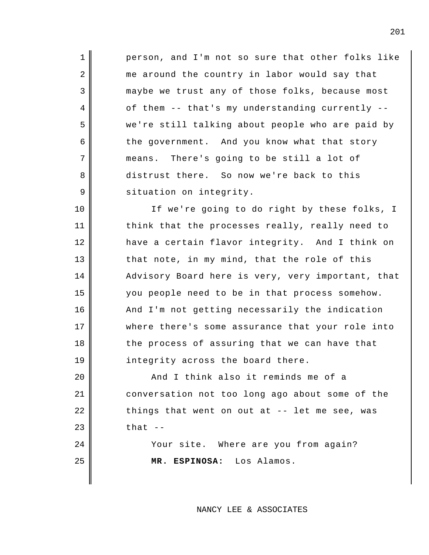person, and I'm not so sure that other folks like me around the country in labor would say that maybe we trust any of those folks, because most of them -- that's my understanding currently - we're still talking about people who are paid by the government. And you know what that story means. There's going to be still a lot of distrust there. So now we're back to this situation on integrity.

1

2

3

4

5

6

7

8

9

10

11

12

13

14

15

16

17

18

19

20

21

22

23

24

25

If we're going to do right by these folks, I think that the processes really, really need to have a certain flavor integrity. And I think on that note, in my mind, that the role of this Advisory Board here is very, very important, that you people need to be in that process somehow. And I'm not getting necessarily the indication where there's some assurance that your role into the process of assuring that we can have that integrity across the board there.

And I think also it reminds me of a conversation not too long ago about some of the things that went on out at -- let me see, was that  $-$ 

> Your site. Where are you from again? **MR. ESPINOSA:** Los Alamos.

> > NANCY LEE & ASSOCIATES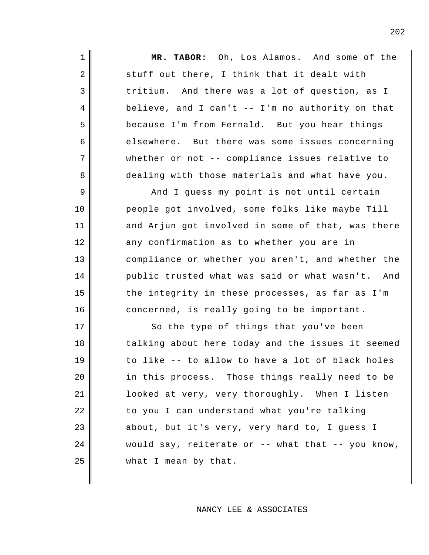**MR. TABOR:** Oh, Los Alamos. And some of the stuff out there, I think that it dealt with tritium. And there was a lot of question, as I believe, and I can't  $--$  I'm no authority on that because I'm from Fernald. But you hear things elsewhere. But there was some issues concerning whether or not -- compliance issues relative to dealing with those materials and what have you.

1

2

3

4

5

6

7

8

9

10

11

12

13

14

15

16

And I guess my point is not until certain people got involved, some folks like maybe Till and Arjun got involved in some of that, was there any confirmation as to whether you are in compliance or whether you aren't, and whether the public trusted what was said or what wasn't. And the integrity in these processes, as far as I'm concerned, is really going to be important.

17 18 19 20 21 22 23 24 25 So the type of things that you've been talking about here today and the issues it seemed to like -- to allow to have a lot of black holes in this process. Those things really need to be looked at very, very thoroughly. When I listen to you I can understand what you're talking about, but it's very, very hard to, I guess I would say, reiterate or  $-$ - what that  $-$ - you know, what I mean by that.

## NANCY LEE & ASSOCIATES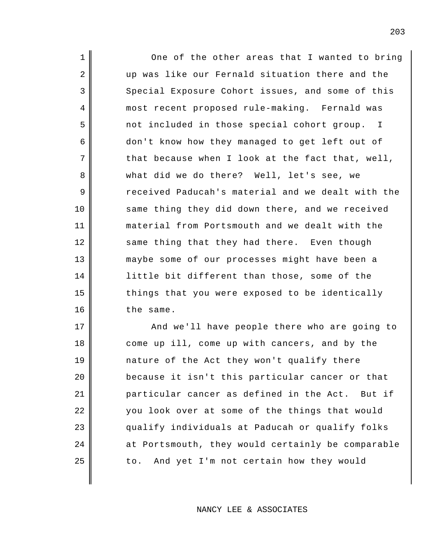1 2 3 4 5 6 7 8 9 10 11 12 13 14 15 16 One of the other areas that I wanted to bring up was like our Fernald situation there and the Special Exposure Cohort issues, and some of this most recent proposed rule-making. Fernald was not included in those special cohort group. I don't know how they managed to get left out of that because when I look at the fact that, well, what did we do there? Well, let's see, we received Paducah's material and we dealt with the same thing they did down there, and we received material from Portsmouth and we dealt with the same thing that they had there. Even though maybe some of our processes might have been a little bit different than those, some of the things that you were exposed to be identically the same.

17 18 19 20 21 22 23 24 25 And we'll have people there who are going to come up ill, come up with cancers, and by the nature of the Act they won't qualify there because it isn't this particular cancer or that particular cancer as defined in the Act. But if you look over at some of the things that would qualify individuals at Paducah or qualify folks at Portsmouth, they would certainly be comparable to. And yet I'm not certain how they would

NANCY LEE & ASSOCIATES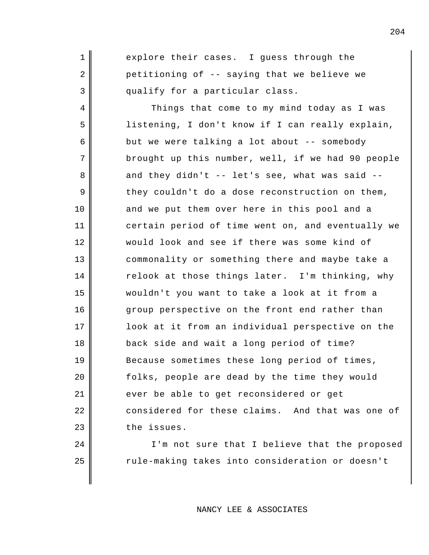explore their cases. I guess through the petitioning of -- saying that we believe we qualify for a particular class.

1

2

3

24

25

4 5 6 7 8 9 10 11 12 13 14 15 16 17 18 19 20 21 22 23 Things that come to my mind today as I was listening, I don't know if I can really explain, but we were talking a lot about -- somebody brought up this number, well, if we had 90 people and they didn't -- let's see, what was said - they couldn't do a dose reconstruction on them, and we put them over here in this pool and a certain period of time went on, and eventually we would look and see if there was some kind of commonality or something there and maybe take a relook at those things later. I'm thinking, why wouldn't you want to take a look at it from a group perspective on the front end rather than look at it from an individual perspective on the back side and wait a long period of time? Because sometimes these long period of times, folks, people are dead by the time they would ever be able to get reconsidered or get considered for these claims. And that was one of the issues.

> I'm not sure that I believe that the proposed rule-making takes into consideration or doesn't

# NANCY LEE & ASSOCIATES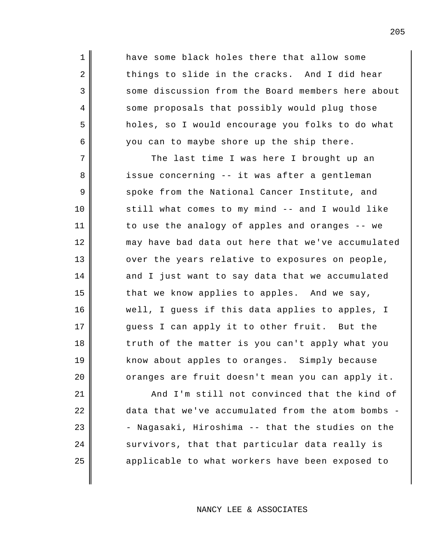have some black holes there that allow some things to slide in the cracks. And I did hear some discussion from the Board members here about some proposals that possibly would plug those holes, so I would encourage you folks to do what you can to maybe shore up the ship there.

1

2

3

4

5

6

7

8

9

10

11

12

13

14

15

16

17

18

19

20

The last time I was here I brought up an issue concerning -- it was after a gentleman spoke from the National Cancer Institute, and still what comes to my mind -- and I would like to use the analogy of apples and oranges -- we may have bad data out here that we've accumulated over the years relative to exposures on people, and I just want to say data that we accumulated that we know applies to apples. And we say, well, I guess if this data applies to apples, I guess I can apply it to other fruit. But the truth of the matter is you can't apply what you know about apples to oranges. Simply because oranges are fruit doesn't mean you can apply it.

21 22 23 24 25 And I'm still not convinced that the kind of data that we've accumulated from the atom bombs - - Nagasaki, Hiroshima -- that the studies on the survivors, that that particular data really is applicable to what workers have been exposed to

NANCY LEE & ASSOCIATES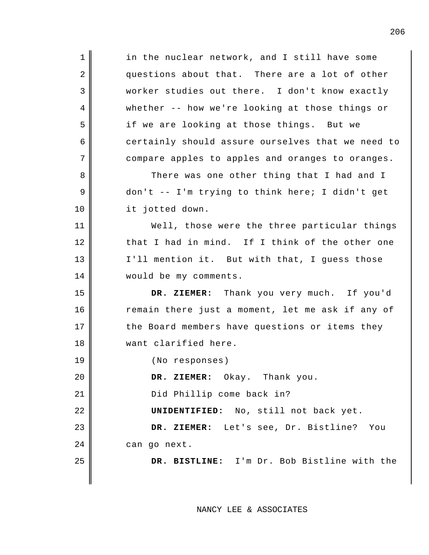1 2 3 4 5 6 7 8 9 10 11 12 13 14 15 16 17 18 19 20 21 22 23 24 25 in the nuclear network, and I still have some questions about that. There are a lot of other worker studies out there. I don't know exactly whether -- how we're looking at those things or if we are looking at those things. But we certainly should assure ourselves that we need to compare apples to apples and oranges to oranges. There was one other thing that I had and I don't -- I'm trying to think here; I didn't get it jotted down. Well, those were the three particular things that I had in mind. If I think of the other one I'll mention it. But with that, I guess those would be my comments. **DR. ZIEMER:** Thank you very much. If you'd remain there just a moment, let me ask if any of the Board members have questions or items they want clarified here. (No responses) **DR. ZIEMER:** Okay. Thank you. Did Phillip come back in? **UNIDENTIFIED:** No, still not back yet. **DR. ZIEMER:** Let's see, Dr. Bistline? You can go next. **DR. BISTLINE:** I'm Dr. Bob Bistline with the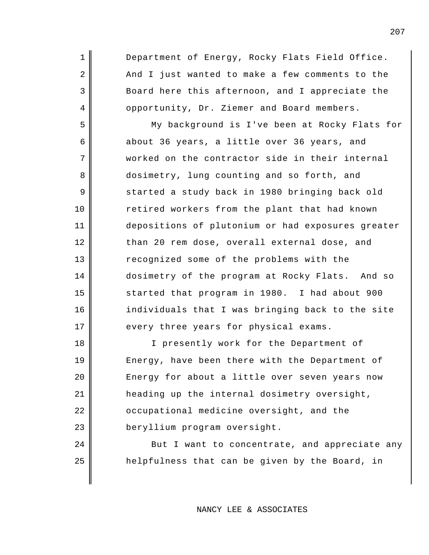1 2 3 4 5 6 7 8 9 10 11 12 13 14 15 16 17 18 19 Department of Energy, Rocky Flats Field Office. And I just wanted to make a few comments to the Board here this afternoon, and I appreciate the opportunity, Dr. Ziemer and Board members. My background is I've been at Rocky Flats for about 36 years, a little over 36 years, and worked on the contractor side in their internal dosimetry, lung counting and so forth, and started a study back in 1980 bringing back old retired workers from the plant that had known depositions of plutonium or had exposures greater than 20 rem dose, overall external dose, and recognized some of the problems with the dosimetry of the program at Rocky Flats. And so started that program in 1980. I had about 900 individuals that I was bringing back to the site every three years for physical exams. I presently work for the Department of

Energy, have been there with the Department of Energy for about a little over seven years now heading up the internal dosimetry oversight, occupational medicine oversight, and the beryllium program oversight.

20

21

22

23

24

25

But I want to concentrate, and appreciate any helpfulness that can be given by the Board, in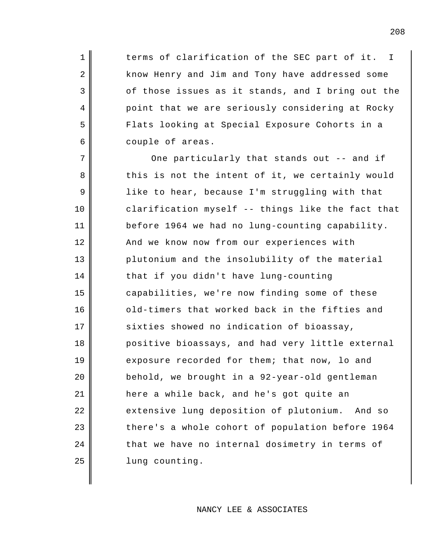terms of clarification of the SEC part of it. I know Henry and Jim and Tony have addressed some of those issues as it stands, and I bring out the point that we are seriously considering at Rocky Flats looking at Special Exposure Cohorts in a couple of areas.

1

2

3

4

5

6

7 8 9 10 11 12 13 14 15 16 17 18 19 20 21 22 23 24 25 One particularly that stands out -- and if this is not the intent of it, we certainly would like to hear, because I'm struggling with that clarification myself -- things like the fact that before 1964 we had no lung-counting capability. And we know now from our experiences with plutonium and the insolubility of the material that if you didn't have lung-counting capabilities, we're now finding some of these old-timers that worked back in the fifties and sixties showed no indication of bioassay, positive bioassays, and had very little external exposure recorded for them; that now, lo and behold, we brought in a 92-year-old gentleman here a while back, and he's got quite an extensive lung deposition of plutonium. And so there's a whole cohort of population before 1964 that we have no internal dosimetry in terms of lung counting.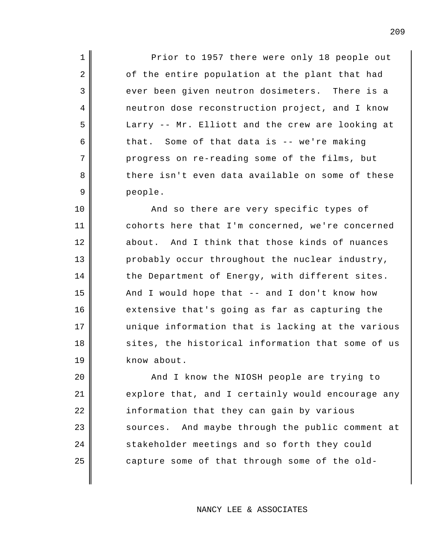Prior to 1957 there were only 18 people out of the entire population at the plant that had ever been given neutron dosimeters. There is a neutron dose reconstruction project, and I know Larry -- Mr. Elliott and the crew are looking at that. Some of that data is -- we're making progress on re-reading some of the films, but there isn't even data available on some of these people.

1

2

3

4

5

6

7

8

9

10

11

12

13

14

15

16

17

18

19

And so there are very specific types of cohorts here that I'm concerned, we're concerned about. And I think that those kinds of nuances probably occur throughout the nuclear industry, the Department of Energy, with different sites. And I would hope that -- and I don't know how extensive that's going as far as capturing the unique information that is lacking at the various sites, the historical information that some of us know about.

20 21 22 23 24 25 And I know the NIOSH people are trying to explore that, and I certainly would encourage any information that they can gain by various sources. And maybe through the public comment at stakeholder meetings and so forth they could capture some of that through some of the old-

NANCY LEE & ASSOCIATES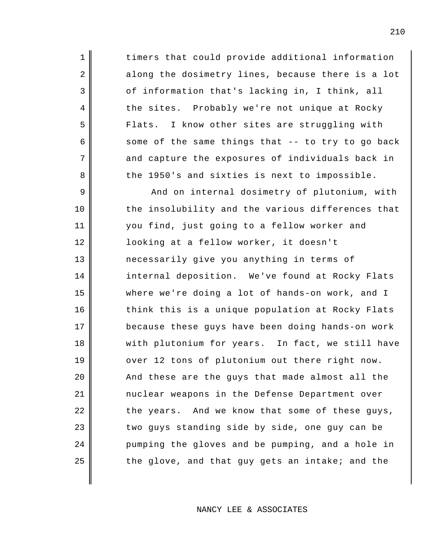timers that could provide additional information along the dosimetry lines, because there is a lot of information that's lacking in, I think, all the sites. Probably we're not unique at Rocky Flats. I know other sites are struggling with some of the same things that -- to try to go back and capture the exposures of individuals back in the 1950's and sixties is next to impossible.

1

2

3

4

5

6

7

8

9 10 11 12 13 14 15 16 17 18 19 20 21 22 23 24 25 And on internal dosimetry of plutonium, with the insolubility and the various differences that you find, just going to a fellow worker and looking at a fellow worker, it doesn't necessarily give you anything in terms of internal deposition. We've found at Rocky Flats where we're doing a lot of hands-on work, and I think this is a unique population at Rocky Flats because these guys have been doing hands-on work with plutonium for years. In fact, we still have over 12 tons of plutonium out there right now. And these are the guys that made almost all the nuclear weapons in the Defense Department over the years. And we know that some of these guys, two guys standing side by side, one guy can be pumping the gloves and be pumping, and a hole in the glove, and that guy gets an intake; and the

#### NANCY LEE & ASSOCIATES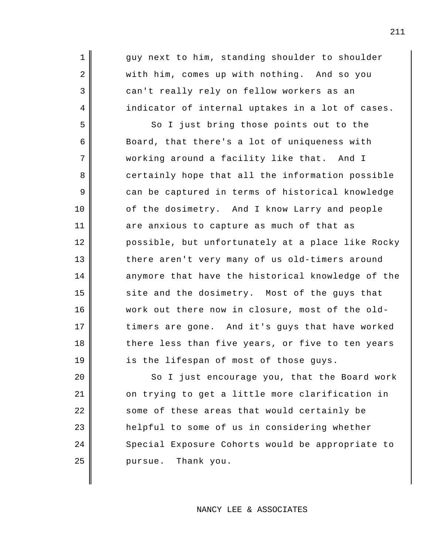guy next to him, standing shoulder to shoulder with him, comes up with nothing. And so you can't really rely on fellow workers as an indicator of internal uptakes in a lot of cases.

1

2

3

4

5

6

7

8

9

10

11

12

13

14

15

16

17

18

19

So I just bring those points out to the Board, that there's a lot of uniqueness with working around a facility like that. And I certainly hope that all the information possible can be captured in terms of historical knowledge of the dosimetry. And I know Larry and people are anxious to capture as much of that as possible, but unfortunately at a place like Rocky there aren't very many of us old-timers around anymore that have the historical knowledge of the site and the dosimetry. Most of the guys that work out there now in closure, most of the oldtimers are gone. And it's guys that have worked there less than five years, or five to ten years is the lifespan of most of those guys.

20 21 22 23 24 25 So I just encourage you, that the Board work on trying to get a little more clarification in some of these areas that would certainly be helpful to some of us in considering whether Special Exposure Cohorts would be appropriate to pursue. Thank you.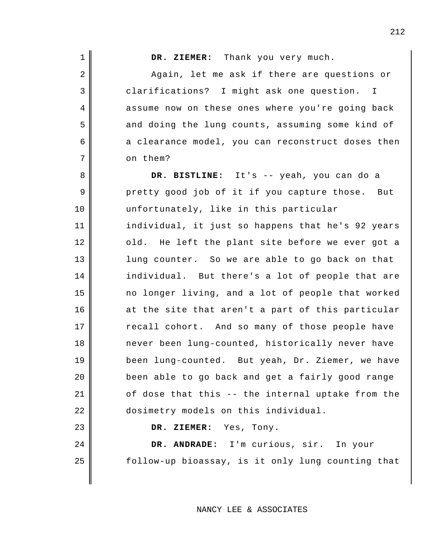212

**DR. ZIEMER:** Thank you very much.

Again, let me ask if there are questions or clarifications? I might ask one question. I assume now on these ones where you're going back and doing the lung counts, assuming some kind of a clearance model, you can reconstruct doses then on them?

**DR. BISTLINE:** It's -- yeah, you can do a pretty good job of it if you capture those. But unfortunately, like in this particular individual, it just so happens that he's 92 years old. He left the plant site before we ever got a lung counter. So we are able to go back on that individual. But there's a lot of people that are no longer living, and a lot of people that worked at the site that aren't a part of this particular recall cohort. And so many of those people have never been lung-counted, historically never have been lung-counted. But yeah, Dr. Ziemer, we have been able to go back and get a fairly good range of dose that this -- the internal uptake from the dosimetry models on this individual.

**DR. ZIEMER:** Yes, Tony.

**DR. ANDRADE:** I'm curious, sir. In your follow-up bioassay, is it only lung counting that

NANCY LEE & ASSOCIATES

# 2 3

4

5

6

7

8

9

10

11

12

13

14

15

16

17

18

19

20

21

22

23

24

25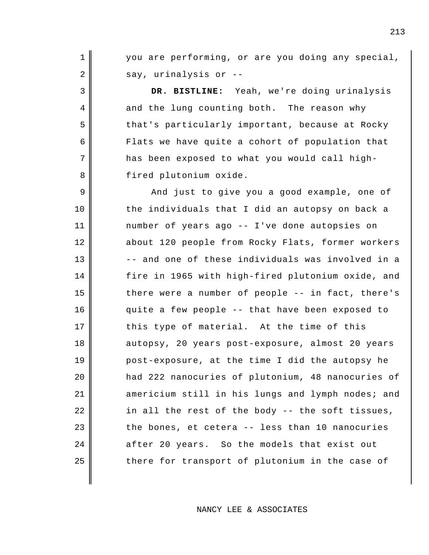you are performing, or are you doing any special, say, urinalysis or --

1

2

3

4

5

6

7

8

**DR. BISTLINE:** Yeah, we're doing urinalysis and the lung counting both. The reason why that's particularly important, because at Rocky Flats we have quite a cohort of population that has been exposed to what you would call highfired plutonium oxide.

9 10 11 12 13 14 15 16 17 18 19 20 21 22 23 24 25 And just to give you a good example, one of the individuals that I did an autopsy on back a number of years ago -- I've done autopsies on about 120 people from Rocky Flats, former workers -- and one of these individuals was involved in a fire in 1965 with high-fired plutonium oxide, and there were a number of people -- in fact, there's quite a few people -- that have been exposed to this type of material. At the time of this autopsy, 20 years post-exposure, almost 20 years post-exposure, at the time I did the autopsy he had 222 nanocuries of plutonium, 48 nanocuries of americium still in his lungs and lymph nodes; and in all the rest of the body -- the soft tissues, the bones, et cetera -- less than 10 nanocuries after 20 years. So the models that exist out there for transport of plutonium in the case of

NANCY LEE & ASSOCIATES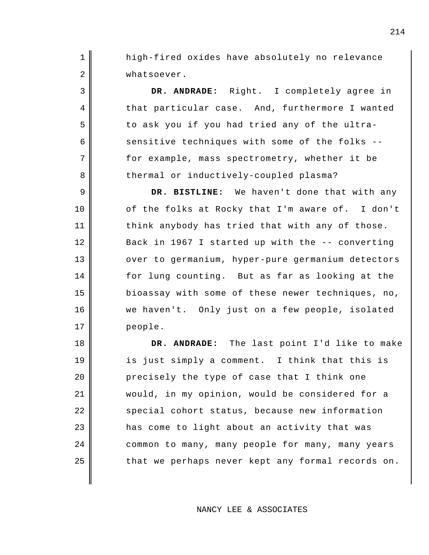high-fired oxides have absolutely no relevance whatsoever.

1

2

3

4

5

6

7

8

9

10

11

12

13

14

15

16

17

**DR. ANDRADE:** Right. I completely agree in that particular case. And, furthermore I wanted to ask you if you had tried any of the ultrasensitive techniques with some of the folks - for example, mass spectrometry, whether it be thermal or inductively-coupled plasma?

**DR. BISTLINE:** We haven't done that with any of the folks at Rocky that I'm aware of. I don't think anybody has tried that with any of those. Back in 1967 I started up with the -- converting over to germanium, hyper-pure germanium detectors for lung counting. But as far as looking at the bioassay with some of these newer techniques, no, we haven't. Only just on a few people, isolated people.

18 19 20 21 22 23 24 25 **DR. ANDRADE:** The last point I'd like to make is just simply a comment. I think that this is precisely the type of case that I think one would, in my opinion, would be considered for a special cohort status, because new information has come to light about an activity that was common to many, many people for many, many years that we perhaps never kept any formal records on.

#### NANCY LEE & ASSOCIATES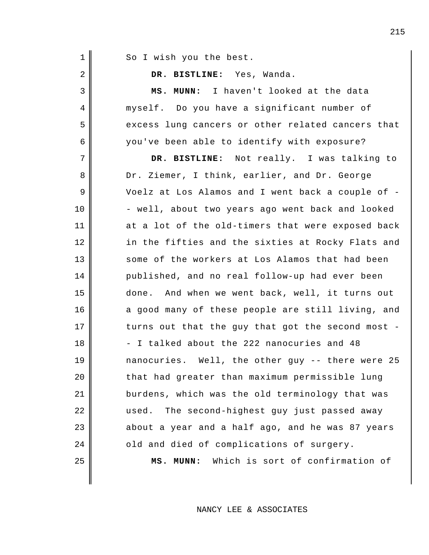| 1  | So I wish you the best.                           |
|----|---------------------------------------------------|
| 2  | DR. BISTLINE: Yes, Wanda.                         |
| 3  | I haven't looked at the data<br>MS. MUNN:         |
| 4  | myself. Do you have a significant number of       |
| 5  | excess lung cancers or other related cancers that |
| 6  | you've been able to identify with exposure?       |
| 7  | DR. BISTLINE: Not really. I was talking to        |
| 8  | Dr. Ziemer, I think, earlier, and Dr. George      |
| 9  | Voelz at Los Alamos and I went back a couple of - |
| 10 | - well, about two years ago went back and looked  |
| 11 | at a lot of the old-timers that were exposed back |
| 12 | in the fifties and the sixties at Rocky Flats and |
| 13 | some of the workers at Los Alamos that had been   |
| 14 | published, and no real follow-up had ever been    |
| 15 | done. And when we went back, well, it turns out   |
| 16 | a good many of these people are still living, and |
| 17 | turns out that the guy that got the second most - |
| 18 | - I talked about the 222 nanocuries and 48        |
| 19 | nanocuries. Well, the other guy -- there were 25  |
| 20 | that had greater than maximum permissible lung    |
| 21 | burdens, which was the old terminology that was   |
| 22 | The second-highest guy just passed away<br>used.  |
| 23 | about a year and a half ago, and he was 87 years  |
| 24 | old and died of complications of surgery.         |

**MS. MUNN:** Which is sort of confirmation of

NANCY LEE & ASSOCIATES

25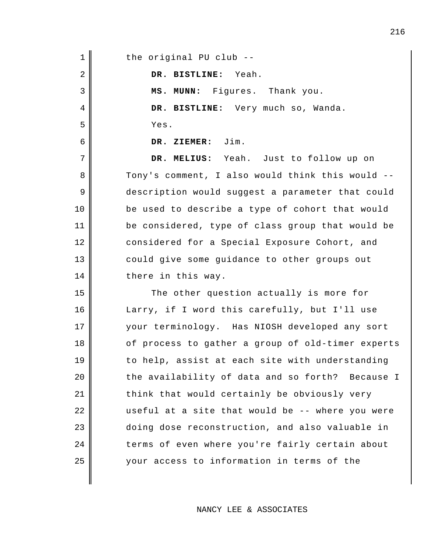| $\mathbf 1$ | the original PU club --                           |
|-------------|---------------------------------------------------|
| 2           | DR. BISTLINE: Yeah.                               |
| 3           | MS. MUNN: Figures. Thank you.                     |
| 4           | DR. BISTLINE: Very much so, Wanda.                |
| 5           | Yes.                                              |
| 6           | DR. ZIEMER: Jim.                                  |
| 7           | DR. MELIUS: Yeah. Just to follow up on            |
| 8           | Tony's comment, I also would think this would --  |
| 9           | description would suggest a parameter that could  |
| 10          | be used to describe a type of cohort that would   |
| 11          | be considered, type of class group that would be  |
| 12          | considered for a Special Exposure Cohort, and     |
| 13          | could give some guidance to other groups out      |
| 14          | there in this way.                                |
| 15          | The other question actually is more for           |
| 16          | Larry, if I word this carefully, but I'll use     |
| 17          | your terminology. Has NIOSH developed any sort    |
| 18          | of process to gather a group of old-timer experts |
| 19          | to help, assist at each site with understanding   |
| 20          | the availability of data and so forth? Because I  |
| 21          | think that would certainly be obviously very      |
| 22          | useful at a site that would be -- where you were  |
| 23          | doing dose reconstruction, and also valuable in   |
| 24          | terms of even where you're fairly certain about   |
| 25          | your access to information in terms of the        |
|             |                                                   |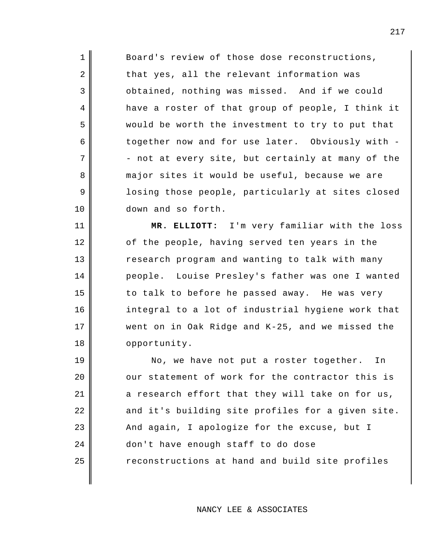Board's review of those dose reconstructions, that yes, all the relevant information was obtained, nothing was missed. And if we could have a roster of that group of people, I think it would be worth the investment to try to put that together now and for use later. Obviously with - - not at every site, but certainly at many of the major sites it would be useful, because we are losing those people, particularly at sites closed down and so forth.

1

2

3

4

5

6

7

8

9

10

11

12

13

14

15

16

17

18

**MR. ELLIOTT:** I'm very familiar with the loss of the people, having served ten years in the research program and wanting to talk with many people. Louise Presley's father was one I wanted to talk to before he passed away. He was very integral to a lot of industrial hygiene work that went on in Oak Ridge and K-25, and we missed the opportunity.

19 20 21 22 23 24 25 No, we have not put a roster together. In our statement of work for the contractor this is a research effort that they will take on for us, and it's building site profiles for a given site. And again, I apologize for the excuse, but I don't have enough staff to do dose reconstructions at hand and build site profiles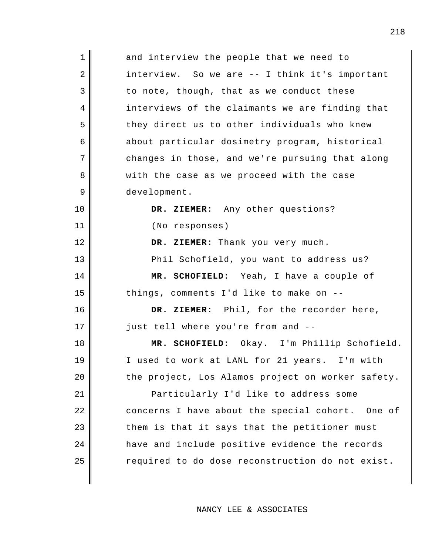| $\mathbf 1$ | and interview the people that we need to          |
|-------------|---------------------------------------------------|
| 2           | interview. So we are -- I think it's important    |
| 3           | to note, though, that as we conduct these         |
| 4           | interviews of the claimants we are finding that   |
| 5           | they direct us to other individuals who knew      |
| 6           | about particular dosimetry program, historical    |
| 7           | changes in those, and we're pursuing that along   |
| 8           | with the case as we proceed with the case         |
| 9           | development.                                      |
| 10          | DR. ZIEMER: Any other questions?                  |
| 11          | (No responses)                                    |
| 12          | DR. ZIEMER: Thank you very much.                  |
| 13          | Phil Schofield, you want to address us?           |
|             |                                                   |
| 14          | MR. SCHOFIELD: Yeah, I have a couple of           |
| 15          | things, comments I'd like to make on --           |
| 16          | DR. ZIEMER: Phil, for the recorder here,          |
| 17          | just tell where you're from and --                |
| 18          | MR. SCHOFIELD: Okay. I'm Phillip Schofield.       |
| 19          | I used to work at LANL for 21 years. I'm with     |
| 20          | the project, Los Alamos project on worker safety. |
| 21          | Particularly I'd like to address some             |
| 22          | concerns I have about the special cohort. One of  |
| 23          | them is that it says that the petitioner must     |
| 24          | have and include positive evidence the records    |
| 25          | required to do dose reconstruction do not exist.  |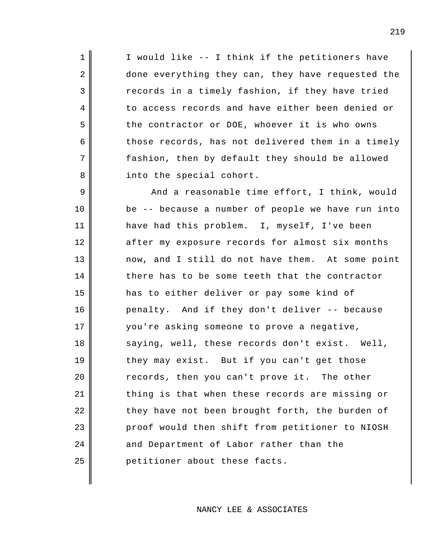I would like -- I think if the petitioners have done everything they can, they have requested the records in a timely fashion, if they have tried to access records and have either been denied or the contractor or DOE, whoever it is who owns those records, has not delivered them in a timely fashion, then by default they should be allowed into the special cohort.

1

2

3

4

5

6

7

8

9 10 11 12 13 14 15 16 17 18 19 20 21 22 23 24 25 And a reasonable time effort, I think, would be -- because a number of people we have run into have had this problem. I, myself, I've been after my exposure records for almost six months now, and I still do not have them. At some point there has to be some teeth that the contractor has to either deliver or pay some kind of penalty. And if they don't deliver -- because you're asking someone to prove a negative, saying, well, these records don't exist. Well, they may exist. But if you can't get those records, then you can't prove it. The other thing is that when these records are missing or they have not been brought forth, the burden of proof would then shift from petitioner to NIOSH and Department of Labor rather than the petitioner about these facts.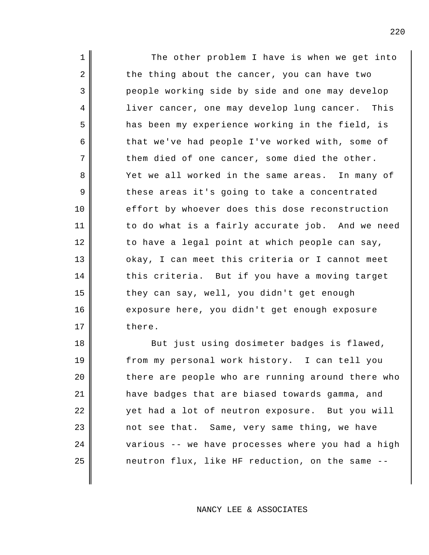1 2 3 4 5 6 7 8 9 10 11 12 13 14 15 16 17 The other problem I have is when we get into the thing about the cancer, you can have two people working side by side and one may develop liver cancer, one may develop lung cancer. This has been my experience working in the field, is that we've had people I've worked with, some of them died of one cancer, some died the other. Yet we all worked in the same areas. In many of these areas it's going to take a concentrated effort by whoever does this dose reconstruction to do what is a fairly accurate job. And we need to have a legal point at which people can say, okay, I can meet this criteria or I cannot meet this criteria. But if you have a moving target they can say, well, you didn't get enough exposure here, you didn't get enough exposure there.

18 19 20 21 22 23 24 25 But just using dosimeter badges is flawed, from my personal work history. I can tell you there are people who are running around there who have badges that are biased towards gamma, and yet had a lot of neutron exposure. But you will not see that. Same, very same thing, we have various -- we have processes where you had a high neutron flux, like HF reduction, on the same --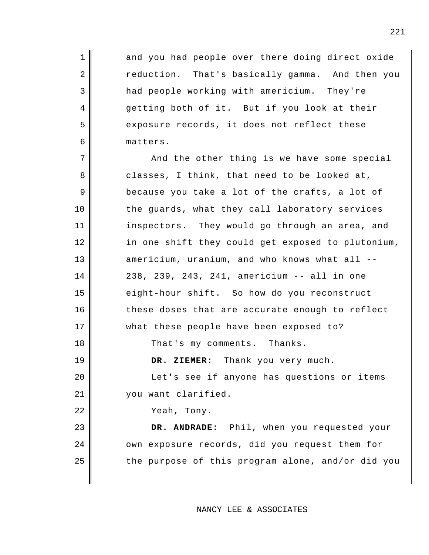and you had people over there doing direct oxide reduction. That's basically gamma. And then you had people working with americium. They're getting both of it. But if you look at their exposure records, it does not reflect these matters.

And the other thing is we have some special classes, I think, that need to be looked at, because you take a lot of the crafts, a lot of the guards, what they call laboratory services inspectors. They would go through an area, and in one shift they could get exposed to plutonium, americium, uranium, and who knows what all -- 238, 239, 243, 241, americium -- all in one eight-hour shift. So how do you reconstruct these doses that are accurate enough to reflect what these people have been exposed to?

That's my comments. Thanks.

**DR. ZIEMER:** Thank you very much.

Let's see if anyone has questions or items you want clarified.

Yeah, Tony.

1

2

3

4

5

6

7

8

9

10

11

12

13

14

15

16

17

18

19

20

21

22

23

24

25

**DR. ANDRADE:** Phil, when you requested your own exposure records, did you request them for the purpose of this program alone, and/or did you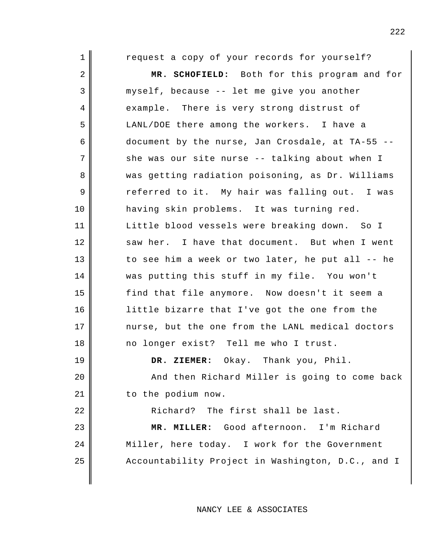| $\mathbf 1$ | request a copy of your records for yourself?      |
|-------------|---------------------------------------------------|
| 2           | MR. SCHOFIELD: Both for this program and for      |
| 3           | myself, because -- let me give you another        |
| 4           | example. There is very strong distrust of         |
| 5           | LANL/DOE there among the workers. I have a        |
| 6           | document by the nurse, Jan Crosdale, at TA-55 --  |
| 7           | she was our site nurse -- talking about when I    |
| 8           | was getting radiation poisoning, as Dr. Williams  |
| 9           | referred to it. My hair was falling out. I was    |
| 10          | having skin problems. It was turning red.         |
| 11          | Little blood vessels were breaking down. So I     |
| 12          | saw her. I have that document. But when I went    |
| 13          | to see him a week or two later, he put all -- he  |
| 14          | was putting this stuff in my file. You won't      |
| 15          | find that file anymore. Now doesn't it seem a     |
| 16          | little bizarre that I've got the one from the     |
| 17          | nurse, but the one from the LANL medical doctors  |
| 18          | no longer exist? Tell me who I trust.             |
| 19          | DR. ZIEMER: Okay. Thank you, Phil.                |
| 20          | And then Richard Miller is going to come back     |
| 21          | to the podium now.                                |
| 22          | Richard? The first shall be last.                 |
| 23          | MR. MILLER: Good afternoon. I'm Richard           |
| 24          | Miller, here today. I work for the Government     |
| 25          | Accountability Project in Washington, D.C., and I |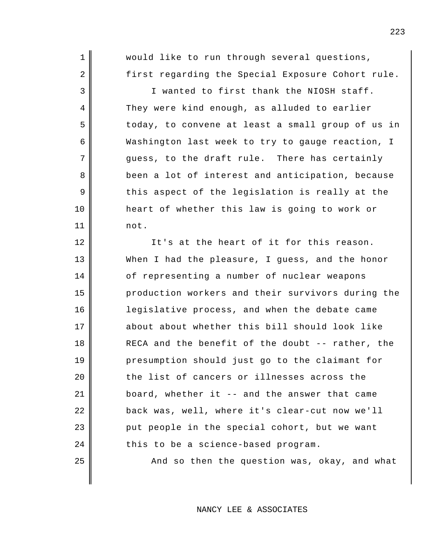would like to run through several questions, first regarding the Special Exposure Cohort rule.

1

2

3

4

5

6

7

8

9

10

11

12

13

14

15

16

17

18

19

20

21

22

23

24

25

I wanted to first thank the NIOSH staff. They were kind enough, as alluded to earlier today, to convene at least a small group of us in Washington last week to try to gauge reaction, I guess, to the draft rule. There has certainly been a lot of interest and anticipation, because this aspect of the legislation is really at the heart of whether this law is going to work or not.

It's at the heart of it for this reason. When I had the pleasure, I guess, and the honor of representing a number of nuclear weapons production workers and their survivors during the legislative process, and when the debate came about about whether this bill should look like RECA and the benefit of the doubt -- rather, the presumption should just go to the claimant for the list of cancers or illnesses across the board, whether it -- and the answer that came back was, well, where it's clear-cut now we'll put people in the special cohort, but we want this to be a science-based program.

And so then the question was, okay, and what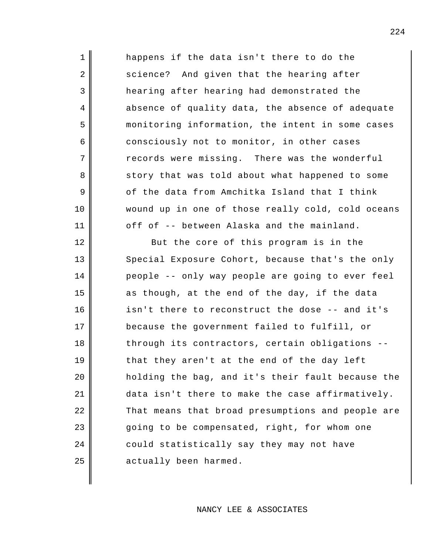1 2 3 4 5 6 7 8 9 10 11 12 13 14 15 16 17 18 19 20 happens if the data isn't there to do the science? And given that the hearing after hearing after hearing had demonstrated the absence of quality data, the absence of adequate monitoring information, the intent in some cases consciously not to monitor, in other cases records were missing. There was the wonderful story that was told about what happened to some of the data from Amchitka Island that I think wound up in one of those really cold, cold oceans off of -- between Alaska and the mainland. But the core of this program is in the Special Exposure Cohort, because that's the only people -- only way people are going to ever feel as though, at the end of the day, if the data isn't there to reconstruct the dose -- and it's because the government failed to fulfill, or through its contractors, certain obligations - that they aren't at the end of the day left holding the bag, and it's their fault because the

NANCY LEE & ASSOCIATES

data isn't there to make the case affirmatively.

going to be compensated, right, for whom one

could statistically say they may not have

actually been harmed.

That means that broad presumptions and people are

21

22

23

24

25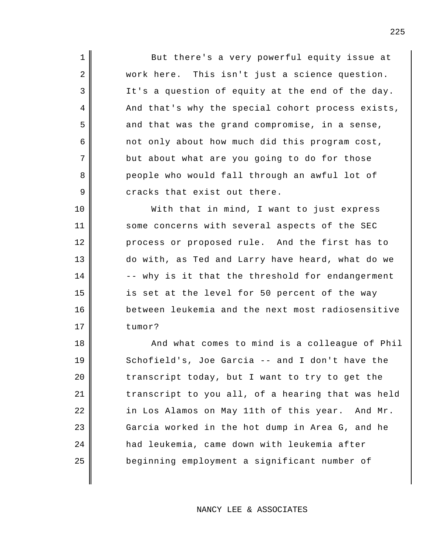But there's a very powerful equity issue at work here. This isn't just a science question. It's a question of equity at the end of the day. And that's why the special cohort process exists, and that was the grand compromise, in a sense, not only about how much did this program cost, but about what are you going to do for those people who would fall through an awful lot of cracks that exist out there.

1

2

3

4

5

6

7

8

9

10

11

12

13

14

15

16

17

With that in mind, I want to just express some concerns with several aspects of the SEC process or proposed rule. And the first has to do with, as Ted and Larry have heard, what do we -- why is it that the threshold for endangerment is set at the level for 50 percent of the way between leukemia and the next most radiosensitive tumor?

18 19 20 21 22 23 24 25 And what comes to mind is a colleague of Phil Schofield's, Joe Garcia -- and I don't have the transcript today, but I want to try to get the transcript to you all, of a hearing that was held in Los Alamos on May 11th of this year. And Mr. Garcia worked in the hot dump in Area G, and he had leukemia, came down with leukemia after beginning employment a significant number of

NANCY LEE & ASSOCIATES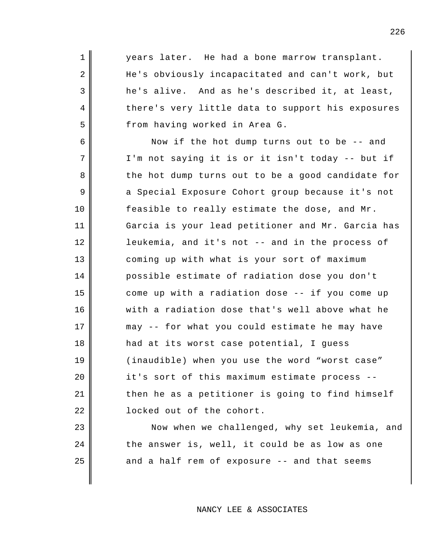years later. He had a bone marrow transplant. He's obviously incapacitated and can't work, but he's alive. And as he's described it, at least, there's very little data to support his exposures from having worked in Area G. Now if the hot dump turns out to be -- and

1

2

3

4

5

23

24

25

6 7 8 9 10 11 12 13 14 15 16 17 18 19 20 21 22 I'm not saying it is or it isn't today -- but if the hot dump turns out to be a good candidate for a Special Exposure Cohort group because it's not feasible to really estimate the dose, and Mr. Garcia is your lead petitioner and Mr. Garcia has leukemia, and it's not -- and in the process of coming up with what is your sort of maximum possible estimate of radiation dose you don't come up with a radiation dose -- if you come up with a radiation dose that's well above what he may -- for what you could estimate he may have had at its worst case potential, I guess (inaudible) when you use the word "worst case" it's sort of this maximum estimate process - then he as a petitioner is going to find himself locked out of the cohort.

Now when we challenged, why set leukemia, and the answer is, well, it could be as low as one and a half rem of exposure -- and that seems

NANCY LEE & ASSOCIATES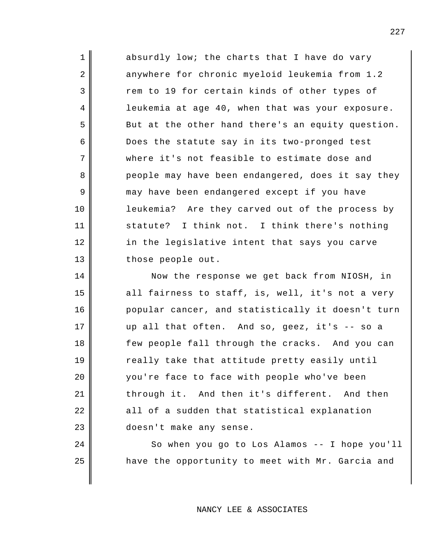absurdly low; the charts that I have do vary anywhere for chronic myeloid leukemia from 1.2 rem to 19 for certain kinds of other types of leukemia at age 40, when that was your exposure. But at the other hand there's an equity question. Does the statute say in its two-pronged test where it's not feasible to estimate dose and people may have been endangered, does it say they may have been endangered except if you have leukemia? Are they carved out of the process by statute? I think not. I think there's nothing in the legislative intent that says you carve those people out.

1

2

3

4

5

6

7

8

9

10

11

12

13

14

15

16

17

18

19

20

21

22

23

24

25

Now the response we get back from NIOSH, in all fairness to staff, is, well, it's not a very popular cancer, and statistically it doesn't turn up all that often. And so, geez, it's -- so a few people fall through the cracks. And you can really take that attitude pretty easily until you're face to face with people who've been through it. And then it's different. And then all of a sudden that statistical explanation doesn't make any sense.

> So when you go to Los Alamos -- I hope you'll have the opportunity to meet with Mr. Garcia and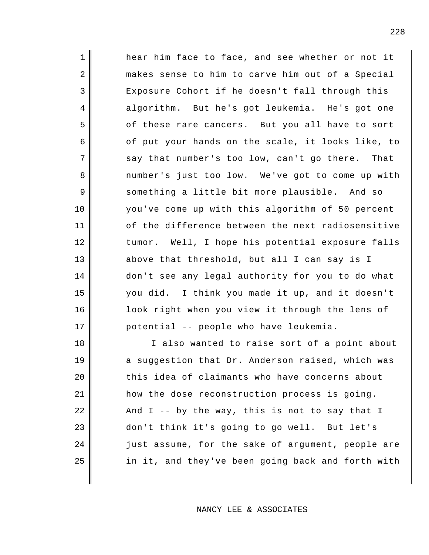hear him face to face, and see whether or not it makes sense to him to carve him out of a Special Exposure Cohort if he doesn't fall through this algorithm. But he's got leukemia. He's got one of these rare cancers. But you all have to sort of put your hands on the scale, it looks like, to say that number's too low, can't go there. That number's just too low. We've got to come up with something a little bit more plausible. And so you've come up with this algorithm of 50 percent of the difference between the next radiosensitive tumor. Well, I hope his potential exposure falls above that threshold, but all I can say is I don't see any legal authority for you to do what you did. I think you made it up, and it doesn't look right when you view it through the lens of potential -- people who have leukemia.

1

2

3

4

5

6

7

8

9

10

11

12

13

14

15

16

17

18 19 20 21 22 23 24 25 I also wanted to raise sort of a point about a suggestion that Dr. Anderson raised, which was this idea of claimants who have concerns about how the dose reconstruction process is going. And I -- by the way, this is not to say that I don't think it's going to go well. But let's just assume, for the sake of argument, people are in it, and they've been going back and forth with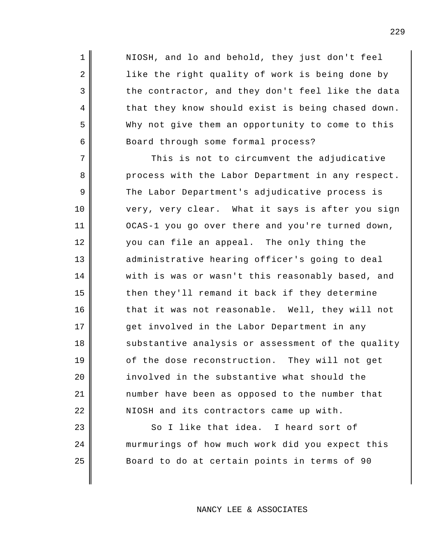NIOSH, and lo and behold, they just don't feel like the right quality of work is being done by the contractor, and they don't feel like the data that they know should exist is being chased down. Why not give them an opportunity to come to this Board through some formal process?

1

2

3

4

5

6

23

24

25

7 8 9 10 11 12 13 14 15 16 17 18 19 20 21 22 This is not to circumvent the adjudicative process with the Labor Department in any respect. The Labor Department's adjudicative process is very, very clear. What it says is after you sign OCAS-1 you go over there and you're turned down, you can file an appeal. The only thing the administrative hearing officer's going to deal with is was or wasn't this reasonably based, and then they'll remand it back if they determine that it was not reasonable. Well, they will not get involved in the Labor Department in any substantive analysis or assessment of the quality of the dose reconstruction. They will not get involved in the substantive what should the number have been as opposed to the number that NIOSH and its contractors came up with.

So I like that idea. I heard sort of murmurings of how much work did you expect this Board to do at certain points in terms of 90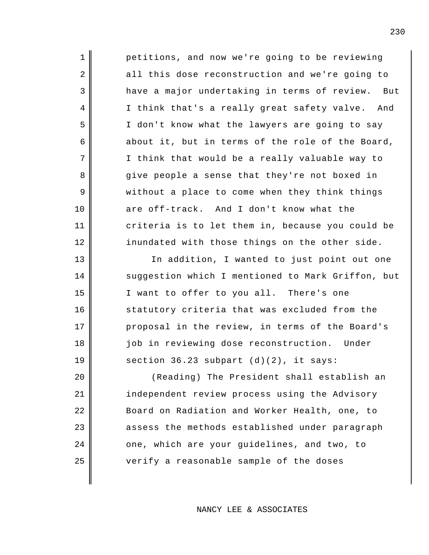2 3 7 12 13 14 15 16 petitions, and now we're going to be reviewing all this dose reconstruction and we're going to have a major undertaking in terms of review. But I think that's a really great safety valve. And I don't know what the lawyers are going to say about it, but in terms of the role of the Board, I think that would be a really valuable way to give people a sense that they're not boxed in without a place to come when they think things are off-track. And I don't know what the criteria is to let them in, because you could be inundated with those things on the other side. In addition, I wanted to just point out one suggestion which I mentioned to Mark Griffon, but I want to offer to you all. There's one statutory criteria that was excluded from the proposal in the review, in terms of the Board's job in reviewing dose reconstruction. Under section 36.23 subpart (d)(2), it says:

1

4

5

6

8

9

10

11

17

18

19

20

21

22

23

24

25

(Reading) The President shall establish an independent review process using the Advisory Board on Radiation and Worker Health, one, to assess the methods established under paragraph one, which are your guidelines, and two, to verify a reasonable sample of the doses

NANCY LEE & ASSOCIATES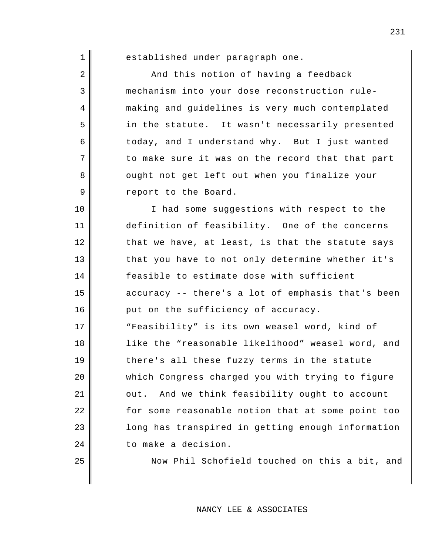| $\mathbf 1$ | established under paragraph one.                  |
|-------------|---------------------------------------------------|
| 2           | And this notion of having a feedback              |
| 3           | mechanism into your dose reconstruction rule-     |
| 4           | making and guidelines is very much contemplated   |
| 5           | in the statute. It wasn't necessarily presented   |
| 6           | today, and I understand why. But I just wanted    |
| 7           | to make sure it was on the record that that part  |
| 8           | ought not get left out when you finalize your     |
| 9           | report to the Board.                              |
| 10          | I had some suggestions with respect to the        |
| 11          | definition of feasibility. One of the concerns    |
| 12          | that we have, at least, is that the statute says  |
| 13          | that you have to not only determine whether it's  |
| 14          | feasible to estimate dose with sufficient         |
| 15          | accuracy -- there's a lot of emphasis that's been |
| 16          | put on the sufficiency of accuracy.               |
| 17          | "Feasibility" is its own weasel word, kind of     |
| 18          | like the "reasonable likelihood" weasel word, and |
| 19          | there's all these fuzzy terms in the statute      |
| 20          | which Congress charged you with trying to figure  |
| 21          | And we think feasibility ought to account<br>out. |
| 22          | for some reasonable notion that at some point too |
| 23          | long has transpired in getting enough information |
| 24          | to make a decision.                               |
| 25          | Now Phil Schofield touched on this a bit, and     |
|             |                                                   |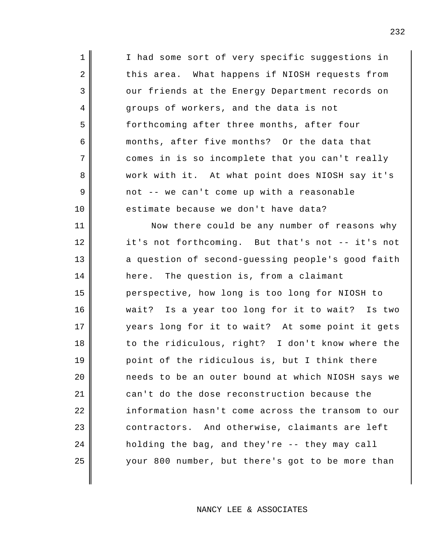| $\mathbf 1$ | I had some sort of very specific suggestions in   |
|-------------|---------------------------------------------------|
| 2           | this area. What happens if NIOSH requests from    |
| 3           | our friends at the Energy Department records on   |
| 4           | groups of workers, and the data is not            |
| 5           | forthcoming after three months, after four        |
| 6           | months, after five months? Or the data that       |
| 7           | comes in is so incomplete that you can't really   |
| 8           | work with it. At what point does NIOSH say it's   |
| 9           | not -- we can't come up with a reasonable         |
| 10          | estimate because we don't have data?              |
| 11          | Now there could be any number of reasons why      |
| 12          | it's not forthcoming. But that's not -- it's not  |
| 13          | a question of second-guessing people's good faith |
| 14          | here. The question is, from a claimant            |
| 15          | perspective, how long is too long for NIOSH to    |
| 16          | wait? Is a year too long for it to wait? Is two   |
| 17          | years long for it to wait? At some point it gets  |
| 18          | to the ridiculous, right? I don't know where the  |
| 19          | point of the ridiculous is, but I think there     |
| 20          | needs to be an outer bound at which NIOSH says we |
| 21          | can't do the dose reconstruction because the      |
| 22          | information hasn't come across the transom to our |
| 23          | contractors. And otherwise, claimants are left    |
| 24          | holding the bag, and they're -- they may call     |
| 25          | your 800 number, but there's got to be more than  |
|             |                                                   |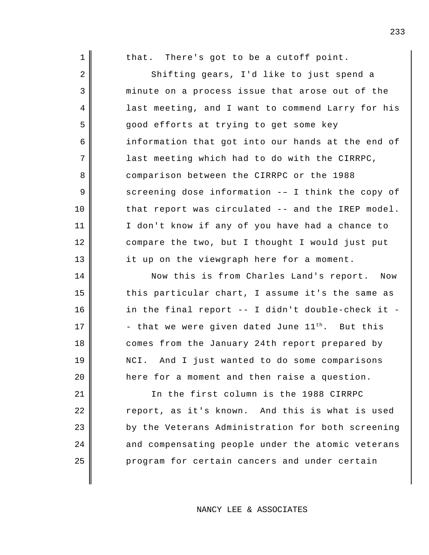| 1              | that. There's got to be a cutoff point.              |
|----------------|------------------------------------------------------|
| $\sqrt{2}$     | Shifting gears, I'd like to just spend a             |
| $\mathsf 3$    | minute on a process issue that arose out of the      |
| $\overline{4}$ | last meeting, and I want to commend Larry for his    |
| 5              | good efforts at trying to get some key               |
| 6              | information that got into our hands at the end of    |
| 7              | last meeting which had to do with the CIRRPC,        |
| 8              | comparison between the CIRRPC or the 1988            |
| 9              | screening dose information -- I think the copy of    |
| 10             | that report was circulated -- and the IREP model.    |
| 11             | I don't know if any of you have had a chance to      |
| 12             | compare the two, but I thought I would just put      |
| 13             | it up on the viewgraph here for a moment.            |
| 14             | Now this is from Charles Land's report. Now          |
| 15             | this particular chart, I assume it's the same as     |
| 16             | in the final report -- I didn't double-check it -    |
| 17             | - that we were given dated June $11^{th}$ . But this |
|                |                                                      |
| 18             | comes from the January 24th report prepared by       |
| 19             | And I just wanted to do some comparisons<br>NCI.     |
| 20             | here for a moment and then raise a question.         |
| 21             | In the first column is the 1988 CIRRPC               |
| 22             | report, as it's known. And this is what is used      |
| 23             | by the Veterans Administration for both screening    |
| 24             | and compensating people under the atomic veterans    |
| 25             | program for certain cancers and under certain        |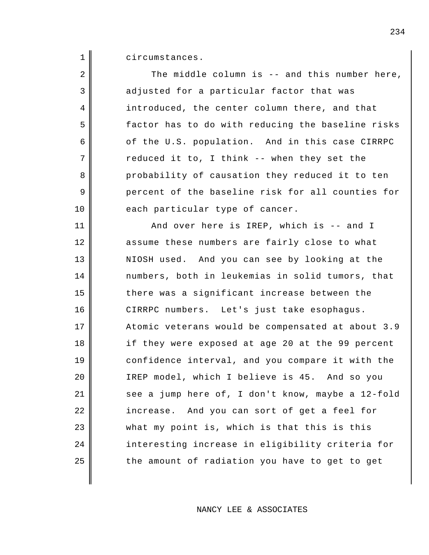1 circumstances.

| 2  | The middle column is -- and this number here,     |
|----|---------------------------------------------------|
| 3  | adjusted for a particular factor that was         |
| 4  | introduced, the center column there, and that     |
| 5  | factor has to do with reducing the baseline risks |
| 6  | of the U.S. population. And in this case CIRRPC   |
| 7  | reduced it to, I think -- when they set the       |
| 8  | probability of causation they reduced it to ten   |
| 9  | percent of the baseline risk for all counties for |
| 10 | each particular type of cancer.                   |
| 11 | And over here is IREP, which is -- and I          |
| 12 | assume these numbers are fairly close to what     |
| 13 | NIOSH used. And you can see by looking at the     |
| 14 | numbers, both in leukemias in solid tumors, that  |
| 15 | there was a significant increase between the      |
| 16 | CIRRPC numbers. Let's just take esophagus.        |
| 17 | Atomic veterans would be compensated at about 3.9 |
| 18 | if they were exposed at age 20 at the 99 percent  |
| 19 | confidence interval, and you compare it with the  |
| 20 | IREP model, which I believe is 45. And so you     |
| 21 | see a jump here of, I don't know, maybe a 12-fold |
| 22 | increase. And you can sort of get a feel for      |
| 23 | what my point is, which is that this is this      |
| 24 | interesting increase in eligibility criteria for  |
| 25 | the amount of radiation you have to get to get    |
|    |                                                   |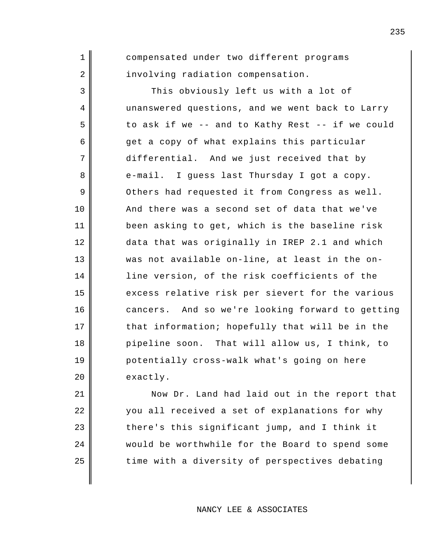1 2 3 4 5 6 7 8 9 10 11 12 13 14 15 16 17 18 19 20 compensated under two different programs involving radiation compensation. This obviously left us with a lot of unanswered questions, and we went back to Larry to ask if we -- and to Kathy Rest -- if we could get a copy of what explains this particular differential. And we just received that by e-mail. I guess last Thursday I got a copy. Others had requested it from Congress as well. And there was a second set of data that we've been asking to get, which is the baseline risk data that was originally in IREP 2.1 and which was not available on-line, at least in the online version, of the risk coefficients of the excess relative risk per sievert for the various cancers. And so we're looking forward to getting that information; hopefully that will be in the pipeline soon. That will allow us, I think, to potentially cross-walk what's going on here exactly.

21 22 23 24 25 Now Dr. Land had laid out in the report that you all received a set of explanations for why there's this significant jump, and I think it would be worthwhile for the Board to spend some time with a diversity of perspectives debating

NANCY LEE & ASSOCIATES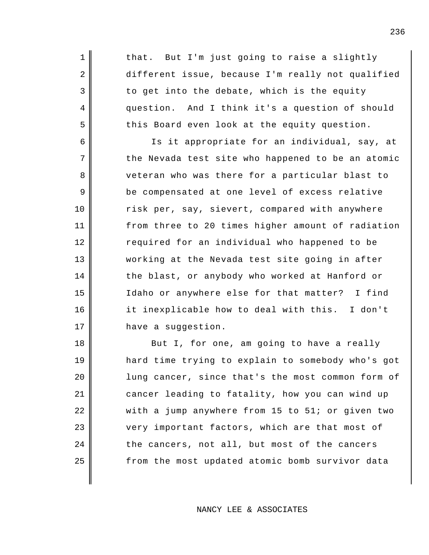that. But I'm just going to raise a slightly different issue, because I'm really not qualified to get into the debate, which is the equity question. And I think it's a question of should this Board even look at the equity question.

1

2

3

4

5

6

7

8

9

10

11

12

13

14

15

16

17

Is it appropriate for an individual, say, at the Nevada test site who happened to be an atomic veteran who was there for a particular blast to be compensated at one level of excess relative risk per, say, sievert, compared with anywhere from three to 20 times higher amount of radiation required for an individual who happened to be working at the Nevada test site going in after the blast, or anybody who worked at Hanford or Idaho or anywhere else for that matter? I find it inexplicable how to deal with this. I don't have a suggestion.

18 19 20 21 22 23 24 25 But I, for one, am going to have a really hard time trying to explain to somebody who's got lung cancer, since that's the most common form of cancer leading to fatality, how you can wind up with a jump anywhere from 15 to 51; or given two very important factors, which are that most of the cancers, not all, but most of the cancers from the most updated atomic bomb survivor data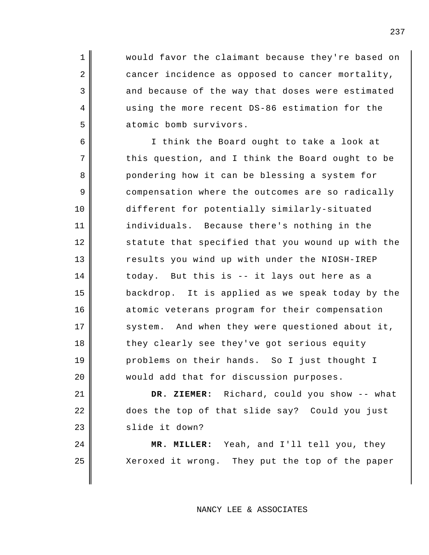would favor the claimant because they're based on cancer incidence as opposed to cancer mortality, and because of the way that doses were estimated using the more recent DS-86 estimation for the atomic bomb survivors.

1

2

3

4

5

21

22

23

24

25

6 7 8 9 10 11 12 13 14 15 16 17 18 19 20 I think the Board ought to take a look at this question, and I think the Board ought to be pondering how it can be blessing a system for compensation where the outcomes are so radically different for potentially similarly-situated individuals. Because there's nothing in the statute that specified that you wound up with the results you wind up with under the NIOSH-IREP today. But this is -- it lays out here as a backdrop. It is applied as we speak today by the atomic veterans program for their compensation system. And when they were questioned about it, they clearly see they've got serious equity problems on their hands. So I just thought I would add that for discussion purposes.

**DR. ZIEMER:** Richard, could you show -- what does the top of that slide say? Could you just slide it down?

**MR. MILLER:** Yeah, and I'll tell you, they Xeroxed it wrong. They put the top of the paper

NANCY LEE & ASSOCIATES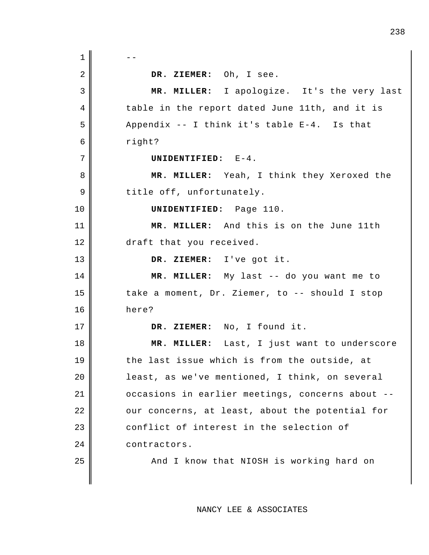$1 \parallel - -$ 2 3 4 5 6 7 8 9 10 11 12 13 14 15 16 17 18 19 20 21 22 23 24 25 **DR. ZIEMER:** Oh, I see. **MR. MILLER:** I apologize. It's the very last table in the report dated June 11th, and it is Appendix -- I think it's table E-4. Is that right? **UNIDENTIFIED:** E-4. **MR. MILLER:** Yeah, I think they Xeroxed the title off, unfortunately. **UNIDENTIFIED:** Page 110. **MR. MILLER:** And this is on the June 11th draft that you received. **DR. ZIEMER:** I've got it. **MR. MILLER:** My last -- do you want me to take a moment, Dr. Ziemer, to -- should I stop here? **DR. ZIEMER:** No, I found it. **MR. MILLER:** Last, I just want to underscore the last issue which is from the outside, at least, as we've mentioned, I think, on several occasions in earlier meetings, concerns about - our concerns, at least, about the potential for conflict of interest in the selection of contractors. And I know that NIOSH is working hard on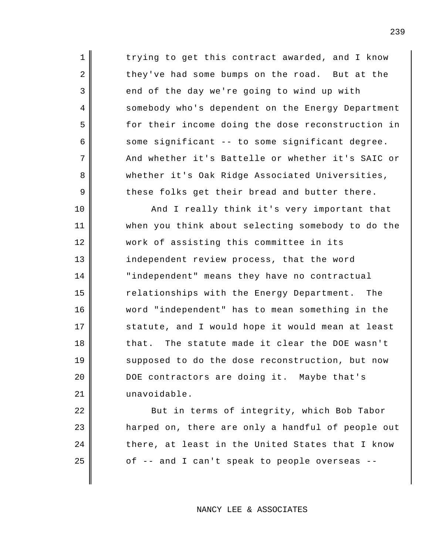trying to get this contract awarded, and I know they've had some bumps on the road. But at the end of the day we're going to wind up with somebody who's dependent on the Energy Department for their income doing the dose reconstruction in some significant -- to some significant degree. And whether it's Battelle or whether it's SAIC or whether it's Oak Ridge Associated Universities, these folks get their bread and butter there.

1

2

3

4

5

6

7

8

9

10

11

12

13

14

15

16

17

18

19

20

21

22

23

24

25

And I really think it's very important that when you think about selecting somebody to do the work of assisting this committee in its independent review process, that the word "independent" means they have no contractual relationships with the Energy Department. The word "independent" has to mean something in the statute, and I would hope it would mean at least that. The statute made it clear the DOE wasn't supposed to do the dose reconstruction, but now DOE contractors are doing it. Maybe that's unavoidable.

But in terms of integrity, which Bob Tabor harped on, there are only a handful of people out there, at least in the United States that I know of -- and I can't speak to people overseas --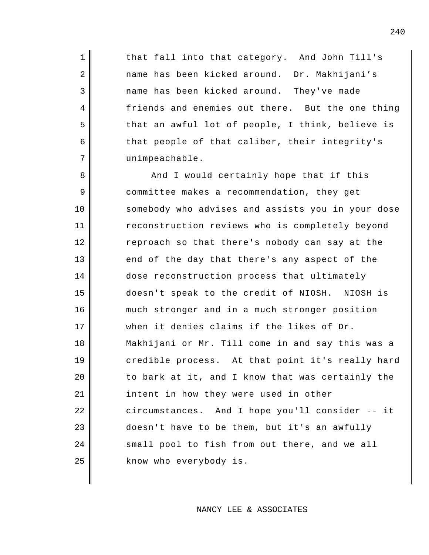that fall into that category. And John Till's name has been kicked around. Dr. Makhijani's name has been kicked around. They've made friends and enemies out there. But the one thing that an awful lot of people, I think, believe is that people of that caliber, their integrity's unimpeachable.

1

2

3

4

5

6

7

8 9 10 11 12 13 14 15 16 17 18 19 20 21 22 23 24 25 And I would certainly hope that if this committee makes a recommendation, they get somebody who advises and assists you in your dose reconstruction reviews who is completely beyond reproach so that there's nobody can say at the end of the day that there's any aspect of the dose reconstruction process that ultimately doesn't speak to the credit of NIOSH. NIOSH is much stronger and in a much stronger position when it denies claims if the likes of Dr. Makhijani or Mr. Till come in and say this was a credible process. At that point it's really hard to bark at it, and I know that was certainly the intent in how they were used in other circumstances. And I hope you'll consider -- it doesn't have to be them, but it's an awfully small pool to fish from out there, and we all know who everybody is.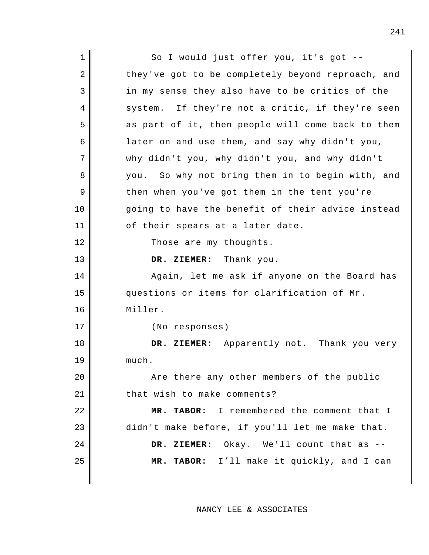| $\mathbf 1$    | So I would just offer you, it's got --            |
|----------------|---------------------------------------------------|
| $\overline{2}$ | they've got to be completely beyond reproach, and |
| 3              | in my sense they also have to be critics of the   |
| $\overline{4}$ | system. If they're not a critic, if they're seen  |
| 5              | as part of it, then people will come back to them |
| 6              | later on and use them, and say why didn't you,    |
| 7              | why didn't you, why didn't you, and why didn't    |
| 8              | you. So why not bring them in to begin with, and  |
| 9              | then when you've got them in the tent you're      |
| 10             | going to have the benefit of their advice instead |
| 11             | of their spears at a later date.                  |
| 12             | Those are my thoughts.                            |
| 13             | DR. ZIEMER: Thank you.                            |
| 14             | Again, let me ask if anyone on the Board has      |
| 15             | questions or items for clarification of Mr.       |
| 16             | Miller.                                           |
| 17             | (No responses)                                    |
| 18             | DR. ZIEMER: Apparently not. Thank you very        |
| 19             | much.                                             |
| 20             | Are there any other members of the public         |
| 21             | that wish to make comments?                       |
| 22             | MR. TABOR: I remembered the comment that I        |
| 23             | didn't make before, if you'll let me make that.   |
| 24             | DR. ZIEMER: Okay. We'll count that as --          |
| 25             | MR. TABOR: I'll make it quickly, and I can        |
|                |                                                   |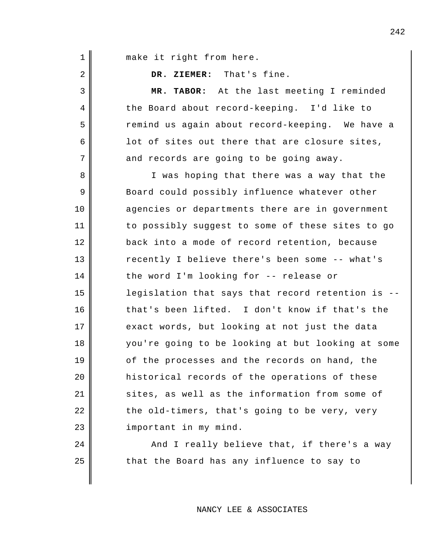| $\mathbf 1$    | make it right from here.                          |
|----------------|---------------------------------------------------|
| $\overline{2}$ | DR. ZIEMER: That's fine.                          |
| 3              | MR. TABOR: At the last meeting I reminded         |
| 4              | the Board about record-keeping. I'd like to       |
| 5              | remind us again about record-keeping. We have a   |
| 6              | lot of sites out there that are closure sites,    |
| 7              | and records are going to be going away.           |
| 8              | I was hoping that there was a way that the        |
| 9              | Board could possibly influence whatever other     |
| 10             | agencies or departments there are in government   |
| 11             | to possibly suggest to some of these sites to go  |
| 12             | back into a mode of record retention, because     |
| 13             | recently I believe there's been some -- what's    |
| 14             | the word I'm looking for -- release or            |
| 15             | legislation that says that record retention is -- |
| 16             | that's been lifted. I don't know if that's the    |
| 17             | exact words, but looking at not just the data     |
| 18             | you're going to be looking at but looking at some |
| 19             | of the processes and the records on hand, the     |
| 20             | historical records of the operations of these     |
| 21             | sites, as well as the information from some of    |

important in my mind. And I really believe that, if there's a way

the old-timers, that's going to be very, very

22

23

24

25

that the Board has any influence to say to

## NANCY LEE & ASSOCIATES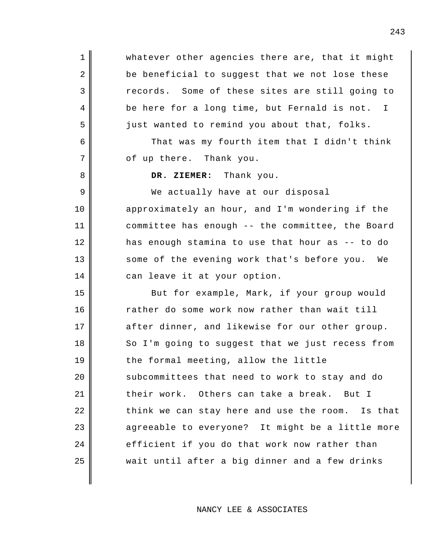whatever other agencies there are, that it might be beneficial to suggest that we not lose these records. Some of these sites are still going to be here for a long time, but Fernald is not. I just wanted to remind you about that, folks.

That was my fourth item that I didn't think of up there. Thank you.

**DR. ZIEMER:** Thank you.

1

2

3

4

5

6

7

8

9

10

11

12

13

14

We actually have at our disposal approximately an hour, and I'm wondering if the committee has enough -- the committee, the Board has enough stamina to use that hour as -- to do some of the evening work that's before you. We can leave it at your option.

15 16 17 18 19 20 21 22 23 24 25 But for example, Mark, if your group would rather do some work now rather than wait till after dinner, and likewise for our other group. So I'm going to suggest that we just recess from the formal meeting, allow the little subcommittees that need to work to stay and do their work. Others can take a break. But I think we can stay here and use the room. Is that agreeable to everyone? It might be a little more efficient if you do that work now rather than wait until after a big dinner and a few drinks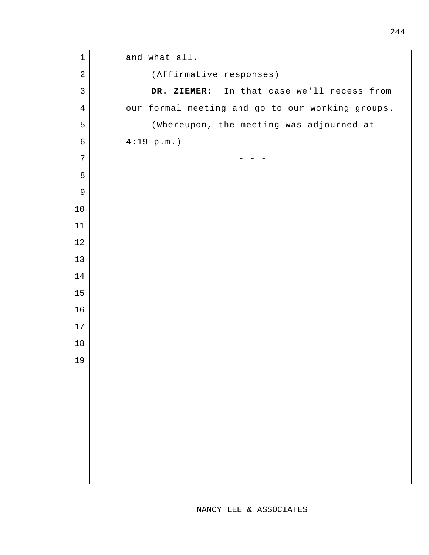| $\mathbf 1$    | and what all.                                    |
|----------------|--------------------------------------------------|
| $\sqrt{2}$     | (Affirmative responses)                          |
| $\mathsf 3$    | DR. ZIEMER: In that case we'll recess from       |
| $\overline{4}$ | our formal meeting and go to our working groups. |
| 5              | (Whereupon, the meeting was adjourned at         |
| $\epsilon$     | 4:19 p.m.                                        |
| $\sqrt{ }$     |                                                  |
| $\, 8$         |                                                  |
| $\mathsf 9$    |                                                  |
| $10$           |                                                  |
| 11             |                                                  |
| 12             |                                                  |
| 13             |                                                  |
| 14             |                                                  |
| 15             |                                                  |
| 16             |                                                  |
| 17             |                                                  |
| 18             |                                                  |
| 19             |                                                  |
|                |                                                  |
|                |                                                  |
|                |                                                  |
|                |                                                  |
|                |                                                  |
|                |                                                  |
|                |                                                  |